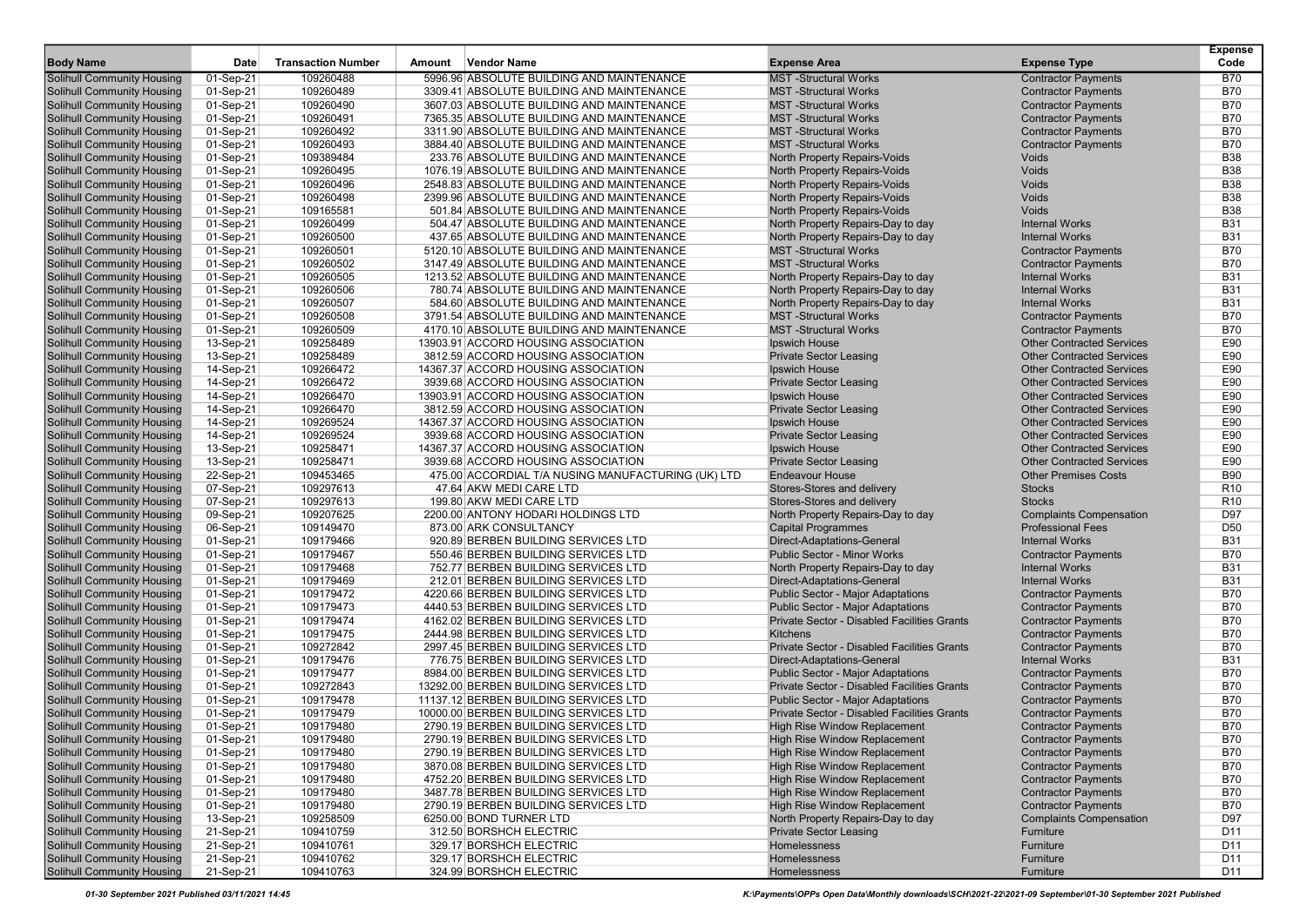|                                   |             |                           |        |                                                    |                                                    |                                  | <b>Expense</b>  |
|-----------------------------------|-------------|---------------------------|--------|----------------------------------------------------|----------------------------------------------------|----------------------------------|-----------------|
| <b>Body Name</b>                  | <b>Date</b> | <b>Transaction Number</b> | Amount | <b>Vendor Name</b>                                 | <b>Expense Area</b>                                | <b>Expense Type</b>              | Code            |
| <b>Solihull Community Housing</b> | 01-Sep-21   | 109260488                 |        | 5996.96 ABSOLUTE BUILDING AND MAINTENANCE          | <b>MST-Structural Works</b>                        | <b>Contractor Payments</b>       | <b>B70</b>      |
| <b>Solihull Community Housing</b> | 01-Sep-21   | 109260489                 |        | 3309.41 ABSOLUTE BUILDING AND MAINTENANCE          | <b>MST</b> -Structural Works                       | <b>Contractor Payments</b>       | <b>B70</b>      |
| <b>Solihull Community Housing</b> | 01-Sep-21   | 109260490                 |        | 3607.03 ABSOLUTE BUILDING AND MAINTENANCE          | <b>MST-Structural Works</b>                        | <b>Contractor Payments</b>       | <b>B70</b>      |
| <b>Solihull Community Housing</b> | 01-Sep-21   | 109260491                 |        | 7365.35 ABSOLUTE BUILDING AND MAINTENANCE          | <b>MST-Structural Works</b>                        | <b>Contractor Payments</b>       | <b>B70</b>      |
| <b>Solihull Community Housing</b> | 01-Sep-21   | 109260492                 |        | 3311.90 ABSOLUTE BUILDING AND MAINTENANCE          | <b>MST</b> -Structural Works                       | <b>Contractor Payments</b>       | <b>B70</b>      |
| <b>Solihull Community Housing</b> | 01-Sep-21   | 109260493                 |        | 3884.40 ABSOLUTE BUILDING AND MAINTENANCE          | <b>MST</b> -Structural Works                       | <b>Contractor Payments</b>       | <b>B70</b>      |
| <b>Solihull Community Housing</b> | 01-Sep-21   | 109389484                 |        | 233.76 ABSOLUTE BUILDING AND MAINTENANCE           | North Property Repairs-Voids                       | Voids                            | <b>B38</b>      |
| <b>Solihull Community Housing</b> | 01-Sep-21   | 109260495                 |        | 1076.19 ABSOLUTE BUILDING AND MAINTENANCE          | North Property Repairs-Voids                       | Voids                            | <b>B38</b>      |
| <b>Solihull Community Housing</b> | 01-Sep-21   | 109260496                 |        | 2548.83 ABSOLUTE BUILDING AND MAINTENANCE          | North Property Repairs-Voids                       | Voids                            | <b>B38</b>      |
| <b>Solihull Community Housing</b> | 01-Sep-21   | 109260498                 |        | 2399.96 ABSOLUTE BUILDING AND MAINTENANCE          | North Property Repairs-Voids                       | Voids                            | <b>B38</b>      |
| <b>Solihull Community Housing</b> | 01-Sep-21   | 109165581                 |        | 501.84 ABSOLUTE BUILDING AND MAINTENANCE           | <b>North Property Repairs-Voids</b>                | Voids                            | <b>B38</b>      |
| <b>Solihull Community Housing</b> | 01-Sep-21   | 109260499                 |        | 504.47 ABSOLUTE BUILDING AND MAINTENANCE           | North Property Repairs-Day to day                  | <b>Internal Works</b>            | <b>B31</b>      |
| <b>Solihull Community Housing</b> | 01-Sep-21   | 109260500                 |        | 437.65 ABSOLUTE BUILDING AND MAINTENANCE           | North Property Repairs-Day to day                  | <b>Internal Works</b>            | <b>B31</b>      |
| <b>Solihull Community Housing</b> | 01-Sep-21   | 109260501                 |        | 5120.10 ABSOLUTE BUILDING AND MAINTENANCE          | <b>MST-Structural Works</b>                        | <b>Contractor Payments</b>       | <b>B70</b>      |
| <b>Solihull Community Housing</b> | 01-Sep-21   | 109260502                 |        | 3147.49 ABSOLUTE BUILDING AND MAINTENANCE          | <b>MST-Structural Works</b>                        | <b>Contractor Payments</b>       | <b>B70</b>      |
| <b>Solihull Community Housing</b> | 01-Sep-21   | 109260505                 |        | 1213.52 ABSOLUTE BUILDING AND MAINTENANCE          | North Property Repairs-Day to day                  | <b>Internal Works</b>            | <b>B31</b>      |
| <b>Solihull Community Housing</b> | 01-Sep-21   | 109260506                 |        | 780.74 ABSOLUTE BUILDING AND MAINTENANCE           | North Property Repairs-Day to day                  | <b>Internal Works</b>            | <b>B31</b>      |
| <b>Solihull Community Housing</b> | 01-Sep-21   | 109260507                 |        | 584.60 ABSOLUTE BUILDING AND MAINTENANCE           | North Property Repairs-Day to day                  | <b>Internal Works</b>            | <b>B31</b>      |
| <b>Solihull Community Housing</b> | 01-Sep-21   | 109260508                 |        | 3791.54 ABSOLUTE BUILDING AND MAINTENANCE          | <b>MST</b> -Structural Works                       | <b>Contractor Payments</b>       | <b>B70</b>      |
| <b>Solihull Community Housing</b> | 01-Sep-21   | 109260509                 |        | 4170.10 ABSOLUTE BUILDING AND MAINTENANCE          | <b>MST-Structural Works</b>                        | <b>Contractor Payments</b>       | <b>B70</b>      |
| <b>Solihull Community Housing</b> | 13-Sep-21   | 109258489                 |        | 13903.91 ACCORD HOUSING ASSOCIATION                | Ipswich House                                      | <b>Other Contracted Services</b> | E90             |
| <b>Solihull Community Housing</b> | 13-Sep-21   | 109258489                 |        | 3812.59 ACCORD HOUSING ASSOCIATION                 | <b>Private Sector Leasing</b>                      | <b>Other Contracted Services</b> | E90             |
| <b>Solihull Community Housing</b> | 14-Sep-21   | 109266472                 |        | 14367.37 ACCORD HOUSING ASSOCIATION                | Ipswich House                                      | <b>Other Contracted Services</b> | E90             |
| <b>Solihull Community Housing</b> | 14-Sep-21   | 109266472                 |        | 3939.68 ACCORD HOUSING ASSOCIATION                 | <b>Private Sector Leasing</b>                      | <b>Other Contracted Services</b> | E90             |
| <b>Solihull Community Housing</b> | 14-Sep-21   | 109266470                 |        | 13903.91 ACCORD HOUSING ASSOCIATION                | Ipswich House                                      | <b>Other Contracted Services</b> | E90             |
| <b>Solihull Community Housing</b> | 14-Sep-21   | 109266470                 |        | 3812.59 ACCORD HOUSING ASSOCIATION                 | <b>Private Sector Leasing</b>                      | <b>Other Contracted Services</b> | E90             |
| <b>Solihull Community Housing</b> | 14-Sep-21   | 109269524                 |        | 14367.37 ACCORD HOUSING ASSOCIATION                | Ipswich House                                      | <b>Other Contracted Services</b> | E90             |
| <b>Solihull Community Housing</b> | 14-Sep-21   | 109269524                 |        | 3939.68 ACCORD HOUSING ASSOCIATION                 | <b>Private Sector Leasing</b>                      | <b>Other Contracted Services</b> | E90             |
| <b>Solihull Community Housing</b> | 13-Sep-21   | 109258471                 |        | 14367.37 ACCORD HOUSING ASSOCIATION                | Ipswich House                                      | <b>Other Contracted Services</b> | E90             |
| <b>Solihull Community Housing</b> | 13-Sep-21   | 109258471                 |        | 3939.68 ACCORD HOUSING ASSOCIATION                 | <b>Private Sector Leasing</b>                      | <b>Other Contracted Services</b> | E90             |
| <b>Solihull Community Housing</b> | 22-Sep-21   | 109453465                 |        | 475.00 ACCORDIAL T/A NUSING MANUFACTURING (UK) LTD | <b>Endeavour House</b>                             | <b>Other Premises Costs</b>      | <b>B90</b>      |
| <b>Solihull Community Housing</b> | 07-Sep-21   | 109297613                 |        | 47.64 AKW MEDI CARE LTD                            | Stores-Stores and delivery                         | <b>Stocks</b>                    | R <sub>10</sub> |
| <b>Solihull Community Housing</b> | 07-Sep-21   | 109297613                 |        | 199.80 AKW MEDI CARE LTD                           | Stores-Stores and delivery                         | <b>Stocks</b>                    | R <sub>10</sub> |
| <b>Solihull Community Housing</b> | 09-Sep-21   | 109207625                 |        | 2200.00 ANTONY HODARI HOLDINGS LTD                 | North Property Repairs-Day to day                  | <b>Complaints Compensation</b>   | D97             |
| <b>Solihull Community Housing</b> | 06-Sep-21   | 109149470                 |        | 873.00 ARK CONSULTANCY                             | <b>Capital Programmes</b>                          | <b>Professional Fees</b>         | D <sub>50</sub> |
| <b>Solihull Community Housing</b> | 01-Sep-21   | 109179466                 |        | 920.89 BERBEN BUILDING SERVICES LTD                | Direct-Adaptations-General                         | <b>Internal Works</b>            | <b>B31</b>      |
| <b>Solihull Community Housing</b> | 01-Sep-21   | 109179467                 |        | 550.46 BERBEN BUILDING SERVICES LTD                | <b>Public Sector - Minor Works</b>                 | <b>Contractor Payments</b>       | <b>B70</b>      |
| <b>Solihull Community Housing</b> | 01-Sep-21   | 109179468                 |        | 752.77 BERBEN BUILDING SERVICES LTD                | North Property Repairs-Day to day                  | <b>Internal Works</b>            | <b>B31</b>      |
| <b>Solihull Community Housing</b> | 01-Sep-21   | 109179469                 |        | 212.01 BERBEN BUILDING SERVICES LTD                | Direct-Adaptations-General                         | <b>Internal Works</b>            | <b>B31</b>      |
| <b>Solihull Community Housing</b> | 01-Sep-21   | 109179472                 |        | 4220.66 BERBEN BUILDING SERVICES LTD               | <b>Public Sector - Major Adaptations</b>           | <b>Contractor Payments</b>       | <b>B70</b>      |
| <b>Solihull Community Housing</b> | 01-Sep-21   | 109179473                 |        | 4440.53 BERBEN BUILDING SERVICES LTD               | <b>Public Sector - Major Adaptations</b>           | <b>Contractor Payments</b>       | <b>B70</b>      |
| <b>Solihull Community Housing</b> | 01-Sep-21   | 109179474                 |        | 4162.02 BERBEN BUILDING SERVICES LTD               | Private Sector - Disabled Facilities Grants        | <b>Contractor Payments</b>       | <b>B70</b>      |
| <b>Solihull Community Housing</b> | 01-Sep-21   | 109179475                 |        | 2444.98 BERBEN BUILDING SERVICES LTD               | <b>Kitchens</b>                                    | <b>Contractor Payments</b>       | <b>B70</b>      |
| <b>Solihull Community Housing</b> | 01-Sep-21   | 109272842                 |        | 2997.45 BERBEN BUILDING SERVICES LTD               | <b>Private Sector - Disabled Facilities Grants</b> | <b>Contractor Payments</b>       | <b>B70</b>      |
| <b>Solihull Community Housing</b> | 01-Sep-21   | 109179476                 |        | 776.75 BERBEN BUILDING SERVICES LTD                | Direct-Adaptations-General                         | <b>Internal Works</b>            | <b>B31</b>      |
| <b>Solihull Community Housing</b> | 01-Sep-21   | 109179477                 |        | 8984.00 BERBEN BUILDING SERVICES LTD               | <b>Public Sector - Major Adaptations</b>           | <b>Contractor Payments</b>       | <b>B70</b>      |
| <b>Solihull Community Housing</b> | 01-Sep-21   | 109272843                 |        | 13292.00 BERBEN BUILDING SERVICES LTD              | Private Sector - Disabled Facilities Grants        | <b>Contractor Payments</b>       | <b>B70</b>      |
| <b>Solihull Community Housing</b> | 01-Sep-21   | 109179478                 |        | 11137.12 BERBEN BUILDING SERVICES LTD              | <b>Public Sector - Major Adaptations</b>           | <b>Contractor Payments</b>       | <b>B70</b>      |
| Solihull Community Housing        | 01-Sep-21   | 109179479                 |        | 10000.00 BERBEN BUILDING SERVICES LTD              | Private Sector - Disabled Facilities Grants        | <b>Contractor Payments</b>       | <b>B70</b>      |
| <b>Solihull Community Housing</b> | 01-Sep-21   | 109179480                 |        | 2790.19 BERBEN BUILDING SERVICES LTD               | <b>High Rise Window Replacement</b>                | <b>Contractor Payments</b>       | <b>B70</b>      |
| <b>Solihull Community Housing</b> | 01-Sep-21   | 109179480                 |        | 2790.19 BERBEN BUILDING SERVICES LTD               | High Rise Window Replacement                       | <b>Contractor Payments</b>       | <b>B70</b>      |
| <b>Solihull Community Housing</b> | 01-Sep-21   | 109179480                 |        | 2790.19 BERBEN BUILDING SERVICES LTD               | High Rise Window Replacement                       | <b>Contractor Payments</b>       | <b>B70</b>      |
| <b>Solihull Community Housing</b> | 01-Sep-21   | 109179480                 |        | 3870.08 BERBEN BUILDING SERVICES LTD               | <b>High Rise Window Replacement</b>                | <b>Contractor Payments</b>       | <b>B70</b>      |
| <b>Solihull Community Housing</b> | 01-Sep-21   | 109179480                 |        | 4752.20 BERBEN BUILDING SERVICES LTD               | High Rise Window Replacement                       | <b>Contractor Payments</b>       | <b>B70</b>      |
| <b>Solihull Community Housing</b> | 01-Sep-21   | 109179480                 |        | 3487.78 BERBEN BUILDING SERVICES LTD               | High Rise Window Replacement                       | <b>Contractor Payments</b>       | <b>B70</b>      |
| <b>Solihull Community Housing</b> | 01-Sep-21   | 109179480                 |        | 2790.19 BERBEN BUILDING SERVICES LTD               | High Rise Window Replacement                       | <b>Contractor Payments</b>       | <b>B70</b>      |
| <b>Solihull Community Housing</b> | 13-Sep-21   | 109258509                 |        | 6250.00 BOND TURNER LTD                            | North Property Repairs-Day to day                  | <b>Complaints Compensation</b>   | D97             |
| <b>Solihull Community Housing</b> | 21-Sep-21   | 109410759                 |        | 312.50 BORSHCH ELECTRIC                            | <b>Private Sector Leasing</b>                      | Furniture                        | D <sub>11</sub> |
| <b>Solihull Community Housing</b> | 21-Sep-21   | 109410761                 |        | 329.17 BORSHCH ELECTRIC                            | Homelessness                                       | Furniture                        | D <sub>11</sub> |
| <b>Solihull Community Housing</b> | 21-Sep-21   | 109410762                 |        | 329.17 BORSHCH ELECTRIC                            | Homelessness                                       | Furniture                        | D <sub>11</sub> |
| <b>Solihull Community Housing</b> | 21-Sep-21   | 109410763                 |        | 324.99 BORSHCH ELECTRIC                            | Homelessness                                       | Furniture                        | D <sub>11</sub> |

01-30 September 2021 Published 03/11/2021 14:45 K:\Payments\OPPs Open Data\Monthly downloads\SCH\2021-22\2021-09 September\01-30 September 2021 Published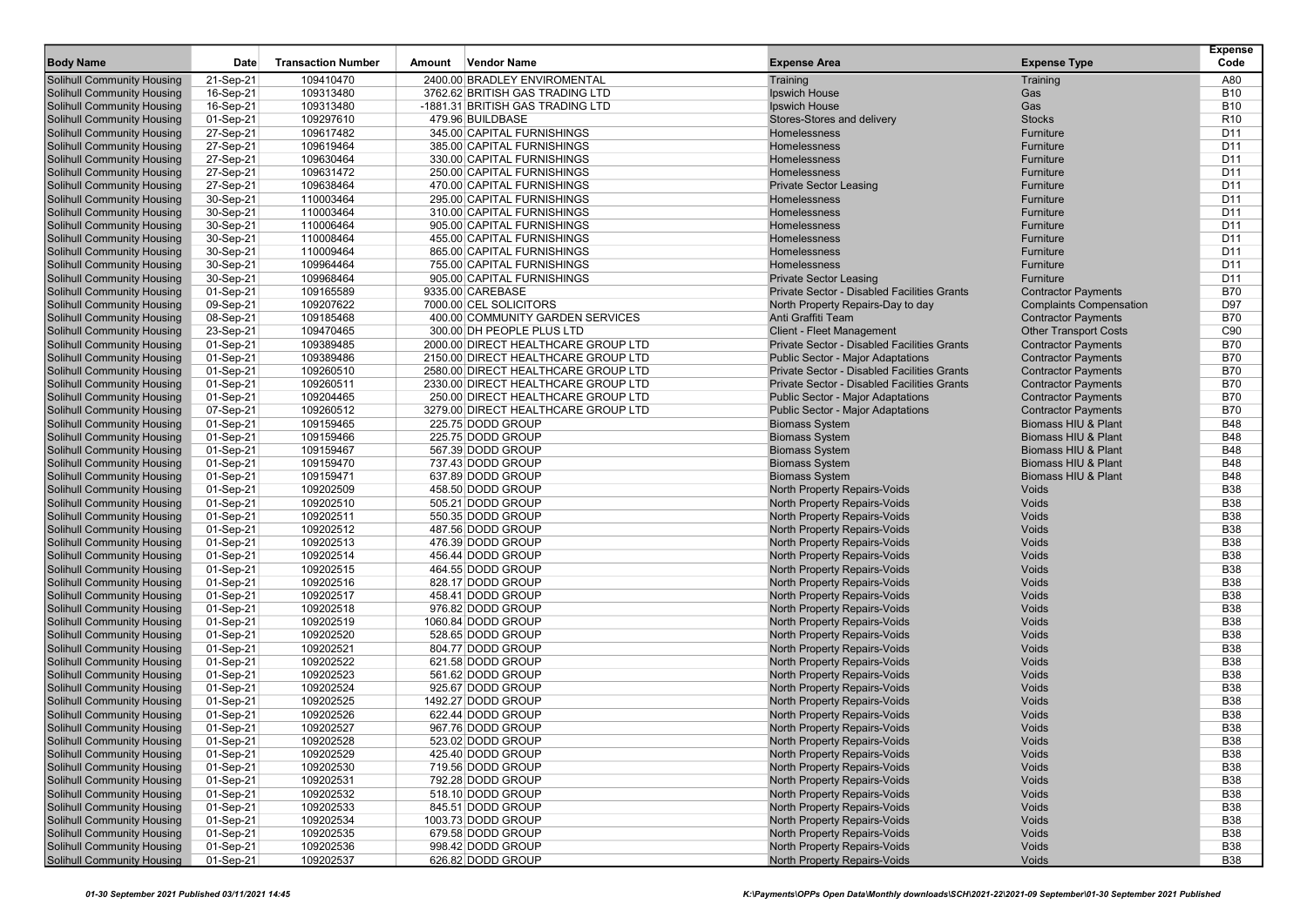| <b>Body Name</b>                  | Date      | <b>Transaction Number</b> | Amount | <b>Vendor Name</b>                  | <b>Expense Area</b>                         | <b>Expense Type</b>            | <b>Expense</b><br>Code |
|-----------------------------------|-----------|---------------------------|--------|-------------------------------------|---------------------------------------------|--------------------------------|------------------------|
| Solihull Community Housing        | 21-Sep-21 | 109410470                 |        | 2400.00 BRADLEY ENVIROMENTAL        | Training                                    | Training                       | A80                    |
| Solihull Community Housing        | 16-Sep-21 | 109313480                 |        | 3762.62 BRITISH GAS TRADING LTD     | Ipswich House                               | Gas                            | <b>B10</b>             |
| <b>Solihull Community Housing</b> | 16-Sep-21 | 109313480                 |        | -1881.31 BRITISH GAS TRADING LTD    | Ipswich House                               | Gas                            | <b>B10</b>             |
| <b>Solihull Community Housing</b> | 01-Sep-21 | 109297610                 |        | 479.96 BUILDBASE                    | Stores-Stores and delivery                  | <b>Stocks</b>                  | R <sub>10</sub>        |
| <b>Solihull Community Housing</b> | 27-Sep-21 | 109617482                 |        | 345.00 CAPITAL FURNISHINGS          | Homelessness                                | Furniture                      | D <sub>11</sub>        |
| <b>Solihull Community Housing</b> | 27-Sep-21 | 109619464                 |        | 385.00 CAPITAL FURNISHINGS          | Homelessness                                | Furniture                      | D11                    |
| <b>Solihull Community Housing</b> | 27-Sep-21 | 109630464                 |        | 330.00 CAPITAL FURNISHINGS          | Homelessness                                | Furniture                      | D <sub>11</sub>        |
| Solihull Community Housing        | 27-Sep-21 | 109631472                 |        | 250.00 CAPITAL FURNISHINGS          | Homelessness                                | Furniture                      | D11                    |
| <b>Solihull Community Housing</b> | 27-Sep-21 | 109638464                 |        | 470.00 CAPITAL FURNISHINGS          | <b>Private Sector Leasing</b>               | Furniture                      | D11                    |
| <b>Solihull Community Housing</b> | 30-Sep-21 | 110003464                 |        | 295.00 CAPITAL FURNISHINGS          | Homelessness                                | Furniture                      | D <sub>11</sub>        |
| <b>Solihull Community Housing</b> | 30-Sep-21 | 110003464                 |        | 310.00 CAPITAL FURNISHINGS          | Homelessness                                | Furniture                      | D <sub>11</sub>        |
| <b>Solihull Community Housing</b> | 30-Sep-21 | 110006464                 |        | 905.00 CAPITAL FURNISHINGS          | Homelessness                                | Furniture                      | D <sub>11</sub>        |
| <b>Solihull Community Housing</b> | 30-Sep-21 | 110008464                 |        | 455.00 CAPITAL FURNISHINGS          | Homelessness                                | Furniture                      | D11                    |
| <b>Solihull Community Housing</b> | 30-Sep-21 | 110009464                 |        | 865.00 CAPITAL FURNISHINGS          | Homelessness                                | Furniture                      | D <sub>11</sub>        |
| Solihull Community Housing        | 30-Sep-21 | 109964464                 |        | 755.00 CAPITAL FURNISHINGS          | Homelessness                                | Furniture                      | D11                    |
| <b>Solihull Community Housing</b> | 30-Sep-21 | 109968464                 |        | 905.00 CAPITAL FURNISHINGS          | <b>Private Sector Leasing</b>               | Furniture                      | D <sub>11</sub>        |
| <b>Solihull Community Housing</b> | 01-Sep-21 | 109165589                 |        | 9335.00 CAREBASE                    | Private Sector - Disabled Facilities Grants | <b>Contractor Payments</b>     | <b>B70</b>             |
| Solihull Community Housing        | 09-Sep-21 | 109207622                 |        | 7000.00 CEL SOLICITORS              | North Property Repairs-Day to day           | <b>Complaints Compensation</b> | D97                    |
| <b>Solihull Community Housing</b> | 08-Sep-21 | 109185468                 |        | 400.00 COMMUNITY GARDEN SERVICES    | Anti Graffiti Team                          | <b>Contractor Payments</b>     | <b>B70</b>             |
| <b>Solihull Community Housing</b> | 23-Sep-21 | 109470465                 |        | 300.00 DH PEOPLE PLUS LTD           | <b>Client - Fleet Management</b>            | <b>Other Transport Costs</b>   | C90                    |
| Solihull Community Housing        | 01-Sep-21 | 109389485                 |        | 2000.00 DIRECT HEALTHCARE GROUP LTD | Private Sector - Disabled Facilities Grants | <b>Contractor Payments</b>     | <b>B70</b>             |
| <b>Solihull Community Housing</b> | 01-Sep-21 | 109389486                 |        | 2150.00 DIRECT HEALTHCARE GROUP LTD | <b>Public Sector - Major Adaptations</b>    | <b>Contractor Payments</b>     | <b>B70</b>             |
| <b>Solihull Community Housing</b> | 01-Sep-21 | 109260510                 |        | 2580.00 DIRECT HEALTHCARE GROUP LTD | Private Sector - Disabled Facilities Grants | <b>Contractor Payments</b>     | <b>B70</b>             |
| <b>Solihull Community Housing</b> | 01-Sep-21 | 109260511                 |        | 2330.00 DIRECT HEALTHCARE GROUP LTD | Private Sector - Disabled Facilities Grants | <b>Contractor Payments</b>     | <b>B70</b>             |
| <b>Solihull Community Housing</b> | 01-Sep-21 | 109204465                 |        | 250.00 DIRECT HEALTHCARE GROUP LTD  | <b>Public Sector - Major Adaptations</b>    | <b>Contractor Payments</b>     | <b>B70</b>             |
| <b>Solihull Community Housing</b> | 07-Sep-21 | 109260512                 |        | 3279.00 DIRECT HEALTHCARE GROUP LTD | <b>Public Sector - Major Adaptations</b>    | <b>Contractor Payments</b>     | <b>B70</b>             |
| Solihull Community Housing        | 01-Sep-21 | 109159465                 |        | 225.75 DODD GROUP                   | <b>Biomass System</b>                       | Biomass HIU & Plant            | <b>B48</b>             |
| <b>Solihull Community Housing</b> | 01-Sep-21 | 109159466                 |        | 225.75 DODD GROUP                   | <b>Biomass System</b>                       | Biomass HIU & Plant            | <b>B48</b>             |
| <b>Solihull Community Housing</b> | 01-Sep-21 | 109159467                 |        | 567.39 DODD GROUP                   | <b>Biomass System</b>                       | Biomass HIU & Plant            | <b>B48</b>             |
| <b>Solihull Community Housing</b> | 01-Sep-21 | 109159470                 |        | 737.43 DODD GROUP                   | <b>Biomass System</b>                       | Biomass HIU & Plant            | <b>B48</b>             |
| <b>Solihull Community Housing</b> | 01-Sep-21 | 109159471                 |        | 637.89 DODD GROUP                   | <b>Biomass System</b>                       | Biomass HIU & Plant            | <b>B48</b>             |
| <b>Solihull Community Housing</b> | 01-Sep-21 | 109202509                 |        | 458.50 DODD GROUP                   | North Property Repairs-Voids                | Voids                          | <b>B38</b>             |
| <b>Solihull Community Housing</b> | 01-Sep-21 | 109202510                 |        | 505.21 DODD GROUP                   | North Property Repairs-Voids                | Voids                          | <b>B38</b>             |
| <b>Solihull Community Housing</b> | 01-Sep-21 | 109202511                 |        | 550.35 DODD GROUP                   | North Property Repairs-Voids                | Voids                          | <b>B38</b>             |
| <b>Solihull Community Housing</b> | 01-Sep-21 | 109202512                 |        | 487.56 DODD GROUP                   | North Property Repairs-Voids                | Voids                          | <b>B38</b>             |
| <b>Solihull Community Housing</b> | 01-Sep-21 | 109202513                 |        | 476.39 DODD GROUP                   | North Property Repairs-Voids                | Voids                          | <b>B38</b>             |
| <b>Solihull Community Housing</b> | 01-Sep-21 | 109202514                 |        | 456.44 DODD GROUP                   | North Property Repairs-Voids                | Voids                          | <b>B38</b>             |
| <b>Solihull Community Housing</b> | 01-Sep-21 | 109202515                 |        | 464.55 DODD GROUP                   | North Property Repairs-Voids                | Voids                          | <b>B38</b>             |
| <b>Solihull Community Housing</b> | 01-Sep-21 | 109202516                 |        | 828.17 DODD GROUP                   | North Property Repairs-Voids                | Voids                          | <b>B38</b>             |
| Solihull Community Housing        | 01-Sep-21 | 109202517                 |        | 458.41 DODD GROUP                   | North Property Repairs-Voids                | Voids                          | <b>B38</b>             |
| <b>Solihull Community Housing</b> | 01-Sep-21 | 109202518                 |        | 976.82 DODD GROUP                   | North Property Repairs-Voids                | Voids                          | <b>B38</b>             |
| <b>Solihull Community Housing</b> | 01-Sep-21 | 109202519                 |        | 1060.84 DODD GROUP                  | North Property Repairs-Voids                | Voids                          | <b>B38</b>             |
| <b>Solihull Community Housing</b> | 01-Sep-21 | 109202520                 |        | 528.65 DODD GROUP                   | North Property Repairs-Voids                | Voids                          | <b>B38</b>             |
| <b>Solihull Community Housing</b> | 01-Sep-21 | 109202521                 |        | 804.77 DODD GROUP                   | North Property Repairs-Voids                | Voids                          | <b>B38</b>             |
| <b>Solihull Community Housing</b> | 01-Sep-21 | 109202522                 |        | 621.58 DODD GROUP                   | North Property Repairs-Voids                | Voids                          | <b>B38</b>             |
| Solihull Community Housing        | 01-Sep-21 | 109202523                 |        | 561.62 DODD GROUP                   | North Property Repairs-Voids                | Voids                          | <b>B38</b>             |
| <b>Solihull Community Housing</b> | 01-Sep-21 | 109202524                 |        | 925.67 DODD GROUP                   | North Property Repairs-Voids                | Voids                          | <b>B38</b>             |
| <b>Solihull Community Housing</b> | 01-Sep-21 | 109202525                 |        | 1492.27 DODD GROUP                  | North Property Repairs-Voids                | Voids                          | <b>B38</b>             |
| Solihull Community Housing        | 01-Sep-21 | 109202526                 |        | 622.44 DODD GROUP                   | North Property Repairs-Voids                | Voids                          | <b>B38</b>             |
| <b>Solihull Community Housing</b> | 01-Sep-21 | 109202527                 |        | 967.76 DODD GROUP                   | North Property Repairs-Voids                | Voids                          | <b>B38</b>             |
| <b>Solihull Community Housing</b> | 01-Sep-21 | 109202528                 |        | 523.02 DODD GROUP                   | North Property Repairs-Volds                | Voids                          | <b>B38</b>             |
| <b>Solihull Community Housing</b> | 01-Sep-21 | 109202529                 |        | 425.40 DODD GROUP                   | North Property Repairs-Voids                | Voids                          | <b>B38</b>             |
| <b>Solihull Community Housing</b> | 01-Sep-21 | 109202530                 |        | 719.56 DODD GROUP                   | North Property Repairs-Voids                | Voids                          | <b>B38</b>             |
| <b>Solihull Community Housing</b> | 01-Sep-21 | 109202531                 |        | 792.28 DODD GROUP                   | North Property Repairs-Voids                | Voids                          | <b>B38</b>             |
| <b>Solihull Community Housing</b> | 01-Sep-21 | 109202532                 |        | 518.10 DODD GROUP                   | North Property Repairs-Voids                | Voids                          | <b>B38</b>             |
| <b>Solihull Community Housing</b> | 01-Sep-21 | 109202533                 |        | 845.51 DODD GROUP                   | North Property Repairs-Voids                | Voids                          | <b>B38</b>             |
| <b>Solihull Community Housing</b> | 01-Sep-21 | 109202534                 |        | 1003.73 DODD GROUP                  | <b>North Property Repairs-Voids</b>         | Voids                          | <b>B38</b>             |
| <b>Solihull Community Housing</b> | 01-Sep-21 | 109202535                 |        | 679.58 DODD GROUP                   | North Property Repairs-Voids                | Voids                          | <b>B38</b>             |
| <b>Solihull Community Housing</b> | 01-Sep-21 | 109202536                 |        | 998.42 DODD GROUP                   | North Property Repairs-Voids                | Voids                          | <b>B38</b>             |
| <b>Solihull Community Housing</b> | 01-Sep-21 | 109202537                 |        | 626.82 DODD GROUP                   | North Property Repairs-Voids                | Voids                          | <b>B38</b>             |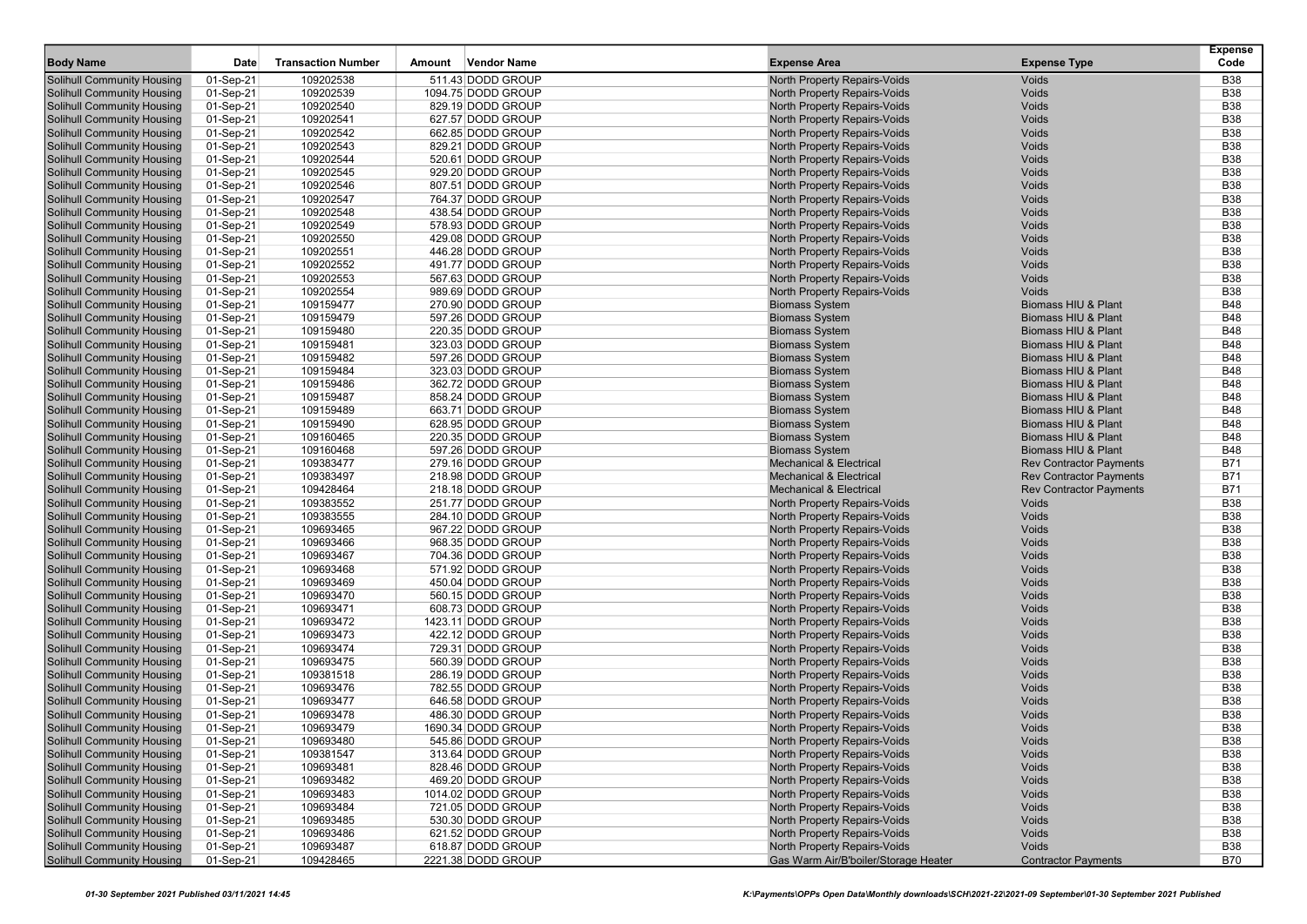| <b>Body Name</b>                  | Date      | <b>Transaction Number</b> | Amount | <b>Vendor Name</b> | <b>Expense Area</b>                  | <b>Expense Type</b>            | <b>Expense</b><br>Code |
|-----------------------------------|-----------|---------------------------|--------|--------------------|--------------------------------------|--------------------------------|------------------------|
|                                   |           |                           |        |                    |                                      |                                |                        |
| <b>Solihull Community Housing</b> | 01-Sep-21 | 109202538                 |        | 511.43 DODD GROUP  | North Property Repairs-Voids         | Voids                          | <b>B38</b>             |
| <b>Solihull Community Housing</b> | 01-Sep-21 | 109202539                 |        | 1094.75 DODD GROUP | North Property Repairs-Voids         | Voids                          | <b>B38</b>             |
| <b>Solihull Community Housing</b> | 01-Sep-21 | 109202540                 |        | 829.19 DODD GROUP  | North Property Repairs-Voids         | Voids                          | <b>B38</b>             |
| <b>Solihull Community Housing</b> | 01-Sep-21 | 109202541                 |        | 627.57 DODD GROUP  | North Property Repairs-Voids         | Voids                          | <b>B38</b>             |
| <b>Solihull Community Housing</b> | 01-Sep-21 | 109202542                 |        | 662.85 DODD GROUP  | North Property Repairs-Voids         | Voids                          | <b>B38</b>             |
| <b>Solihull Community Housing</b> | 01-Sep-21 | 109202543                 |        | 829.21 DODD GROUP  | North Property Repairs-Voids         | Voids                          | <b>B38</b>             |
| <b>Solihull Community Housing</b> | 01-Sep-21 | 109202544                 |        | 520.61 DODD GROUP  | North Property Repairs-Voids         | Voids                          | <b>B38</b>             |
| <b>Solihull Community Housing</b> | 01-Sep-21 | 109202545                 |        | 929.20 DODD GROUP  | North Property Repairs-Voids         | Voids                          | <b>B38</b>             |
| Solihull Community Housing        | 01-Sep-21 | 109202546                 |        | 807.51 DODD GROUP  | North Property Repairs-Voids         | Voids                          | <b>B38</b>             |
| <b>Solihull Community Housing</b> | 01-Sep-21 | 109202547                 |        | 764.37 DODD GROUP  | North Property Repairs-Voids         | Voids                          | <b>B38</b>             |
| <b>Solihull Community Housing</b> | 01-Sep-21 | 109202548                 |        | 438.54 DODD GROUP  | North Property Repairs-Voids         | Voids                          | <b>B38</b>             |
| <b>Solihull Community Housing</b> | 01-Sep-21 | 109202549                 |        | 578.93 DODD GROUP  | North Property Repairs-Voids         | Voids                          | <b>B38</b>             |
| <b>Solihull Community Housing</b> | 01-Sep-21 | 109202550                 |        | 429.08 DODD GROUP  | North Property Repairs-Voids         | Voids                          | <b>B38</b>             |
| <b>Solihull Community Housing</b> | 01-Sep-21 | 109202551                 |        | 446.28 DODD GROUP  | North Property Repairs-Voids         | Voids                          | <b>B38</b>             |
| Solihull Community Housing        | 01-Sep-21 | 109202552                 |        | 491.77 DODD GROUP  | North Property Repairs-Voids         | Voids                          | <b>B38</b>             |
| <b>Solihull Community Housing</b> | 01-Sep-21 | 109202553                 |        | 567.63 DODD GROUP  | North Property Repairs-Voids         | Voids                          | <b>B38</b>             |
| <b>Solihull Community Housing</b> | 01-Sep-21 | 109202554                 |        | 989.69 DODD GROUP  | North Property Repairs-Voids         | Voids                          | <b>B38</b>             |
| <b>Solihull Community Housing</b> | 01-Sep-21 | 109159477                 |        | 270.90 DODD GROUP  | <b>Biomass System</b>                | Biomass HIU & Plant            | <b>B48</b>             |
| <b>Solihull Community Housing</b> | 01-Sep-21 | 109159479                 |        | 597.26 DODD GROUP  | <b>Biomass System</b>                | Biomass HIU & Plant            | <b>B48</b>             |
| <b>Solihull Community Housing</b> | 01-Sep-21 | 109159480                 |        | 220.35 DODD GROUP  | <b>Biomass System</b>                | Biomass HIU & Plant            | <b>B48</b>             |
| <b>Solihull Community Housing</b> | 01-Sep-21 | 109159481                 |        | 323.03 DODD GROUP  | <b>Biomass System</b>                | Biomass HIU & Plant            | <b>B48</b>             |
| Solihull Community Housing        | 01-Sep-21 | 109159482                 |        | 597.26 DODD GROUP  | <b>Biomass System</b>                | Biomass HIU & Plant            | <b>B48</b>             |
| <b>Solihull Community Housing</b> | 01-Sep-21 | 109159484                 |        | 323.03 DODD GROUP  | <b>Biomass System</b>                | Biomass HIU & Plant            | <b>B48</b>             |
| <b>Solihull Community Housing</b> | 01-Sep-21 | 109159486                 |        | 362.72 DODD GROUP  | <b>Biomass System</b>                | Biomass HIU & Plant            | <b>B48</b>             |
| <b>Solihull Community Housing</b> | 01-Sep-21 | 109159487                 |        | 858.24 DODD GROUP  | <b>Biomass System</b>                | Biomass HIU & Plant            | <b>B48</b>             |
| <b>Solihull Community Housing</b> | 01-Sep-21 | 109159489                 |        | 663.71 DODD GROUP  | <b>Biomass System</b>                | Biomass HIU & Plant            | <b>B48</b>             |
| <b>Solihull Community Housing</b> | 01-Sep-21 | 109159490                 |        | 628.95 DODD GROUP  | <b>Biomass System</b>                | Biomass HIU & Plant            | <b>B48</b>             |
| Solihull Community Housing        | 01-Sep-21 | 109160465                 |        | 220.35 DODD GROUP  | <b>Biomass System</b>                | Biomass HIU & Plant            | <b>B48</b>             |
| <b>Solihull Community Housing</b> | 01-Sep-21 | 109160468                 |        | 597.26 DODD GROUP  | <b>Biomass System</b>                | Biomass HIU & Plant            | <b>B48</b>             |
| <b>Solihull Community Housing</b> | 01-Sep-21 | 109383477                 |        | 279.16 DODD GROUP  | <b>Mechanical &amp; Electrical</b>   | <b>Rev Contractor Payments</b> | <b>B71</b>             |
| <b>Solihull Community Housing</b> | 01-Sep-21 | 109383497                 |        | 218.98 DODD GROUP  | <b>Mechanical &amp; Electrical</b>   | <b>Rev Contractor Payments</b> | <b>B71</b>             |
| <b>Solihull Community Housing</b> | 01-Sep-21 | 109428464                 |        | 218.18 DODD GROUP  | <b>Mechanical &amp; Electrical</b>   | <b>Rev Contractor Payments</b> | <b>B71</b>             |
| <b>Solihull Community Housing</b> | 01-Sep-21 | 109383552                 |        | 251.77 DODD GROUP  | North Property Repairs-Voids         | Voids                          | <b>B38</b>             |
| Solihull Community Housing        | 01-Sep-21 | 109383555                 |        | 284.10 DODD GROUP  | North Property Repairs-Voids         | Voids                          | <b>B38</b>             |
| <b>Solihull Community Housing</b> | 01-Sep-21 | 109693465                 |        | 967.22 DODD GROUP  | North Property Repairs-Voids         | Voids                          | <b>B38</b>             |
| <b>Solihull Community Housing</b> | 01-Sep-21 | 109693466                 |        | 968.35 DODD GROUP  | North Property Repairs-Voids         | Voids                          | <b>B38</b>             |
| <b>Solihull Community Housing</b> | 01-Sep-21 | 109693467                 |        | 704.36 DODD GROUP  | North Property Repairs-Voids         | Voids                          | <b>B38</b>             |
| <b>Solihull Community Housing</b> | 01-Sep-21 | 109693468                 |        | 571.92 DODD GROUP  | North Property Repairs-Voids         | Voids                          | <b>B38</b>             |
| <b>Solihull Community Housing</b> | 01-Sep-21 | 109693469                 |        | 450.04 DODD GROUP  | North Property Repairs-Voids         | Voids                          | <b>B38</b>             |
| <b>Solihull Community Housing</b> | 01-Sep-21 | 109693470                 |        | 560.15 DODD GROUP  | North Property Repairs-Voids         | Voids                          | <b>B38</b>             |
| <b>Solihull Community Housing</b> | 01-Sep-21 | 109693471                 |        | 608.73 DODD GROUP  | North Property Repairs-Voids         | Voids                          | <b>B38</b>             |
| <b>Solihull Community Housing</b> | 01-Sep-21 | 109693472                 |        | 1423.11 DODD GROUP | North Property Repairs-Voids         | Voids                          | <b>B38</b>             |
| <b>Solihull Community Housing</b> | 01-Sep-21 | 109693473                 |        | 422.12 DODD GROUP  | North Property Repairs-Voids         | Voids                          | <b>B38</b>             |
| <b>Solihull Community Housing</b> | 01-Sep-21 | 109693474                 |        | 729.31 DODD GROUP  | <b>North Property Repairs-Voids</b>  | Voids                          | <b>B38</b>             |
| <b>Solihull Community Housing</b> | 01-Sep-21 | 109693475                 |        | 560.39 DODD GROUP  | <b>North Property Repairs-Voids</b>  | Voids                          | <b>B38</b>             |
| <b>Solihull Community Housing</b> | 01-Sep-21 | 109381518                 |        | 286.19 DODD GROUP  | North Property Repairs-Voids         | Voids                          | <b>B38</b>             |
| Solihull Community Housing        | 01-Sep-21 | 109693476                 |        | 782.55 DODD GROUP  | North Property Repairs-Voids         | Voids                          | <b>B38</b>             |
| <b>Solihull Community Housing</b> | 01-Sep-21 | 109693477                 |        | 646.58 DODD GROUP  | North Property Repairs-Voids         | Voids                          | <b>B38</b>             |
| <b>Solihull Community Housing</b> | 01-Sep-21 | 109693478                 |        | 486.30 DODD GROUP  | North Property Repairs-Voids         | Voids                          | <b>B38</b>             |
| <b>Solihull Community Housing</b> | 01-Sep-21 | 109693479                 |        | 1690.34 DODD GROUP | North Property Repairs-Voids         | Voids                          | <b>B38</b>             |
| Solihull Community Housing        | 01-Sep-21 | 109693480                 |        | 545.86 DODD GROUP  | North Property Repairs-Voids         | Voids                          | <b>B38</b>             |
| <b>Solihull Community Housing</b> | 01-Sep-21 | 109381547                 |        | 313.64 DODD GROUP  | North Property Repairs-Voids         | Voids                          | <b>B38</b>             |
| <b>Solihull Community Housing</b> | 01-Sep-21 | 109693481                 |        | 828.46 DODD GROUP  | North Property Repairs-Voids         | Voids                          | <b>B38</b>             |
| <b>Solihull Community Housing</b> | 01-Sep-21 | 109693482                 |        | 469.20 DODD GROUP  | North Property Repairs-Voids         | Voids                          | <b>B38</b>             |
| <b>Solihull Community Housing</b> | 01-Sep-21 | 109693483                 |        | 1014.02 DODD GROUP | North Property Repairs-Voids         | Voids                          | <b>B38</b>             |
| <b>Solihull Community Housing</b> | 01-Sep-21 | 109693484                 |        | 721.05 DODD GROUP  | <b>North Property Repairs-Voids</b>  | Voids                          | <b>B38</b>             |
| <b>Solihull Community Housing</b> | 01-Sep-21 | 109693485                 |        | 530.30 DODD GROUP  | North Property Repairs-Voids         | Voids                          | <b>B38</b>             |
| <b>Solihull Community Housing</b> | 01-Sep-21 | 109693486                 |        | 621.52 DODD GROUP  | North Property Repairs-Voids         | Voids                          | <b>B38</b>             |
| <b>Solihull Community Housing</b> | 01-Sep-21 | 109693487                 |        | 618.87 DODD GROUP  | North Property Repairs-Voids         | Voids                          | <b>B38</b>             |
| <b>Solihull Community Housing</b> | 01-Sep-21 | 109428465                 |        | 2221.38 DODD GROUP | Gas Warm Air/B'boiler/Storage Heater | <b>Contractor Payments</b>     | B70                    |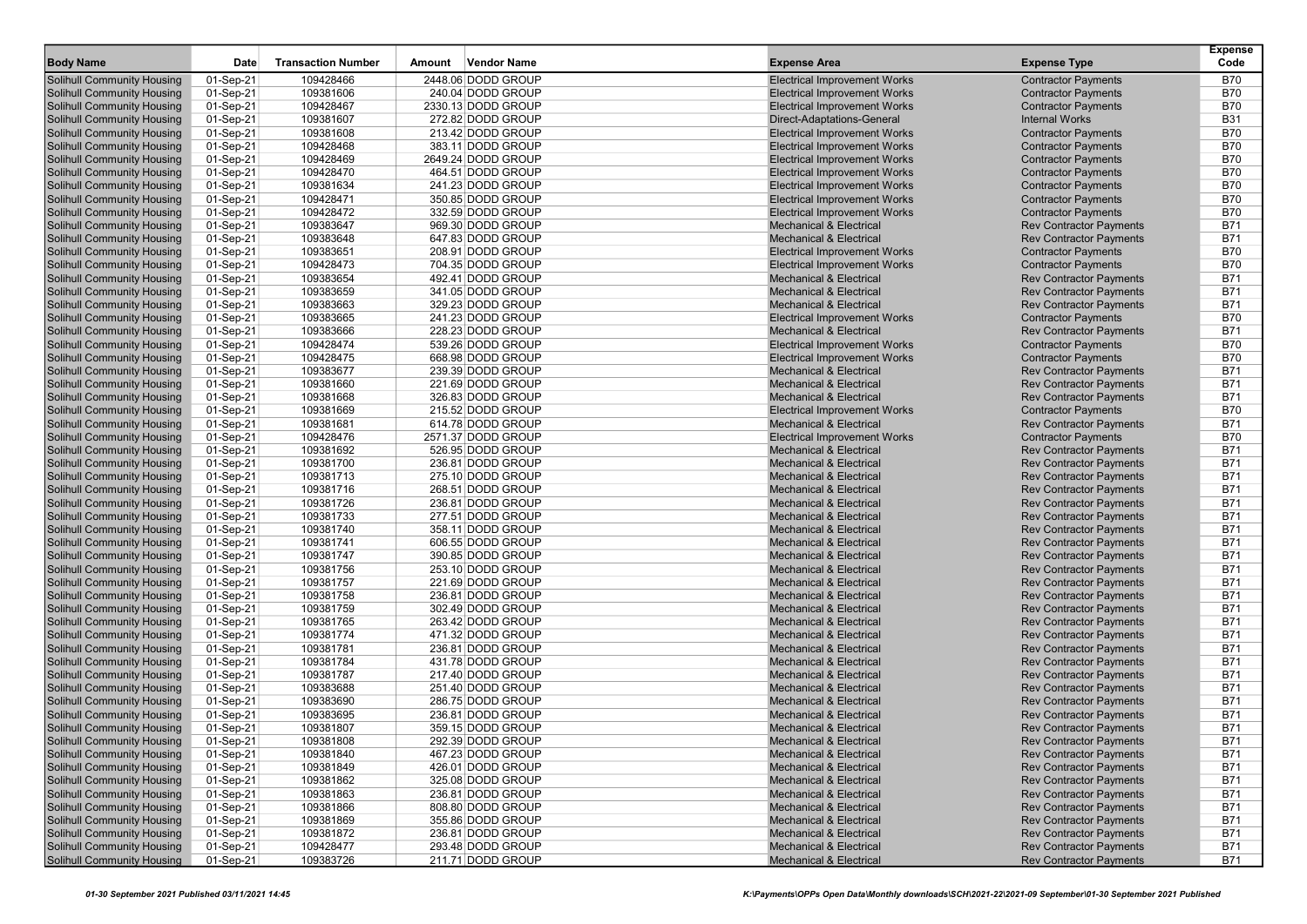| <b>Body Name</b>                  | <b>Date</b> | <b>Transaction Number</b> | Amount | <b>Vendor Name</b>                     | <b>Expense Area</b>                                                       | <b>Expense Type</b>            | <b>Expense</b><br>Code   |
|-----------------------------------|-------------|---------------------------|--------|----------------------------------------|---------------------------------------------------------------------------|--------------------------------|--------------------------|
| <b>Solihull Community Housing</b> | 01-Sep-21   | 109428466                 |        | 2448.06 DODD GROUP                     | <b>Electrical Improvement Works</b>                                       | <b>Contractor Payments</b>     | <b>B70</b>               |
| <b>Solihull Community Housing</b> | 01-Sep-21   | 109381606                 |        | 240.04 DODD GROUP                      | <b>Electrical Improvement Works</b>                                       | <b>Contractor Payments</b>     | <b>B70</b>               |
| Solihull Community Housing        | 01-Sep-21   | 109428467                 |        | 2330.13 DODD GROUP                     | <b>Electrical Improvement Works</b>                                       | <b>Contractor Payments</b>     | <b>B70</b>               |
| <b>Solihull Community Housing</b> | 01-Sep-21   | 109381607                 |        | 272.82 DODD GROUP                      | Direct-Adaptations-General                                                | <b>Internal Works</b>          | <b>B31</b>               |
| <b>Solihull Community Housing</b> | 01-Sep-21   | 109381608                 |        | 213.42 DODD GROUP                      | <b>Electrical Improvement Works</b>                                       | <b>Contractor Payments</b>     | <b>B70</b>               |
| <b>Solihull Community Housing</b> | 01-Sep-21   | 109428468                 |        | 383.11 DODD GROUP                      | <b>Electrical Improvement Works</b>                                       | <b>Contractor Payments</b>     | <b>B70</b>               |
| <b>Solihull Community Housing</b> | 01-Sep-21   | 109428469                 |        | 2649.24 DODD GROUP                     | <b>Electrical Improvement Works</b>                                       | <b>Contractor Payments</b>     | <b>B70</b>               |
| <b>Solihull Community Housing</b> | 01-Sep-21   | 109428470                 |        | 464.51 DODD GROUP                      | <b>Electrical Improvement Works</b>                                       | <b>Contractor Payments</b>     | <b>B70</b>               |
| Solihull Community Housing        | 01-Sep-21   | 109381634                 |        | 241.23 DODD GROUP                      | <b>Electrical Improvement Works</b>                                       | <b>Contractor Payments</b>     | <b>B70</b>               |
| <b>Solihull Community Housing</b> | 01-Sep-21   | 109428471                 |        | 350.85 DODD GROUP                      | <b>Electrical Improvement Works</b>                                       | <b>Contractor Payments</b>     | <b>B70</b>               |
| <b>Solihull Community Housing</b> | 01-Sep-21   | 109428472                 |        | 332.59 DODD GROUP                      | <b>Electrical Improvement Works</b>                                       | <b>Contractor Payments</b>     | <b>B70</b>               |
| <b>Solihull Community Housing</b> | 01-Sep-21   | 109383647                 |        | 969.30 DODD GROUP                      | <b>Mechanical &amp; Electrical</b>                                        | <b>Rev Contractor Payments</b> | <b>B71</b>               |
| <b>Solihull Community Housing</b> | 01-Sep-21   | 109383648                 |        | 647.83 DODD GROUP                      | <b>Mechanical &amp; Electrical</b>                                        | <b>Rev Contractor Payments</b> | <b>B71</b>               |
| <b>Solihull Community Housing</b> | 01-Sep-21   | 109383651                 |        | 208.91 DODD GROUP                      | <b>Electrical Improvement Works</b>                                       | <b>Contractor Payments</b>     | <b>B70</b>               |
| <b>Solihull Community Housing</b> |             | 109428473                 |        |                                        |                                                                           |                                | <b>B70</b>               |
|                                   | 01-Sep-21   | 109383654                 |        | 704.35 DODD GROUP<br>492.41 DODD GROUP | <b>Electrical Improvement Works</b><br><b>Mechanical &amp; Electrical</b> | <b>Contractor Payments</b>     | <b>B71</b>               |
| <b>Solihull Community Housing</b> | 01-Sep-21   | 109383659                 |        |                                        | <b>Mechanical &amp; Electrical</b>                                        | <b>Rev Contractor Payments</b> | <b>B71</b>               |
| <b>Solihull Community Housing</b> | 01-Sep-21   |                           |        | 341.05 DODD GROUP                      |                                                                           | <b>Rev Contractor Payments</b> |                          |
| <b>Solihull Community Housing</b> | 01-Sep-21   | 109383663                 |        | 329.23 DODD GROUP<br>241.23 DODD GROUP | <b>Mechanical &amp; Electrical</b>                                        | <b>Rev Contractor Payments</b> | <b>B71</b><br><b>B70</b> |
| <b>Solihull Community Housing</b> | 01-Sep-21   | 109383665                 |        |                                        | <b>Electrical Improvement Works</b>                                       | <b>Contractor Payments</b>     |                          |
| <b>Solihull Community Housing</b> | 01-Sep-21   | 109383666                 |        | 228.23 DODD GROUP                      | <b>Mechanical &amp; Electrical</b>                                        | <b>Rev Contractor Payments</b> | <b>B71</b>               |
| <b>Solihull Community Housing</b> | 01-Sep-21   | 109428474                 |        | 539.26 DODD GROUP                      | <b>Electrical Improvement Works</b>                                       | <b>Contractor Payments</b>     | <b>B70</b>               |
| Solihull Community Housing        | 01-Sep-21   | 109428475                 |        | 668.98 DODD GROUP                      | <b>Electrical Improvement Works</b>                                       | <b>Contractor Payments</b>     | <b>B70</b>               |
| <b>Solihull Community Housing</b> | 01-Sep-21   | 109383677                 |        | 239.39 DODD GROUP                      | <b>Mechanical &amp; Electrical</b>                                        | <b>Rev Contractor Payments</b> | <b>B71</b>               |
| <b>Solihull Community Housing</b> | 01-Sep-21   | 109381660                 |        | 221.69 DODD GROUP                      | <b>Mechanical &amp; Electrical</b>                                        | <b>Rev Contractor Payments</b> | <b>B71</b>               |
| Solihull Community Housing        | 01-Sep-21   | 109381668                 |        | 326.83 DODD GROUP                      | <b>Mechanical &amp; Electrical</b>                                        | <b>Rev Contractor Payments</b> | <b>B71</b>               |
| <b>Solihull Community Housing</b> | 01-Sep-21   | 109381669                 |        | 215.52 DODD GROUP                      | <b>Electrical Improvement Works</b>                                       | <b>Contractor Payments</b>     | <b>B70</b>               |
| <b>Solihull Community Housing</b> | 01-Sep-21   | 109381681                 |        | 614.78 DODD GROUP                      | <b>Mechanical &amp; Electrical</b>                                        | <b>Rev Contractor Payments</b> | <b>B71</b>               |
| Solihull Community Housing        | 01-Sep-21   | 109428476                 |        | 2571.37 DODD GROUP                     | <b>Electrical Improvement Works</b>                                       | <b>Contractor Payments</b>     | <b>B70</b>               |
| <b>Solihull Community Housing</b> | 01-Sep-21   | 109381692                 |        | 526.95 DODD GROUP                      | <b>Mechanical &amp; Electrical</b>                                        | <b>Rev Contractor Payments</b> | <b>B71</b>               |
| <b>Solihull Community Housing</b> | 01-Sep-21   | 109381700                 |        | 236.81 DODD GROUP                      | <b>Mechanical &amp; Electrical</b>                                        | <b>Rev Contractor Payments</b> | <b>B71</b>               |
| <b>Solihull Community Housing</b> | 01-Sep-21   | 109381713                 |        | 275.10 DODD GROUP                      | <b>Mechanical &amp; Electrical</b>                                        | <b>Rev Contractor Payments</b> | <b>B71</b>               |
| <b>Solihull Community Housing</b> | 01-Sep-21   | 109381716                 |        | 268.51 DODD GROUP                      | <b>Mechanical &amp; Electrical</b>                                        | <b>Rev Contractor Payments</b> | <b>B71</b>               |
| <b>Solihull Community Housing</b> | 01-Sep-21   | 109381726                 |        | 236.81 DODD GROUP                      | <b>Mechanical &amp; Electrical</b>                                        | <b>Rev Contractor Payments</b> | <b>B71</b>               |
| Solihull Community Housing        | 01-Sep-21   | 109381733                 |        | 277.51 DODD GROUP                      | <b>Mechanical &amp; Electrical</b>                                        | <b>Rev Contractor Payments</b> | <b>B71</b>               |
| <b>Solihull Community Housing</b> | 01-Sep-21   | 109381740                 |        | 358.11 DODD GROUP                      | <b>Mechanical &amp; Electrical</b>                                        | <b>Rev Contractor Payments</b> | <b>B71</b>               |
| <b>Solihull Community Housing</b> | 01-Sep-21   | 109381741                 |        | 606.55 DODD GROUP                      | <b>Mechanical &amp; Electrical</b>                                        | <b>Rev Contractor Payments</b> | <b>B71</b>               |
| <b>Solihull Community Housing</b> | 01-Sep-21   | 109381747                 |        | 390.85 DODD GROUP                      | <b>Mechanical &amp; Electrical</b>                                        | <b>Rev Contractor Payments</b> | <b>B71</b>               |
| <b>Solihull Community Housing</b> | 01-Sep-21   | 109381756                 |        | 253.10 DODD GROUP                      | <b>Mechanical &amp; Electrical</b>                                        | <b>Rev Contractor Payments</b> | <b>B71</b>               |
| <b>Solihull Community Housing</b> | 01-Sep-21   | 109381757                 |        | 221.69 DODD GROUP                      | <b>Mechanical &amp; Electrical</b>                                        | <b>Rev Contractor Payments</b> | <b>B71</b>               |
| <b>Solihull Community Housing</b> | 01-Sep-21   | 109381758                 |        | 236.81 DODD GROUP                      | <b>Mechanical &amp; Electrical</b>                                        | <b>Rev Contractor Payments</b> | <b>B71</b>               |
| <b>Solihull Community Housing</b> | 01-Sep-21   | 109381759                 |        | 302.49 DODD GROUP                      | <b>Mechanical &amp; Electrical</b>                                        | <b>Rev Contractor Payments</b> | <b>B71</b>               |
| <b>Solihull Community Housing</b> | 01-Sep-21   | 109381765                 |        | 263.42 DODD GROUP                      | <b>Mechanical &amp; Electrical</b>                                        | <b>Rev Contractor Payments</b> | <b>B71</b>               |
| <b>Solihull Community Housing</b> | 01-Sep-21   | 109381774                 |        | 471.32 DODD GROUP                      | <b>Mechanical &amp; Electrical</b>                                        | <b>Rev Contractor Payments</b> | <b>B71</b>               |
| Solihull Community Housing        | 01-Sep-21   | 109381781                 |        | 236.81 DODD GROUP                      | <b>Mechanical &amp; Electrical</b>                                        | <b>Rev Contractor Payments</b> | <b>B71</b>               |
| <b>Solihull Community Housing</b> | 01-Sep-21   | 109381784                 |        | 431.78 DODD GROUP                      | <b>Mechanical &amp; Electrical</b>                                        | <b>Rev Contractor Payments</b> | <b>B71</b>               |
| <b>Solihull Community Housing</b> | 01-Sep-21   | 109381787                 |        | 217.40 DODD GROUP                      | <b>Mechanical &amp; Electrical</b>                                        | <b>Rev Contractor Payments</b> | <b>B71</b>               |
| Solihull Community Housing        | 01-Sep-21   | 109383688                 |        | 251.40 DODD GROUP                      | <b>Mechanical &amp; Electrical</b>                                        | <b>Rev Contractor Payments</b> | <b>B71</b>               |
| Solihull Community Housing        | 01-Sep-21   | 109383690                 |        | 286.75 DODD GROUP                      | <b>Mechanical &amp; Electrical</b>                                        | <b>Rev Contractor Payments</b> | <b>B71</b>               |
| <b>Solihull Community Housing</b> | 01-Sep-21   | 109383695                 |        | 236.81 DODD GROUP                      | <b>Mechanical &amp; Electrical</b>                                        | <b>Rev Contractor Payments</b> | <b>B71</b>               |
| <b>Solihull Community Housing</b> | 01-Sep-21   | 109381807                 |        | 359.15 DODD GROUP                      | <b>Mechanical &amp; Electrical</b>                                        | <b>Rev Contractor Payments</b> | <b>B71</b>               |
| Solihull Community Housing        | 01-Sep-21   | 109381808                 |        | 292.39 DODD GROUP                      | Mechanical & Electrical                                                   | <b>Rev Contractor Payments</b> | B71                      |
| <b>Solihull Community Housing</b> | 01-Sep-21   | 109381840                 |        | 467.23 DODD GROUP                      | <b>Mechanical &amp; Electrical</b>                                        | <b>Rev Contractor Payments</b> | <b>B71</b>               |
| <b>Solihull Community Housing</b> | 01-Sep-21   | 109381849                 |        | 426.01 DODD GROUP                      | <b>Mechanical &amp; Electrical</b>                                        | <b>Rev Contractor Payments</b> | <b>B71</b>               |
| <b>Solihull Community Housing</b> | 01-Sep-21   | 109381862                 |        | 325.08 DODD GROUP                      | <b>Mechanical &amp; Electrical</b>                                        | <b>Rev Contractor Payments</b> | <b>B71</b>               |
| <b>Solihull Community Housing</b> | 01-Sep-21   | 109381863                 |        | 236.81 DODD GROUP                      | <b>Mechanical &amp; Electrical</b>                                        | <b>Rev Contractor Payments</b> | <b>B71</b>               |
| <b>Solihull Community Housing</b> | 01-Sep-21   | 109381866                 |        | 808.80 DODD GROUP                      | <b>Mechanical &amp; Electrical</b>                                        | <b>Rev Contractor Payments</b> | <b>B71</b>               |
| <b>Solihull Community Housing</b> | 01-Sep-21   | 109381869                 |        | 355.86 DODD GROUP                      | <b>Mechanical &amp; Electrical</b>                                        | <b>Rev Contractor Payments</b> | <b>B71</b>               |
| <b>Solihull Community Housing</b> | 01-Sep-21   | 109381872                 |        | 236.81 DODD GROUP                      | <b>Mechanical &amp; Electrical</b>                                        | <b>Rev Contractor Payments</b> | <b>B71</b>               |
| <b>Solihull Community Housing</b> | 01-Sep-21   | 109428477                 |        | 293.48 DODD GROUP                      | <b>Mechanical &amp; Electrical</b>                                        | <b>Rev Contractor Payments</b> | <b>B71</b>               |
| <b>Solihull Community Housing</b> | 01-Sep-21   | 109383726                 |        | 211.71 DODD GROUP                      | <b>Mechanical &amp; Electrical</b>                                        | <b>Rev Contractor Payments</b> | B71                      |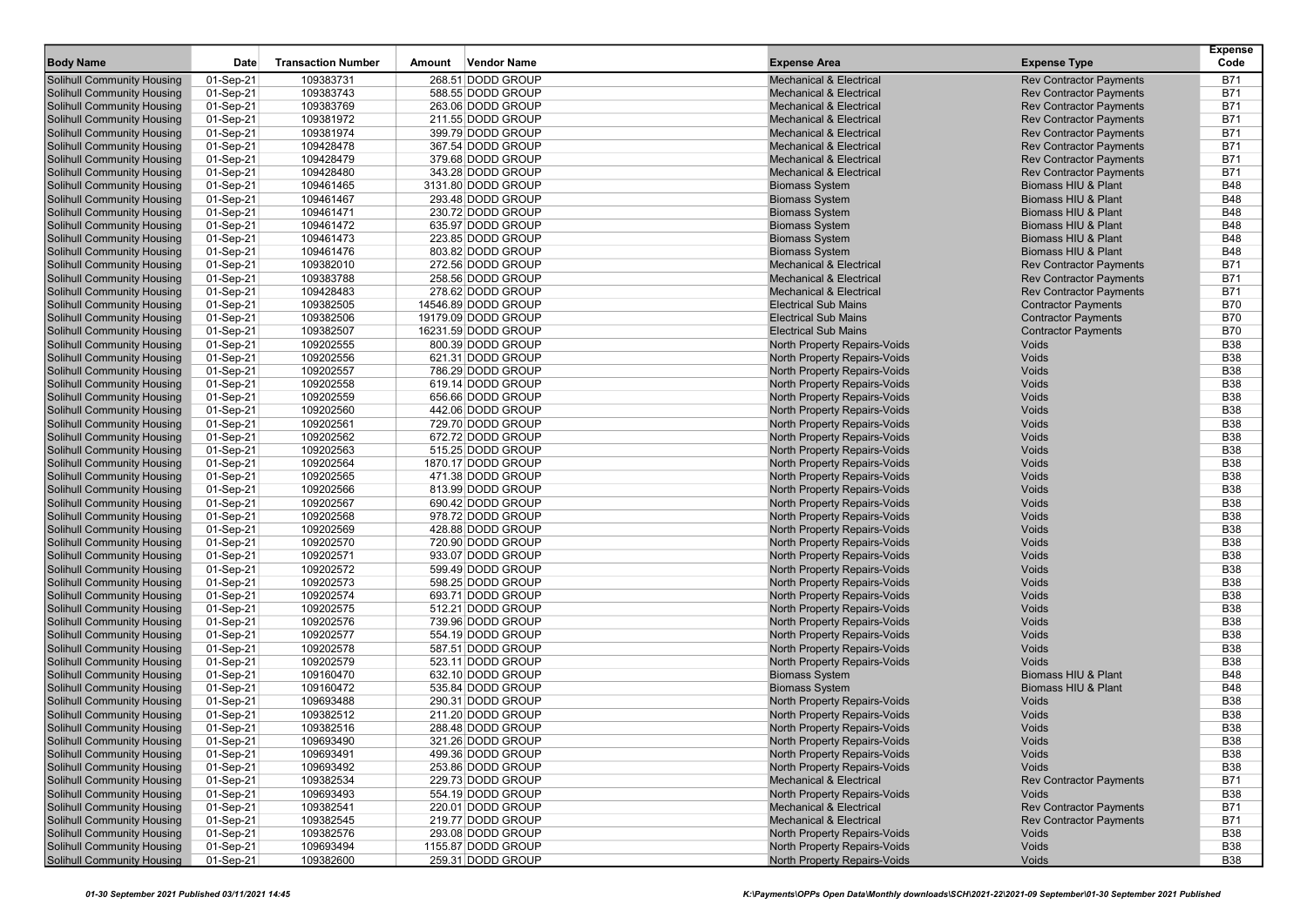| <b>Body Name</b>                  | Date      | <b>Transaction Number</b> | Amount | <b>Vendor Name</b>  | <b>Expense Area</b>                 | <b>Expense Type</b>            | <b>Expense</b><br>Code |
|-----------------------------------|-----------|---------------------------|--------|---------------------|-------------------------------------|--------------------------------|------------------------|
| <b>Solihull Community Housing</b> | 01-Sep-21 | 109383731                 |        | 268.51 DODD GROUP   | <b>Mechanical &amp; Electrical</b>  | <b>Rev Contractor Payments</b> | B71                    |
| <b>Solihull Community Housing</b> | 01-Sep-21 | 109383743                 |        | 588.55 DODD GROUP   | <b>Mechanical &amp; Electrical</b>  | <b>Rev Contractor Payments</b> | <b>B71</b>             |
| <b>Solihull Community Housing</b> | 01-Sep-21 | 109383769                 |        | 263.06 DODD GROUP   | <b>Mechanical &amp; Electrical</b>  | <b>Rev Contractor Payments</b> | <b>B71</b>             |
| <b>Solihull Community Housing</b> | 01-Sep-21 | 109381972                 |        | 211.55 DODD GROUP   | <b>Mechanical &amp; Electrical</b>  | <b>Rev Contractor Payments</b> | <b>B71</b>             |
| <b>Solihull Community Housing</b> | 01-Sep-21 | 109381974                 |        | 399.79 DODD GROUP   | <b>Mechanical &amp; Electrical</b>  | <b>Rev Contractor Payments</b> | <b>B71</b>             |
| <b>Solihull Community Housing</b> | 01-Sep-21 | 109428478                 |        | 367.54 DODD GROUP   | <b>Mechanical &amp; Electrical</b>  | <b>Rev Contractor Payments</b> | <b>B71</b>             |
| <b>Solihull Community Housing</b> | 01-Sep-21 | 109428479                 |        | 379.68 DODD GROUP   | <b>Mechanical &amp; Electrical</b>  | <b>Rev Contractor Payments</b> | <b>B71</b>             |
| <b>Solihull Community Housing</b> | 01-Sep-21 | 109428480                 |        | 343.28 DODD GROUP   | <b>Mechanical &amp; Electrical</b>  | <b>Rev Contractor Payments</b> | <b>B71</b>             |
| <b>Solihull Community Housing</b> | 01-Sep-21 | 109461465                 |        | 3131.80 DODD GROUP  | <b>Biomass System</b>               | Biomass HIU & Plant            | <b>B48</b>             |
| <b>Solihull Community Housing</b> | 01-Sep-21 | 109461467                 |        | 293.48 DODD GROUP   | <b>Biomass System</b>               | Biomass HIU & Plant            | <b>B48</b>             |
| <b>Solihull Community Housing</b> | 01-Sep-21 | 109461471                 |        | 230.72 DODD GROUP   | <b>Biomass System</b>               | <b>Biomass HIU &amp; Plant</b> | <b>B48</b>             |
| <b>Solihull Community Housing</b> | 01-Sep-21 | 109461472                 |        | 635.97 DODD GROUP   | <b>Biomass System</b>               | Biomass HIU & Plant            | <b>B48</b>             |
| <b>Solihull Community Housing</b> | 01-Sep-21 | 109461473                 |        | 223.85 DODD GROUP   | <b>Biomass System</b>               | <b>Biomass HIU &amp; Plant</b> | <b>B48</b>             |
| <b>Solihull Community Housing</b> | 01-Sep-21 | 109461476                 |        | 803.82 DODD GROUP   | <b>Biomass System</b>               | Biomass HIU & Plant            | <b>B48</b>             |
| <b>Solihull Community Housing</b> | 01-Sep-21 | 109382010                 |        | 272.56 DODD GROUP   | <b>Mechanical &amp; Electrical</b>  | <b>Rev Contractor Payments</b> | <b>B71</b>             |
| <b>Solihull Community Housing</b> | 01-Sep-21 | 109383788                 |        | 258.56 DODD GROUP   | <b>Mechanical &amp; Electrical</b>  | <b>Rev Contractor Payments</b> | <b>B71</b>             |
| <b>Solihull Community Housing</b> | 01-Sep-21 | 109428483                 |        | 278.62 DODD GROUP   | <b>Mechanical &amp; Electrical</b>  | <b>Rev Contractor Payments</b> | <b>B71</b>             |
| <b>Solihull Community Housing</b> | 01-Sep-21 | 109382505                 |        | 14546.89 DODD GROUP | <b>Electrical Sub Mains</b>         | <b>Contractor Payments</b>     | <b>B70</b>             |
| <b>Solihull Community Housing</b> | 01-Sep-21 | 109382506                 |        | 19179.09 DODD GROUP | <b>Electrical Sub Mains</b>         | <b>Contractor Payments</b>     | <b>B70</b>             |
| <b>Solihull Community Housing</b> | 01-Sep-21 | 109382507                 |        | 16231.59 DODD GROUP | <b>Electrical Sub Mains</b>         | <b>Contractor Payments</b>     | <b>B70</b>             |
| <b>Solihull Community Housing</b> | 01-Sep-21 | 109202555                 |        | 800.39 DODD GROUP   | North Property Repairs-Voids        | Voids                          | <b>B38</b>             |
| Solihull Community Housing        | 01-Sep-21 | 109202556                 |        | 621.31 DODD GROUP   | North Property Repairs-Voids        | Voids                          | <b>B38</b>             |
| <b>Solihull Community Housing</b> | 01-Sep-21 | 109202557                 |        | 786.29 DODD GROUP   | North Property Repairs-Voids        | Voids                          | <b>B38</b>             |
| <b>Solihull Community Housing</b> | 01-Sep-21 | 109202558                 |        | 619.14 DODD GROUP   | North Property Repairs-Voids        | Voids                          | <b>B38</b>             |
| <b>Solihull Community Housing</b> | 01-Sep-21 | 109202559                 |        | 656.66 DODD GROUP   | North Property Repairs-Voids        | Voids                          | <b>B38</b>             |
| <b>Solihull Community Housing</b> | 01-Sep-21 | 109202560                 |        | 442.06 DODD GROUP   | North Property Repairs-Voids        | Voids                          | <b>B38</b>             |
| <b>Solihull Community Housing</b> | 01-Sep-21 | 109202561                 |        | 729.70 DODD GROUP   | North Property Repairs-Voids        | Voids                          | <b>B38</b>             |
| <b>Solihull Community Housing</b> | 01-Sep-21 | 109202562                 |        | 672.72 DODD GROUP   | North Property Repairs-Voids        | Voids                          | <b>B38</b>             |
| <b>Solihull Community Housing</b> | 01-Sep-21 | 109202563                 |        | 515.25 DODD GROUP   | North Property Repairs-Voids        | <b>Voids</b>                   | <b>B38</b>             |
| <b>Solihull Community Housing</b> | 01-Sep-21 | 109202564                 |        | 1870.17 DODD GROUP  | North Property Repairs-Voids        | Voids                          | <b>B38</b>             |
| <b>Solihull Community Housing</b> | 01-Sep-21 | 109202565                 |        | 471.38 DODD GROUP   | North Property Repairs-Voids        | Voids                          | <b>B38</b>             |
| <b>Solihull Community Housing</b> | 01-Sep-21 | 109202566                 |        | 813.99 DODD GROUP   | North Property Repairs-Voids        | Voids                          | <b>B38</b>             |
| <b>Solihull Community Housing</b> | 01-Sep-21 | 109202567                 |        | 690.42 DODD GROUP   | North Property Repairs-Voids        | Voids                          | <b>B38</b>             |
| Solihull Community Housing        | 01-Sep-21 | 109202568                 |        | 978.72 DODD GROUP   | North Property Repairs-Voids        | Voids                          | <b>B38</b>             |
| <b>Solihull Community Housing</b> | 01-Sep-21 | 109202569                 |        | 428.88 DODD GROUP   | North Property Repairs-Voids        | Voids                          | <b>B38</b>             |
| <b>Solihull Community Housing</b> | 01-Sep-21 | 109202570                 |        | 720.90 DODD GROUP   | North Property Repairs-Voids        | Voids                          | <b>B38</b>             |
| <b>Solihull Community Housing</b> | 01-Sep-21 | 109202571                 |        | 933.07 DODD GROUP   | North Property Repairs-Voids        | Voids                          | <b>B38</b>             |
| <b>Solihull Community Housing</b> | 01-Sep-21 | 109202572                 |        | 599.49 DODD GROUP   | North Property Repairs-Voids        | Voids                          | <b>B38</b>             |
| <b>Solihull Community Housing</b> | 01-Sep-21 | 109202573                 |        | 598.25 DODD GROUP   | North Property Repairs-Voids        | Voids                          | <b>B38</b>             |
| <b>Solihull Community Housing</b> | 01-Sep-21 | 109202574                 |        | 693.71 DODD GROUP   | North Property Repairs-Voids        | Voids                          | <b>B38</b>             |
| <b>Solihull Community Housing</b> | 01-Sep-21 | 109202575                 |        | 512.21 DODD GROUP   | North Property Repairs-Voids        | <b>Voids</b>                   | <b>B38</b>             |
| <b>Solihull Community Housing</b> | 01-Sep-21 | 109202576                 |        | 739.96 DODD GROUP   | North Property Repairs-Voids        | Voids                          | <b>B38</b>             |
| <b>Solihull Community Housing</b> | 01-Sep-21 | 109202577                 |        | 554.19 DODD GROUP   | North Property Repairs-Voids        | Voids                          | <b>B38</b>             |
| <b>Solihull Community Housing</b> | 01-Sep-21 | 109202578                 |        | 587.51 DODD GROUP   | North Property Repairs-Voids        | Voids                          | <b>B38</b>             |
| <b>Solihull Community Housing</b> | 01-Sep-21 | 109202579                 |        | 523.11 DODD GROUP   | <b>North Property Repairs-Voids</b> | <b>Voids</b>                   | <b>B38</b>             |
| <b>Solihull Community Housing</b> | 01-Sep-21 | 109160470                 |        | 632.10 DODD GROUP   | <b>Biomass System</b>               | <b>Biomass HIU &amp; Plant</b> | <b>B48</b>             |
| Solihull Community Housing        | 01-Sep-21 | 109160472                 |        | 535.84 DODD GROUP   | <b>Biomass System</b>               | Biomass HIU & Plant            | <b>B48</b>             |
| <b>Solihull Community Housing</b> | 01-Sep-21 | 109693488                 |        | 290.31 DODD GROUP   | North Property Repairs-Voids        | Voids                          | <b>B38</b>             |
| <b>Solihull Community Housing</b> | 01-Sep-21 | 109382512                 |        | 211.20 DODD GROUP   | North Property Repairs-Voids        | Voids                          | <b>B38</b>             |
| <b>Solihull Community Housing</b> | 01-Sep-21 | 109382516                 |        | 288.48 DODD GROUP   | North Property Repairs-Voids        | Voids                          | <b>B38</b>             |
| Solihull Community Housing        | 01-Sep-21 | 109693490                 |        | 321.26 DODD GROUP   | North Property Repairs-Voids        | Voids                          | B38                    |
| <b>Solihull Community Housing</b> | 01-Sep-21 | 109693491                 |        | 499.36 DODD GROUP   | North Property Repairs-Voids        | Voids                          | <b>B38</b>             |
| <b>Solihull Community Housing</b> | 01-Sep-21 | 109693492                 |        | 253.86 DODD GROUP   | North Property Repairs-Voids        | Voids                          | <b>B38</b>             |
| <b>Solihull Community Housing</b> | 01-Sep-21 | 109382534                 |        | 229.73 DODD GROUP   | <b>Mechanical &amp; Electrical</b>  | <b>Rev Contractor Payments</b> | <b>B71</b>             |
| <b>Solihull Community Housing</b> | 01-Sep-21 | 109693493                 |        | 554.19 DODD GROUP   | North Property Repairs-Voids        | Voids                          | <b>B38</b>             |
| <b>Solihull Community Housing</b> | 01-Sep-21 | 109382541                 |        | 220.01 DODD GROUP   | Mechanical & Electrical             | <b>Rev Contractor Payments</b> | <b>B71</b>             |
| <b>Solihull Community Housing</b> | 01-Sep-21 | 109382545                 |        | 219.77 DODD GROUP   | <b>Mechanical &amp; Electrical</b>  | <b>Rev Contractor Payments</b> | <b>B71</b>             |
| <b>Solihull Community Housing</b> | 01-Sep-21 | 109382576                 |        | 293.08 DODD GROUP   | North Property Repairs-Voids        | Voids                          | <b>B38</b>             |
| <b>Solihull Community Housing</b> | 01-Sep-21 | 109693494                 |        | 1155.87 DODD GROUP  | North Property Repairs-Voids        | Voids                          | <b>B38</b>             |
| <b>Solihull Community Housing</b> | 01-Sep-21 | 109382600                 |        | 259.31 DODD GROUP   | North Property Repairs-Voids        | Voids                          | <b>B38</b>             |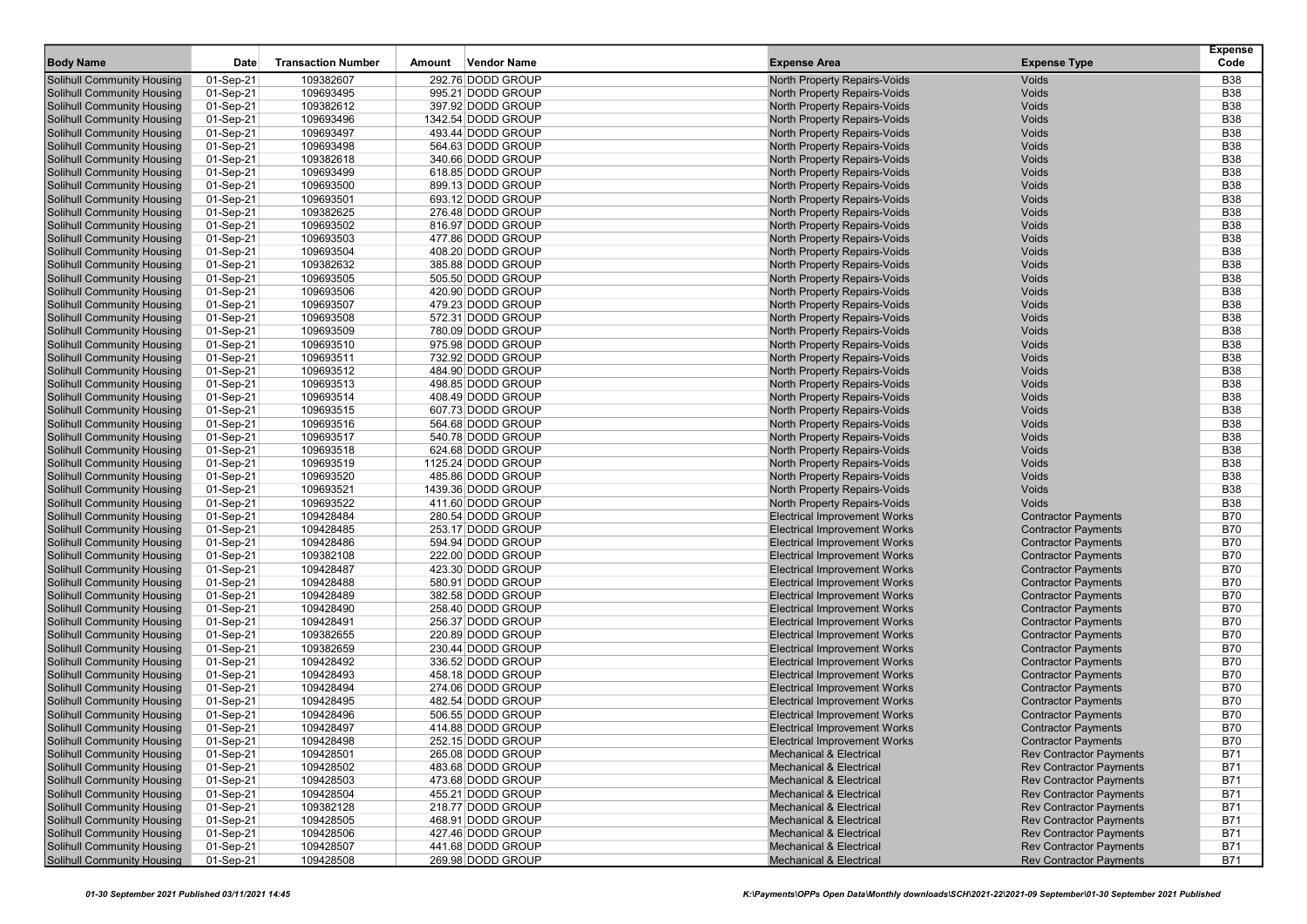| <b>Body Name</b>                  | Date                   | <b>Transaction Number</b> | <b>Vendor Name</b><br>Amount | <b>Expense Area</b>                 | <b>Expense Type</b>                                              | <b>Expense</b><br>Code |
|-----------------------------------|------------------------|---------------------------|------------------------------|-------------------------------------|------------------------------------------------------------------|------------------------|
| Solihull Community Housing        | $01-Sep-21$            | 109382607                 | 292.76 DODD GROUP            | <b>North Property Repairs-Voids</b> | Voids                                                            | <b>B38</b>             |
| <b>Solihull Community Housing</b> | 01-Sep-21              | 109693495                 | 995.21 DODD GROUP            | <b>North Property Repairs-Voids</b> | Voids                                                            | <b>B38</b>             |
| Solihull Community Housing        | 01-Sep-21              | 109382612                 | 397.92 DODD GROUP            | North Property Repairs-Voids        | Voids                                                            | <b>B38</b>             |
| Solihull Community Housing        | 01-Sep-21              | 109693496                 | 1342.54 DODD GROUP           | North Property Repairs-Voids        | Voids                                                            | <b>B38</b>             |
| <b>Solihull Community Housing</b> | 01-Sep-21              | 109693497                 | 493.44 DODD GROUP            | North Property Repairs-Voids        | Voids                                                            | <b>B38</b>             |
| Solihull Community Housing        | 01-Sep-21              | 109693498                 | 564.63 DODD GROUP            | North Property Repairs-Voids        | Voids                                                            | <b>B38</b>             |
| <b>Solihull Community Housing</b> | 01-Sep-21              | 109382618                 | 340.66 DODD GROUP            | North Property Repairs-Voids        | Voids                                                            | <b>B38</b>             |
| <b>Solihull Community Housing</b> | 01-Sep-21              | 109693499                 | 618.85 DODD GROUP            | North Property Repairs-Voids        | Voids                                                            | <b>B38</b>             |
| Solihull Community Housing        | 01-Sep-21              | 109693500                 | 899.13 DODD GROUP            | North Property Repairs-Voids        | Voids                                                            | <b>B38</b>             |
| Solihull Community Housing        | 01-Sep-21              | 109693501                 | 693.12 DODD GROUP            | North Property Repairs-Voids        | Voids                                                            | <b>B38</b>             |
| Solihull Community Housing        | 01-Sep-21              | 109382625                 | 276.48 DODD GROUP            | North Property Repairs-Voids        | Voids                                                            | <b>B38</b>             |
| <b>Solihull Community Housing</b> | 01-Sep-21              | 109693502                 | 816.97 DODD GROUP            | North Property Repairs-Voids        | Voids                                                            | <b>B38</b>             |
| <b>Solihull Community Housing</b> |                        | 109693503                 | 477.86 DODD GROUP            | North Property Repairs-Voids        | Voids                                                            | <b>B38</b>             |
|                                   | 01-Sep-21              | 109693504                 | 408.20 DODD GROUP            | North Property Repairs-Voids        | Voids                                                            | <b>B38</b>             |
| <b>Solihull Community Housing</b> | 01-Sep-21              |                           | 385.88 DODD GROUP            |                                     |                                                                  | <b>B38</b>             |
| Solihull Community Housing        | 01-Sep-21              | 109382632                 |                              | North Property Repairs-Voids        | Voids<br>Voids                                                   | <b>B38</b>             |
| Solihull Community Housing        | 01-Sep-21              | 109693505                 | 505.50 DODD GROUP            | North Property Repairs-Voids        |                                                                  |                        |
| <b>Solihull Community Housing</b> | 01-Sep-21              | 109693506                 | 420.90 DODD GROUP            | North Property Repairs-Voids        | Voids                                                            | <b>B38</b>             |
| Solihull Community Housing        | 01-Sep-21              | 109693507                 | 479.23 DODD GROUP            | <b>North Property Repairs-Voids</b> | Voids                                                            | <b>B38</b>             |
| <b>Solihull Community Housing</b> | 01-Sep-21              | 109693508                 | 572.31 DODD GROUP            | North Property Repairs-Voids        | Voids                                                            | <b>B38</b>             |
| <b>Solihull Community Housing</b> | 01-Sep-21              | 109693509                 | 780.09 DODD GROUP            | North Property Repairs-Voids        | Voids                                                            | <b>B38</b>             |
| Solihull Community Housing        | 01-Sep-21              | 109693510                 | 975.98 DODD GROUP            | North Property Repairs-Voids        | Voids                                                            | <b>B38</b>             |
| Solihull Community Housing        | 01-Sep-21              | 109693511                 | 732.92 DODD GROUP            | <b>North Property Repairs-Voids</b> | Voids                                                            | <b>B38</b>             |
| Solihull Community Housing        | 01-Sep-21              | 109693512                 | 484.90 DODD GROUP            | <b>North Property Repairs-Voids</b> | Voids                                                            | <b>B38</b>             |
| <b>Solihull Community Housing</b> | 01-Sep-21              | 109693513                 | 498.85 DODD GROUP            | North Property Repairs-Voids        | Voids                                                            | <b>B38</b>             |
| Solihull Community Housing        | 01-Sep-21              | 109693514                 | 408.49 DODD GROUP            | <b>North Property Repairs-Voids</b> | Voids                                                            | <b>B38</b>             |
| <b>Solihull Community Housing</b> | 01-Sep-21              | 109693515                 | 607.73 DODD GROUP            | <b>North Property Repairs-Voids</b> | Voids                                                            | <b>B38</b>             |
| <b>Solihull Community Housing</b> | 01-Sep-21              | 109693516                 | 564.68 DODD GROUP            | North Property Repairs-Voids        | Voids                                                            | <b>B38</b>             |
| Solihull Community Housing        | 01-Sep-21              | 109693517                 | 540.78 DODD GROUP            | North Property Repairs-Voids        | Voids                                                            | <b>B38</b>             |
| <b>Solihull Community Housing</b> | 01-Sep-21              | 109693518                 | 624.68 DODD GROUP            | North Property Repairs-Voids        | Voids                                                            | <b>B38</b>             |
| <b>Solihull Community Housing</b> | 01-Sep-21              | 109693519                 | 1125.24 DODD GROUP           | North Property Repairs-Voids        | Voids                                                            | <b>B38</b>             |
| <b>Solihull Community Housing</b> | 01-Sep-21              | 109693520                 | 485.86 DODD GROUP            | North Property Repairs-Voids        | Voids                                                            | <b>B38</b>             |
| <b>Solihull Community Housing</b> | 01-Sep-21              | 109693521                 | 1439.36 DODD GROUP           | <b>North Property Repairs-Voids</b> | Voids                                                            | <b>B38</b>             |
| <b>Solihull Community Housing</b> | 01-Sep-21              | 109693522                 | 411.60 DODD GROUP            | <b>North Property Repairs-Voids</b> | Voids                                                            | <b>B38</b>             |
| Solihull Community Housing        | 01-Sep-21              | 109428484                 | 280.54 DODD GROUP            | <b>Electrical Improvement Works</b> | <b>Contractor Payments</b>                                       | <b>B70</b>             |
| Solihull Community Housing        | 01-Sep-21              | 109428485                 | 253.17 DODD GROUP            | <b>Electrical Improvement Works</b> | <b>Contractor Payments</b>                                       | <b>B70</b>             |
| <b>Solihull Community Housing</b> | 01-Sep-21              | 109428486                 | 594.94 DODD GROUP            | <b>Electrical Improvement Works</b> | <b>Contractor Payments</b>                                       | <b>B70</b>             |
| Solihull Community Housing        | 01-Sep-21              | 109382108                 | 222.00 DODD GROUP            | <b>Electrical Improvement Works</b> | <b>Contractor Payments</b>                                       | <b>B70</b>             |
| <b>Solihull Community Housing</b> | 01-Sep-21              | 109428487                 | 423.30 DODD GROUP            | <b>Electrical Improvement Works</b> | <b>Contractor Payments</b>                                       | <b>B70</b>             |
| <b>Solihull Community Housing</b> | 01-Sep-21              | 109428488                 | 580.91 DODD GROUP            | <b>Electrical Improvement Works</b> | <b>Contractor Payments</b>                                       | <b>B70</b>             |
| Solihull Community Housing        | 01-Sep-21              | 109428489                 | 382.58 DODD GROUP            | <b>Electrical Improvement Works</b> | <b>Contractor Payments</b>                                       | <b>B70</b>             |
| Solihull Community Housing        | 01-Sep-21              | 109428490                 | 258.40 DODD GROUP            | <b>Electrical Improvement Works</b> | <b>Contractor Payments</b>                                       | <b>B70</b>             |
| <b>Solihull Community Housing</b> | 01-Sep-21              | 109428491                 | 256.37 DODD GROUP            | <b>Electrical Improvement Works</b> | <b>Contractor Payments</b>                                       | <b>B70</b>             |
| <b>Solihull Community Housing</b> | 01-Sep-21              | 109382655                 | 220.89 DODD GROUP            | <b>Electrical Improvement Works</b> | <b>Contractor Payments</b>                                       | <b>B70</b>             |
| Solihull Community Housing        | 01-Sep-21              | 109382659                 | 230.44 DODD GROUP            | <b>Electrical Improvement Works</b> | <b>Contractor Payments</b>                                       | <b>B70</b>             |
| <b>Solihull Community Housing</b> | 01-Sep-21              | 109428492                 | 336.52 DODD GROUP            | <b>Electrical Improvement Works</b> | <b>Contractor Payments</b>                                       | <b>B70</b>             |
| <b>Solihull Community Housing</b> | 01-Sep-21              | 109428493                 | 458.18 DODD GROUP            | <b>Electrical Improvement Works</b> | <b>Contractor Payments</b>                                       | <b>B70</b>             |
| Solihull Community Housing        | 01-Sep-21              | 109428494                 | 274.06 DODD GROUP            | <b>Electrical Improvement Works</b> | <b>Contractor Payments</b>                                       | <b>B70</b>             |
| Solihull Community Housing        | 01-Sep-21              | 109428495                 | 482.54 DODD GROUP            | <b>Electrical Improvement Works</b> | <b>Contractor Payments</b>                                       | <b>B70</b>             |
| Solihull Community Housing        | 01-Sep-21              | 109428496                 | 506.55 DODD GROUP            | <b>Electrical Improvement Works</b> | <b>Contractor Payments</b>                                       | <b>B70</b>             |
| Solihull Community Housing        | 01-Sep-21              | 109428497                 | 414.88 DODD GROUP            | <b>Electrical Improvement Works</b> | <b>Contractor Payments</b>                                       | <b>B70</b>             |
| Solihull Community Housing        |                        |                           | 252.15 DODD GROUP            | Electrical Improvement Works        | <b>Contractor Payments</b>                                       | B70                    |
| <b>Solihull Community Housing</b> | 01-Sep-21<br>01-Sep-21 | 109428498<br>109428501    | 265.08 DODD GROUP            | <b>Mechanical &amp; Electrical</b>  | <b>Rev Contractor Payments</b>                                   | <b>B71</b>             |
| <b>Solihull Community Housing</b> | 01-Sep-21              | 109428502                 | 483.68 DODD GROUP            | <b>Mechanical &amp; Electrical</b>  | <b>Rev Contractor Payments</b>                                   | <b>B71</b>             |
| <b>Solihull Community Housing</b> | 01-Sep-21              | 109428503                 | 473.68 DODD GROUP            | <b>Mechanical &amp; Electrical</b>  | <b>Rev Contractor Payments</b>                                   | <b>B71</b>             |
| Solihull Community Housing        |                        |                           | 455.21 DODD GROUP            | <b>Mechanical &amp; Electrical</b>  |                                                                  |                        |
|                                   | 01-Sep-21              | 109428504                 |                              |                                     | <b>Rev Contractor Payments</b><br><b>Rev Contractor Payments</b> | B71                    |
| <b>Solihull Community Housing</b> | 01-Sep-21              | 109382128                 | 218.77 DODD GROUP            | <b>Mechanical &amp; Electrical</b>  |                                                                  | <b>B71</b>             |
| <b>Solihull Community Housing</b> | 01-Sep-21              | 109428505                 | 468.91 DODD GROUP            | <b>Mechanical &amp; Electrical</b>  | <b>Rev Contractor Payments</b>                                   | <b>B71</b>             |
| <b>Solihull Community Housing</b> | 01-Sep-21              | 109428506                 | 427.46 DODD GROUP            | <b>Mechanical &amp; Electrical</b>  | <b>Rev Contractor Payments</b>                                   | <b>B71</b>             |
| <b>Solihull Community Housing</b> | 01-Sep-21              | 109428507                 | 441.68 DODD GROUP            | <b>Mechanical &amp; Electrical</b>  | <b>Rev Contractor Payments</b>                                   | <b>B71</b>             |
| <b>Solihull Community Housing</b> | 01-Sep-21              | 109428508                 | 269.98 DODD GROUP            | <b>Mechanical &amp; Electrical</b>  | <b>Rev Contractor Payments</b>                                   | B71                    |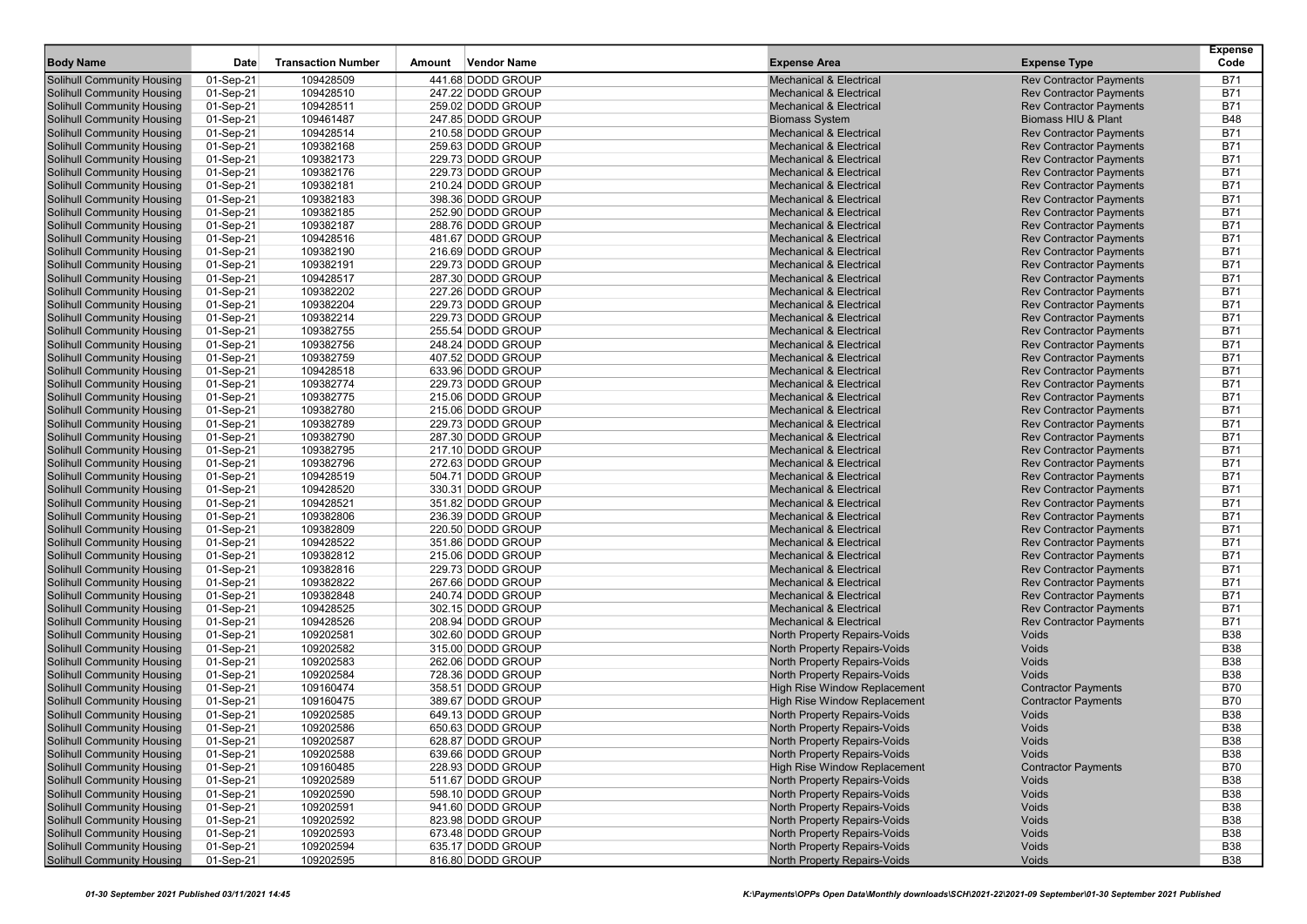| <b>Body Name</b>                                                       | Date                   | <b>Transaction Number</b> | <b>Vendor Name</b><br>Amount           | <b>Expense Area</b>                                                      | <b>Expense Type</b>                                              | <b>Expense</b><br>Code   |
|------------------------------------------------------------------------|------------------------|---------------------------|----------------------------------------|--------------------------------------------------------------------------|------------------------------------------------------------------|--------------------------|
|                                                                        |                        |                           |                                        |                                                                          |                                                                  |                          |
| Solihull Community Housing                                             | 01-Sep-21              | 109428509                 | 441.68 DODD GROUP                      | <b>Mechanical &amp; Electrical</b>                                       | <b>Rev Contractor Payments</b>                                   | <b>B71</b>               |
| Solihull Community Housing                                             | 01-Sep-21              | 109428510                 | 247.22 DODD GROUP                      | <b>Mechanical &amp; Electrical</b>                                       | <b>Rev Contractor Payments</b>                                   | <b>B71</b>               |
| <b>Solihull Community Housing</b>                                      | 01-Sep-21              | 109428511                 | 259.02 DODD GROUP                      | <b>Mechanical &amp; Electrical</b>                                       | <b>Rev Contractor Payments</b>                                   | <b>B71</b>               |
| <b>Solihull Community Housing</b><br><b>Solihull Community Housing</b> | 01-Sep-21              | 109461487                 | 247.85 DODD GROUP<br>210.58 DODD GROUP | <b>Biomass System</b><br><b>Mechanical &amp; Electrical</b>              | Biomass HIU & Plant                                              | <b>B48</b><br><b>B71</b> |
|                                                                        | 01-Sep-21              | 109428514<br>109382168    | 259.63 DODD GROUP                      | <b>Mechanical &amp; Electrical</b>                                       | <b>Rev Contractor Payments</b>                                   | <b>B71</b>               |
| <b>Solihull Community Housing</b>                                      | 01-Sep-21              |                           | 229.73 DODD GROUP                      | <b>Mechanical &amp; Electrical</b>                                       | <b>Rev Contractor Payments</b>                                   | <b>B71</b>               |
| <b>Solihull Community Housing</b><br>Solihull Community Housing        | 01-Sep-21<br>01-Sep-21 | 109382173<br>109382176    | 229.73 DODD GROUP                      | <b>Mechanical &amp; Electrical</b>                                       | <b>Rev Contractor Payments</b><br><b>Rev Contractor Payments</b> | <b>B71</b>               |
| Solihull Community Housing                                             | 01-Sep-21              | 109382181                 | 210.24 DODD GROUP                      | <b>Mechanical &amp; Electrical</b>                                       | <b>Rev Contractor Payments</b>                                   | <b>B71</b>               |
| <b>Solihull Community Housing</b>                                      | 01-Sep-21              | 109382183                 | 398.36 DODD GROUP                      | <b>Mechanical &amp; Electrical</b>                                       | <b>Rev Contractor Payments</b>                                   | <b>B71</b>               |
| Solihull Community Housing                                             |                        | 109382185                 | 252.90 DODD GROUP                      | <b>Mechanical &amp; Electrical</b>                                       | <b>Rev Contractor Payments</b>                                   | <b>B71</b>               |
| <b>Solihull Community Housing</b>                                      | 01-Sep-21<br>01-Sep-21 | 109382187                 | 288.76 DODD GROUP                      | <b>Mechanical &amp; Electrical</b>                                       | <b>Rev Contractor Payments</b>                                   | <b>B71</b>               |
| <b>Solihull Community Housing</b>                                      |                        | 109428516                 | 481.67 DODD GROUP                      | <b>Mechanical &amp; Electrical</b>                                       | <b>Rev Contractor Payments</b>                                   | <b>B71</b>               |
| Solihull Community Housing                                             | 01-Sep-21              |                           | 216.69 DODD GROUP                      | <b>Mechanical &amp; Electrical</b>                                       | <b>Rev Contractor Payments</b>                                   | <b>B71</b>               |
| Solihull Community Housing                                             | 01-Sep-21              | 109382190<br>109382191    | 229.73 DODD GROUP                      | <b>Mechanical &amp; Electrical</b>                                       | <b>Rev Contractor Payments</b>                                   | <b>B71</b>               |
| Solihull Community Housing                                             | 01-Sep-21<br>01-Sep-21 | 109428517                 | 287.30 DODD GROUP                      | <b>Mechanical &amp; Electrical</b>                                       | <b>Rev Contractor Payments</b>                                   | <b>B71</b>               |
|                                                                        |                        | 109382202                 | 227.26 DODD GROUP                      | <b>Mechanical &amp; Electrical</b>                                       |                                                                  | <b>B71</b>               |
| <b>Solihull Community Housing</b>                                      | 01-Sep-21              |                           | 229.73 DODD GROUP                      |                                                                          | <b>Rev Contractor Payments</b>                                   | <b>B71</b>               |
| Solihull Community Housing                                             | 01-Sep-21              | 109382204<br>109382214    | 229.73 DODD GROUP                      | <b>Mechanical &amp; Electrical</b><br><b>Mechanical &amp; Electrical</b> | <b>Rev Contractor Payments</b>                                   | <b>B71</b>               |
| <b>Solihull Community Housing</b>                                      | 01-Sep-21              | 109382755                 | 255.54 DODD GROUP                      | <b>Mechanical &amp; Electrical</b>                                       | <b>Rev Contractor Payments</b>                                   | <b>B71</b>               |
| <b>Solihull Community Housing</b><br>Solihull Community Housing        | 01-Sep-21              |                           | 248.24 DODD GROUP                      | <b>Mechanical &amp; Electrical</b>                                       | <b>Rev Contractor Payments</b>                                   | <b>B71</b>               |
|                                                                        | 01-Sep-21              | 109382756                 |                                        |                                                                          | <b>Rev Contractor Payments</b>                                   |                          |
| <b>Solihull Community Housing</b>                                      | 01-Sep-21              | 109382759                 | 407.52 DODD GROUP                      | <b>Mechanical &amp; Electrical</b><br><b>Mechanical &amp; Electrical</b> | <b>Rev Contractor Payments</b>                                   | <b>B71</b><br><b>B71</b> |
| <b>Solihull Community Housing</b><br><b>Solihull Community Housing</b> | 01-Sep-21              | 109428518                 | 633.96 DODD GROUP<br>229.73 DODD GROUP |                                                                          | <b>Rev Contractor Payments</b>                                   | <b>B71</b>               |
|                                                                        | 01-Sep-21              | 109382774                 | 215.06 DODD GROUP                      | <b>Mechanical &amp; Electrical</b><br><b>Mechanical &amp; Electrical</b> | <b>Rev Contractor Payments</b>                                   | <b>B71</b>               |
| <b>Solihull Community Housing</b><br><b>Solihull Community Housing</b> | 01-Sep-21              | 109382775<br>109382780    |                                        |                                                                          | <b>Rev Contractor Payments</b>                                   |                          |
| Solihull Community Housing                                             | 01-Sep-21              | 109382789                 | 215.06 DODD GROUP                      | <b>Mechanical &amp; Electrical</b><br><b>Mechanical &amp; Electrical</b> | <b>Rev Contractor Payments</b>                                   | <b>B71</b><br><b>B71</b> |
| Solihull Community Housing                                             | 01-Sep-21<br>01-Sep-21 | 109382790                 | 229.73 DODD GROUP<br>287.30 DODD GROUP | <b>Mechanical &amp; Electrical</b>                                       | <b>Rev Contractor Payments</b><br><b>Rev Contractor Payments</b> | <b>B71</b>               |
|                                                                        |                        | 109382795                 | 217.10 DODD GROUP                      | <b>Mechanical &amp; Electrical</b>                                       |                                                                  | <b>B71</b>               |
| <b>Solihull Community Housing</b><br>Solihull Community Housing        | 01-Sep-21<br>01-Sep-21 | 109382796                 | 272.63 DODD GROUP                      | <b>Mechanical &amp; Electrical</b>                                       | <b>Rev Contractor Payments</b><br><b>Rev Contractor Payments</b> | <b>B71</b>               |
| <b>Solihull Community Housing</b>                                      | 01-Sep-21              | 109428519                 | 504.71 DODD GROUP                      | <b>Mechanical &amp; Electrical</b>                                       | <b>Rev Contractor Payments</b>                                   | <b>B71</b>               |
| <b>Solihull Community Housing</b>                                      | 01-Sep-21              | 109428520                 | 330.31 DODD GROUP                      | <b>Mechanical &amp; Electrical</b>                                       | <b>Rev Contractor Payments</b>                                   | <b>B71</b>               |
| Solihull Community Housing                                             | 01-Sep-21              | 109428521                 | 351.82 DODD GROUP                      | <b>Mechanical &amp; Electrical</b>                                       | <b>Rev Contractor Payments</b>                                   | <b>B71</b>               |
| Solihull Community Housing                                             | 01-Sep-21              | 109382806                 | 236.39 DODD GROUP                      | <b>Mechanical &amp; Electrical</b>                                       | <b>Rev Contractor Payments</b>                                   | <b>B71</b>               |
| <b>Solihull Community Housing</b>                                      | 01-Sep-21              | 109382809                 | 220.50 DODD GROUP                      | <b>Mechanical &amp; Electrical</b>                                       | <b>Rev Contractor Payments</b>                                   | <b>B71</b>               |
| <b>Solihull Community Housing</b>                                      | 01-Sep-21              | 109428522                 | 351.86 DODD GROUP                      | <b>Mechanical &amp; Electrical</b>                                       | <b>Rev Contractor Payments</b>                                   | <b>B71</b>               |
| Solihull Community Housing                                             | 01-Sep-21              | 109382812                 | 215.06 DODD GROUP                      | <b>Mechanical &amp; Electrical</b>                                       | <b>Rev Contractor Payments</b>                                   | <b>B71</b>               |
| <b>Solihull Community Housing</b>                                      | 01-Sep-21              | 109382816                 | 229.73 DODD GROUP                      | <b>Mechanical &amp; Electrical</b>                                       | <b>Rev Contractor Payments</b>                                   | <b>B71</b>               |
| <b>Solihull Community Housing</b>                                      | 01-Sep-21              | 109382822                 | 267.66 DODD GROUP                      | <b>Mechanical &amp; Electrical</b>                                       | <b>Rev Contractor Payments</b>                                   | <b>B71</b>               |
| Solihull Community Housing                                             | 01-Sep-21              | 109382848                 | 240.74 DODD GROUP                      | <b>Mechanical &amp; Electrical</b>                                       | <b>Rev Contractor Payments</b>                                   | <b>B71</b>               |
| Solihull Community Housing                                             | 01-Sep-21              | 109428525                 | 302.15 DODD GROUP                      | <b>Mechanical &amp; Electrical</b>                                       | <b>Rev Contractor Payments</b>                                   | <b>B71</b>               |
| Solihull Community Housing                                             | 01-Sep-21              | 109428526                 | 208.94 DODD GROUP                      | <b>Mechanical &amp; Electrical</b>                                       | <b>Rev Contractor Payments</b>                                   | <b>B71</b>               |
| <b>Solihull Community Housing</b>                                      | 01-Sep-21              | 109202581                 | 302.60 DODD GROUP                      | North Property Repairs-Voids                                             | Voids                                                            | <b>B38</b>               |
| Solihull Community Housing                                             | 01-Sep-21              | 109202582                 | 315.00 DODD GROUP                      | <b>North Property Repairs-Voids</b>                                      | Voids                                                            | <b>B38</b>               |
| <b>Solihull Community Housing</b>                                      | 01-Sep-21              | 109202583                 | 262.06 DODD GROUP                      | North Property Repairs-Voids                                             | Voids                                                            | <b>B38</b>               |
| Solihull Community Housing                                             | 01-Sep-21              | 109202584                 | 728.36 DODD GROUP                      | North Property Repairs-Voids                                             | Voids                                                            | <b>B38</b>               |
| Solihull Community Housing                                             | 01-Sep-21              | 109160474                 | 358.51 DODD GROUP                      | High Rise Window Replacement                                             | <b>Contractor Payments</b>                                       | <b>B70</b>               |
| <b>Solihull Community Housing</b>                                      | 01-Sep-21              | 109160475                 | 389.67 DODD GROUP                      | High Rise Window Replacement                                             | <b>Contractor Payments</b>                                       | <b>B70</b>               |
| Solihull Community Housing                                             | 01-Sep-21              | 109202585                 | 649.13 DODD GROUP                      | <b>North Property Repairs-Voids</b>                                      | Voids                                                            | <b>B38</b>               |
| <b>Solihull Community Housing</b>                                      | 01-Sep-21              | 109202586                 | 650.63 DODD GROUP                      | North Property Repairs-Voids                                             | Voids                                                            | <b>B38</b>               |
| Solihull Community Housing                                             | 01-Sep-21              | 109202587                 | 628.87 DODD GROUP                      |                                                                          | Voids                                                            | <b>B38</b>               |
| Solihull Community Housing                                             | 01-Sep-21              | 109202588                 | 639.66 DODD GROUP                      | North Property Repairs-Voids<br>North Property Repairs-Voids             | Voids                                                            | <b>B38</b>               |
| <b>Solihull Community Housing</b>                                      | 01-Sep-21              | 109160485                 | 228.93 DODD GROUP                      | High Rise Window Replacement                                             | <b>Contractor Payments</b>                                       | <b>B70</b>               |
| <b>Solihull Community Housing</b>                                      | 01-Sep-21              | 109202589                 | 511.67 DODD GROUP                      | North Property Repairs-Voids                                             | Voids                                                            | <b>B38</b>               |
| <b>Solihull Community Housing</b>                                      | 01-Sep-21              | 109202590                 | 598.10 DODD GROUP                      | <b>North Property Repairs-Voids</b>                                      | Voids                                                            | <b>B38</b>               |
| <b>Solihull Community Housing</b>                                      | 01-Sep-21              | 109202591                 | 941.60 DODD GROUP                      | North Property Repairs-Voids                                             | Voids                                                            | <b>B38</b>               |
| <b>Solihull Community Housing</b>                                      | 01-Sep-21              | 109202592                 | 823.98 DODD GROUP                      | North Property Repairs-Voids                                             | Voids                                                            | <b>B38</b>               |
| <b>Solihull Community Housing</b>                                      | 01-Sep-21              | 109202593                 | 673.48 DODD GROUP                      | <b>North Property Repairs-Voids</b>                                      | Voids                                                            | <b>B38</b>               |
| Solihull Community Housing                                             | 01-Sep-21              | 109202594                 | 635.17 DODD GROUP                      | <b>North Property Repairs-Voids</b>                                      | Voids                                                            | <b>B38</b>               |
| <b>Solihull Community Housing</b>                                      | 01-Sep-21              | 109202595                 | 816.80 DODD GROUP                      | <b>North Property Repairs-Voids</b>                                      | Voids                                                            | <b>B38</b>               |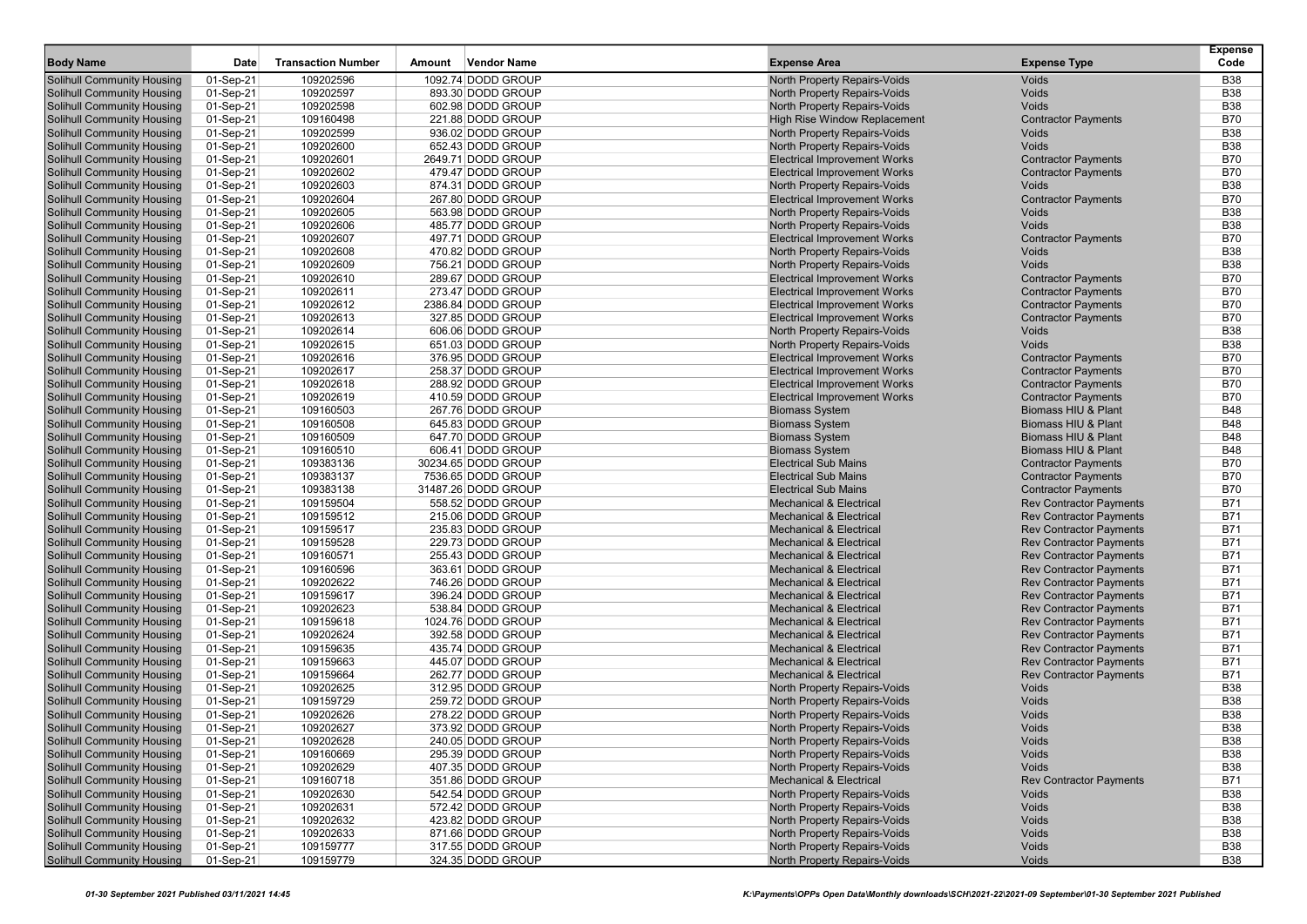| <b>Body Name</b>                                                       | Date                   | <b>Transaction Number</b> | <b>Vendor Name</b><br>Amount           | <b>Expense Area</b>                                                        | <b>Expense Type</b>                 | <b>Expense</b><br>Code   |
|------------------------------------------------------------------------|------------------------|---------------------------|----------------------------------------|----------------------------------------------------------------------------|-------------------------------------|--------------------------|
|                                                                        |                        |                           |                                        |                                                                            |                                     |                          |
| Solihull Community Housing                                             | 01-Sep-21              | 109202596                 | 1092.74 DODD GROUP                     | <b>North Property Repairs-Voids</b>                                        | Voids                               | <b>B38</b>               |
| Solihull Community Housing                                             | 01-Sep-21              | 109202597                 | 893.30 DODD GROUP                      | North Property Repairs-Voids                                               | Voids<br>Voids                      | <b>B38</b>               |
| <b>Solihull Community Housing</b>                                      | 01-Sep-21              | 109202598                 | 602.98 DODD GROUP                      | North Property Repairs-Voids                                               |                                     | <b>B38</b>               |
| <b>Solihull Community Housing</b><br><b>Solihull Community Housing</b> | 01-Sep-21              | 109160498                 | 221.88 DODD GROUP<br>936.02 DODD GROUP | High Rise Window Replacement<br>North Property Repairs-Voids               | <b>Contractor Payments</b><br>Voids | <b>B70</b><br><b>B38</b> |
|                                                                        | 01-Sep-21              | 109202599<br>109202600    | 652.43 DODD GROUP                      | <b>North Property Repairs-Voids</b>                                        |                                     | <b>B38</b>               |
| <b>Solihull Community Housing</b>                                      | 01-Sep-21              | 109202601                 | 2649.71 DODD GROUP                     |                                                                            | Voids                               | <b>B70</b>               |
| <b>Solihull Community Housing</b><br>Solihull Community Housing        | 01-Sep-21              | 109202602                 | 479.47 DODD GROUP                      | <b>Electrical Improvement Works</b><br><b>Electrical Improvement Works</b> | <b>Contractor Payments</b>          | <b>B70</b>               |
| Solihull Community Housing                                             | 01-Sep-21<br>01-Sep-21 | 109202603                 | 874.31 DODD GROUP                      | North Property Repairs-Voids                                               | <b>Contractor Payments</b><br>Voids | <b>B38</b>               |
| <b>Solihull Community Housing</b>                                      | 01-Sep-21              | 109202604                 | 267.80 DODD GROUP                      | <b>Electrical Improvement Works</b>                                        | <b>Contractor Payments</b>          | <b>B70</b>               |
| Solihull Community Housing                                             |                        |                           | 563.98 DODD GROUP                      |                                                                            | Voids                               | <b>B38</b>               |
| <b>Solihull Community Housing</b>                                      | 01-Sep-21<br>01-Sep-21 | 109202605<br>109202606    | 485.77 DODD GROUP                      | North Property Repairs-Voids<br>North Property Repairs-Voids               | Voids                               | <b>B38</b>               |
| <b>Solihull Community Housing</b>                                      |                        | 109202607                 | 497.71 DODD GROUP                      | <b>Electrical Improvement Works</b>                                        | <b>Contractor Payments</b>          | <b>B70</b>               |
| Solihull Community Housing                                             | 01-Sep-21              | 109202608                 | 470.82 DODD GROUP                      | North Property Repairs-Voids                                               | Voids                               | <b>B38</b>               |
| Solihull Community Housing                                             | 01-Sep-21              | 109202609                 | 756.21 DODD GROUP                      | North Property Repairs-Voids                                               | Voids                               | <b>B38</b>               |
| Solihull Community Housing                                             | 01-Sep-21<br>01-Sep-21 | 109202610                 | 289.67 DODD GROUP                      | <b>Electrical Improvement Works</b>                                        | <b>Contractor Payments</b>          | <b>B70</b>               |
| <b>Solihull Community Housing</b>                                      | 01-Sep-21              | 109202611                 | 273.47 DODD GROUP                      | <b>Electrical Improvement Works</b>                                        | <b>Contractor Payments</b>          | <b>B70</b>               |
| Solihull Community Housing                                             | 01-Sep-21              | 109202612                 | 2386.84 DODD GROUP                     | <b>Electrical Improvement Works</b>                                        | <b>Contractor Payments</b>          | <b>B70</b>               |
| <b>Solihull Community Housing</b>                                      | 01-Sep-21              | 109202613                 | 327.85 DODD GROUP                      | <b>Electrical Improvement Works</b>                                        | <b>Contractor Payments</b>          | <b>B70</b>               |
| <b>Solihull Community Housing</b>                                      | 01-Sep-21              | 109202614                 | 606.06 DODD GROUP                      | North Property Repairs-Voids                                               | Voids                               | <b>B38</b>               |
| Solihull Community Housing                                             | 01-Sep-21              | 109202615                 | 651.03 DODD GROUP                      | North Property Repairs-Voids                                               | Voids                               | <b>B38</b>               |
| <b>Solihull Community Housing</b>                                      | 01-Sep-21              | 109202616                 | 376.95 DODD GROUP                      | <b>Electrical Improvement Works</b>                                        | <b>Contractor Payments</b>          | <b>B70</b>               |
| <b>Solihull Community Housing</b>                                      | 01-Sep-21              | 109202617                 | 258.37 DODD GROUP                      | <b>Electrical Improvement Works</b>                                        | <b>Contractor Payments</b>          | <b>B70</b>               |
| <b>Solihull Community Housing</b>                                      | 01-Sep-21              | 109202618                 | 288.92 DODD GROUP                      | <b>Electrical Improvement Works</b>                                        | <b>Contractor Payments</b>          | <b>B70</b>               |
| <b>Solihull Community Housing</b>                                      | 01-Sep-21              | 109202619                 | 410.59 DODD GROUP                      | <b>Electrical Improvement Works</b>                                        | <b>Contractor Payments</b>          | <b>B70</b>               |
| <b>Solihull Community Housing</b>                                      | 01-Sep-21              | 109160503                 | 267.76 DODD GROUP                      | <b>Biomass System</b>                                                      | Biomass HIU & Plant                 | <b>B48</b>               |
| Solihull Community Housing                                             | 01-Sep-21              | 109160508                 | 645.83 DODD GROUP                      | <b>Biomass System</b>                                                      | Biomass HIU & Plant                 | <b>B48</b>               |
| Solihull Community Housing                                             | 01-Sep-21              | 109160509                 | 647.70 DODD GROUP                      | <b>Biomass System</b>                                                      | Biomass HIU & Plant                 | <b>B48</b>               |
| <b>Solihull Community Housing</b>                                      | 01-Sep-21              | 109160510                 | 606.41 DODD GROUP                      | <b>Biomass System</b>                                                      | Biomass HIU & Plant                 | <b>B48</b>               |
| Solihull Community Housing                                             | 01-Sep-21              | 109383136                 | 30234.65 DODD GROUP                    | <b>Electrical Sub Mains</b>                                                | <b>Contractor Payments</b>          | <b>B70</b>               |
| <b>Solihull Community Housing</b>                                      | 01-Sep-21              | 109383137                 | 7536.65 DODD GROUP                     | <b>Electrical Sub Mains</b>                                                | <b>Contractor Payments</b>          | <b>B70</b>               |
| <b>Solihull Community Housing</b>                                      | 01-Sep-21              | 109383138                 | 31487.26 DODD GROUP                    | <b>Electrical Sub Mains</b>                                                | <b>Contractor Payments</b>          | <b>B70</b>               |
| <b>Solihull Community Housing</b>                                      | 01-Sep-21              | 109159504                 | 558.52 DODD GROUP                      | <b>Mechanical &amp; Electrical</b>                                         | <b>Rev Contractor Payments</b>      | <b>B71</b>               |
| Solihull Community Housing                                             | 01-Sep-21              | 109159512                 | 215.06 DODD GROUP                      | <b>Mechanical &amp; Electrical</b>                                         | <b>Rev Contractor Payments</b>      | <b>B71</b>               |
| <b>Solihull Community Housing</b>                                      | 01-Sep-21              | 109159517                 | 235.83 DODD GROUP                      | <b>Mechanical &amp; Electrical</b>                                         | <b>Rev Contractor Payments</b>      | <b>B71</b>               |
| <b>Solihull Community Housing</b>                                      | 01-Sep-21              | 109159528                 | 229.73 DODD GROUP                      | <b>Mechanical &amp; Electrical</b>                                         | <b>Rev Contractor Payments</b>      | <b>B71</b>               |
| Solihull Community Housing                                             | 01-Sep-21              | 109160571                 | 255.43 DODD GROUP                      | <b>Mechanical &amp; Electrical</b>                                         | <b>Rev Contractor Payments</b>      | <b>B71</b>               |
| <b>Solihull Community Housing</b>                                      | 01-Sep-21              | 109160596                 | 363.61 DODD GROUP                      | <b>Mechanical &amp; Electrical</b>                                         | <b>Rev Contractor Payments</b>      | <b>B71</b>               |
| <b>Solihull Community Housing</b>                                      | 01-Sep-21              | 109202622                 | 746.26 DODD GROUP                      | <b>Mechanical &amp; Electrical</b>                                         | <b>Rev Contractor Payments</b>      | <b>B71</b>               |
| Solihull Community Housing                                             | 01-Sep-21              | 109159617                 | 396.24 DODD GROUP                      | <b>Mechanical &amp; Electrical</b>                                         | <b>Rev Contractor Payments</b>      | <b>B71</b>               |
| <b>Solihull Community Housing</b>                                      | 01-Sep-21              | 109202623                 | 538.84 DODD GROUP                      | <b>Mechanical &amp; Electrical</b>                                         | <b>Rev Contractor Payments</b>      | <b>B71</b>               |
| Solihull Community Housing                                             | 01-Sep-21              | 109159618                 | 1024.76 DODD GROUP                     | <b>Mechanical &amp; Electrical</b>                                         | <b>Rev Contractor Payments</b>      | <b>B71</b>               |
| <b>Solihull Community Housing</b>                                      | 01-Sep-21              | 109202624                 | 392.58 DODD GROUP                      | <b>Mechanical &amp; Electrical</b>                                         | <b>Rev Contractor Payments</b>      | <b>B71</b>               |
| <b>Solihull Community Housing</b>                                      | 01-Sep-21              | 109159635                 | 435.74 DODD GROUP                      | <b>Mechanical &amp; Electrical</b>                                         | <b>Rev Contractor Payments</b>      | <b>B71</b>               |
| <b>Solihull Community Housing</b>                                      | 01-Sep-21              | 109159663                 | 445.07 DODD GROUP                      | <b>Mechanical &amp; Electrical</b>                                         | <b>Rev Contractor Payments</b>      | <b>B71</b>               |
| Solihull Community Housing                                             | 01-Sep-21              | 109159664                 | 262.77 DODD GROUP                      | <b>Mechanical &amp; Electrical</b>                                         | <b>Rev Contractor Payments</b>      | <b>B71</b>               |
| Solihull Community Housing                                             | 01-Sep-21              | 109202625                 | 312.95 DODD GROUP                      | North Property Repairs-Voids                                               | Voids                               | <b>B38</b>               |
| <b>Solihull Community Housing</b>                                      | 01-Sep-21              | 109159729                 | 259.72 DODD GROUP                      | North Property Repairs-Voids                                               | Voids                               | <b>B38</b>               |
| Solihull Community Housing                                             | 01-Sep-21              | 109202626                 | 278.22 DODD GROUP                      | <b>North Property Repairs-Voids</b>                                        | Voids                               | <b>B38</b>               |
| <b>Solihull Community Housing</b>                                      | 01-Sep-21              | 109202627                 | 373.92 DODD GROUP                      | <b>North Property Repairs-Voids</b>                                        | Voids                               | <b>B38</b>               |
| <b>Solihull Community Housing</b>                                      | 01-Sep-21              | 109202628                 | 240.05 DODD GROUP                      | North Property Repairs-Voids                                               | Voids                               | <b>B38</b>               |
| Solihull Community Housing                                             | 01-Sep-21              | 109160669                 | 295.39 DODD GROUP                      | North Property Repairs-Voids                                               | Voids                               | <b>B38</b>               |
| <b>Solihull Community Housing</b>                                      | 01-Sep-21              | 109202629                 | 407.35 DODD GROUP                      | North Property Repairs-Voids                                               | Voids                               | <b>B38</b>               |
| <b>Solihull Community Housing</b>                                      | 01-Sep-21              | 109160718                 | 351.86 DODD GROUP                      | <b>Mechanical &amp; Electrical</b>                                         | <b>Rev Contractor Payments</b>      | B71                      |
| <b>Solihull Community Housing</b>                                      | 01-Sep-21              | 109202630                 | 542.54 DODD GROUP                      | <b>North Property Repairs-Voids</b>                                        | Voids                               | <b>B38</b>               |
| <b>Solihull Community Housing</b>                                      | 01-Sep-21              | 109202631                 | 572.42 DODD GROUP                      | North Property Repairs-Voids                                               | Voids                               | <b>B38</b>               |
| <b>Solihull Community Housing</b>                                      | 01-Sep-21              | 109202632                 | 423.82 DODD GROUP                      | North Property Repairs-Voids                                               | Voids                               | <b>B38</b>               |
| <b>Solihull Community Housing</b>                                      | 01-Sep-21              | 109202633                 | 871.66 DODD GROUP                      | <b>North Property Repairs-Voids</b>                                        | Voids                               | <b>B38</b>               |
| Solihull Community Housing                                             | 01-Sep-21              | 109159777                 | 317.55 DODD GROUP                      | <b>North Property Repairs-Voids</b>                                        | Voids                               | <b>B38</b>               |
| <b>Solihull Community Housing</b>                                      | 01-Sep-21              | 109159779                 | 324.35 DODD GROUP                      | <b>North Property Repairs-Voids</b>                                        | Voids                               | <b>B38</b>               |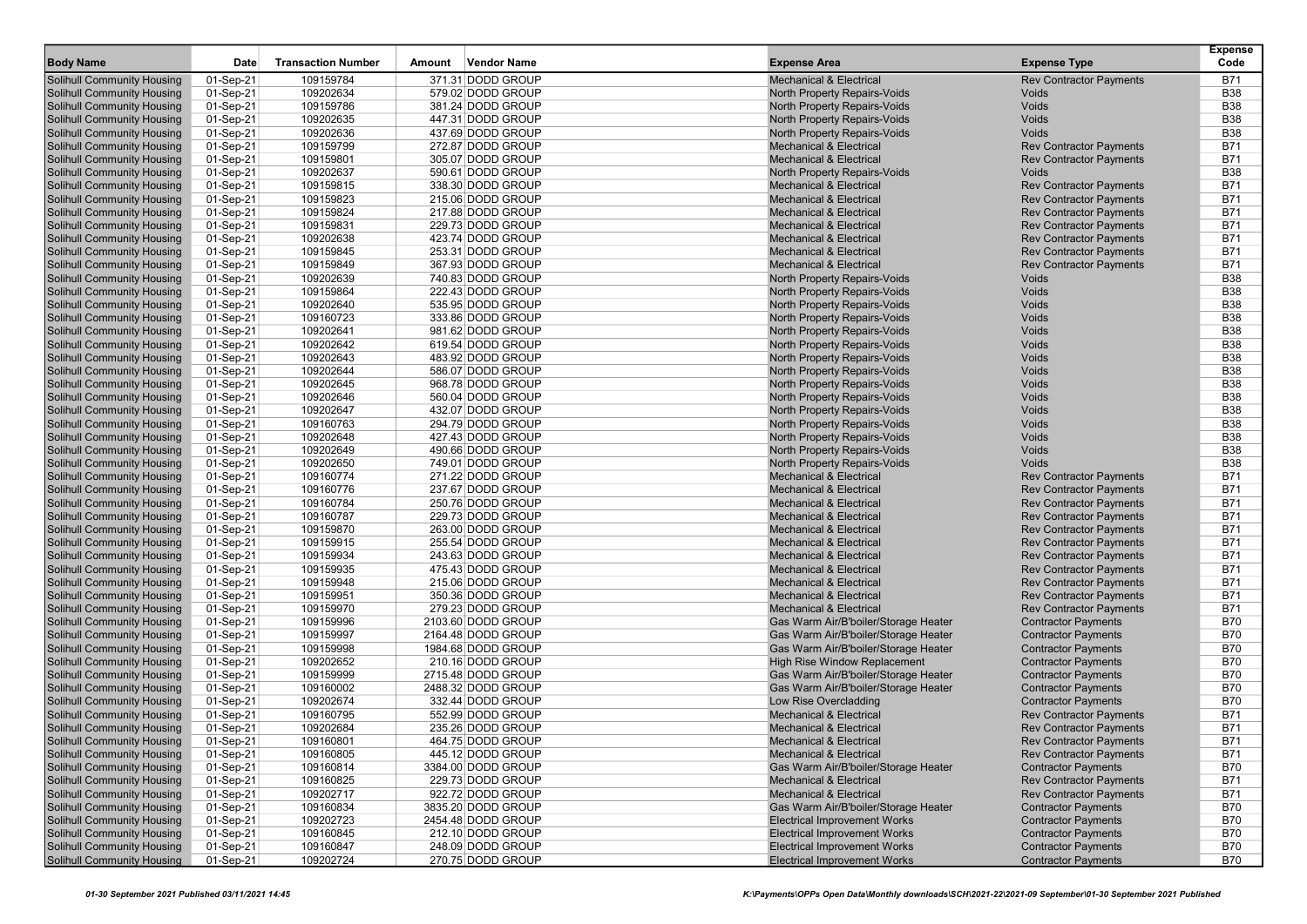| <b>Body Name</b>                  | Date        | <b>Transaction Number</b> | <b>Vendor Name</b><br>Amount | <b>Expense Area</b>                  | <b>Expense Type</b>            | <b>Expense</b><br>Code |
|-----------------------------------|-------------|---------------------------|------------------------------|--------------------------------------|--------------------------------|------------------------|
| <b>Solihull Community Housing</b> | $01-Sep-21$ | 109159784                 | 371.31 DODD GROUP            | <b>Mechanical &amp; Electrical</b>   | <b>Rev Contractor Payments</b> | <b>B71</b>             |
| <b>Solihull Community Housing</b> | 01-Sep-21   | 109202634                 | 579.02 DODD GROUP            | <b>North Property Repairs-Voids</b>  | Voids                          | <b>B38</b>             |
| Solihull Community Housing        | 01-Sep-21   | 109159786                 | 381.24 DODD GROUP            | North Property Repairs-Voids         | Voids                          | <b>B38</b>             |
| Solihull Community Housing        | 01-Sep-21   | 109202635                 | 447.31 DODD GROUP            | North Property Repairs-Voids         | Voids                          | <b>B38</b>             |
| <b>Solihull Community Housing</b> | 01-Sep-21   | 109202636                 | 437.69 DODD GROUP            | North Property Repairs-Voids         | Voids                          | <b>B38</b>             |
| Solihull Community Housing        | 01-Sep-21   | 109159799                 | 272.87 DODD GROUP            | <b>Mechanical &amp; Electrical</b>   | <b>Rev Contractor Payments</b> | <b>B71</b>             |
| <b>Solihull Community Housing</b> | 01-Sep-21   | 109159801                 | 305.07 DODD GROUP            | <b>Mechanical &amp; Electrical</b>   | <b>Rev Contractor Payments</b> | <b>B71</b>             |
| <b>Solihull Community Housing</b> | 01-Sep-21   | 109202637                 | 590.61 DODD GROUP            | North Property Repairs-Voids         | Voids                          | <b>B38</b>             |
| Solihull Community Housing        | 01-Sep-21   | 109159815                 | 338.30 DODD GROUP            | <b>Mechanical &amp; Electrical</b>   | <b>Rev Contractor Payments</b> | <b>B71</b>             |
| <b>Solihull Community Housing</b> | 01-Sep-21   | 109159823                 | 215.06 DODD GROUP            | <b>Mechanical &amp; Electrical</b>   | <b>Rev Contractor Payments</b> | <b>B71</b>             |
| <b>Solihull Community Housing</b> | 01-Sep-21   | 109159824                 | 217.88 DODD GROUP            | <b>Mechanical &amp; Electrical</b>   | <b>Rev Contractor Payments</b> | <b>B71</b>             |
| <b>Solihull Community Housing</b> | 01-Sep-21   | 109159831                 | 229.73 DODD GROUP            | <b>Mechanical &amp; Electrical</b>   | <b>Rev Contractor Payments</b> | <b>B71</b>             |
| <b>Solihull Community Housing</b> | 01-Sep-21   | 109202638                 | 423.74 DODD GROUP            | <b>Mechanical &amp; Electrical</b>   | <b>Rev Contractor Payments</b> | <b>B71</b>             |
| <b>Solihull Community Housing</b> | 01-Sep-21   | 109159845                 | 253.31 DODD GROUP            | <b>Mechanical &amp; Electrical</b>   | <b>Rev Contractor Payments</b> | <b>B71</b>             |
| <b>Solihull Community Housing</b> | 01-Sep-21   | 109159849                 | 367.93 DODD GROUP            | <b>Mechanical &amp; Electrical</b>   | <b>Rev Contractor Payments</b> | <b>B71</b>             |
| Solihull Community Housing        | 01-Sep-21   | 109202639                 | 740.83 DODD GROUP            | North Property Repairs-Voids         | Voids                          | <b>B38</b>             |
| <b>Solihull Community Housing</b> | 01-Sep-21   | 109159864                 | 222.43 DODD GROUP            | North Property Repairs-Voids         | Voids                          | <b>B38</b>             |
| Solihull Community Housing        | 01-Sep-21   | 109202640                 | 535.95 DODD GROUP            | <b>North Property Repairs-Voids</b>  | Voids                          | <b>B38</b>             |
| <b>Solihull Community Housing</b> | 01-Sep-21   | 109160723                 | 333.86 DODD GROUP            | North Property Repairs-Voids         | Voids                          | <b>B38</b>             |
| <b>Solihull Community Housing</b> | 01-Sep-21   | 109202641                 | 981.62 DODD GROUP            | North Property Repairs-Voids         | Voids                          | <b>B38</b>             |
| Solihull Community Housing        | 01-Sep-21   | 109202642                 | 619.54 DODD GROUP            | North Property Repairs-Voids         | Voids                          | <b>B38</b>             |
| Solihull Community Housing        | 01-Sep-21   | 109202643                 | 483.92 DODD GROUP            | <b>North Property Repairs-Voids</b>  | Voids                          | <b>B38</b>             |
| <b>Solihull Community Housing</b> | 01-Sep-21   | 109202644                 | 586.07 DODD GROUP            | North Property Repairs-Voids         | Voids                          | <b>B38</b>             |
| <b>Solihull Community Housing</b> | 01-Sep-21   | 109202645                 | 968.78 DODD GROUP            | North Property Repairs-Voids         | Voids                          | <b>B38</b>             |
| Solihull Community Housing        | 01-Sep-21   | 109202646                 | 560.04 DODD GROUP            | North Property Repairs-Voids         | Voids                          | <b>B38</b>             |
| <b>Solihull Community Housing</b> | 01-Sep-21   | 109202647                 | 432.07 DODD GROUP            | North Property Repairs-Voids         | Voids                          | <b>B38</b>             |
| <b>Solihull Community Housing</b> | 01-Sep-21   | 109160763                 | 294.79 DODD GROUP            | North Property Repairs-Voids         | Voids                          | <b>B38</b>             |
| Solihull Community Housing        | 01-Sep-21   | 109202648                 | 427.43 DODD GROUP            | North Property Repairs-Voids         | Voids                          | <b>B38</b>             |
| <b>Solihull Community Housing</b> | 01-Sep-21   | 109202649                 | 490.66 DODD GROUP            | North Property Repairs-Voids         | Voids                          | <b>B38</b>             |
| <b>Solihull Community Housing</b> | 01-Sep-21   | 109202650                 | 749.01 DODD GROUP            | <b>North Property Repairs-Voids</b>  | Voids                          | <b>B38</b>             |
| <b>Solihull Community Housing</b> | 01-Sep-21   | 109160774                 | 271.22 DODD GROUP            | <b>Mechanical &amp; Electrical</b>   | <b>Rev Contractor Payments</b> | <b>B71</b>             |
| <b>Solihull Community Housing</b> | 01-Sep-21   | 109160776                 | 237.67 DODD GROUP            | <b>Mechanical &amp; Electrical</b>   | <b>Rev Contractor Payments</b> | <b>B71</b>             |
| <b>Solihull Community Housing</b> | 01-Sep-21   | 109160784                 | 250.76 DODD GROUP            | <b>Mechanical &amp; Electrical</b>   | <b>Rev Contractor Payments</b> | <b>B71</b>             |
| Solihull Community Housing        | 01-Sep-21   | 109160787                 | 229.73 DODD GROUP            | <b>Mechanical &amp; Electrical</b>   | <b>Rev Contractor Payments</b> | <b>B71</b>             |
| Solihull Community Housing        | 01-Sep-21   | 109159870                 | 263.00 DODD GROUP            | <b>Mechanical &amp; Electrical</b>   | <b>Rev Contractor Payments</b> | <b>B71</b>             |
| <b>Solihull Community Housing</b> | 01-Sep-21   | 109159915                 | 255.54 DODD GROUP            | <b>Mechanical &amp; Electrical</b>   | <b>Rev Contractor Payments</b> | <b>B71</b>             |
| Solihull Community Housing        | 01-Sep-21   | 109159934                 | 243.63 DODD GROUP            | <b>Mechanical &amp; Electrical</b>   | <b>Rev Contractor Payments</b> | <b>B71</b>             |
| <b>Solihull Community Housing</b> | 01-Sep-21   | 109159935                 | 475.43 DODD GROUP            | <b>Mechanical &amp; Electrical</b>   | <b>Rev Contractor Payments</b> | <b>B71</b>             |
| <b>Solihull Community Housing</b> | 01-Sep-21   | 109159948                 | 215.06 DODD GROUP            | <b>Mechanical &amp; Electrical</b>   | <b>Rev Contractor Payments</b> | <b>B71</b>             |
| <b>Solihull Community Housing</b> | 01-Sep-21   | 109159951                 | 350.36 DODD GROUP            | <b>Mechanical &amp; Electrical</b>   | <b>Rev Contractor Payments</b> | <b>B71</b>             |
| <b>Solihull Community Housing</b> | 01-Sep-21   | 109159970                 | 279.23 DODD GROUP            | <b>Mechanical &amp; Electrical</b>   | <b>Rev Contractor Payments</b> | <b>B71</b>             |
| <b>Solihull Community Housing</b> | 01-Sep-21   | 109159996                 | 2103.60 DODD GROUP           | Gas Warm Air/B'boiler/Storage Heater | <b>Contractor Payments</b>     | <b>B70</b>             |
| <b>Solihull Community Housing</b> | 01-Sep-21   | 109159997                 | 2164.48 DODD GROUP           | Gas Warm Air/B'boiler/Storage Heater | <b>Contractor Payments</b>     | <b>B70</b>             |
| Solihull Community Housing        | 01-Sep-21   | 109159998                 | 1984.68 DODD GROUP           | Gas Warm Air/B'boiler/Storage Heater | <b>Contractor Payments</b>     | <b>B70</b>             |
| <b>Solihull Community Housing</b> | 01-Sep-21   | 109202652                 | 210.16 DODD GROUP            | <b>High Rise Window Replacement</b>  | <b>Contractor Payments</b>     | <b>B70</b>             |
| <b>Solihull Community Housing</b> | 01-Sep-21   | 109159999                 | 2715.48 DODD GROUP           | Gas Warm Air/B'boiler/Storage Heater | <b>Contractor Payments</b>     | <b>B70</b>             |
| Solihull Community Housing        | 01-Sep-21   | 109160002                 | 2488.32 DODD GROUP           | Gas Warm Air/B'boiler/Storage Heater | <b>Contractor Payments</b>     | <b>B70</b>             |
| Solihull Community Housing        | 01-Sep-21   | 109202674                 | 332.44 DODD GROUP            | Low Rise Overcladding                | <b>Contractor Payments</b>     | <b>B70</b>             |
| Solihull Community Housing        | 01-Sep-21   | 109160795                 | 552.99 DODD GROUP            | <b>Mechanical &amp; Electrical</b>   | <b>Rev Contractor Payments</b> | <b>B71</b>             |
| Solihull Community Housing        | 01-Sep-21   | 109202684                 | 235.26 DODD GROUP            | <b>Mechanical &amp; Electrical</b>   | <b>Rev Contractor Payments</b> | <b>B71</b>             |
| Solihull Community Housing        | 01-Sep-21   | 109160801                 | 464.75 DODD GROUP            | Mechanical & Electrical              | <b>Rev Contractor Payments</b> | B71                    |
| <b>Solihull Community Housing</b> | 01-Sep-21   | 109160805                 | 445.12 DODD GROUP            | <b>Mechanical &amp; Electrical</b>   | <b>Rev Contractor Payments</b> | <b>B71</b>             |
| <b>Solihull Community Housing</b> | 01-Sep-21   | 109160814                 | 3384.00 DODD GROUP           | Gas Warm Air/B'boiler/Storage Heater | <b>Contractor Payments</b>     | <b>B70</b>             |
| <b>Solihull Community Housing</b> | 01-Sep-21   | 109160825                 | 229.73 DODD GROUP            | <b>Mechanical &amp; Electrical</b>   | <b>Rev Contractor Payments</b> | B71                    |
| <b>Solihull Community Housing</b> | 01-Sep-21   | 109202717                 | 922.72 DODD GROUP            | <b>Mechanical &amp; Electrical</b>   | <b>Rev Contractor Payments</b> | <b>B71</b>             |
| <b>Solihull Community Housing</b> | 01-Sep-21   | 109160834                 | 3835.20 DODD GROUP           | Gas Warm Air/B'boiler/Storage Heater | <b>Contractor Payments</b>     | <b>B70</b>             |
| <b>Solihull Community Housing</b> | 01-Sep-21   | 109202723                 | 2454.48 DODD GROUP           | <b>Electrical Improvement Works</b>  | <b>Contractor Payments</b>     | <b>B70</b>             |
| <b>Solihull Community Housing</b> | 01-Sep-21   | 109160845                 | 212.10 DODD GROUP            | <b>Electrical Improvement Works</b>  | <b>Contractor Payments</b>     | B70                    |
| <b>Solihull Community Housing</b> | 01-Sep-21   | 109160847                 | 248.09 DODD GROUP            | <b>Electrical Improvement Works</b>  | <b>Contractor Payments</b>     | <b>B70</b>             |
| <b>Solihull Community Housing</b> | 01-Sep-21   | 109202724                 | 270.75 DODD GROUP            | <b>Electrical Improvement Works</b>  | <b>Contractor Payments</b>     | B70                    |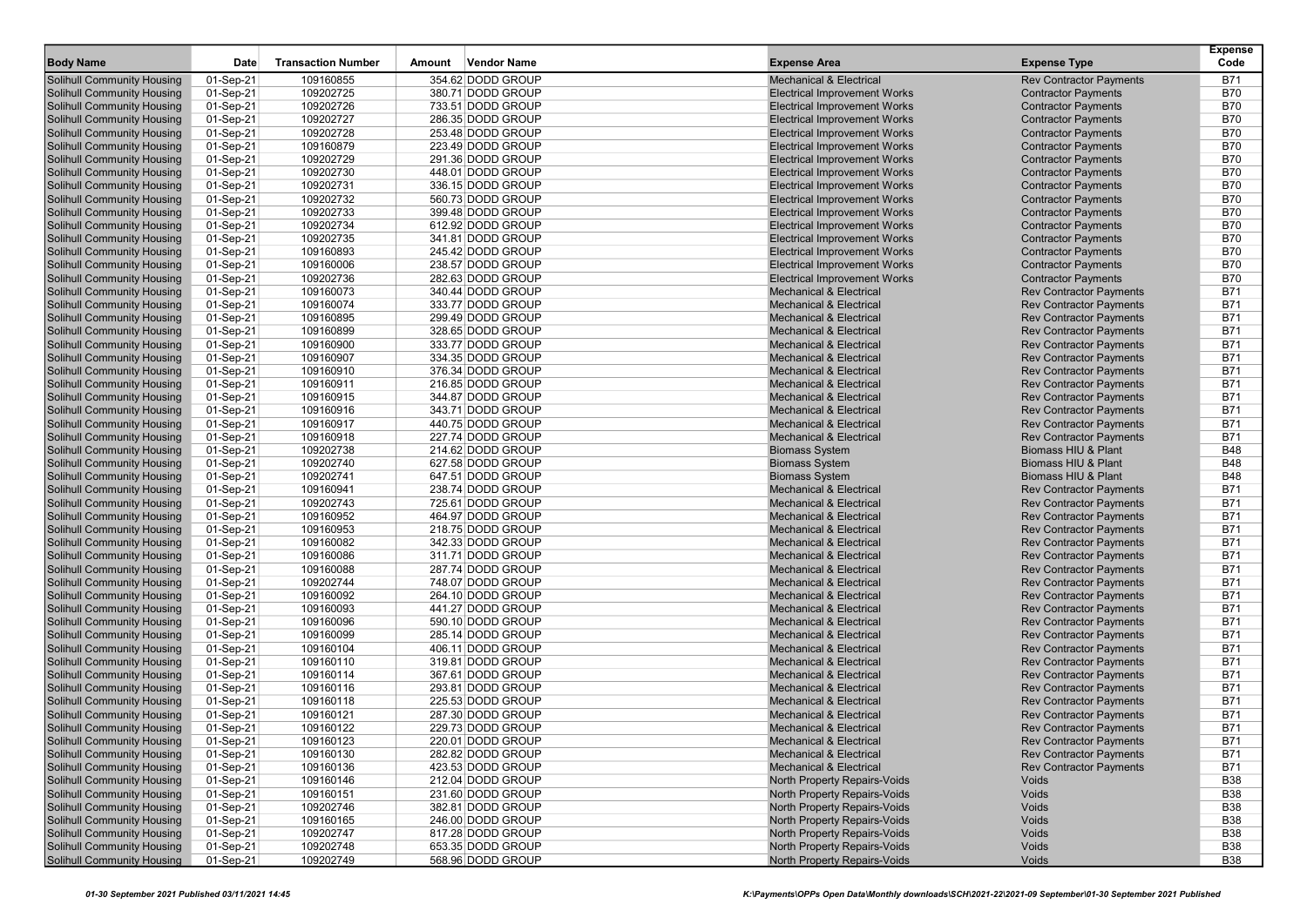| <b>Body Name</b>                                                       | <b>Date</b>            | <b>Transaction Number</b> | Amount | <b>Vendor Name</b>                     | <b>Expense Area</b>                                                        | <b>Expense Type</b>                                              | <b>Expense</b><br>Code   |
|------------------------------------------------------------------------|------------------------|---------------------------|--------|----------------------------------------|----------------------------------------------------------------------------|------------------------------------------------------------------|--------------------------|
|                                                                        |                        |                           |        |                                        |                                                                            |                                                                  |                          |
| Solihull Community Housing                                             | 01-Sep-21              | 109160855                 |        | 354.62 DODD GROUP                      | <b>Mechanical &amp; Electrical</b>                                         | <b>Rev Contractor Payments</b>                                   | <b>B71</b>               |
| Solihull Community Housing                                             | 01-Sep-21              | 109202725                 |        | 380.71 DODD GROUP                      | <b>Electrical Improvement Works</b>                                        | <b>Contractor Payments</b>                                       | <b>B70</b>               |
| <b>Solihull Community Housing</b>                                      | 01-Sep-21              | 109202726                 |        | 733.51 DODD GROUP                      | <b>Electrical Improvement Works</b>                                        | <b>Contractor Payments</b>                                       | <b>B70</b>               |
| <b>Solihull Community Housing</b><br><b>Solihull Community Housing</b> | 01-Sep-21<br>01-Sep-21 | 109202727<br>109202728    |        | 286.35 DODD GROUP<br>253.48 DODD GROUP | <b>Electrical Improvement Works</b><br><b>Electrical Improvement Works</b> | <b>Contractor Payments</b>                                       | <b>B70</b><br><b>B70</b> |
| <b>Solihull Community Housing</b>                                      | 01-Sep-21              | 109160879                 |        | 223.49 DODD GROUP                      | <b>Electrical Improvement Works</b>                                        | <b>Contractor Payments</b><br><b>Contractor Payments</b>         | <b>B70</b>               |
| <b>Solihull Community Housing</b>                                      | 01-Sep-21              | 109202729                 |        | 291.36 DODD GROUP                      | <b>Electrical Improvement Works</b>                                        | <b>Contractor Payments</b>                                       | <b>B70</b>               |
| Solihull Community Housing                                             | 01-Sep-21              | 109202730                 |        | 448.01 DODD GROUP                      | <b>Electrical Improvement Works</b>                                        | <b>Contractor Payments</b>                                       | <b>B70</b>               |
| Solihull Community Housing                                             | 01-Sep-21              | 109202731                 |        | 336.15 DODD GROUP                      | <b>Electrical Improvement Works</b>                                        | <b>Contractor Payments</b>                                       | <b>B70</b>               |
| Solihull Community Housing                                             | 01-Sep-21              | 109202732                 |        | 560.73 DODD GROUP                      | <b>Electrical Improvement Works</b>                                        | <b>Contractor Payments</b>                                       | <b>B70</b>               |
| Solihull Community Housing                                             | 01-Sep-21              | 109202733                 |        | 399.48 DODD GROUP                      | <b>Electrical Improvement Works</b>                                        | <b>Contractor Payments</b>                                       | <b>B70</b>               |
| <b>Solihull Community Housing</b>                                      | 01-Sep-21              | 109202734                 |        | 612.92 DODD GROUP                      | <b>Electrical Improvement Works</b>                                        | <b>Contractor Payments</b>                                       | <b>B70</b>               |
| <b>Solihull Community Housing</b>                                      | 01-Sep-21              | 109202735                 |        | 341.81 DODD GROUP                      | <b>Electrical Improvement Works</b>                                        | <b>Contractor Payments</b>                                       | <b>B70</b>               |
| Solihull Community Housing                                             | 01-Sep-21              | 109160893                 |        | 245.42 DODD GROUP                      | <b>Electrical Improvement Works</b>                                        | <b>Contractor Payments</b>                                       | <b>B70</b>               |
| Solihull Community Housing                                             | 01-Sep-21              | 109160006                 |        | 238.57 DODD GROUP                      | <b>Electrical Improvement Works</b>                                        | <b>Contractor Payments</b>                                       | <b>B70</b>               |
| Solihull Community Housing                                             | 01-Sep-21              | 109202736                 |        | 282.63 DODD GROUP                      | <b>Electrical Improvement Works</b>                                        | <b>Contractor Payments</b>                                       | <b>B70</b>               |
| <b>Solihull Community Housing</b>                                      | 01-Sep-21              | 109160073                 |        | 340.44 DODD GROUP                      | <b>Mechanical &amp; Electrical</b>                                         | <b>Rev Contractor Payments</b>                                   | <b>B71</b>               |
| Solihull Community Housing                                             | 01-Sep-21              | 109160074                 |        | 333.77 DODD GROUP                      | <b>Mechanical &amp; Electrical</b>                                         | <b>Rev Contractor Payments</b>                                   | <b>B71</b>               |
| <b>Solihull Community Housing</b>                                      | 01-Sep-21              | 109160895                 |        | 299.49 DODD GROUP                      | <b>Mechanical &amp; Electrical</b>                                         | <b>Rev Contractor Payments</b>                                   | <b>B71</b>               |
| <b>Solihull Community Housing</b>                                      | 01-Sep-21              | 109160899                 |        | 328.65 DODD GROUP                      | <b>Mechanical &amp; Electrical</b>                                         | <b>Rev Contractor Payments</b>                                   | <b>B71</b>               |
| Solihull Community Housing                                             | 01-Sep-21              | 109160900                 |        | 333.77 DODD GROUP                      | <b>Mechanical &amp; Electrical</b>                                         | <b>Rev Contractor Payments</b>                                   | <b>B71</b>               |
| <b>Solihull Community Housing</b>                                      | 01-Sep-21              | 109160907                 |        | 334.35 DODD GROUP                      | <b>Mechanical &amp; Electrical</b>                                         | <b>Rev Contractor Payments</b>                                   | <b>B71</b>               |
| <b>Solihull Community Housing</b>                                      | 01-Sep-21              | 109160910                 |        | 376.34 DODD GROUP                      | <b>Mechanical &amp; Electrical</b>                                         | <b>Rev Contractor Payments</b>                                   | <b>B71</b>               |
| <b>Solihull Community Housing</b>                                      | 01-Sep-21              | 109160911                 |        | 216.85 DODD GROUP                      | <b>Mechanical &amp; Electrical</b>                                         | <b>Rev Contractor Payments</b>                                   | <b>B71</b>               |
| <b>Solihull Community Housing</b>                                      | 01-Sep-21              | 109160915                 |        | 344.87 DODD GROUP                      | <b>Mechanical &amp; Electrical</b>                                         | <b>Rev Contractor Payments</b>                                   | <b>B71</b>               |
| <b>Solihull Community Housing</b>                                      | 01-Sep-21              | 109160916                 |        | 343.71 DODD GROUP                      | <b>Mechanical &amp; Electrical</b>                                         | <b>Rev Contractor Payments</b>                                   | <b>B71</b>               |
| Solihull Community Housing                                             | 01-Sep-21              | 109160917                 |        | 440.75 DODD GROUP                      | <b>Mechanical &amp; Electrical</b>                                         | <b>Rev Contractor Payments</b>                                   | <b>B71</b>               |
| Solihull Community Housing                                             | 01-Sep-21              | 109160918                 |        | 227.74 DODD GROUP                      | <b>Mechanical &amp; Electrical</b>                                         | <b>Rev Contractor Payments</b>                                   | <b>B71</b>               |
| <b>Solihull Community Housing</b>                                      | 01-Sep-21              | 109202738                 |        | 214.62 DODD GROUP                      | <b>Biomass System</b>                                                      | Biomass HIU & Plant                                              | <b>B48</b>               |
| Solihull Community Housing                                             | 01-Sep-21              | 109202740                 |        | 627.58 DODD GROUP                      | <b>Biomass System</b>                                                      | Biomass HIU & Plant                                              | <b>B48</b>               |
| <b>Solihull Community Housing</b>                                      | 01-Sep-21              | 109202741                 |        | 647.51 DODD GROUP                      | <b>Biomass System</b>                                                      | Biomass HIU & Plant                                              | <b>B48</b>               |
| <b>Solihull Community Housing</b>                                      | 01-Sep-21              | 109160941                 |        | 238.74 DODD GROUP                      | <b>Mechanical &amp; Electrical</b>                                         | <b>Rev Contractor Payments</b>                                   | <b>B71</b>               |
| Solihull Community Housing                                             | 01-Sep-21              | 109202743                 |        | 725.61 DODD GROUP                      | <b>Mechanical &amp; Electrical</b>                                         | <b>Rev Contractor Payments</b>                                   | <b>B71</b>               |
| Solihull Community Housing                                             | 01-Sep-21              | 109160952                 |        | 464.97 DODD GROUP                      | <b>Mechanical &amp; Electrical</b>                                         | <b>Rev Contractor Payments</b>                                   | <b>B71</b>               |
| <b>Solihull Community Housing</b>                                      | 01-Sep-21              | 109160953                 |        | 218.75 DODD GROUP                      | <b>Mechanical &amp; Electrical</b>                                         | <b>Rev Contractor Payments</b>                                   | <b>B71</b>               |
| <b>Solihull Community Housing</b>                                      | 01-Sep-21              | 109160082                 |        | 342.33 DODD GROUP                      | <b>Mechanical &amp; Electrical</b>                                         | <b>Rev Contractor Payments</b>                                   | <b>B71</b>               |
| Solihull Community Housing                                             | 01-Sep-21              | 109160086                 |        | 311.71 DODD GROUP                      | <b>Mechanical &amp; Electrical</b>                                         | <b>Rev Contractor Payments</b>                                   | <b>B71</b>               |
| <b>Solihull Community Housing</b>                                      | 01-Sep-21              | 109160088                 |        | 287.74 DODD GROUP                      | <b>Mechanical &amp; Electrical</b>                                         | <b>Rev Contractor Payments</b>                                   | <b>B71</b>               |
| Solihull Community Housing                                             | 01-Sep-21              | 109202744                 |        | 748.07 DODD GROUP                      | <b>Mechanical &amp; Electrical</b>                                         | <b>Rev Contractor Payments</b>                                   | <b>B71</b>               |
| Solihull Community Housing                                             | 01-Sep-21              | 109160092                 |        | 264.10 DODD GROUP                      | <b>Mechanical &amp; Electrical</b>                                         | <b>Rev Contractor Payments</b>                                   | <b>B71</b>               |
| Solihull Community Housing                                             | 01-Sep-21              | 109160093                 |        | 441.27 DODD GROUP                      | <b>Mechanical &amp; Electrical</b>                                         | <b>Rev Contractor Payments</b>                                   | <b>B71</b>               |
| Solihull Community Housing                                             | 01-Sep-21              | 109160096                 |        | 590.10 DODD GROUP                      | <b>Mechanical &amp; Electrical</b>                                         | <b>Rev Contractor Payments</b>                                   | <b>B71</b>               |
| <b>Solihull Community Housing</b><br><b>Solihull Community Housing</b> | 01-Sep-21              | 109160099<br>109160104    |        | 285.14 DODD GROUP<br>406.11 DODD GROUP | <b>Mechanical &amp; Electrical</b><br><b>Mechanical &amp; Electrical</b>   | <b>Rev Contractor Payments</b>                                   | <b>B71</b><br><b>B71</b> |
| <b>Solihull Community Housing</b>                                      | 01-Sep-21<br>01-Sep-21 | 109160110                 |        | 319.81 DODD GROUP                      | <b>Mechanical &amp; Electrical</b>                                         | <b>Rev Contractor Payments</b><br><b>Rev Contractor Payments</b> | <b>B71</b>               |
| Solihull Community Housing                                             | 01-Sep-21              | 109160114                 |        | 367.61 DODD GROUP                      | <b>Mechanical &amp; Electrical</b>                                         | <b>Rev Contractor Payments</b>                                   | <b>B71</b>               |
| Solihull Community Housing                                             | 01-Sep-21              | 109160116                 |        | 293.81 DODD GROUP                      | <b>Mechanical &amp; Electrical</b>                                         | <b>Rev Contractor Payments</b>                                   | <b>B71</b>               |
| Solihull Community Housing                                             | 01-Sep-21              | 109160118                 |        | 225.53 DODD GROUP                      | <b>Mechanical &amp; Electrical</b>                                         | <b>Rev Contractor Payments</b>                                   | <b>B71</b>               |
| Solihull Community Housing                                             | 01-Sep-21              | 109160121                 |        | 287.30 DODD GROUP                      | <b>Mechanical &amp; Electrical</b>                                         | <b>Rev Contractor Payments</b>                                   | <b>B71</b>               |
| <b>Solihull Community Housing</b>                                      | 01-Sep-21              | 109160122                 |        | 229.73 DODD GROUP                      | <b>Mechanical &amp; Electrical</b>                                         | <b>Rev Contractor Payments</b>                                   | <b>B71</b>               |
| Solihull Community Housing                                             | 01-Sep-21              | 109160123                 |        | 220.01 DODD GROUP                      | <b>Mechanical &amp; Electrical</b>                                         | <b>Rev Contractor Payments</b>                                   | <b>B71</b>               |
| Solihull Community Housing                                             | 01-Sep-21              | 109160130                 |        | 282.82 DODD GROUP                      | Mechanical & Electrical                                                    | <b>Rev Contractor Payments</b>                                   | <b>B71</b>               |
| <b>Solihull Community Housing</b>                                      | 01-Sep-21              | 109160136                 |        | 423.53 DODD GROUP                      | <b>Mechanical &amp; Electrical</b>                                         | <b>Rev Contractor Payments</b>                                   | <b>B71</b>               |
| <b>Solihull Community Housing</b>                                      | 01-Sep-21              | 109160146                 |        | 212.04 DODD GROUP                      | North Property Repairs-Voids                                               | Voids                                                            | <b>B38</b>               |
| <b>Solihull Community Housing</b>                                      | 01-Sep-21              | 109160151                 |        | 231.60 DODD GROUP                      | North Property Repairs-Voids                                               | Voids                                                            | <b>B38</b>               |
| <b>Solihull Community Housing</b>                                      | 01-Sep-21              | 109202746                 |        | 382.81 DODD GROUP                      | North Property Repairs-Voids                                               | Voids                                                            | <b>B38</b>               |
| <b>Solihull Community Housing</b>                                      | 01-Sep-21              | 109160165                 |        | 246.00 DODD GROUP                      | North Property Repairs-Voids                                               | Voids                                                            | <b>B38</b>               |
| <b>Solihull Community Housing</b>                                      | 01-Sep-21              | 109202747                 |        | 817.28 DODD GROUP                      | North Property Repairs-Voids                                               | Voids                                                            | <b>B38</b>               |
| <b>Solihull Community Housing</b>                                      | 01-Sep-21              | 109202748                 |        | 653.35 DODD GROUP                      | North Property Repairs-Voids                                               | Voids                                                            | <b>B38</b>               |
| <b>Solihull Community Housing</b>                                      | 01-Sep-21              | 109202749                 |        | 568.96 DODD GROUP                      | <b>North Property Repairs-Voids</b>                                        | Voids                                                            | <b>B38</b>               |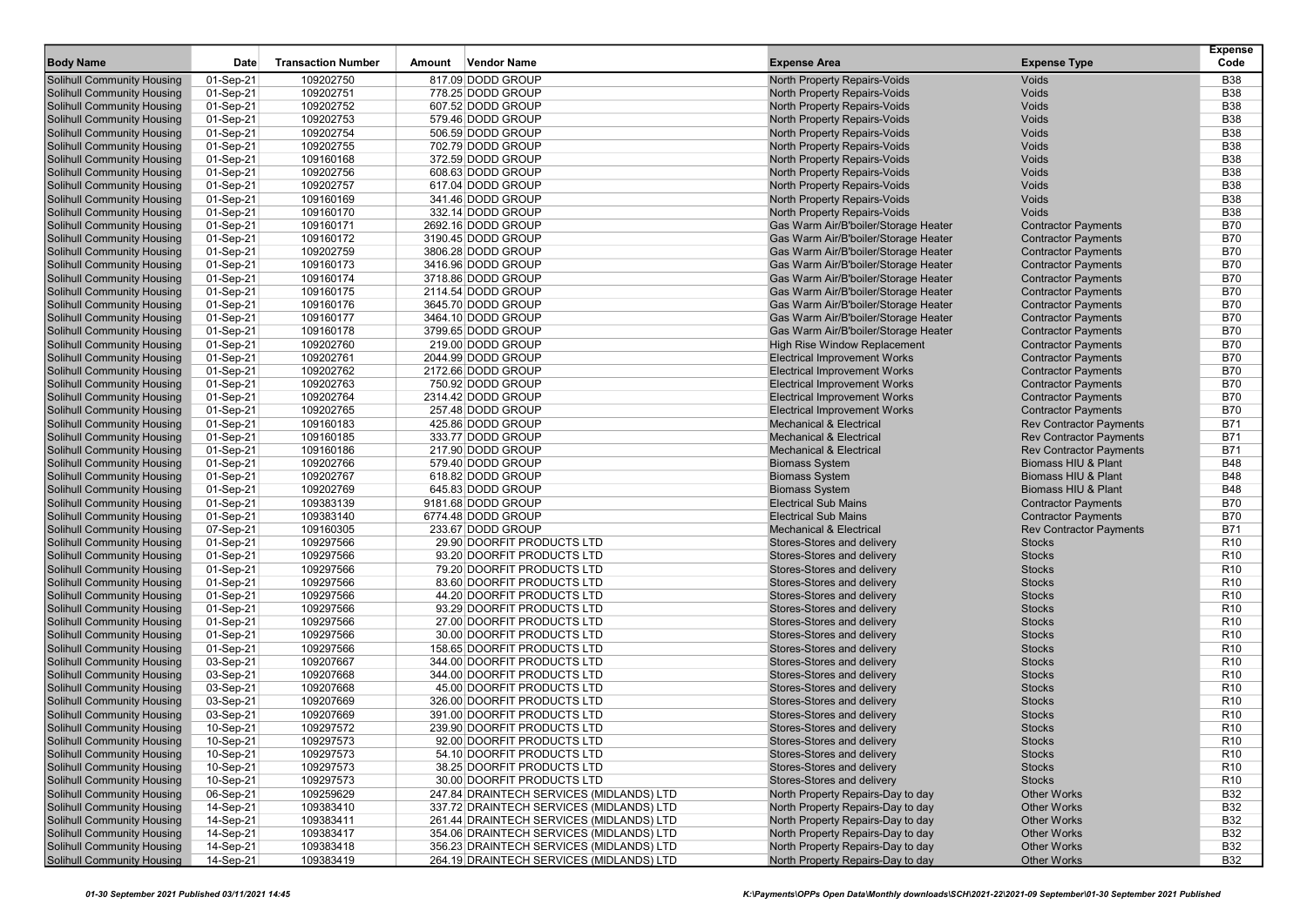|                                   |           |                           |        |                                          |                                      |                                | <b>Expense</b>  |
|-----------------------------------|-----------|---------------------------|--------|------------------------------------------|--------------------------------------|--------------------------------|-----------------|
| <b>Body Name</b>                  | Date      | <b>Transaction Number</b> | Amount | <b>Vendor Name</b>                       | <b>Expense Area</b>                  | <b>Expense Type</b>            | Code            |
| Solihull Community Housing        | 01-Sep-21 | 109202750                 |        | 817.09 DODD GROUP                        | North Property Repairs-Voids         | Voids                          | <b>B38</b>      |
| Solihull Community Housing        | 01-Sep-21 | 109202751                 |        | 778.25 DODD GROUP                        | North Property Repairs-Voids         | Voids                          | <b>B38</b>      |
| <b>Solihull Community Housing</b> | 01-Sep-21 | 109202752                 |        | 607.52 DODD GROUP                        | North Property Repairs-Voids         | Voids                          | <b>B38</b>      |
| <b>Solihull Community Housing</b> | 01-Sep-21 | 109202753                 |        | 579.46 DODD GROUP                        | North Property Repairs-Voids         | Voids                          | <b>B38</b>      |
| <b>Solihull Community Housing</b> | 01-Sep-21 | 109202754                 |        | 506.59 DODD GROUP                        | North Property Repairs-Voids         | Voids                          | <b>B38</b>      |
| <b>Solihull Community Housing</b> | 01-Sep-21 | 109202755                 |        | 702.79 DODD GROUP                        | North Property Repairs-Voids         | Voids                          | <b>B38</b>      |
| <b>Solihull Community Housing</b> | 01-Sep-21 | 109160168                 |        | 372.59 DODD GROUP                        | North Property Repairs-Voids         | Voids                          | <b>B38</b>      |
| Solihull Community Housing        | 01-Sep-21 | 109202756                 |        | 608.63 DODD GROUP                        | North Property Repairs-Voids         | Voids                          | <b>B38</b>      |
| <b>Solihull Community Housing</b> | 01-Sep-21 | 109202757                 |        | 617.04 DODD GROUP                        | North Property Repairs-Voids         | Voids                          | <b>B38</b>      |
| <b>Solihull Community Housing</b> | 01-Sep-21 | 109160169                 |        | 341.46 DODD GROUP                        | North Property Repairs-Voids         | Voids                          | <b>B38</b>      |
| <b>Solihull Community Housing</b> | 01-Sep-21 | 109160170                 |        | 332.14 DODD GROUP                        | <b>North Property Repairs-Voids</b>  | Voids                          | <b>B38</b>      |
| <b>Solihull Community Housing</b> | 01-Sep-21 | 109160171                 |        | 2692.16 DODD GROUP                       | Gas Warm Air/B'boiler/Storage Heater | <b>Contractor Payments</b>     | <b>B70</b>      |
| <b>Solihull Community Housing</b> | 01-Sep-21 | 109160172                 |        | 3190.45 DODD GROUP                       | Gas Warm Air/B'boiler/Storage Heater | <b>Contractor Payments</b>     | <b>B70</b>      |
| <b>Solihull Community Housing</b> | 01-Sep-21 | 109202759                 |        | 3806.28 DODD GROUP                       | Gas Warm Air/B'boiler/Storage Heater | <b>Contractor Payments</b>     | <b>B70</b>      |
| Solihull Community Housing        | 01-Sep-21 | 109160173                 |        | 3416.96 DODD GROUP                       | Gas Warm Air/B'boiler/Storage Heater | <b>Contractor Payments</b>     | <b>B70</b>      |
| <b>Solihull Community Housing</b> | 01-Sep-21 | 109160174                 |        | 3718.86 DODD GROUP                       | Gas Warm Air/B'boiler/Storage Heater | <b>Contractor Payments</b>     | <b>B70</b>      |
| <b>Solihull Community Housing</b> | 01-Sep-21 | 109160175                 |        | 2114.54 DODD GROUP                       | Gas Warm Air/B'boiler/Storage Heater | <b>Contractor Payments</b>     | <b>B70</b>      |
| Solihull Community Housing        | 01-Sep-21 | 109160176                 |        | 3645.70 DODD GROUP                       | Gas Warm Air/B'boiler/Storage Heater | <b>Contractor Payments</b>     | <b>B70</b>      |
| <b>Solihull Community Housing</b> | 01-Sep-21 | 109160177                 |        | 3464.10 DODD GROUP                       | Gas Warm Air/B'boiler/Storage Heater | <b>Contractor Payments</b>     | <b>B70</b>      |
| <b>Solihull Community Housing</b> | 01-Sep-21 | 109160178                 |        | 3799.65 DODD GROUP                       | Gas Warm Air/B'boiler/Storage Heater | <b>Contractor Payments</b>     | <b>B70</b>      |
| Solihull Community Housing        | 01-Sep-21 | 109202760                 |        | 219.00 DODD GROUP                        | <b>High Rise Window Replacement</b>  | <b>Contractor Payments</b>     | <b>B70</b>      |
| <b>Solihull Community Housing</b> | 01-Sep-21 | 109202761                 |        | 2044.99 DODD GROUP                       | <b>Electrical Improvement Works</b>  | <b>Contractor Payments</b>     | <b>B70</b>      |
| <b>Solihull Community Housing</b> | 01-Sep-21 | 109202762                 |        | 2172.66 DODD GROUP                       | <b>Electrical Improvement Works</b>  | <b>Contractor Payments</b>     | <b>B70</b>      |
| <b>Solihull Community Housing</b> | 01-Sep-21 | 109202763                 |        | 750.92 DODD GROUP                        | <b>Electrical Improvement Works</b>  | <b>Contractor Payments</b>     | <b>B70</b>      |
| <b>Solihull Community Housing</b> | 01-Sep-21 | 109202764                 |        | 2314.42 DODD GROUP                       | <b>Electrical Improvement Works</b>  | <b>Contractor Payments</b>     | <b>B70</b>      |
| <b>Solihull Community Housing</b> | 01-Sep-21 | 109202765                 |        | 257.48 DODD GROUP                        | <b>Electrical Improvement Works</b>  | <b>Contractor Payments</b>     | <b>B70</b>      |
| Solihull Community Housing        | 01-Sep-21 | 109160183                 |        | 425.86 DODD GROUP                        | <b>Mechanical &amp; Electrical</b>   | <b>Rev Contractor Payments</b> | <b>B71</b>      |
| <b>Solihull Community Housing</b> | 01-Sep-21 | 109160185                 |        | 333.77 DODD GROUP                        | <b>Mechanical &amp; Electrical</b>   | <b>Rev Contractor Payments</b> | <b>B71</b>      |
| <b>Solihull Community Housing</b> | 01-Sep-21 | 109160186                 |        | 217.90 DODD GROUP                        | <b>Mechanical &amp; Electrical</b>   | <b>Rev Contractor Payments</b> | <b>B71</b>      |
| <b>Solihull Community Housing</b> | 01-Sep-21 | 109202766                 |        | 579.40 DODD GROUP                        | <b>Biomass System</b>                | Biomass HIU & Plant            | <b>B48</b>      |
| <b>Solihull Community Housing</b> | 01-Sep-21 | 109202767                 |        | 618.82 DODD GROUP                        | <b>Biomass System</b>                | Biomass HIU & Plant            | <b>B48</b>      |
| <b>Solihull Community Housing</b> | 01-Sep-21 | 109202769                 |        | 645.83 DODD GROUP                        | <b>Biomass System</b>                | Biomass HIU & Plant            | <b>B48</b>      |
| <b>Solihull Community Housing</b> | 01-Sep-21 | 109383139                 |        | 9181.68 DODD GROUP                       | <b>Electrical Sub Mains</b>          | <b>Contractor Payments</b>     | <b>B70</b>      |
| <b>Solihull Community Housing</b> | 01-Sep-21 | 109383140                 |        | 6774.48 DODD GROUP                       | <b>Electrical Sub Mains</b>          | <b>Contractor Payments</b>     | <b>B70</b>      |
| <b>Solihull Community Housing</b> | 07-Sep-21 | 109160305                 |        | 233.67 DODD GROUP                        | <b>Mechanical &amp; Electrical</b>   | <b>Rev Contractor Payments</b> | <b>B71</b>      |
| <b>Solihull Community Housing</b> | 01-Sep-21 | 109297566                 |        | 29.90 DOORFIT PRODUCTS LTD               | Stores-Stores and delivery           | <b>Stocks</b>                  | R <sub>10</sub> |
| <b>Solihull Community Housing</b> | 01-Sep-21 | 109297566                 |        | 93.20 DOORFIT PRODUCTS LTD               | Stores-Stores and delivery           | <b>Stocks</b>                  | R <sub>10</sub> |
| <b>Solihull Community Housing</b> | 01-Sep-21 | 109297566                 |        | 79.20 DOORFIT PRODUCTS LTD               | Stores-Stores and delivery           | <b>Stocks</b>                  | R <sub>10</sub> |
| <b>Solihull Community Housing</b> | 01-Sep-21 | 109297566                 |        | 83.60 DOORFIT PRODUCTS LTD               | Stores-Stores and delivery           | <b>Stocks</b>                  | R <sub>10</sub> |
| Solihull Community Housing        | 01-Sep-21 | 109297566                 |        | 44.20 DOORFIT PRODUCTS LTD               | Stores-Stores and delivery           | <b>Stocks</b>                  | R <sub>10</sub> |
| <b>Solihull Community Housing</b> | 01-Sep-21 | 109297566                 |        | 93.29 DOORFIT PRODUCTS LTD               | Stores-Stores and delivery           | <b>Stocks</b>                  | R <sub>10</sub> |
| <b>Solihull Community Housing</b> | 01-Sep-21 | 109297566                 |        | 27.00 DOORFIT PRODUCTS LTD               | Stores-Stores and delivery           | <b>Stocks</b>                  | R <sub>10</sub> |
| <b>Solihull Community Housing</b> | 01-Sep-21 | 109297566                 |        | 30.00 DOORFIT PRODUCTS LTD               | Stores-Stores and delivery           | <b>Stocks</b>                  | R <sub>10</sub> |
| <b>Solihull Community Housing</b> | 01-Sep-21 | 109297566                 |        | 158.65 DOORFIT PRODUCTS LTD              | Stores-Stores and delivery           | <b>Stocks</b>                  | R <sub>10</sub> |
| <b>Solihull Community Housing</b> | 03-Sep-21 | 109207667                 |        | 344.00 DOORFIT PRODUCTS LTD              | Stores-Stores and delivery           | <b>Stocks</b>                  | R <sub>10</sub> |
| Solihull Community Housing        | 03-Sep-21 | 109207668                 |        | 344.00 DOORFIT PRODUCTS LTD              | Stores-Stores and delivery           | <b>Stocks</b>                  | R <sub>10</sub> |
| <b>Solihull Community Housing</b> | 03-Sep-21 | 109207668                 |        | 45.00 DOORFIT PRODUCTS LTD               | Stores-Stores and delivery           | <b>Stocks</b>                  | R <sub>10</sub> |
| <b>Solihull Community Housing</b> | 03-Sep-21 | 109207669                 |        | 326.00 DOORFIT PRODUCTS LTD              | Stores-Stores and delivery           | <b>Stocks</b>                  | R <sub>10</sub> |
| Solihull Community Housing        | 03-Sep-21 | 109207669                 |        | 391.00 DOORFIT PRODUCTS LTD              | Stores-Stores and delivery           | <b>Stocks</b>                  | R <sub>10</sub> |
| <b>Solihull Community Housing</b> | 10-Sep-21 | 109297572                 |        | 239.90 DOORFIT PRODUCTS LTD              | Stores-Stores and delivery           | <b>Stocks</b>                  | R <sub>10</sub> |
| Solihull Community Housing        | 10-Sep-21 | 109297573                 |        | 92.00 DOORFIT PRODUCTS LTD               | Stores-Stores and delivery           | <b>Stocks</b>                  | R <sub>10</sub> |
| Solihull Community Housing        | 10-Sep-21 | 109297573                 |        | 54.10 DOORFIT PRODUCTS LTD               | Stores-Stores and delivery           | <b>Stocks</b>                  | R <sub>10</sub> |
| <b>Solihull Community Housing</b> | 10-Sep-21 | 109297573                 |        | 38.25 DOORFIT PRODUCTS LTD               | Stores-Stores and delivery           | <b>Stocks</b>                  | R <sub>10</sub> |
| <b>Solihull Community Housing</b> | 10-Sep-21 | 109297573                 |        | 30.00 DOORFIT PRODUCTS LTD               | Stores-Stores and delivery           | <b>Stocks</b>                  | R <sub>10</sub> |
| <b>Solihull Community Housing</b> | 06-Sep-21 | 109259629                 |        | 247.84 DRAINTECH SERVICES (MIDLANDS) LTD | North Property Repairs-Day to day    | <b>Other Works</b>             | <b>B32</b>      |
| <b>Solihull Community Housing</b> | 14-Sep-21 | 109383410                 |        | 337.72 DRAINTECH SERVICES (MIDLANDS) LTD | North Property Repairs-Day to day    | <b>Other Works</b>             | <b>B32</b>      |
| <b>Solihull Community Housing</b> | 14-Sep-21 | 109383411                 |        | 261.44 DRAINTECH SERVICES (MIDLANDS) LTD | North Property Repairs-Day to day    | <b>Other Works</b>             | <b>B32</b>      |
| <b>Solihull Community Housing</b> | 14-Sep-21 | 109383417                 |        | 354.06 DRAINTECH SERVICES (MIDLANDS) LTD | North Property Repairs-Day to day    | <b>Other Works</b>             | <b>B32</b>      |
| <b>Solihull Community Housing</b> | 14-Sep-21 | 109383418                 |        | 356.23 DRAINTECH SERVICES (MIDLANDS) LTD | North Property Repairs-Day to day    | <b>Other Works</b>             | <b>B32</b>      |
| <b>Solihull Community Housing</b> | 14-Sep-21 | 109383419                 |        | 264.19 DRAINTECH SERVICES (MIDLANDS) LTD | North Property Repairs-Day to day    | <b>Other Works</b>             | <b>B32</b>      |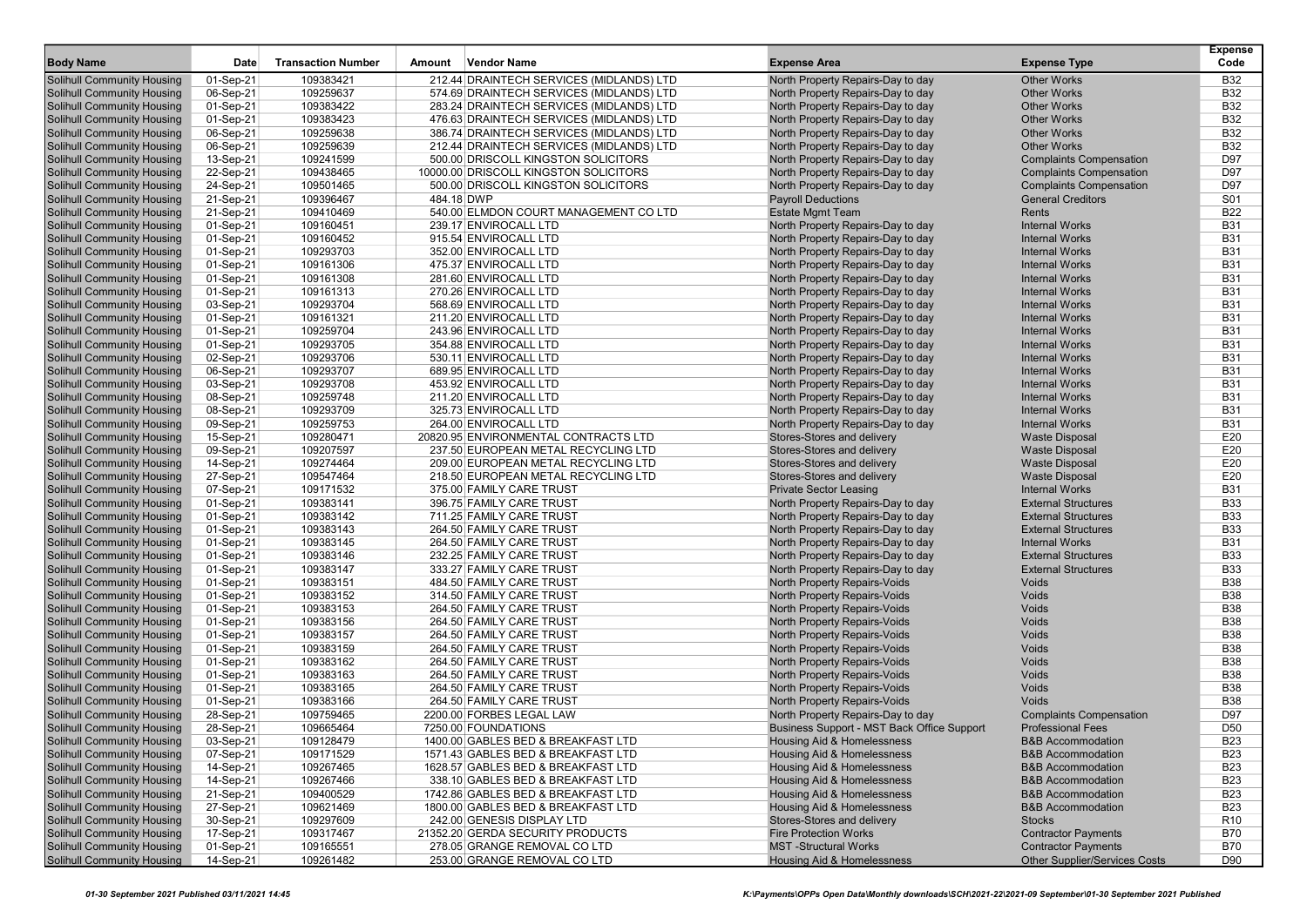| <b>Body Name</b>                                                       | Date                   | <b>Transaction Number</b> | <b>Vendor Name</b><br>Amount                                             | <b>Expense Area</b>                                      | <b>Expense Type</b>                                          | <b>Expense</b><br>Code        |
|------------------------------------------------------------------------|------------------------|---------------------------|--------------------------------------------------------------------------|----------------------------------------------------------|--------------------------------------------------------------|-------------------------------|
| <b>Solihull Community Housing</b>                                      | 01-Sep-21              | 109383421                 | 212.44 DRAINTECH SERVICES (MIDLANDS) LTD                                 | North Property Repairs-Day to day                        | <b>Other Works</b>                                           | <b>B32</b>                    |
| <b>Solihull Community Housing</b>                                      | 06-Sep-21              | 109259637                 | 574.69 DRAINTECH SERVICES (MIDLANDS) LTD                                 | North Property Repairs-Day to day                        | <b>Other Works</b>                                           | <b>B32</b>                    |
| Solihull Community Housing                                             | 01-Sep-21              | 109383422                 | 283.24 DRAINTECH SERVICES (MIDLANDS) LTD                                 | North Property Repairs-Day to day                        | <b>Other Works</b>                                           | <b>B32</b>                    |
| <b>Solihull Community Housing</b>                                      | 01-Sep-21              | 109383423                 | 476.63 DRAINTECH SERVICES (MIDLANDS) LTD                                 | North Property Repairs-Day to day                        | <b>Other Works</b>                                           | <b>B32</b>                    |
| <b>Solihull Community Housing</b>                                      | 06-Sep-21              | 109259638                 | 386.74 DRAINTECH SERVICES (MIDLANDS) LTD                                 | North Property Repairs-Day to day                        | <b>Other Works</b>                                           | <b>B32</b>                    |
| <b>Solihull Community Housing</b>                                      | 06-Sep-21              | 109259639                 | 212.44 DRAINTECH SERVICES (MIDLANDS) LTD                                 | North Property Repairs-Day to day                        | <b>Other Works</b>                                           | <b>B32</b>                    |
| <b>Solihull Community Housing</b>                                      | 13-Sep-21              | 109241599                 | 500.00 DRISCOLL KINGSTON SOLICITORS                                      | North Property Repairs-Day to day                        | <b>Complaints Compensation</b>                               | D97                           |
| <b>Solihull Community Housing</b>                                      | 22-Sep-21              | 109438465                 | 10000.00 DRISCOLL KINGSTON SOLICITORS                                    | North Property Repairs-Day to day                        | <b>Complaints Compensation</b>                               | D97                           |
| <b>Solihull Community Housing</b>                                      | 24-Sep-21              | 109501465                 | 500.00 DRISCOLL KINGSTON SOLICITORS                                      | North Property Repairs-Day to day                        | <b>Complaints Compensation</b>                               | D97                           |
| <b>Solihull Community Housing</b>                                      | 21-Sep-21              | 109396467                 | 484.18 DWP                                                               | <b>Payroll Deductions</b>                                | <b>General Creditors</b>                                     | S01                           |
| <b>Solihull Community Housing</b>                                      | 21-Sep-21              | 109410469                 | 540.00 ELMDON COURT MANAGEMENT CO LTD                                    | <b>Estate Mgmt Team</b>                                  | Rents                                                        | <b>B22</b>                    |
| <b>Solihull Community Housing</b>                                      | 01-Sep-21              | 109160451                 | 239.17 ENVIROCALL LTD                                                    | North Property Repairs-Day to day                        | <b>Internal Works</b>                                        | <b>B31</b>                    |
| <b>Solihull Community Housing</b>                                      | 01-Sep-21              | 109160452                 | 915.54 ENVIROCALL LTD                                                    | North Property Repairs-Day to day                        | <b>Internal Works</b>                                        | <b>B31</b>                    |
| <b>Solihull Community Housing</b>                                      | 01-Sep-21              | 109293703                 | 352.00 ENVIROCALL LTD                                                    | North Property Repairs-Day to day                        | <b>Internal Works</b>                                        | <b>B31</b>                    |
| <b>Solihull Community Housing</b>                                      | 01-Sep-21              | 109161306                 | 475.37 ENVIROCALL LTD                                                    | North Property Repairs-Day to day                        | <b>Internal Works</b>                                        | <b>B31</b>                    |
| <b>Solihull Community Housing</b>                                      | 01-Sep-21              | 109161308                 | 281.60 ENVIROCALL LTD                                                    | North Property Repairs-Day to day                        | <b>Internal Works</b>                                        | <b>B31</b>                    |
| <b>Solihull Community Housing</b>                                      | 01-Sep-21              | 109161313                 | 270.26 ENVIROCALL LTD                                                    | North Property Repairs-Day to day                        | <b>Internal Works</b>                                        | <b>B31</b>                    |
| <b>Solihull Community Housing</b>                                      | 03-Sep-21              | 109293704                 | 568.69 ENVIROCALL LTD                                                    | North Property Repairs-Day to day                        | <b>Internal Works</b>                                        | <b>B31</b>                    |
| <b>Solihull Community Housing</b>                                      | 01-Sep-21              | 109161321                 | 211.20 ENVIROCALL LTD                                                    | North Property Repairs-Day to day                        | <b>Internal Works</b>                                        | <b>B31</b>                    |
| <b>Solihull Community Housing</b>                                      | 01-Sep-21              | 109259704                 | 243.96 ENVIROCALL LTD                                                    | North Property Repairs-Day to day                        | <b>Internal Works</b>                                        | <b>B31</b>                    |
| <b>Solihull Community Housing</b>                                      | 01-Sep-21              | 109293705                 | 354.88 ENVIROCALL LTD                                                    | North Property Repairs-Day to day                        | <b>Internal Works</b>                                        | <b>B31</b>                    |
| Solihull Community Housing                                             |                        | 109293706                 | 530.11 ENVIROCALL LTD                                                    | North Property Repairs-Day to day                        | <b>Internal Works</b>                                        | <b>B31</b>                    |
| <b>Solihull Community Housing</b>                                      | 02-Sep-21<br>06-Sep-21 | 109293707                 | 689.95 ENVIROCALL LTD                                                    | North Property Repairs-Day to day                        | <b>Internal Works</b>                                        | <b>B31</b>                    |
| <b>Solihull Community Housing</b>                                      | 03-Sep-21              | 109293708                 | 453.92 ENVIROCALL LTD                                                    | North Property Repairs-Day to day                        | <b>Internal Works</b>                                        | <b>B31</b>                    |
| <b>Solihull Community Housing</b>                                      | 08-Sep-21              | 109259748                 | 211.20 ENVIROCALL LTD                                                    | North Property Repairs-Day to day                        | <b>Internal Works</b>                                        | <b>B31</b>                    |
| <b>Solihull Community Housing</b>                                      | 08-Sep-21              | 109293709                 | 325.73 ENVIROCALL LTD                                                    | North Property Repairs-Day to day                        | <b>Internal Works</b>                                        | <b>B31</b>                    |
| <b>Solihull Community Housing</b>                                      | 09-Sep-21              | 109259753                 | 264.00 ENVIROCALL LTD                                                    | North Property Repairs-Day to day                        | <b>Internal Works</b>                                        | <b>B31</b>                    |
| <b>Solihull Community Housing</b>                                      | 15-Sep-21              | 109280471                 | 20820.95 ENVIRONMENTAL CONTRACTS LTD                                     | Stores-Stores and delivery                               | <b>Waste Disposal</b>                                        | E20                           |
|                                                                        | 09-Sep-21              | 109207597                 | 237.50 EUROPEAN METAL RECYCLING LTD                                      | Stores-Stores and delivery                               | <b>Waste Disposal</b>                                        | E20                           |
| <b>Solihull Community Housing</b><br><b>Solihull Community Housing</b> | 14-Sep-21              | 109274464                 | 209.00 EUROPEAN METAL RECYCLING LTD                                      | Stores-Stores and delivery                               | <b>Waste Disposal</b>                                        | E20                           |
| <b>Solihull Community Housing</b>                                      | 27-Sep-21              | 109547464                 | 218.50 EUROPEAN METAL RECYCLING LTD                                      | Stores-Stores and delivery                               | <b>Waste Disposal</b>                                        | E20                           |
| <b>Solihull Community Housing</b>                                      | 07-Sep-21              | 109171532                 | 375.00 FAMILY CARE TRUST                                                 | <b>Private Sector Leasing</b>                            | <b>Internal Works</b>                                        | <b>B31</b>                    |
| <b>Solihull Community Housing</b>                                      | 01-Sep-21              | 109383141                 | 396.75 FAMILY CARE TRUST                                                 | North Property Repairs-Day to day                        | <b>External Structures</b>                                   | <b>B33</b>                    |
| Solihull Community Housing                                             | 01-Sep-21              | 109383142                 | 711.25 FAMILY CARE TRUST                                                 | North Property Repairs-Day to day                        | <b>External Structures</b>                                   | <b>B33</b>                    |
| <b>Solihull Community Housing</b>                                      | 01-Sep-21              | 109383143                 | 264.50 FAMILY CARE TRUST                                                 | North Property Repairs-Day to day                        | <b>External Structures</b>                                   | <b>B33</b>                    |
| <b>Solihull Community Housing</b>                                      | 01-Sep-21              | 109383145                 | 264.50 FAMILY CARE TRUST                                                 | North Property Repairs-Day to day                        | <b>Internal Works</b>                                        | <b>B31</b>                    |
| <b>Solihull Community Housing</b>                                      | 01-Sep-21              | 109383146                 | 232.25 FAMILY CARE TRUST                                                 | North Property Repairs-Day to day                        | <b>External Structures</b>                                   | <b>B33</b>                    |
| <b>Solihull Community Housing</b>                                      | 01-Sep-21              | 109383147                 | 333.27 FAMILY CARE TRUST                                                 | North Property Repairs-Day to day                        | <b>External Structures</b>                                   | <b>B33</b>                    |
| <b>Solihull Community Housing</b>                                      | 01-Sep-21              | 109383151                 | 484.50 FAMILY CARE TRUST                                                 | North Property Repairs-Voids                             | Voids                                                        | <b>B38</b>                    |
| <b>Solihull Community Housing</b>                                      | 01-Sep-21              | 109383152                 | 314.50 FAMILY CARE TRUST                                                 | North Property Repairs-Voids                             | Voids                                                        | <b>B38</b>                    |
| <b>Solihull Community Housing</b>                                      | 01-Sep-21              | 109383153                 | 264.50 FAMILY CARE TRUST                                                 | North Property Repairs-Voids                             | Voids                                                        | <b>B38</b>                    |
| <b>Solihull Community Housing</b>                                      | 01-Sep-21              | 109383156                 | 264.50 FAMILY CARE TRUST                                                 | <b>North Property Repairs-Voids</b>                      | Voids                                                        | <b>B38</b>                    |
| <b>Solihull Community Housing</b>                                      | 01-Sep-21              | 109383157                 | 264.50 FAMILY CARE TRUST                                                 | North Property Repairs-Voids                             | Voids                                                        | <b>B38</b>                    |
| <b>Solihull Community Housing</b>                                      | 01-Sep-21              | 109383159                 | 264.50 FAMILY CARE TRUST                                                 | North Property Repairs-Voids                             | Voids                                                        | <b>B38</b>                    |
| <b>Solihull Community Housing</b>                                      | 01-Sep-21              | 109383162                 | 264.50 FAMILY CARE TRUST                                                 | <b>North Property Repairs-Voids</b>                      | Voids                                                        | <b>B38</b>                    |
| <b>Solihull Community Housing</b>                                      | 01-Sep-21              | 109383163                 | 264.50 FAMILY CARE TRUST                                                 | <b>North Property Repairs-Voids</b>                      | Voids                                                        | <b>B38</b>                    |
| Solihull Community Housing                                             | 01-Sep-21              | 109383165                 | 264.50 FAMILY CARE TRUST                                                 | North Property Repairs-Voids                             | Voids                                                        | <b>B38</b>                    |
|                                                                        |                        | 109383166                 | 264.50 FAMILY CARE TRUST                                                 | <b>North Property Repairs-Voids</b>                      | Voids                                                        | <b>B38</b>                    |
| <b>Solihull Community Housing</b><br><b>Solihull Community Housing</b> | 01-Sep-21<br>28-Sep-21 | 109759465                 | 2200.00 FORBES LEGAL LAW                                                 | North Property Repairs-Day to day                        | <b>Complaints Compensation</b>                               | D97                           |
| <b>Solihull Community Housing</b>                                      |                        | 109665464                 | 7250.00 FOUNDATIONS                                                      | Business Support - MST Back Office Support               | <b>Professional Fees</b>                                     | D <sub>50</sub>               |
|                                                                        | 28-Sep-21              |                           |                                                                          |                                                          |                                                              |                               |
| Solihull Community Housing<br><b>Solihull Community Housing</b>        | 03-Sep-21<br>07-Sep-21 | 109128479<br>109171529    | 1400.00 GABLES BED & BREAKFAST LTD<br>1571.43 GABLES BED & BREAKFAST LTD | Housing Aid & Homelessness<br>Housing Aid & Homelessness | <b>B&amp;B Accommodation</b><br><b>B&amp;B Accommodation</b> | B <sub>23</sub><br><b>B23</b> |
|                                                                        |                        |                           |                                                                          |                                                          |                                                              |                               |
| <b>Solihull Community Housing</b>                                      | 14-Sep-21              | 109267465                 | 1628.57 GABLES BED & BREAKFAST LTD                                       | <b>Housing Aid &amp; Homelessness</b>                    | <b>B&amp;B Accommodation</b><br><b>B&amp;B Accommodation</b> | <b>B23</b>                    |
| <b>Solihull Community Housing</b><br>Solihull Community Housing        | 14-Sep-21              | 109267466                 | 338.10 GABLES BED & BREAKFAST LTD                                        | <b>Housing Aid &amp; Homelessness</b>                    |                                                              | <b>B23</b>                    |
|                                                                        | 21-Sep-21              | 109400529                 | 1742.86 GABLES BED & BREAKFAST LTD                                       | <b>Housing Aid &amp; Homelessness</b>                    | <b>B&amp;B Accommodation</b>                                 | <b>B23</b>                    |
| <b>Solihull Community Housing</b>                                      | 27-Sep-21              | 109621469                 | 1800.00 GABLES BED & BREAKFAST LTD                                       | Housing Aid & Homelessness                               | <b>B&amp;B Accommodation</b>                                 | <b>B23</b>                    |
| <b>Solihull Community Housing</b>                                      | 30-Sep-21              | 109297609                 | 242.00 GENESIS DISPLAY LTD                                               | Stores-Stores and delivery                               | <b>Stocks</b>                                                | R <sub>10</sub>               |
| <b>Solihull Community Housing</b>                                      | 17-Sep-21              | 109317467                 | 21352.20 GERDA SECURITY PRODUCTS                                         | <b>Fire Protection Works</b>                             | <b>Contractor Payments</b>                                   | <b>B70</b>                    |
| <b>Solihull Community Housing</b>                                      | 01-Sep-21              | 109165551                 | 278.05 GRANGE REMOVAL CO LTD                                             | <b>MST-Structural Works</b>                              | <b>Contractor Payments</b>                                   | <b>B70</b>                    |
| <b>Solihull Community Housing</b>                                      | 14-Sep-21              | 109261482                 | 253.00 GRANGE REMOVAL CO LTD                                             | Housing Aid & Homelessness                               | Other Supplier/Services Costs                                | D90                           |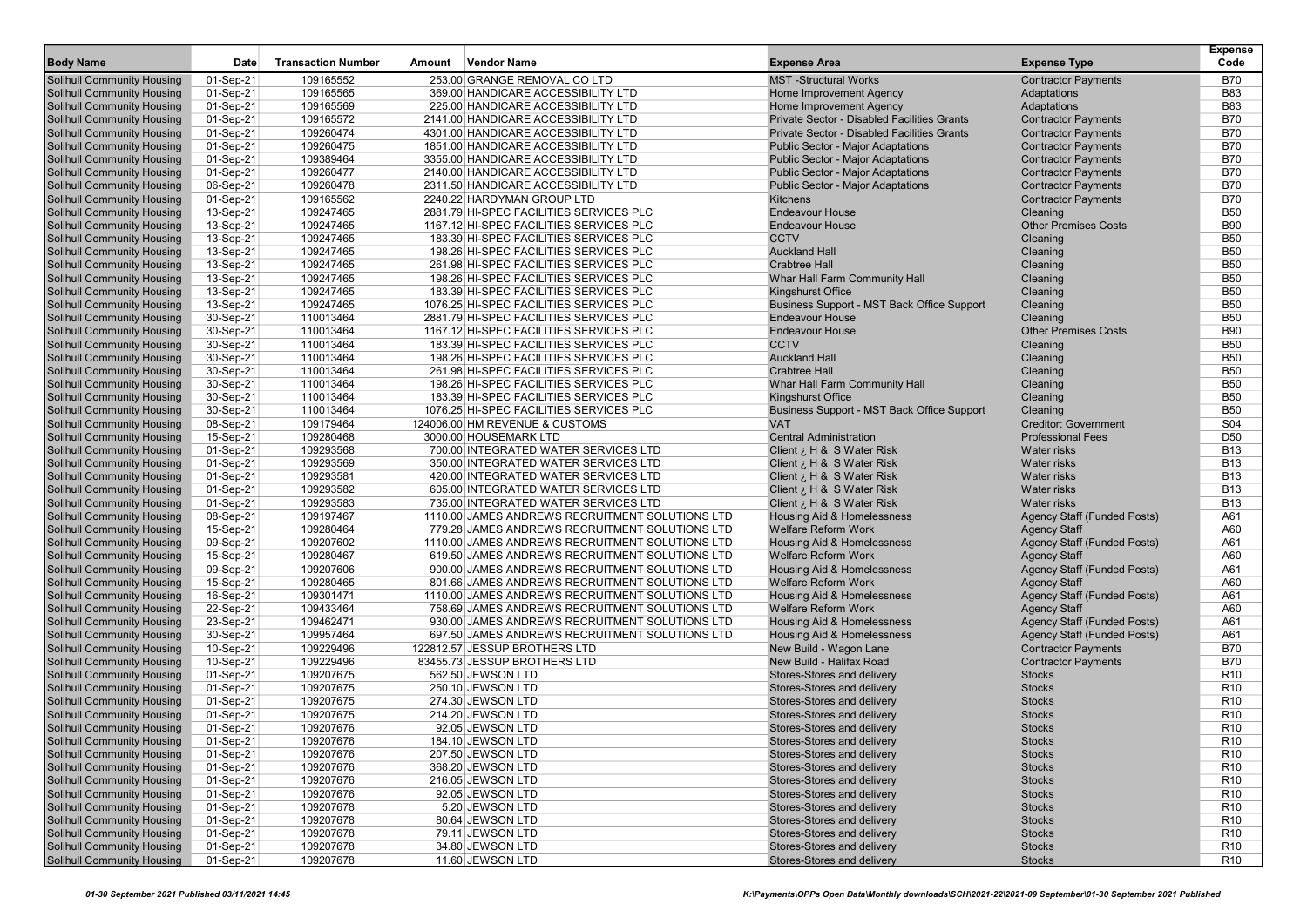| <b>Body Name</b>                                                       | Date                   | <b>Transaction Number</b> | Amount | <b>Vendor Name</b>                                                         | <b>Expense Area</b>                                                                  | <b>Expense Type</b>                                      | <b>Expense</b><br>Code   |
|------------------------------------------------------------------------|------------------------|---------------------------|--------|----------------------------------------------------------------------------|--------------------------------------------------------------------------------------|----------------------------------------------------------|--------------------------|
|                                                                        |                        |                           |        |                                                                            |                                                                                      |                                                          |                          |
| <b>Solihull Community Housing</b>                                      | 01-Sep-21              | 109165552                 |        | 253.00 GRANGE REMOVAL CO LTD                                               | <b>MST</b> -Structural Works                                                         | <b>Contractor Payments</b>                               | <b>B70</b>               |
| <b>Solihull Community Housing</b>                                      | 01-Sep-21              | 109165565                 |        | 369.00 HANDICARE ACCESSIBILITY LTD                                         | Home Improvement Agency                                                              | Adaptations                                              | <b>B83</b>               |
| <b>Solihull Community Housing</b>                                      | 01-Sep-21              | 109165569                 |        | 225.00 HANDICARE ACCESSIBILITY LTD                                         | Home Improvement Agency                                                              | Adaptations                                              | <b>B83</b>               |
| <b>Solihull Community Housing</b>                                      | 01-Sep-21              | 109165572                 |        | 2141.00 HANDICARE ACCESSIBILITY LTD                                        | Private Sector - Disabled Facilities Grants                                          | <b>Contractor Payments</b>                               | <b>B70</b><br><b>B70</b> |
| <b>Solihull Community Housing</b><br><b>Solihull Community Housing</b> | 01-Sep-21<br>01-Sep-21 | 109260474<br>109260475    |        | 4301.00 HANDICARE ACCESSIBILITY LTD<br>1851.00 HANDICARE ACCESSIBILITY LTD | Private Sector - Disabled Facilities Grants                                          | <b>Contractor Payments</b><br><b>Contractor Payments</b> | <b>B70</b>               |
| <b>Solihull Community Housing</b>                                      | 01-Sep-21              | 109389464                 |        | 3355.00 HANDICARE ACCESSIBILITY LTD                                        | <b>Public Sector - Major Adaptations</b><br><b>Public Sector - Major Adaptations</b> | <b>Contractor Payments</b>                               | <b>B70</b>               |
| <b>Solihull Community Housing</b>                                      | 01-Sep-21              | 109260477                 |        | 2140.00 HANDICARE ACCESSIBILITY LTD                                        | <b>Public Sector - Major Adaptations</b>                                             | <b>Contractor Payments</b>                               | <b>B70</b>               |
| <b>Solihull Community Housing</b>                                      | 06-Sep-21              | 109260478                 |        | 2311.50 HANDICARE ACCESSIBILITY LTD                                        | <b>Public Sector - Major Adaptations</b>                                             | <b>Contractor Payments</b>                               | <b>B70</b>               |
| <b>Solihull Community Housing</b>                                      | 01-Sep-21              | 109165562                 |        | 2240.22 HARDYMAN GROUP LTD                                                 | Kitchens                                                                             | <b>Contractor Payments</b>                               | <b>B70</b>               |
| <b>Solihull Community Housing</b>                                      | 13-Sep-21              | 109247465                 |        | 2881.79 HI-SPEC FACILITIES SERVICES PLC                                    | <b>Endeavour House</b>                                                               | Cleaning                                                 | <b>B50</b>               |
| <b>Solihull Community Housing</b>                                      | 13-Sep-21              | 109247465                 |        | 1167.12 HI-SPEC FACILITIES SERVICES PLC                                    | <b>Endeavour House</b>                                                               | <b>Other Premises Costs</b>                              | <b>B90</b>               |
| <b>Solihull Community Housing</b>                                      | 13-Sep-21              | 109247465                 |        | 183.39 HI-SPEC FACILITIES SERVICES PLC                                     | <b>CCTV</b>                                                                          | Cleaning                                                 | <b>B50</b>               |
| <b>Solihull Community Housing</b>                                      | 13-Sep-21              | 109247465                 |        | 198.26 HI-SPEC FACILITIES SERVICES PLC                                     | <b>Auckland Hall</b>                                                                 | Cleaning                                                 | <b>B50</b>               |
| <b>Solihull Community Housing</b>                                      | 13-Sep-21              | 109247465                 |        | 261.98 HI-SPEC FACILITIES SERVICES PLC                                     | <b>Crabtree Hall</b>                                                                 | Cleaning                                                 | <b>B50</b>               |
| <b>Solihull Community Housing</b>                                      | 13-Sep-21              | 109247465                 |        | 198.26 HI-SPEC FACILITIES SERVICES PLC                                     | Whar Hall Farm Community Hall                                                        | Cleaning                                                 | <b>B50</b>               |
| <b>Solihull Community Housing</b>                                      | 13-Sep-21              | 109247465                 |        | 183.39 HI-SPEC FACILITIES SERVICES PLC                                     | <b>Kingshurst Office</b>                                                             | Cleaning                                                 | <b>B50</b>               |
| <b>Solihull Community Housing</b>                                      | 13-Sep-21              | 109247465                 |        | 1076.25 HI-SPEC FACILITIES SERVICES PLC                                    | Business Support - MST Back Office Support                                           | Cleaning                                                 | <b>B50</b>               |
| <b>Solihull Community Housing</b>                                      | 30-Sep-21              | 110013464                 |        | 2881.79 HI-SPEC FACILITIES SERVICES PLC                                    | <b>Endeavour House</b>                                                               | Cleaning                                                 | <b>B50</b>               |
| <b>Solihull Community Housing</b>                                      | 30-Sep-21              | 110013464                 |        | 1167.12 HI-SPEC FACILITIES SERVICES PLC                                    | <b>Endeavour House</b>                                                               | <b>Other Premises Costs</b>                              | <b>B90</b>               |
| <b>Solihull Community Housing</b>                                      | 30-Sep-21              | 110013464                 |        | 183.39 HI-SPEC FACILITIES SERVICES PLC                                     | <b>CCTV</b>                                                                          | Cleaning                                                 | <b>B50</b>               |
| <b>Solihull Community Housing</b>                                      | 30-Sep-21              | 110013464                 |        | 198.26 HI-SPEC FACILITIES SERVICES PLC                                     | <b>Auckland Hall</b>                                                                 | Cleaning                                                 | <b>B50</b>               |
| <b>Solihull Community Housing</b>                                      | 30-Sep-21              | 110013464                 |        | 261.98 HI-SPEC FACILITIES SERVICES PLC                                     | <b>Crabtree Hall</b>                                                                 | Cleaning                                                 | <b>B50</b>               |
| <b>Solihull Community Housing</b>                                      | 30-Sep-21              | 110013464                 |        | 198.26 HI-SPEC FACILITIES SERVICES PLC                                     | Whar Hall Farm Community Hall                                                        | Cleaning                                                 | <b>B50</b>               |
| <b>Solihull Community Housing</b>                                      | 30-Sep-21              | 110013464                 |        | 183.39 HI-SPEC FACILITIES SERVICES PLC                                     | Kingshurst Office                                                                    | Cleaning                                                 | <b>B50</b>               |
| <b>Solihull Community Housing</b>                                      | 30-Sep-21              | 110013464                 |        | 1076.25 HI-SPEC FACILITIES SERVICES PLC                                    | Business Support - MST Back Office Support                                           | Cleaning                                                 | <b>B50</b>               |
| <b>Solihull Community Housing</b>                                      | 08-Sep-21              | 109179464                 |        | 124006.00 HM REVENUE & CUSTOMS                                             | <b>VAT</b>                                                                           | <b>Creditor: Government</b>                              | <b>S04</b>               |
| <b>Solihull Community Housing</b>                                      | 15-Sep-21              | 109280468                 |        | 3000.00 HOUSEMARK LTD                                                      | <b>Central Administration</b>                                                        | <b>Professional Fees</b>                                 | D <sub>50</sub>          |
| <b>Solihull Community Housing</b>                                      | 01-Sep-21              | 109293568                 |        | 700.00 INTEGRATED WATER SERVICES LTD                                       | Client ¿ H & S Water Risk                                                            | <b>Water risks</b>                                       | <b>B13</b>               |
| <b>Solihull Community Housing</b>                                      | 01-Sep-21              | 109293569                 |        | 350.00 INTEGRATED WATER SERVICES LTD                                       | Client ¿ H & S Water Risk                                                            | Water risks                                              | <b>B13</b>               |
| <b>Solihull Community Housing</b>                                      | 01-Sep-21              | 109293581                 |        | 420.00 INTEGRATED WATER SERVICES LTD                                       | Client ¿ H & S Water Risk                                                            | Water risks                                              | <b>B13</b>               |
| <b>Solihull Community Housing</b>                                      | 01-Sep-21              | 109293582                 |        | 605.00 INTEGRATED WATER SERVICES LTD                                       | Client ¿ H & S Water Risk                                                            | Water risks                                              | <b>B13</b>               |
| <b>Solihull Community Housing</b>                                      | 01-Sep-21              | 109293583                 |        | 735.00 INTEGRATED WATER SERVICES LTD                                       | Client ¿ H & S Water Risk                                                            | <b>Water risks</b>                                       | <b>B13</b>               |
| <b>Solihull Community Housing</b>                                      | 08-Sep-21              | 109197467                 |        | 1110.00 JAMES ANDREWS RECRUITMENT SOLUTIONS LTD                            | Housing Aid & Homelessness                                                           | Agency Staff (Funded Posts)                              | A61                      |
| <b>Solihull Community Housing</b>                                      | 15-Sep-21              | 109280464                 |        | 779.28 JAMES ANDREWS RECRUITMENT SOLUTIONS LTD                             | <b>Welfare Reform Work</b>                                                           | <b>Agency Staff</b>                                      | A60                      |
| <b>Solihull Community Housing</b>                                      | 09-Sep-21              | 109207602                 |        | 1110.00 JAMES ANDREWS RECRUITMENT SOLUTIONS LTD                            | Housing Aid & Homelessness                                                           | Agency Staff (Funded Posts)                              | A61                      |
| <b>Solihull Community Housing</b>                                      | 15-Sep-21              | 109280467                 |        | 619.50 JAMES ANDREWS RECRUITMENT SOLUTIONS LTD                             | <b>Welfare Reform Work</b>                                                           | <b>Agency Staff</b>                                      | A60                      |
| <b>Solihull Community Housing</b>                                      | 09-Sep-21              | 109207606                 |        | 900.00 JAMES ANDREWS RECRUITMENT SOLUTIONS LTD                             | Housing Aid & Homelessness                                                           | Agency Staff (Funded Posts)                              | A61                      |
| <b>Solihull Community Housing</b>                                      | 15-Sep-21              | 109280465                 |        | 801.66 JAMES ANDREWS RECRUITMENT SOLUTIONS LTD                             | <b>Welfare Reform Work</b>                                                           | <b>Agency Staff</b>                                      | A60                      |
| <b>Solihull Community Housing</b>                                      | 16-Sep-21              | 109301471                 |        | 1110.00 JAMES ANDREWS RECRUITMENT SOLUTIONS LTD                            | Housing Aid & Homelessness                                                           | Agency Staff (Funded Posts)                              | A61                      |
| <b>Solihull Community Housing</b>                                      | 22-Sep-21              | 109433464                 |        | 758.69 JAMES ANDREWS RECRUITMENT SOLUTIONS LTD                             | Welfare Reform Work                                                                  | <b>Agency Staff</b>                                      | A60                      |
| <b>Solihull Community Housing</b>                                      | 23-Sep-21              | 109462471                 |        | 930.00 JAMES ANDREWS RECRUITMENT SOLUTIONS LTD                             | Housing Aid & Homelessness                                                           | Agency Staff (Funded Posts)                              | A61                      |
| <b>Solihull Community Housing</b>                                      | 30-Sep-21              | 109957464                 |        | 697.50 JAMES ANDREWS RECRUITMENT SOLUTIONS LTD                             | <b>Housing Aid &amp; Homelessness</b>                                                | <b>Agency Staff (Funded Posts)</b>                       | A61                      |
| <b>Solihull Community Housing</b><br><b>Solihull Community Housing</b> | 10-Sep-21<br>10-Sep-21 | 109229496<br>109229496    |        | 122812.57 JESSUP BROTHERS LTD<br>83455.73 JESSUP BROTHERS LTD              | New Build - Wagon Lane<br>New Build - Halifax Road                                   | <b>Contractor Payments</b><br><b>Contractor Payments</b> | <b>B70</b><br><b>B70</b> |
| <b>Solihull Community Housing</b>                                      | 01-Sep-21              | 109207675                 |        | 562.50 JEWSON LTD                                                          | Stores-Stores and delivery                                                           | <b>Stocks</b>                                            | R <sub>10</sub>          |
| <b>Solihull Community Housing</b>                                      | 01-Sep-21              | 109207675                 |        | 250.10 JEWSON LTD                                                          | Stores-Stores and delivery                                                           | <b>Stocks</b>                                            | R <sub>10</sub>          |
| <b>Solihull Community Housing</b>                                      | 01-Sep-21              | 109207675                 |        | 274.30 JEWSON LTD                                                          | Stores-Stores and delivery                                                           | <b>Stocks</b>                                            | R <sub>10</sub>          |
| <b>Solihull Community Housing</b>                                      | 01-Sep-21              | 109207675                 |        | 214.20 JEWSON LTD                                                          | Stores-Stores and delivery                                                           | <b>Stocks</b>                                            | R <sub>10</sub>          |
| <b>Solihull Community Housing</b>                                      | 01-Sep-21              | 109207676                 |        | 92.05 JEWSON LTD                                                           | Stores-Stores and delivery                                                           | <b>Stocks</b>                                            | R <sub>10</sub>          |
| <b>Solihull Community Housing</b>                                      | 01-Sep-21              | 109207676                 |        | 184.10 JEWSON LID                                                          | Stores-Stores and delivery                                                           | <b>Stocks</b>                                            | R <sub>10</sub>          |
| <b>Solihull Community Housing</b>                                      | 01-Sep-21              | 109207676                 |        | 207.50 JEWSON LTD                                                          | Stores-Stores and delivery                                                           | <b>Stocks</b>                                            | R <sub>10</sub>          |
| <b>Solihull Community Housing</b>                                      | 01-Sep-21              | 109207676                 |        | 368.20 JEWSON LTD                                                          | Stores-Stores and delivery                                                           | <b>Stocks</b>                                            | R <sub>10</sub>          |
| <b>Solihull Community Housing</b>                                      | 01-Sep-21              | 109207676                 |        | 216.05 JEWSON LTD                                                          | Stores-Stores and delivery                                                           | <b>Stocks</b>                                            | R <sub>10</sub>          |
| <b>Solihull Community Housing</b>                                      | 01-Sep-21              | 109207676                 |        | 92.05 JEWSON LTD                                                           | Stores-Stores and delivery                                                           | <b>Stocks</b>                                            | R <sub>10</sub>          |
| <b>Solihull Community Housing</b>                                      | 01-Sep-21              | 109207678                 |        | 5.20 JEWSON LTD                                                            | Stores-Stores and delivery                                                           | <b>Stocks</b>                                            | R <sub>10</sub>          |
| <b>Solihull Community Housing</b>                                      | 01-Sep-21              | 109207678                 |        | 80.64 JEWSON LTD                                                           | Stores-Stores and delivery                                                           | <b>Stocks</b>                                            | R <sub>10</sub>          |
| <b>Solihull Community Housing</b>                                      | 01-Sep-21              | 109207678                 |        | 79.11 JEWSON LTD                                                           | Stores-Stores and delivery                                                           | <b>Stocks</b>                                            | R <sub>10</sub>          |
| <b>Solihull Community Housing</b>                                      | 01-Sep-21              | 109207678                 |        | 34.80 JEWSON LTD                                                           | Stores-Stores and delivery                                                           | <b>Stocks</b>                                            | R <sub>10</sub>          |
| <b>Solihull Community Housing</b>                                      | 01-Sep-21              | 109207678                 |        | 11.60 JEWSON LTD                                                           | Stores-Stores and delivery                                                           | <b>Stocks</b>                                            | R <sub>10</sub>          |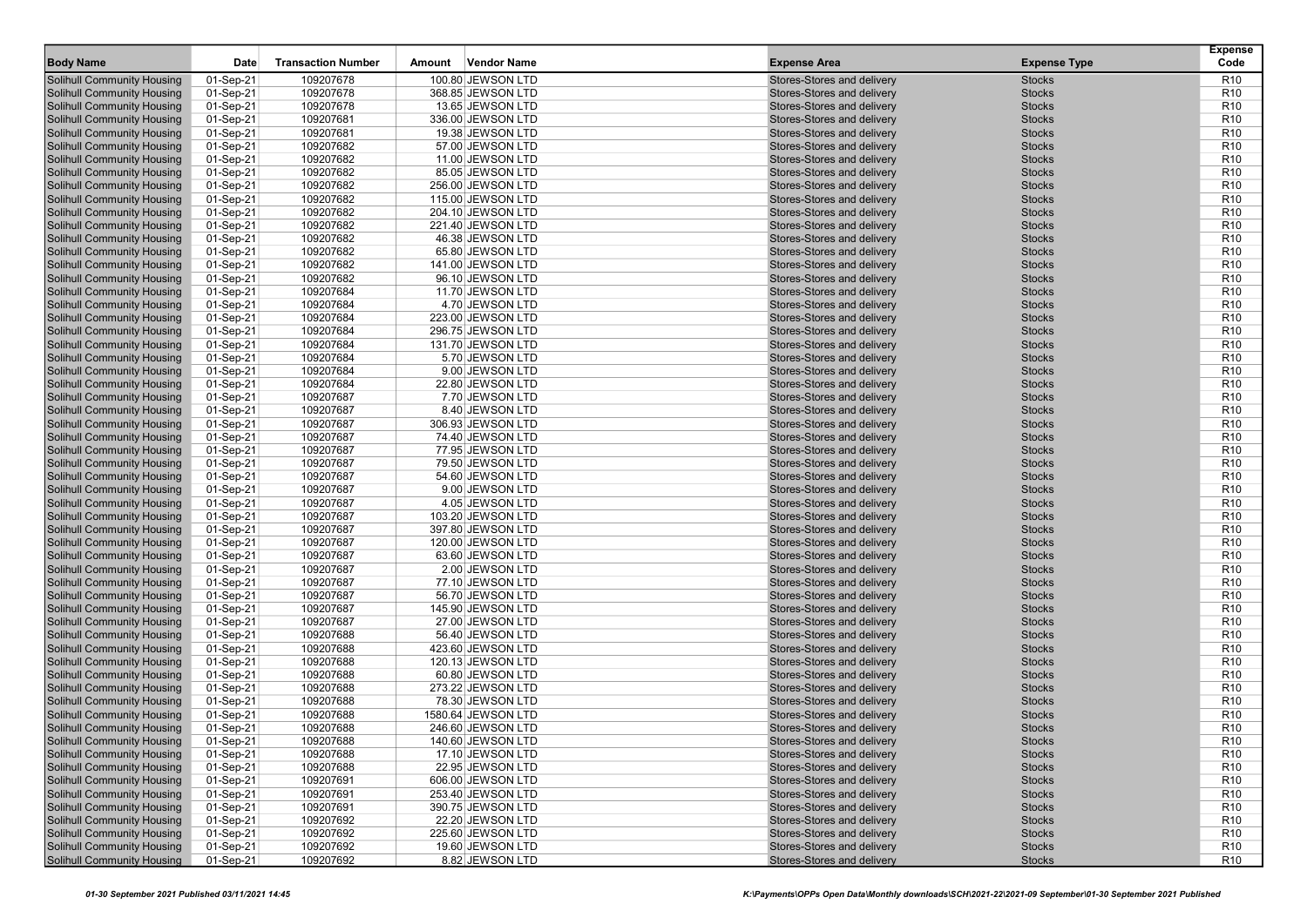| <b>Body Name</b>                                                       | Date                   | <b>Transaction Number</b> | <b>Vendor Name</b><br>Amount           | <b>Expense Area</b>                                      | <b>Expense Type</b>            | <b>Expense</b><br>Code             |
|------------------------------------------------------------------------|------------------------|---------------------------|----------------------------------------|----------------------------------------------------------|--------------------------------|------------------------------------|
| <b>Solihull Community Housing</b>                                      | 01-Sep-21              | 109207678                 | 100.80 JEWSON LTD                      | Stores-Stores and delivery                               | <b>Stocks</b>                  | R <sub>10</sub>                    |
| <b>Solihull Community Housing</b>                                      | 01-Sep-21              | 109207678                 | 368.85 JEWSON LTD                      | Stores-Stores and delivery                               | <b>Stocks</b>                  | R <sub>10</sub>                    |
| <b>Solihull Community Housing</b>                                      | 01-Sep-21              | 109207678                 | 13.65 JEWSON LTD                       | Stores-Stores and delivery                               | <b>Stocks</b>                  | R <sub>10</sub>                    |
| <b>Solihull Community Housing</b>                                      | 01-Sep-21              | 109207681                 | 336.00 JEWSON LTD                      | Stores-Stores and delivery                               | <b>Stocks</b>                  | R <sub>10</sub>                    |
| <b>Solihull Community Housing</b>                                      | 01-Sep-21              | 109207681                 | 19.38 JEWSON LTD                       | Stores-Stores and delivery                               | <b>Stocks</b>                  | R <sub>10</sub>                    |
| <b>Solihull Community Housing</b>                                      | 01-Sep-21              | 109207682                 | 57.00 JEWSON LTD                       | Stores-Stores and delivery                               | <b>Stocks</b>                  | R <sub>10</sub>                    |
| <b>Solihull Community Housing</b>                                      | 01-Sep-21              | 109207682                 | 11.00 JEWSON LTD                       | Stores-Stores and delivery                               | <b>Stocks</b>                  | R <sub>10</sub>                    |
| <b>Solihull Community Housing</b>                                      | 01-Sep-21              | 109207682                 | 85.05 JEWSON LTD                       | Stores-Stores and delivery                               | <b>Stocks</b>                  | R <sub>10</sub>                    |
| <b>Solihull Community Housing</b>                                      | 01-Sep-21              | 109207682                 | 256.00 JEWSON LTD                      | Stores-Stores and delivery                               | <b>Stocks</b>                  | R <sub>10</sub>                    |
| <b>Solihull Community Housing</b>                                      | 01-Sep-21              | 109207682                 | 115.00 JEWSON LTD                      | Stores-Stores and delivery                               | <b>Stocks</b>                  | R <sub>10</sub>                    |
| <b>Solihull Community Housing</b>                                      | 01-Sep-21              | 109207682                 | 204.10 JEWSON LTD                      | Stores-Stores and delivery                               | <b>Stocks</b>                  | R <sub>10</sub>                    |
| <b>Solihull Community Housing</b>                                      | 01-Sep-21              | 109207682                 | 221.40 JEWSON LTD                      | Stores-Stores and delivery                               | <b>Stocks</b>                  | R <sub>10</sub>                    |
| <b>Solihull Community Housing</b>                                      | 01-Sep-21              | 109207682                 | 46.38 JEWSON LTD                       | Stores-Stores and delivery                               | <b>Stocks</b>                  | R <sub>10</sub>                    |
| <b>Solihull Community Housing</b>                                      | 01-Sep-21              | 109207682                 | 65.80 JEWSON LTD                       | Stores-Stores and delivery                               | <b>Stocks</b>                  | R <sub>10</sub>                    |
| <b>Solihull Community Housing</b>                                      | 01-Sep-21              | 109207682                 | 141.00 JEWSON LTD                      | Stores-Stores and delivery                               | <b>Stocks</b>                  | R <sub>10</sub>                    |
| <b>Solihull Community Housing</b>                                      | 01-Sep-21              | 109207682                 | 96.10 JEWSON LTD                       | Stores-Stores and delivery                               | <b>Stocks</b>                  | R <sub>10</sub>                    |
| <b>Solihull Community Housing</b>                                      | 01-Sep-21              | 109207684                 | 11.70 JEWSON LTD                       | Stores-Stores and delivery                               | <b>Stocks</b>                  | R <sub>10</sub>                    |
| <b>Solihull Community Housing</b>                                      | 01-Sep-21              | 109207684                 | 4.70 JEWSON LTD                        | Stores-Stores and delivery                               | <b>Stocks</b>                  | R <sub>10</sub>                    |
| <b>Solihull Community Housing</b>                                      | 01-Sep-21              | 109207684                 | 223.00 JEWSON LTD                      | Stores-Stores and delivery                               | <b>Stocks</b>                  | R <sub>10</sub>                    |
| <b>Solihull Community Housing</b>                                      | 01-Sep-21              | 109207684                 | 296.75 JEWSON LTD                      | Stores-Stores and delivery                               | <b>Stocks</b>                  | R <sub>10</sub>                    |
| <b>Solihull Community Housing</b>                                      | 01-Sep-21              | 109207684                 | 131.70 JEWSON LTD                      | Stores-Stores and delivery                               | <b>Stocks</b>                  | R <sub>10</sub>                    |
| <b>Solihull Community Housing</b>                                      | 01-Sep-21              | 109207684                 | 5.70 JEWSON LTD                        | Stores-Stores and delivery                               | <b>Stocks</b>                  | R <sub>10</sub>                    |
| <b>Solihull Community Housing</b>                                      | 01-Sep-21              | 109207684                 | 9.00 JEWSON LTD                        | Stores-Stores and delivery                               | <b>Stocks</b>                  | R <sub>10</sub>                    |
| <b>Solihull Community Housing</b>                                      | 01-Sep-21              | 109207684                 | 22.80 JEWSON LTD                       | Stores-Stores and delivery                               | <b>Stocks</b>                  | R <sub>10</sub>                    |
| <b>Solihull Community Housing</b>                                      | 01-Sep-21              | 109207687                 | 7.70 JEWSON LTD                        | Stores-Stores and delivery                               | <b>Stocks</b>                  | R <sub>10</sub>                    |
| Solihull Community Housing                                             | 01-Sep-21              | 109207687                 | 8.40 JEWSON LTD                        | Stores-Stores and delivery                               | <b>Stocks</b>                  | R <sub>10</sub>                    |
| <b>Solihull Community Housing</b>                                      | 01-Sep-21              | 109207687                 | 306.93 JEWSON LTD                      | Stores-Stores and delivery                               | <b>Stocks</b>                  | R <sub>10</sub>                    |
| <b>Solihull Community Housing</b>                                      | 01-Sep-21              | 109207687                 | 74.40 JEWSON LTD                       | Stores-Stores and delivery                               | <b>Stocks</b>                  | R <sub>10</sub>                    |
| <b>Solihull Community Housing</b>                                      | 01-Sep-21              | 109207687                 | 77.95 JEWSON LTD                       | Stores-Stores and delivery                               | <b>Stocks</b>                  | R <sub>10</sub>                    |
| <b>Solihull Community Housing</b>                                      | 01-Sep-21              | 109207687                 | 79.50 JEWSON LTD                       | Stores-Stores and delivery                               | <b>Stocks</b>                  | R <sub>10</sub>                    |
| <b>Solihull Community Housing</b>                                      | 01-Sep-21              | 109207687                 | 54.60 JEWSON LTD                       | Stores-Stores and delivery                               | <b>Stocks</b>                  | R <sub>10</sub>                    |
| <b>Solihull Community Housing</b>                                      | 01-Sep-21              | 109207687                 | 9.00 JEWSON LTD                        | Stores-Stores and delivery                               | <b>Stocks</b>                  | R <sub>10</sub>                    |
| <b>Solihull Community Housing</b>                                      | 01-Sep-21              | 109207687                 | 4.05 JEWSON LTD                        | Stores-Stores and delivery                               | <b>Stocks</b>                  | R <sub>10</sub>                    |
| <b>Solihull Community Housing</b>                                      | 01-Sep-21              | 109207687                 | 103.20 JEWSON LTD                      | Stores-Stores and delivery                               | <b>Stocks</b>                  | R <sub>10</sub>                    |
| <b>Solihull Community Housing</b>                                      | 01-Sep-21              | 109207687                 | 397.80 JEWSON LTD                      | Stores-Stores and delivery                               | <b>Stocks</b>                  | R <sub>10</sub>                    |
| <b>Solihull Community Housing</b>                                      | 01-Sep-21              | 109207687                 | 120.00 JEWSON LTD                      | Stores-Stores and delivery                               | <b>Stocks</b>                  | R <sub>10</sub>                    |
| <b>Solihull Community Housing</b>                                      | 01-Sep-21              | 109207687                 | 63.60 JEWSON LTD                       | Stores-Stores and delivery                               | <b>Stocks</b>                  | R <sub>10</sub>                    |
| <b>Solihull Community Housing</b>                                      | 01-Sep-21              | 109207687                 | 2.00 JEWSON LTD                        | Stores-Stores and delivery                               | <b>Stocks</b>                  | R <sub>10</sub>                    |
| <b>Solihull Community Housing</b>                                      | 01-Sep-21              | 109207687                 | 77.10 JEWSON LTD                       | Stores-Stores and delivery                               | <b>Stocks</b>                  | R <sub>10</sub>                    |
| <b>Solihull Community Housing</b>                                      | 01-Sep-21              | 109207687                 | 56.70 JEWSON LTD                       | Stores-Stores and delivery                               | <b>Stocks</b>                  | R <sub>10</sub>                    |
| <b>Solihull Community Housing</b>                                      | 01-Sep-21              | 109207687                 | 145.90 JEWSON LTD                      | Stores-Stores and delivery                               | <b>Stocks</b>                  | R <sub>10</sub>                    |
| <b>Solihull Community Housing</b>                                      | 01-Sep-21              | 109207687                 | 27.00 JEWSON LTD                       | Stores-Stores and delivery                               | <b>Stocks</b><br><b>Stocks</b> | R <sub>10</sub><br>R <sub>10</sub> |
| <b>Solihull Community Housing</b><br><b>Solihull Community Housing</b> | 01-Sep-21<br>01-Sep-21 | 109207688<br>109207688    | 56.40 JEWSON LTD                       | Stores-Stores and delivery<br>Stores-Stores and delivery | <b>Stocks</b>                  | R <sub>10</sub>                    |
| <b>Solihull Community Housing</b>                                      | 01-Sep-21              | 109207688                 | 423.60 JEWSON LTD<br>120.13 JEWSON LTD | Stores-Stores and delivery                               | <b>Stocks</b>                  | R <sub>10</sub>                    |
| <b>Solihull Community Housing</b>                                      | 01-Sep-21              | 109207688                 | 60.80 JEWSON LTD                       | Stores-Stores and delivery                               | <b>Stocks</b>                  | R <sub>10</sub>                    |
| <b>Solihull Community Housing</b>                                      | 01-Sep-21              | 109207688                 | 273.22 JEWSON LTD                      | Stores-Stores and delivery                               | <b>Stocks</b>                  | R <sub>10</sub>                    |
| <b>Solihull Community Housing</b>                                      | 01-Sep-21              | 109207688                 | 78.30 JEWSON LTD                       | Stores-Stores and delivery                               | <b>Stocks</b>                  | R <sub>10</sub>                    |
| <b>Solihull Community Housing</b>                                      | 01-Sep-21              | 109207688                 | 1580.64 JEWSON LTD                     | Stores-Stores and delivery                               | <b>Stocks</b>                  | R <sub>10</sub>                    |
| <b>Solihull Community Housing</b>                                      | 01-Sep-21              | 109207688                 | 246.60 JEWSON LTD                      | Stores-Stores and delivery                               | <b>Stocks</b>                  | R <sub>10</sub>                    |
| Solihull Community Housing                                             | 01-Sep-21              | 109207688                 | 140.60 JEWSON LTD                      | Stores-Stores and delivery                               | <b>Stocks</b>                  | R <sub>10</sub>                    |
| <b>Solihull Community Housing</b>                                      | 01-Sep-21              | 109207688                 | 17.10 JEWSON LTD                       | Stores-Stores and delivery                               | <b>Stocks</b>                  | R <sub>10</sub>                    |
| <b>Solihull Community Housing</b>                                      | 01-Sep-21              | 109207688                 | 22.95 JEWSON LTD                       | Stores-Stores and delivery                               | <b>Stocks</b>                  | R <sub>10</sub>                    |
| <b>Solihull Community Housing</b>                                      | 01-Sep-21              | 109207691                 | 606.00 JEWSON LTD                      | Stores-Stores and delivery                               | <b>Stocks</b>                  | R <sub>10</sub>                    |
| Solihull Community Housing                                             | 01-Sep-21              | 109207691                 | 253.40 JEWSON LTD                      | Stores-Stores and delivery                               | <b>Stocks</b>                  | R <sub>10</sub>                    |
| <b>Solihull Community Housing</b>                                      | 01-Sep-21              | 109207691                 | 390.75 JEWSON LTD                      | Stores-Stores and delivery                               | <b>Stocks</b>                  | R <sub>10</sub>                    |
| <b>Solihull Community Housing</b>                                      | 01-Sep-21              | 109207692                 | 22.20 JEWSON LTD                       | Stores-Stores and delivery                               | <b>Stocks</b>                  | R <sub>10</sub>                    |
| <b>Solihull Community Housing</b>                                      | 01-Sep-21              | 109207692                 | 225.60 JEWSON LTD                      | Stores-Stores and delivery                               | <b>Stocks</b>                  | R <sub>10</sub>                    |
| <b>Solihull Community Housing</b>                                      | 01-Sep-21              | 109207692                 | 19.60 JEWSON LTD                       | Stores-Stores and delivery                               | <b>Stocks</b>                  | R <sub>10</sub>                    |
| <b>Solihull Community Housing</b>                                      | 01-Sep-21              | 109207692                 | 8.82 JEWSON LTD                        | Stores-Stores and delivery                               | <b>Stocks</b>                  | R <sub>10</sub>                    |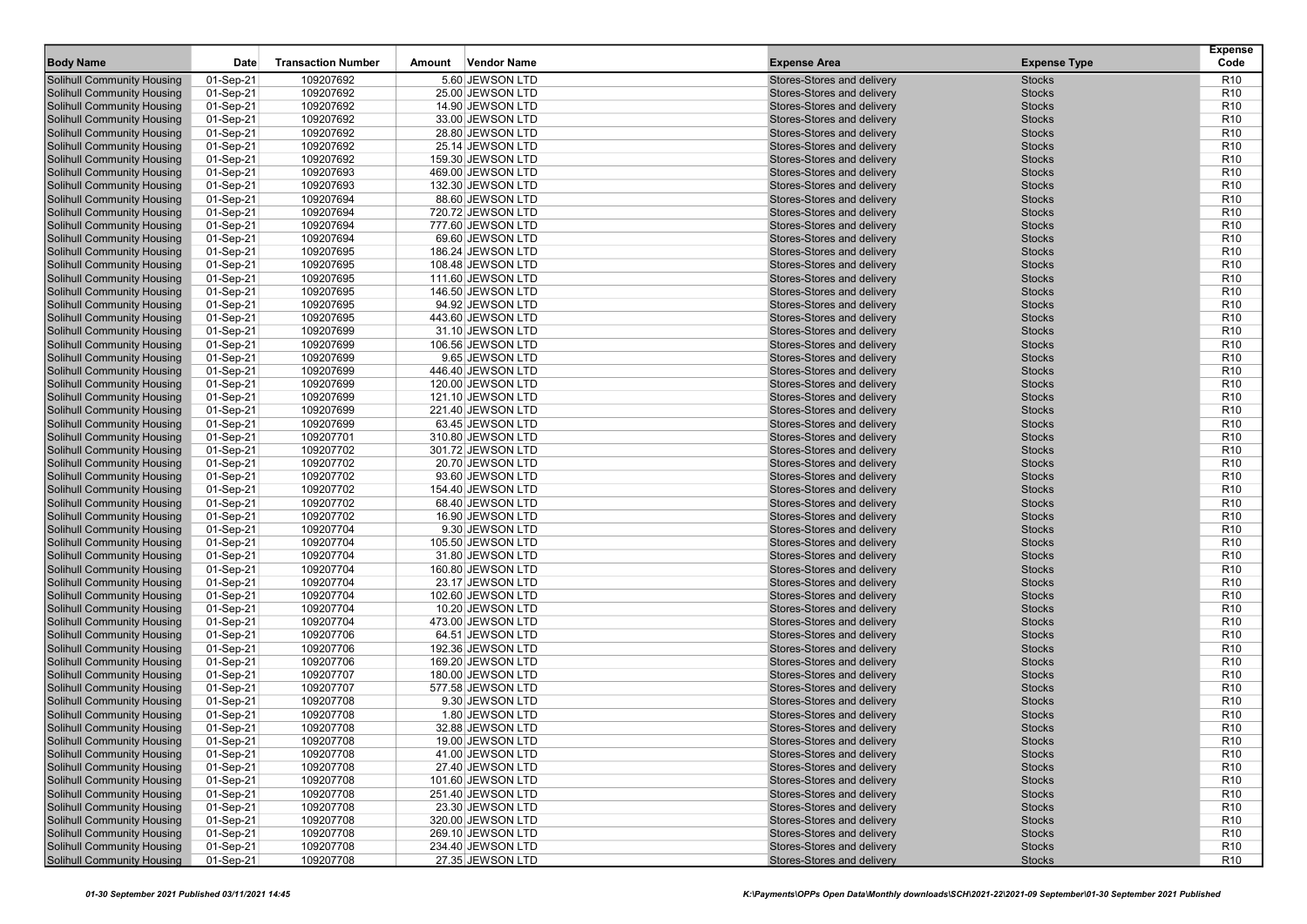| <b>Body Name</b>                  | Date      | <b>Transaction Number</b> | <b>Vendor Name</b><br>Amount | <b>Expense Area</b>        | <b>Expense Type</b> | <b>Expense</b><br>Code |
|-----------------------------------|-----------|---------------------------|------------------------------|----------------------------|---------------------|------------------------|
| <b>Solihull Community Housing</b> | 01-Sep-21 | 109207692                 | 5.60 JEWSON LTD              | Stores-Stores and delivery | <b>Stocks</b>       | R <sub>10</sub>        |
| <b>Solihull Community Housing</b> | 01-Sep-21 | 109207692                 | 25.00 JEWSON LTD             | Stores-Stores and delivery | <b>Stocks</b>       | R <sub>10</sub>        |
| <b>Solihull Community Housing</b> | 01-Sep-21 | 109207692                 | 14.90 JEWSON LTD             | Stores-Stores and delivery | <b>Stocks</b>       | R <sub>10</sub>        |
| <b>Solihull Community Housing</b> | 01-Sep-21 | 109207692                 | 33.00 JEWSON LTD             | Stores-Stores and delivery | <b>Stocks</b>       | R <sub>10</sub>        |
| <b>Solihull Community Housing</b> | 01-Sep-21 | 109207692                 | 28.80 JEWSON LTD             | Stores-Stores and delivery | <b>Stocks</b>       | R <sub>10</sub>        |
| <b>Solihull Community Housing</b> | 01-Sep-21 | 109207692                 | 25.14 JEWSON LTD             | Stores-Stores and delivery | <b>Stocks</b>       | R <sub>10</sub>        |
| <b>Solihull Community Housing</b> | 01-Sep-21 | 109207692                 | 159.30 JEWSON LTD            | Stores-Stores and delivery | <b>Stocks</b>       | R <sub>10</sub>        |
| <b>Solihull Community Housing</b> | 01-Sep-21 | 109207693                 | 469.00 JEWSON LTD            | Stores-Stores and delivery | <b>Stocks</b>       | R <sub>10</sub>        |
| <b>Solihull Community Housing</b> | 01-Sep-21 | 109207693                 | 132.30 JEWSON LTD            | Stores-Stores and delivery | <b>Stocks</b>       | R <sub>10</sub>        |
| <b>Solihull Community Housing</b> | 01-Sep-21 | 109207694                 | 88.60 JEWSON LTD             | Stores-Stores and delivery | <b>Stocks</b>       | R <sub>10</sub>        |
| <b>Solihull Community Housing</b> | 01-Sep-21 | 109207694                 | 720.72 JEWSON LTD            | Stores-Stores and delivery | <b>Stocks</b>       | R <sub>10</sub>        |
| <b>Solihull Community Housing</b> | 01-Sep-21 | 109207694                 | 777.60 JEWSON LTD            | Stores-Stores and delivery | <b>Stocks</b>       | R <sub>10</sub>        |
| <b>Solihull Community Housing</b> | 01-Sep-21 | 109207694                 | 69.60 JEWSON LTD             | Stores-Stores and delivery | <b>Stocks</b>       | R <sub>10</sub>        |
| <b>Solihull Community Housing</b> | 01-Sep-21 | 109207695                 | 186.24 JEWSON LTD            | Stores-Stores and delivery | <b>Stocks</b>       | R <sub>10</sub>        |
| <b>Solihull Community Housing</b> | 01-Sep-21 | 109207695                 | 108.48 JEWSON LTD            | Stores-Stores and delivery | <b>Stocks</b>       | R <sub>10</sub>        |
| <b>Solihull Community Housing</b> | 01-Sep-21 | 109207695                 | 111.60 JEWSON LTD            | Stores-Stores and delivery | <b>Stocks</b>       | R <sub>10</sub>        |
| <b>Solihull Community Housing</b> | 01-Sep-21 | 109207695                 | 146.50 JEWSON LTD            | Stores-Stores and delivery | <b>Stocks</b>       | R <sub>10</sub>        |
| <b>Solihull Community Housing</b> | 01-Sep-21 | 109207695                 | 94.92 JEWSON LTD             | Stores-Stores and delivery | <b>Stocks</b>       | R <sub>10</sub>        |
| <b>Solihull Community Housing</b> | 01-Sep-21 | 109207695                 | 443.60 JEWSON LTD            | Stores-Stores and delivery | <b>Stocks</b>       | R <sub>10</sub>        |
| <b>Solihull Community Housing</b> | 01-Sep-21 | 109207699                 | 31.10 JEWSON LTD             | Stores-Stores and delivery | <b>Stocks</b>       | R <sub>10</sub>        |
| <b>Solihull Community Housing</b> | 01-Sep-21 | 109207699                 | 106.56 JEWSON LTD            | Stores-Stores and delivery | <b>Stocks</b>       | R <sub>10</sub>        |
| <b>Solihull Community Housing</b> | 01-Sep-21 | 109207699                 | 9.65 JEWSON LTD              | Stores-Stores and delivery | <b>Stocks</b>       | R <sub>10</sub>        |
| <b>Solihull Community Housing</b> | 01-Sep-21 | 109207699                 | 446.40 JEWSON LTD            | Stores-Stores and delivery | <b>Stocks</b>       | R <sub>10</sub>        |
| <b>Solihull Community Housing</b> | 01-Sep-21 | 109207699                 | 120.00 JEWSON LTD            | Stores-Stores and delivery | <b>Stocks</b>       | R <sub>10</sub>        |
| <b>Solihull Community Housing</b> | 01-Sep-21 | 109207699                 | 121.10 JEWSON LTD            | Stores-Stores and delivery | <b>Stocks</b>       | R <sub>10</sub>        |
| Solihull Community Housing        | 01-Sep-21 | 109207699                 | 221.40 JEWSON LTD            | Stores-Stores and delivery | <b>Stocks</b>       | R <sub>10</sub>        |
| <b>Solihull Community Housing</b> | 01-Sep-21 | 109207699                 | 63.45 JEWSON LTD             | Stores-Stores and delivery | <b>Stocks</b>       | R <sub>10</sub>        |
| <b>Solihull Community Housing</b> | 01-Sep-21 | 109207701                 | 310.80 JEWSON LTD            | Stores-Stores and delivery | <b>Stocks</b>       | R <sub>10</sub>        |
| <b>Solihull Community Housing</b> | 01-Sep-21 | 109207702                 | 301.72 JEWSON LTD            | Stores-Stores and delivery | <b>Stocks</b>       | R <sub>10</sub>        |
| <b>Solihull Community Housing</b> | 01-Sep-21 | 109207702                 | 20.70 JEWSON LTD             | Stores-Stores and delivery | <b>Stocks</b>       | R <sub>10</sub>        |
| <b>Solihull Community Housing</b> | 01-Sep-21 | 109207702                 | 93.60 JEWSON LTD             | Stores-Stores and delivery | <b>Stocks</b>       | R <sub>10</sub>        |
| <b>Solihull Community Housing</b> | 01-Sep-21 | 109207702                 | 154.40 JEWSON LTD            | Stores-Stores and delivery | <b>Stocks</b>       | R <sub>10</sub>        |
| <b>Solihull Community Housing</b> | 01-Sep-21 | 109207702                 | 68.40 JEWSON LTD             | Stores-Stores and delivery | <b>Stocks</b>       | R <sub>10</sub>        |
| <b>Solihull Community Housing</b> | 01-Sep-21 | 109207702                 | 16.90 JEWSON LTD             | Stores-Stores and delivery | <b>Stocks</b>       | R <sub>10</sub>        |
| <b>Solihull Community Housing</b> | 01-Sep-21 | 109207704                 | 9.30 JEWSON LTD              | Stores-Stores and delivery | <b>Stocks</b>       | R <sub>10</sub>        |
| <b>Solihull Community Housing</b> | 01-Sep-21 | 109207704                 | 105.50 JEWSON LTD            | Stores-Stores and delivery | <b>Stocks</b>       | R <sub>10</sub>        |
| <b>Solihull Community Housing</b> | 01-Sep-21 | 109207704                 | 31.80 JEWSON LTD             | Stores-Stores and delivery | <b>Stocks</b>       | R <sub>10</sub>        |
| <b>Solihull Community Housing</b> | 01-Sep-21 | 109207704                 | 160.80 JEWSON LTD            | Stores-Stores and delivery | <b>Stocks</b>       | R <sub>10</sub>        |
| <b>Solihull Community Housing</b> | 01-Sep-21 | 109207704                 | 23.17 JEWSON LTD             | Stores-Stores and delivery | <b>Stocks</b>       | R <sub>10</sub>        |
| <b>Solihull Community Housing</b> | 01-Sep-21 | 109207704                 | 102.60 JEWSON LTD            | Stores-Stores and delivery | <b>Stocks</b>       | R <sub>10</sub>        |
| <b>Solihull Community Housing</b> | 01-Sep-21 | 109207704                 | 10.20 JEWSON LTD             | Stores-Stores and delivery | <b>Stocks</b>       | R <sub>10</sub>        |
| <b>Solihull Community Housing</b> | 01-Sep-21 | 109207704                 | 473.00 JEWSON LTD            | Stores-Stores and delivery | <b>Stocks</b>       | R <sub>10</sub>        |
| <b>Solihull Community Housing</b> | 01-Sep-21 | 109207706                 | 64.51 JEWSON LTD             | Stores-Stores and delivery | <b>Stocks</b>       | R <sub>10</sub>        |
| <b>Solihull Community Housing</b> | 01-Sep-21 | 109207706                 | 192.36 JEWSON LTD            | Stores-Stores and delivery | <b>Stocks</b>       | R <sub>10</sub>        |
| <b>Solihull Community Housing</b> | 01-Sep-21 | 109207706                 | 169.20 JEWSON LTD            | Stores-Stores and delivery | <b>Stocks</b>       | R <sub>10</sub>        |
| <b>Solihull Community Housing</b> | 01-Sep-21 | 109207707                 | 180.00 JEWSON LTD            | Stores-Stores and delivery | <b>Stocks</b>       | R <sub>10</sub>        |
| <b>Solihull Community Housing</b> | 01-Sep-21 | 109207707                 | 577.58 JEWSON LTD            | Stores-Stores and delivery | <b>Stocks</b>       | R <sub>10</sub>        |
| <b>Solihull Community Housing</b> | 01-Sep-21 | 109207708                 | 9.30 JEWSON LTD              | Stores-Stores and delivery | <b>Stocks</b>       | R <sub>10</sub>        |
| <b>Solihull Community Housing</b> | 01-Sep-21 | 109207708                 | 1.80 JEWSON LTD              | Stores-Stores and delivery | <b>Stocks</b>       | R <sub>10</sub>        |
| <b>Solihull Community Housing</b> | 01-Sep-21 | 109207708                 | 32.88 JEWSON LTD             | Stores-Stores and delivery | <b>Stocks</b>       | R <sub>10</sub>        |
| Solihull Community Housing        | 01-Sep-21 | 109207708                 | 19.00 JEWSON LTD             | Stores-Stores and delivery | <b>Stocks</b>       | R <sub>10</sub>        |
| <b>Solihull Community Housing</b> | 01-Sep-21 | 109207708                 | 41.00 JEWSON LTD             | Stores-Stores and delivery | <b>Stocks</b>       | R <sub>10</sub>        |
| <b>Solihull Community Housing</b> | 01-Sep-21 | 109207708                 | 27.40 JEWSON LTD             | Stores-Stores and delivery | <b>Stocks</b>       | R <sub>10</sub>        |
| <b>Solihull Community Housing</b> | 01-Sep-21 | 109207708                 | 101.60 JEWSON LTD            | Stores-Stores and delivery | <b>Stocks</b>       | R <sub>10</sub>        |
| Solihull Community Housing        | 01-Sep-21 | 109207708                 | 251.40 JEWSON LTD            | Stores-Stores and delivery | <b>Stocks</b>       | R <sub>10</sub>        |
| <b>Solihull Community Housing</b> | 01-Sep-21 | 109207708                 | 23.30 JEWSON LTD             | Stores-Stores and delivery | <b>Stocks</b>       | R <sub>10</sub>        |
| <b>Solihull Community Housing</b> | 01-Sep-21 | 109207708                 | 320.00 JEWSON LTD            | Stores-Stores and delivery | <b>Stocks</b>       | R <sub>10</sub>        |
| <b>Solihull Community Housing</b> | 01-Sep-21 | 109207708                 | 269.10 JEWSON LTD            | Stores-Stores and delivery | <b>Stocks</b>       | R <sub>10</sub>        |
| <b>Solihull Community Housing</b> | 01-Sep-21 | 109207708                 | 234.40 JEWSON LTD            | Stores-Stores and delivery | <b>Stocks</b>       | R <sub>10</sub>        |
| <b>Solihull Community Housing</b> | 01-Sep-21 | 109207708                 | 27.35 JEWSON LTD             | Stores-Stores and delivery | <b>Stocks</b>       | R <sub>10</sub>        |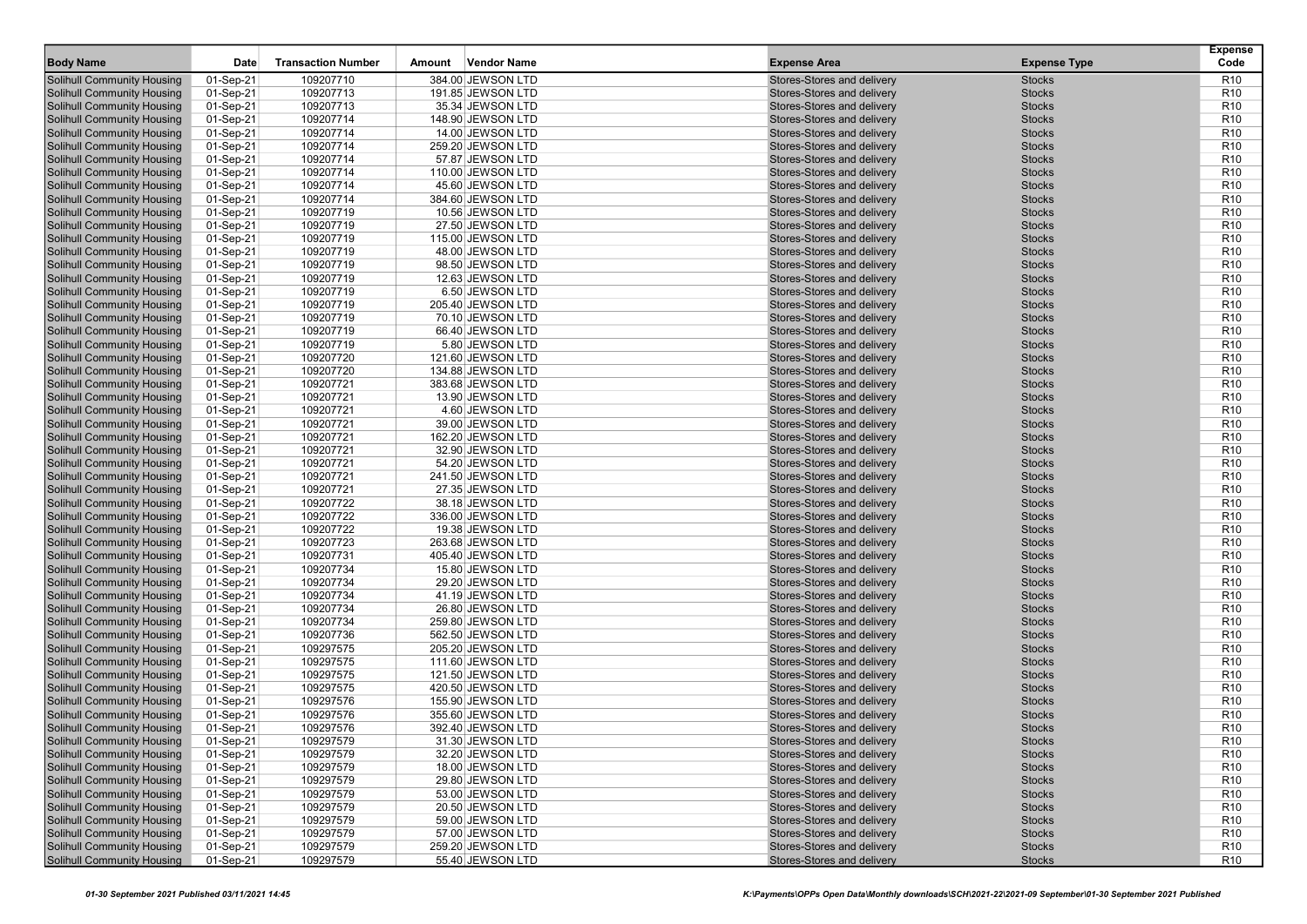| <b>Body Name</b>                  | Date      | <b>Transaction Number</b> | <b>Vendor Name</b><br>Amount | <b>Expense Area</b>        | <b>Expense Type</b> | <b>Expense</b><br>Code |
|-----------------------------------|-----------|---------------------------|------------------------------|----------------------------|---------------------|------------------------|
| <b>Solihull Community Housing</b> | 01-Sep-21 | 109207710                 | 384.00 JEWSON LTD            | Stores-Stores and delivery | <b>Stocks</b>       | R <sub>10</sub>        |
| <b>Solihull Community Housing</b> | 01-Sep-21 | 109207713                 | 191.85 JEWSON LTD            | Stores-Stores and delivery | <b>Stocks</b>       | R <sub>10</sub>        |
| <b>Solihull Community Housing</b> | 01-Sep-21 | 109207713                 | 35.34 JEWSON LTD             | Stores-Stores and delivery | <b>Stocks</b>       | R <sub>10</sub>        |
| <b>Solihull Community Housing</b> | 01-Sep-21 | 109207714                 | 148.90 JEWSON LTD            | Stores-Stores and delivery | <b>Stocks</b>       | R <sub>10</sub>        |
| <b>Solihull Community Housing</b> | 01-Sep-21 | 109207714                 | 14.00 JEWSON LTD             | Stores-Stores and delivery | <b>Stocks</b>       | R <sub>10</sub>        |
| <b>Solihull Community Housing</b> | 01-Sep-21 | 109207714                 | 259.20 JEWSON LTD            | Stores-Stores and delivery | <b>Stocks</b>       | R <sub>10</sub>        |
| <b>Solihull Community Housing</b> | 01-Sep-21 | 109207714                 | 57.87 JEWSON LTD             | Stores-Stores and delivery | <b>Stocks</b>       | R <sub>10</sub>        |
| <b>Solihull Community Housing</b> | 01-Sep-21 | 109207714                 | 110.00 JEWSON LTD            | Stores-Stores and delivery | <b>Stocks</b>       | R <sub>10</sub>        |
| <b>Solihull Community Housing</b> | 01-Sep-21 | 109207714                 | 45.60 JEWSON LTD             | Stores-Stores and delivery | <b>Stocks</b>       | R <sub>10</sub>        |
| <b>Solihull Community Housing</b> | 01-Sep-21 | 109207714                 | 384.60 JEWSON LTD            | Stores-Stores and delivery | <b>Stocks</b>       | R <sub>10</sub>        |
| <b>Solihull Community Housing</b> | 01-Sep-21 | 109207719                 | 10.56 JEWSON LTD             | Stores-Stores and delivery | <b>Stocks</b>       | R <sub>10</sub>        |
| <b>Solihull Community Housing</b> | 01-Sep-21 | 109207719                 | 27.50 JEWSON LTD             | Stores-Stores and delivery | <b>Stocks</b>       | R <sub>10</sub>        |
| <b>Solihull Community Housing</b> | 01-Sep-21 | 109207719                 | 115.00 JEWSON LTD            | Stores-Stores and delivery | <b>Stocks</b>       | R <sub>10</sub>        |
| <b>Solihull Community Housing</b> | 01-Sep-21 | 109207719                 | 48.00 JEWSON LTD             | Stores-Stores and delivery | <b>Stocks</b>       | R <sub>10</sub>        |
| <b>Solihull Community Housing</b> | 01-Sep-21 | 109207719                 | 98.50 JEWSON LTD             | Stores-Stores and delivery | <b>Stocks</b>       | R <sub>10</sub>        |
| <b>Solihull Community Housing</b> | 01-Sep-21 | 109207719                 | 12.63 JEWSON LTD             | Stores-Stores and delivery | <b>Stocks</b>       | R <sub>10</sub>        |
| <b>Solihull Community Housing</b> | 01-Sep-21 | 109207719                 | 6.50 JEWSON LTD              | Stores-Stores and delivery | <b>Stocks</b>       | R <sub>10</sub>        |
| <b>Solihull Community Housing</b> | 01-Sep-21 | 109207719                 | 205.40 JEWSON LTD            | Stores-Stores and delivery | <b>Stocks</b>       | R <sub>10</sub>        |
| <b>Solihull Community Housing</b> | 01-Sep-21 | 109207719                 | 70.10 JEWSON LTD             | Stores-Stores and delivery | <b>Stocks</b>       | R <sub>10</sub>        |
| <b>Solihull Community Housing</b> | 01-Sep-21 | 109207719                 | 66.40 JEWSON LTD             | Stores-Stores and delivery | <b>Stocks</b>       | R <sub>10</sub>        |
| <b>Solihull Community Housing</b> | 01-Sep-21 | 109207719                 | 5.80 JEWSON LTD              | Stores-Stores and delivery | <b>Stocks</b>       | R <sub>10</sub>        |
| <b>Solihull Community Housing</b> | 01-Sep-21 | 109207720                 | 121.60 JEWSON LTD            | Stores-Stores and delivery | <b>Stocks</b>       | R <sub>10</sub>        |
| <b>Solihull Community Housing</b> | 01-Sep-21 | 109207720                 | 134.88 JEWSON LTD            | Stores-Stores and delivery | <b>Stocks</b>       | R <sub>10</sub>        |
| <b>Solihull Community Housing</b> | 01-Sep-21 | 109207721                 | 383.68 JEWSON LTD            | Stores-Stores and delivery | <b>Stocks</b>       | R <sub>10</sub>        |
| <b>Solihull Community Housing</b> | 01-Sep-21 | 109207721                 | 13.90 JEWSON LTD             | Stores-Stores and delivery | <b>Stocks</b>       | R <sub>10</sub>        |
| Solihull Community Housing        | 01-Sep-21 | 109207721                 | 4.60 JEWSON LTD              | Stores-Stores and delivery | <b>Stocks</b>       | R <sub>10</sub>        |
| <b>Solihull Community Housing</b> | 01-Sep-21 | 109207721                 | 39.00 JEWSON LTD             | Stores-Stores and delivery | <b>Stocks</b>       | R <sub>10</sub>        |
| <b>Solihull Community Housing</b> | 01-Sep-21 | 109207721                 | 162.20 JEWSON LTD            | Stores-Stores and delivery | <b>Stocks</b>       | R <sub>10</sub>        |
| <b>Solihull Community Housing</b> | 01-Sep-21 | 109207721                 | 32.90 JEWSON LTD             | Stores-Stores and delivery | <b>Stocks</b>       | R <sub>10</sub>        |
| <b>Solihull Community Housing</b> | 01-Sep-21 | 109207721                 | 54.20 JEWSON LTD             | Stores-Stores and delivery | <b>Stocks</b>       | R <sub>10</sub>        |
| <b>Solihull Community Housing</b> | 01-Sep-21 | 109207721                 | 241.50 JEWSON LTD            | Stores-Stores and delivery | <b>Stocks</b>       | R <sub>10</sub>        |
| <b>Solihull Community Housing</b> | 01-Sep-21 | 109207721                 | 27.35 JEWSON LTD             | Stores-Stores and delivery | <b>Stocks</b>       | R <sub>10</sub>        |
| <b>Solihull Community Housing</b> | 01-Sep-21 | 109207722                 | 38.18 JEWSON LTD             | Stores-Stores and delivery | <b>Stocks</b>       | R <sub>10</sub>        |
| <b>Solihull Community Housing</b> | 01-Sep-21 | 109207722                 | 336.00 JEWSON LTD            | Stores-Stores and delivery | <b>Stocks</b>       | R <sub>10</sub>        |
| <b>Solihull Community Housing</b> | 01-Sep-21 | 109207722                 | 19.38 JEWSON LTD             | Stores-Stores and delivery | <b>Stocks</b>       | R <sub>10</sub>        |
| <b>Solihull Community Housing</b> | 01-Sep-21 | 109207723                 | 263.68 JEWSON LTD            | Stores-Stores and delivery | <b>Stocks</b>       | R <sub>10</sub>        |
| <b>Solihull Community Housing</b> | 01-Sep-21 | 109207731                 | 405.40 JEWSON LTD            | Stores-Stores and delivery | <b>Stocks</b>       | R <sub>10</sub>        |
| <b>Solihull Community Housing</b> | 01-Sep-21 | 109207734                 | 15.80 JEWSON LTD             | Stores-Stores and delivery | <b>Stocks</b>       | R <sub>10</sub>        |
| <b>Solihull Community Housing</b> | 01-Sep-21 | 109207734                 | 29.20 JEWSON LTD             | Stores-Stores and delivery | <b>Stocks</b>       | R <sub>10</sub>        |
| <b>Solihull Community Housing</b> | 01-Sep-21 | 109207734                 | 41.19 JEWSON LTD             | Stores-Stores and delivery | <b>Stocks</b>       | R <sub>10</sub>        |
| <b>Solihull Community Housing</b> | 01-Sep-21 | 109207734                 | 26.80 JEWSON LTD             | Stores-Stores and delivery | <b>Stocks</b>       | R <sub>10</sub>        |
| <b>Solihull Community Housing</b> | 01-Sep-21 | 109207734                 | 259.80 JEWSON LTD            | Stores-Stores and delivery | <b>Stocks</b>       | R <sub>10</sub>        |
| <b>Solihull Community Housing</b> | 01-Sep-21 | 109207736                 | 562.50 JEWSON LTD            | Stores-Stores and delivery | <b>Stocks</b>       | R <sub>10</sub>        |
| <b>Solihull Community Housing</b> | 01-Sep-21 | 109297575                 | 205.20 JEWSON LTD            | Stores-Stores and delivery | <b>Stocks</b>       | R <sub>10</sub>        |
| <b>Solihull Community Housing</b> | 01-Sep-21 | 109297575                 | 111.60 JEWSON LTD            | Stores-Stores and delivery | <b>Stocks</b>       | R <sub>10</sub>        |
| <b>Solihull Community Housing</b> | 01-Sep-21 | 109297575                 | 121.50 JEWSON LTD            | Stores-Stores and delivery | <b>Stocks</b>       | R <sub>10</sub>        |
| <b>Solihull Community Housing</b> | 01-Sep-21 | 109297575                 | 420.50 JEWSON LTD            | Stores-Stores and delivery | <b>Stocks</b>       | R <sub>10</sub>        |
| <b>Solihull Community Housing</b> | 01-Sep-21 | 109297576                 | 155.90 JEWSON LTD            | Stores-Stores and delivery | <b>Stocks</b>       | R <sub>10</sub>        |
| <b>Solihull Community Housing</b> | 01-Sep-21 | 109297576                 | 355.60 JEWSON LTD            | Stores-Stores and delivery | <b>Stocks</b>       | R <sub>10</sub>        |
| <b>Solihull Community Housing</b> | 01-Sep-21 | 109297576                 | 392.40 JEWSON LTD            | Stores-Stores and delivery | <b>Stocks</b>       | R <sub>10</sub>        |
| Solihull Community Housing        | 01-Sep-21 | 109297579                 | 31.30 JEWSON LTD             | Stores-Stores and delivery | <b>Stocks</b>       | R <sub>10</sub>        |
| <b>Solihull Community Housing</b> | 01-Sep-21 | 109297579                 | 32.20 JEWSON LTD             | Stores-Stores and delivery | <b>Stocks</b>       | R <sub>10</sub>        |
| <b>Solihull Community Housing</b> | 01-Sep-21 | 109297579                 | 18.00 JEWSON LTD             | Stores-Stores and delivery | <b>Stocks</b>       | R <sub>10</sub>        |
| <b>Solihull Community Housing</b> | 01-Sep-21 | 109297579                 | 29.80 JEWSON LTD             | Stores-Stores and delivery | <b>Stocks</b>       | R <sub>10</sub>        |
| Solihull Community Housing        | 01-Sep-21 | 109297579                 | 53.00 JEWSON LTD             | Stores-Stores and delivery | <b>Stocks</b>       | R <sub>10</sub>        |
| <b>Solihull Community Housing</b> | 01-Sep-21 | 109297579                 | 20.50 JEWSON LTD             | Stores-Stores and delivery | <b>Stocks</b>       | R <sub>10</sub>        |
| <b>Solihull Community Housing</b> | 01-Sep-21 | 109297579                 | 59.00 JEWSON LTD             | Stores-Stores and delivery | <b>Stocks</b>       | R <sub>10</sub>        |
| <b>Solihull Community Housing</b> | 01-Sep-21 | 109297579                 | 57.00 JEWSON LTD             | Stores-Stores and delivery | <b>Stocks</b>       | R <sub>10</sub>        |
| <b>Solihull Community Housing</b> | 01-Sep-21 | 109297579                 | 259.20 JEWSON LTD            | Stores-Stores and delivery | <b>Stocks</b>       | R <sub>10</sub>        |
| <b>Solihull Community Housing</b> | 01-Sep-21 | 109297579                 | 55.40 JEWSON LTD             | Stores-Stores and delivery | <b>Stocks</b>       | R <sub>10</sub>        |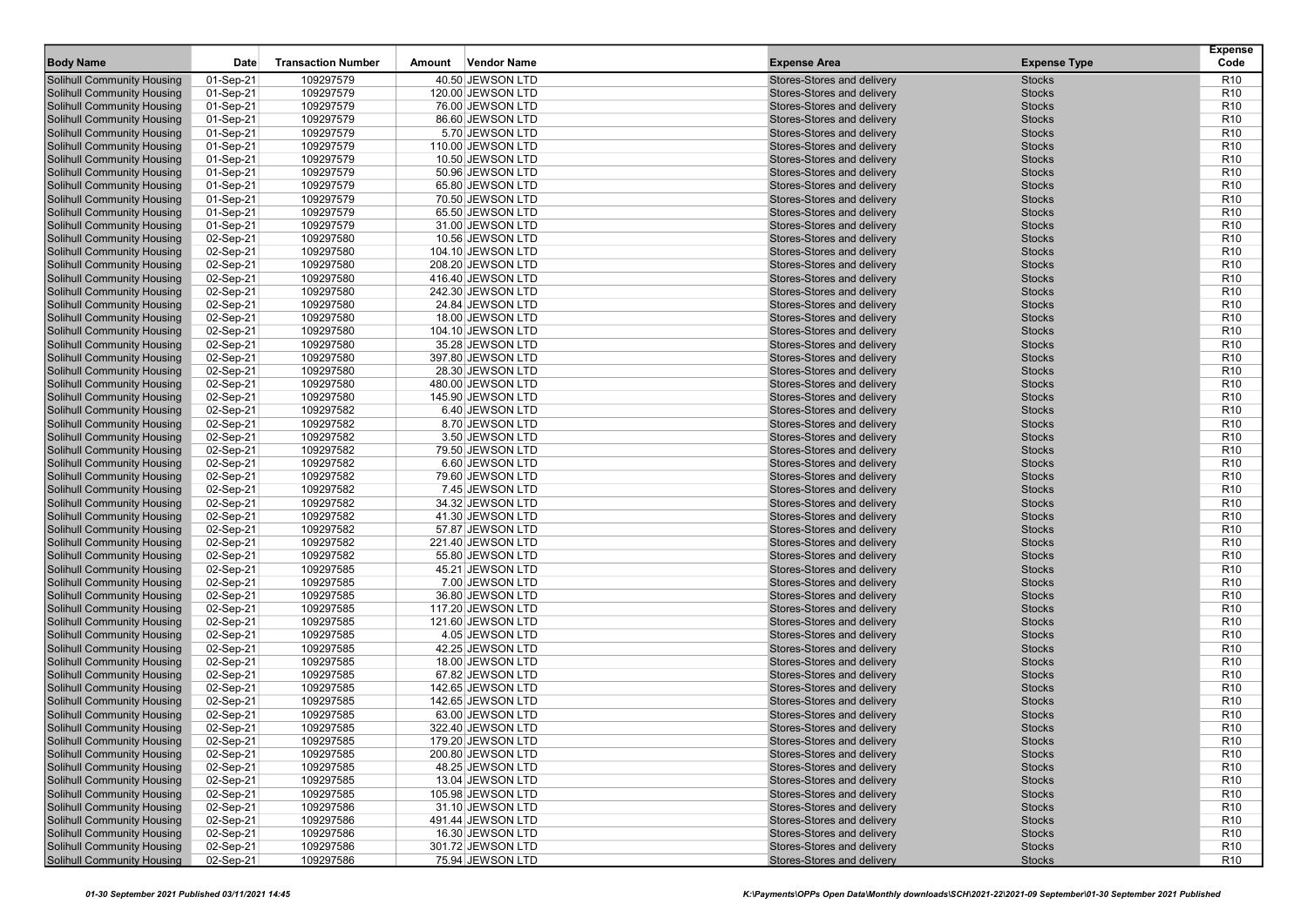| <b>Body Name</b>                  | Date      | <b>Transaction Number</b> | <b>Vendor Name</b><br>Amount | <b>Expense Area</b>        | <b>Expense Type</b> | <b>Expense</b><br>Code |
|-----------------------------------|-----------|---------------------------|------------------------------|----------------------------|---------------------|------------------------|
| <b>Solihull Community Housing</b> | 01-Sep-21 | 109297579                 | 40.50 JEWSON LTD             | Stores-Stores and delivery | <b>Stocks</b>       | R <sub>10</sub>        |
| <b>Solihull Community Housing</b> | 01-Sep-21 | 109297579                 | 120.00 JEWSON LTD            | Stores-Stores and delivery | <b>Stocks</b>       | R <sub>10</sub>        |
| <b>Solihull Community Housing</b> | 01-Sep-21 | 109297579                 | 76.00 JEWSON LTD             | Stores-Stores and delivery | <b>Stocks</b>       | R <sub>10</sub>        |
| <b>Solihull Community Housing</b> | 01-Sep-21 | 109297579                 | 86.60 JEWSON LTD             | Stores-Stores and delivery | <b>Stocks</b>       | R <sub>10</sub>        |
| <b>Solihull Community Housing</b> | 01-Sep-21 | 109297579                 | 5.70 JEWSON LTD              | Stores-Stores and delivery | <b>Stocks</b>       | R <sub>10</sub>        |
| <b>Solihull Community Housing</b> | 01-Sep-21 | 109297579                 | 110.00 JEWSON LTD            | Stores-Stores and delivery | <b>Stocks</b>       | R <sub>10</sub>        |
| <b>Solihull Community Housing</b> | 01-Sep-21 | 109297579                 | 10.50 JEWSON LTD             | Stores-Stores and delivery | <b>Stocks</b>       | R <sub>10</sub>        |
| <b>Solihull Community Housing</b> | 01-Sep-21 | 109297579                 | 50.96 JEWSON LTD             | Stores-Stores and delivery | <b>Stocks</b>       | R <sub>10</sub>        |
| <b>Solihull Community Housing</b> | 01-Sep-21 | 109297579                 | 65.80 JEWSON LTD             | Stores-Stores and delivery | <b>Stocks</b>       | R <sub>10</sub>        |
| <b>Solihull Community Housing</b> | 01-Sep-21 | 109297579                 | 70.50 JEWSON LTD             | Stores-Stores and delivery | <b>Stocks</b>       | R <sub>10</sub>        |
| <b>Solihull Community Housing</b> | 01-Sep-21 | 109297579                 | 65.50 JEWSON LTD             | Stores-Stores and delivery | <b>Stocks</b>       | R <sub>10</sub>        |
| <b>Solihull Community Housing</b> | 01-Sep-21 | 109297579                 | 31.00 JEWSON LTD             | Stores-Stores and delivery | <b>Stocks</b>       | R <sub>10</sub>        |
| <b>Solihull Community Housing</b> | 02-Sep-21 | 109297580                 | 10.56 JEWSON LTD             | Stores-Stores and delivery | <b>Stocks</b>       | R <sub>10</sub>        |
| <b>Solihull Community Housing</b> | 02-Sep-21 | 109297580                 | 104.10 JEWSON LTD            | Stores-Stores and delivery | <b>Stocks</b>       | R <sub>10</sub>        |
| <b>Solihull Community Housing</b> | 02-Sep-21 | 109297580                 | 208.20 JEWSON LTD            | Stores-Stores and delivery | <b>Stocks</b>       | R <sub>10</sub>        |
| <b>Solihull Community Housing</b> | 02-Sep-21 | 109297580                 | 416.40 JEWSON LTD            | Stores-Stores and delivery | <b>Stocks</b>       | R <sub>10</sub>        |
| <b>Solihull Community Housing</b> | 02-Sep-21 | 109297580                 | 242.30 JEWSON LTD            | Stores-Stores and delivery | <b>Stocks</b>       | R <sub>10</sub>        |
| <b>Solihull Community Housing</b> | 02-Sep-21 | 109297580                 | 24.84 JEWSON LTD             | Stores-Stores and delivery | <b>Stocks</b>       | R <sub>10</sub>        |
| <b>Solihull Community Housing</b> | 02-Sep-21 | 109297580                 | 18.00 JEWSON LTD             | Stores-Stores and delivery | <b>Stocks</b>       | R <sub>10</sub>        |
| <b>Solihull Community Housing</b> | 02-Sep-21 | 109297580                 | 104.10 JEWSON LTD            | Stores-Stores and delivery | <b>Stocks</b>       | R <sub>10</sub>        |
| <b>Solihull Community Housing</b> | 02-Sep-21 | 109297580                 | 35.28 JEWSON LTD             | Stores-Stores and delivery | <b>Stocks</b>       | R <sub>10</sub>        |
| <b>Solihull Community Housing</b> | 02-Sep-21 | 109297580                 | 397.80 JEWSON LTD            | Stores-Stores and delivery | <b>Stocks</b>       | R <sub>10</sub>        |
| <b>Solihull Community Housing</b> | 02-Sep-21 | 109297580                 | 28.30 JEWSON LTD             | Stores-Stores and delivery | <b>Stocks</b>       | R <sub>10</sub>        |
| <b>Solihull Community Housing</b> | 02-Sep-21 | 109297580                 | 480.00 JEWSON LTD            | Stores-Stores and delivery | <b>Stocks</b>       | R <sub>10</sub>        |
| <b>Solihull Community Housing</b> | 02-Sep-21 | 109297580                 | 145.90 JEWSON LTD            | Stores-Stores and delivery | <b>Stocks</b>       | R <sub>10</sub>        |
| Solihull Community Housing        | 02-Sep-21 | 109297582                 | 6.40 JEWSON LTD              | Stores-Stores and delivery | <b>Stocks</b>       | R <sub>10</sub>        |
| <b>Solihull Community Housing</b> | 02-Sep-21 | 109297582                 | 8.70 JEWSON LTD              | Stores-Stores and delivery | <b>Stocks</b>       | R <sub>10</sub>        |
| <b>Solihull Community Housing</b> | 02-Sep-21 | 109297582                 | 3.50 JEWSON LTD              | Stores-Stores and delivery | <b>Stocks</b>       | R <sub>10</sub>        |
| <b>Solihull Community Housing</b> | 02-Sep-21 | 109297582                 | 79.50 JEWSON LTD             | Stores-Stores and delivery | <b>Stocks</b>       | R <sub>10</sub>        |
| <b>Solihull Community Housing</b> | 02-Sep-21 | 109297582                 | 6.60 JEWSON LTD              | Stores-Stores and delivery | <b>Stocks</b>       | R <sub>10</sub>        |
| <b>Solihull Community Housing</b> | 02-Sep-21 | 109297582                 | 79.60 JEWSON LTD             | Stores-Stores and delivery | <b>Stocks</b>       | R <sub>10</sub>        |
| <b>Solihull Community Housing</b> | 02-Sep-21 | 109297582                 | 7.45 JEWSON LTD              | Stores-Stores and delivery | <b>Stocks</b>       | R <sub>10</sub>        |
| <b>Solihull Community Housing</b> | 02-Sep-21 | 109297582                 | 34.32 JEWSON LTD             | Stores-Stores and delivery | <b>Stocks</b>       | R <sub>10</sub>        |
| <b>Solihull Community Housing</b> | 02-Sep-21 | 109297582                 | 41.30 JEWSON LTD             | Stores-Stores and delivery | <b>Stocks</b>       | R <sub>10</sub>        |
| <b>Solihull Community Housing</b> | 02-Sep-21 | 109297582                 | 57.87 JEWSON LTD             | Stores-Stores and delivery | <b>Stocks</b>       | R <sub>10</sub>        |
| <b>Solihull Community Housing</b> | 02-Sep-21 | 109297582                 | 221.40 JEWSON LTD            | Stores-Stores and delivery | <b>Stocks</b>       | R <sub>10</sub>        |
| <b>Solihull Community Housing</b> | 02-Sep-21 | 109297582                 | 55.80 JEWSON LTD             | Stores-Stores and delivery | <b>Stocks</b>       | R <sub>10</sub>        |
| <b>Solihull Community Housing</b> | 02-Sep-21 | 109297585                 | 45.21 JEWSON LTD             | Stores-Stores and delivery | <b>Stocks</b>       | R <sub>10</sub>        |
| <b>Solihull Community Housing</b> | 02-Sep-21 | 109297585                 | 7.00 JEWSON LTD              | Stores-Stores and delivery | <b>Stocks</b>       | R <sub>10</sub>        |
| <b>Solihull Community Housing</b> | 02-Sep-21 | 109297585                 | 36.80 JEWSON LTD             | Stores-Stores and delivery | <b>Stocks</b>       | R <sub>10</sub>        |
| <b>Solihull Community Housing</b> | 02-Sep-21 | 109297585                 | 117.20 JEWSON LTD            | Stores-Stores and delivery | <b>Stocks</b>       | R <sub>10</sub>        |
| <b>Solihull Community Housing</b> | 02-Sep-21 | 109297585                 | 121.60 JEWSON LTD            | Stores-Stores and delivery | <b>Stocks</b>       | R <sub>10</sub>        |
| <b>Solihull Community Housing</b> | 02-Sep-21 | 109297585                 | 4.05 JEWSON LTD              | Stores-Stores and delivery | <b>Stocks</b>       | R <sub>10</sub>        |
| <b>Solihull Community Housing</b> | 02-Sep-21 | 109297585                 | 42.25 JEWSON LTD             | Stores-Stores and delivery | <b>Stocks</b>       | R <sub>10</sub>        |
| <b>Solihull Community Housing</b> | 02-Sep-21 | 109297585                 | 18.00 JEWSON LTD             | Stores-Stores and delivery | <b>Stocks</b>       | R <sub>10</sub>        |
| <b>Solihull Community Housing</b> | 02-Sep-21 | 109297585                 | 67.82 JEWSON LTD             | Stores-Stores and delivery | <b>Stocks</b>       | R <sub>10</sub>        |
| <b>Solihull Community Housing</b> | 02-Sep-21 | 109297585                 | 142.65 JEWSON LTD            | Stores-Stores and delivery | <b>Stocks</b>       | R <sub>10</sub>        |
| <b>Solihull Community Housing</b> | 02-Sep-21 | 109297585                 | 142.65 JEWSON LTD            | Stores-Stores and delivery | <b>Stocks</b>       | R <sub>10</sub>        |
| <b>Solihull Community Housing</b> | 02-Sep-21 | 109297585                 | 63.00 JEWSON LTD             | Stores-Stores and delivery | <b>Stocks</b>       | R <sub>10</sub>        |
| <b>Solihull Community Housing</b> | 02-Sep-21 | 109297585                 | 322.40 JEWSON LTD            | Stores-Stores and delivery | <b>Stocks</b>       | R <sub>10</sub>        |
| Solihull Community Housing        | 02-Sep-21 | 109297585                 | 179.20 JEWSON LTD            | Stores-Stores and delivery | <b>Stocks</b>       | R <sub>10</sub>        |
| <b>Solihull Community Housing</b> | 02-Sep-21 | 109297585                 | 200.80 JEWSON LTD            | Stores-Stores and delivery | <b>Stocks</b>       | R <sub>10</sub>        |
| <b>Solihull Community Housing</b> | 02-Sep-21 | 109297585                 | 48.25 JEWSON LTD             | Stores-Stores and delivery | <b>Stocks</b>       | R <sub>10</sub>        |
| <b>Solihull Community Housing</b> | 02-Sep-21 | 109297585                 | 13.04 JEWSON LTD             | Stores-Stores and delivery | <b>Stocks</b>       | R <sub>10</sub>        |
| Solihull Community Housing        | 02-Sep-21 | 109297585                 | 105.98 JEWSON LTD            | Stores-Stores and delivery | <b>Stocks</b>       | R <sub>10</sub>        |
| <b>Solihull Community Housing</b> | 02-Sep-21 | 109297586                 | 31.10 JEWSON LTD             | Stores-Stores and delivery | <b>Stocks</b>       | R <sub>10</sub>        |
| <b>Solihull Community Housing</b> | 02-Sep-21 | 109297586                 | 491.44 JEWSON LTD            | Stores-Stores and delivery | <b>Stocks</b>       | R <sub>10</sub>        |
| <b>Solihull Community Housing</b> | 02-Sep-21 | 109297586                 | 16.30 JEWSON LTD             | Stores-Stores and delivery | <b>Stocks</b>       | R <sub>10</sub>        |
| <b>Solihull Community Housing</b> | 02-Sep-21 | 109297586                 | 301.72 JEWSON LTD            | Stores-Stores and delivery | <b>Stocks</b>       | R <sub>10</sub>        |
| <b>Solihull Community Housing</b> | 02-Sep-21 | 109297586                 | 75.94 JEWSON LTD             | Stores-Stores and delivery | <b>Stocks</b>       | R <sub>10</sub>        |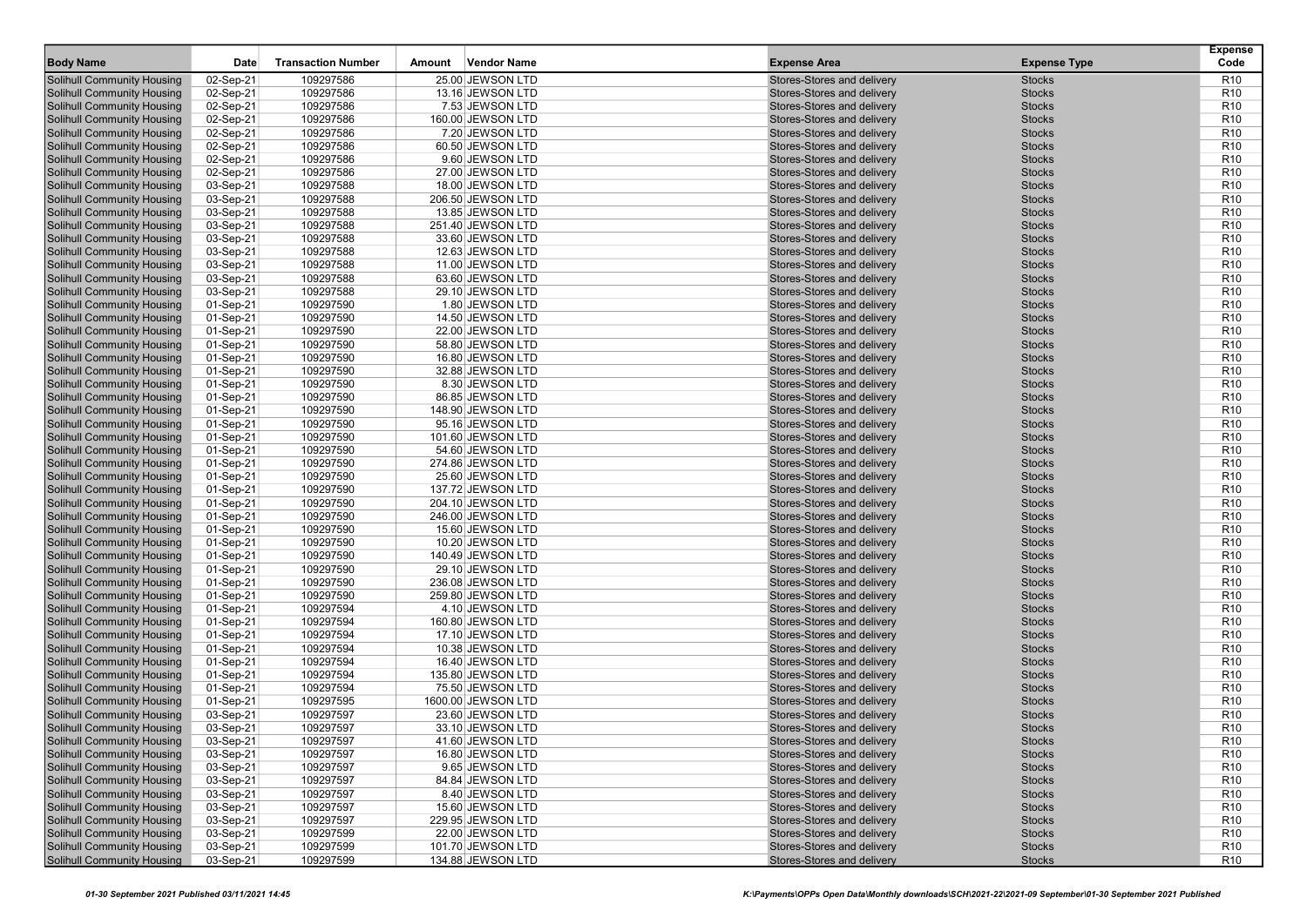| 02-Sep-21<br>109297586<br>25.00 JEWSON LTD<br>Stores-Stores and delivery<br>R <sub>10</sub><br><b>Solihull Community Housing</b><br><b>Stocks</b><br>02-Sep-21<br><b>Stocks</b><br>R <sub>10</sub><br><b>Solihull Community Housing</b><br>109297586<br>13.16 JEWSON LTD<br>Stores-Stores and delivery<br>02-Sep-21<br>109297586<br>Stores-Stores and delivery<br><b>Stocks</b><br>R <sub>10</sub><br><b>Solihull Community Housing</b><br>7.53 JEWSON LTD<br><b>Solihull Community Housing</b><br>109297586<br>Stores-Stores and delivery<br>R <sub>10</sub><br>02-Sep-21<br>160.00 JEWSON LTD<br><b>Stocks</b><br>R <sub>10</sub><br><b>Solihull Community Housing</b><br>02-Sep-21<br>109297586<br>Stores-Stores and delivery<br><b>Stocks</b><br>7.20 JEWSON LTD<br>109297586<br>Stores-Stores and delivery<br>R <sub>10</sub><br><b>Solihull Community Housing</b><br>02-Sep-21<br>60.50 JEWSON LTD<br><b>Stocks</b><br><b>Solihull Community Housing</b><br>02-Sep-21<br>109297586<br>Stores-Stores and delivery<br>R <sub>10</sub><br>9.60 JEWSON LTD<br><b>Stocks</b><br>109297586<br>R <sub>10</sub><br>Solihull Community Housing<br>02-Sep-21<br>Stores-Stores and delivery<br><b>Stocks</b><br>27.00 JEWSON LTD<br>109297588<br>Stores-Stores and delivery<br>R <sub>10</sub><br><b>Solihull Community Housing</b><br>03-Sep-21<br>18.00 JEWSON LTD<br><b>Stocks</b><br><b>Solihull Community Housing</b><br>109297588<br>Stores-Stores and delivery<br><b>Stocks</b><br>R <sub>10</sub><br>03-Sep-21<br>206.50 JEWSON LTD<br><b>Solihull Community Housing</b><br>Stores-Stores and delivery<br>R <sub>10</sub><br>03-Sep-21<br>109297588<br>13.85 JEWSON LTD<br><b>Stocks</b><br>109297588<br>R <sub>10</sub><br><b>Solihull Community Housing</b><br>03-Sep-21<br>251.40 JEWSON LTD<br>Stores-Stores and delivery<br><b>Stocks</b><br>109297588<br>Stores-Stores and delivery<br>R <sub>10</sub><br><b>Solihull Community Housing</b><br>03-Sep-21<br>33.60 JEWSON LTD<br><b>Stocks</b><br>109297588<br>Stores-Stores and delivery<br>R <sub>10</sub><br><b>Solihull Community Housing</b><br>03-Sep-21<br>12.63 JEWSON LTD<br><b>Stocks</b><br>109297588<br>Stores-Stores and delivery<br><b>Stocks</b><br>R <sub>10</sub><br>Solihull Community Housing<br>03-Sep-21<br>11.00 JEWSON LTD<br><b>Solihull Community Housing</b><br>03-Sep-21<br>109297588<br>63.60 JEWSON LTD<br>Stores-Stores and delivery<br><b>Stocks</b><br>R <sub>10</sub><br><b>Stocks</b><br><b>Solihull Community Housing</b><br>03-Sep-21<br>109297588<br>29.10 JEWSON LTD<br>Stores-Stores and delivery<br>R <sub>10</sub><br>Stores-Stores and delivery<br><b>Stocks</b><br>R <sub>10</sub><br><b>Solihull Community Housing</b><br>01-Sep-21<br>109297590<br>1.80 JEWSON LTD<br>R <sub>10</sub><br><b>Solihull Community Housing</b><br>01-Sep-21<br>109297590<br>14.50 JEWSON LTD<br>Stores-Stores and delivery<br><b>Stocks</b><br>109297590<br><b>Stocks</b><br>R <sub>10</sub><br><b>Solihull Community Housing</b><br>01-Sep-21<br>22.00 JEWSON LTD<br>Stores-Stores and delivery<br>109297590<br>Stores-Stores and delivery<br>R <sub>10</sub><br><b>Solihull Community Housing</b><br>01-Sep-21<br>58.80 JEWSON LTD<br><b>Stocks</b><br>109297590<br>Stores-Stores and delivery<br><b>Stocks</b><br>R <sub>10</sub><br><b>Solihull Community Housing</b><br>01-Sep-21<br>16.80 JEWSON LTD<br><b>Solihull Community Housing</b><br>01-Sep-21<br>109297590<br>32.88 JEWSON LTD<br>Stores-Stores and delivery<br><b>Stocks</b><br>R <sub>10</sub><br><b>Stocks</b><br>R <sub>10</sub><br><b>Solihull Community Housing</b><br>01-Sep-21<br>109297590<br>8.30 JEWSON LTD<br>Stores-Stores and delivery<br>01-Sep-21<br>109297590<br>Stores-Stores and delivery<br>R <sub>10</sub><br><b>Solihull Community Housing</b><br>86.85 JEWSON LTD<br><b>Stocks</b><br><b>Solihull Community Housing</b><br>109297590<br>Stores-Stores and delivery<br>R <sub>10</sub><br>01-Sep-21<br>148.90 JEWSON LTD<br><b>Stocks</b><br>R <sub>10</sub><br>Solihull Community Housing<br>01-Sep-21<br>109297590<br>95.16 JEWSON LTD<br>Stores-Stores and delivery<br><b>Stocks</b><br>109297590<br>Stores-Stores and delivery<br>R <sub>10</sub><br><b>Solihull Community Housing</b><br>01-Sep-21<br>101.60 JEWSON LTD<br><b>Stocks</b><br>109297590<br>Stores-Stores and delivery<br><b>Stocks</b><br>Solihull Community Housing<br>01-Sep-21<br>54.60 JEWSON LTD<br>R <sub>10</sub><br>R <sub>10</sub><br><b>Solihull Community Housing</b><br>01-Sep-21<br>109297590<br>Stores-Stores and delivery<br><b>Stocks</b><br>274.86 JEWSON LTD<br>01-Sep-21<br>109297590<br>Stores-Stores and delivery<br>R <sub>10</sub><br><b>Solihull Community Housing</b><br>25.60 JEWSON LTD<br><b>Stocks</b><br><b>Solihull Community Housing</b><br>109297590<br>Stores-Stores and delivery<br>R <sub>10</sub><br>01-Sep-21<br>137.72 JEWSON LTD<br><b>Stocks</b><br><b>Solihull Community Housing</b><br>Stores-Stores and delivery<br>R <sub>10</sub><br>01-Sep-21<br>109297590<br>204.10 JEWSON LTD<br><b>Stocks</b><br>109297590<br>R <sub>10</sub><br><b>Solihull Community Housing</b><br>01-Sep-21<br>246.00 JEWSON LTD<br>Stores-Stores and delivery<br><b>Stocks</b><br>Stores-Stores and delivery<br>R <sub>10</sub><br><b>Solihull Community Housing</b><br>01-Sep-21<br>109297590<br>15.60 JEWSON LTD<br><b>Stocks</b><br><b>Stocks</b><br>R <sub>10</sub><br><b>Solihull Community Housing</b><br>01-Sep-21<br>109297590<br>10.20 JEWSON LTD<br>Stores-Stores and delivery<br><b>Solihull Community Housing</b><br>Stores-Stores and delivery<br><b>Stocks</b><br>R <sub>10</sub><br>01-Sep-21<br>109297590<br>140.49 JEWSON LTD<br>Stores-Stores and delivery<br>R <sub>10</sub><br><b>Solihull Community Housing</b><br>01-Sep-21<br>109297590<br>29.10 JEWSON LTD<br><b>Stocks</b><br>Stores-Stores and delivery<br><b>Stocks</b><br>R <sub>10</sub><br><b>Solihull Community Housing</b><br>01-Sep-21<br>109297590<br>236.08 JEWSON LTD<br>Stores-Stores and delivery<br>R <sub>10</sub><br>Solihull Community Housing<br>01-Sep-21<br>109297590<br>259.80 JEWSON LTD<br><b>Stocks</b><br><b>Solihull Community Housing</b><br>01-Sep-21<br>109297594<br>4.10 JEWSON LTD<br>Stores-Stores and delivery<br><b>Stocks</b><br>R <sub>10</sub><br>R <sub>10</sub><br><b>Solihull Community Housing</b><br>01-Sep-21<br>109297594<br>160.80 JEWSON LTD<br>Stores-Stores and delivery<br><b>Stocks</b><br>Stores-Stores and delivery<br><b>Stocks</b><br>R <sub>10</sub><br><b>Solihull Community Housing</b><br>01-Sep-21<br>109297594<br>17.10 JEWSON LTD<br><b>Solihull Community Housing</b><br>01-Sep-21<br>109297594<br>Stores-Stores and delivery<br>R <sub>10</sub><br>10.38 JEWSON LTD<br><b>Stocks</b><br>R <sub>10</sub><br><b>Solihull Community Housing</b><br>01-Sep-21<br>109297594<br>16.40 JEWSON LTD<br>Stores-Stores and delivery<br><b>Stocks</b><br>109297594<br><b>Stocks</b><br>R <sub>10</sub><br>Solihull Community Housing<br>01-Sep-21<br>135.80 JEWSON LTD<br>Stores-Stores and delivery<br><b>Solihull Community Housing</b><br>109297594<br>Stores-Stores and delivery<br>R <sub>10</sub><br>01-Sep-21<br>75.50 JEWSON LTD<br><b>Stocks</b><br><b>Solihull Community Housing</b><br>109297595<br>Stores-Stores and delivery<br><b>Stocks</b><br>R <sub>10</sub><br>01-Sep-21<br>1600.00 JEWSON LTD<br><b>Stocks</b><br>R <sub>10</sub><br><b>Solihull Community Housing</b><br>03-Sep-21<br>109297597<br>Stores-Stores and delivery<br>23.60 JEWSON LTD<br><b>Solihull Community Housing</b><br>109297597<br>R <sub>10</sub><br>03-Sep-21<br>33.10 JEWSON LTD<br>Stores-Stores and delivery<br><b>Stocks</b><br>03-Sep-21<br>R <sub>10</sub><br>Solihull Community Housing<br>109297597<br>Stores-Stores and delivery<br>41.60 JEWSON LID<br><b>Stocks</b><br><b>Solihull Community Housing</b><br>R <sub>10</sub><br>03-Sep-21<br>109297597<br>16.80 JEWSON LTD<br>Stores-Stores and delivery<br>Stocks<br><b>Solihull Community Housing</b><br>03-Sep-21<br>109297597<br>9.65 JEWSON LTD<br>Stores-Stores and delivery<br><b>Stocks</b><br>R <sub>10</sub><br><b>Solihull Community Housing</b><br>03-Sep-21<br>109297597<br>84.84 JEWSON LTD<br>Stores-Stores and delivery<br><b>Stocks</b><br>R <sub>10</sub><br><b>Solihull Community Housing</b><br>03-Sep-21<br>Stores-Stores and delivery<br>R <sub>10</sub><br>109297597<br>8.40 JEWSON LTD<br><b>Stocks</b><br><b>Solihull Community Housing</b><br>Stores-Stores and delivery<br>03-Sep-21<br>109297597<br>15.60 JEWSON LTD<br><b>Stocks</b><br>R <sub>10</sub><br><b>Solihull Community Housing</b><br>03-Sep-21<br>109297597<br>Stores-Stores and delivery<br>229.95 JEWSON LTD<br><b>Stocks</b><br>R <sub>10</sub><br><b>Solihull Community Housing</b><br>Stores-Stores and delivery<br>R <sub>10</sub><br>03-Sep-21<br>109297599<br>22.00 JEWSON LTD<br><b>Stocks</b><br><b>Solihull Community Housing</b><br>03-Sep-21<br>109297599<br>Stores-Stores and delivery<br>R <sub>10</sub><br>101.70 JEWSON LTD<br><b>Stocks</b><br>03-Sep-21<br>109297599<br>Stores-Stores and delivery<br><b>Solihull Community Housing</b><br>134.88 JEWSON LTD<br><b>Stocks</b><br>R <sub>10</sub> |                  |      |                           |                              |                     |                     | <b>Expense</b> |
|-------------------------------------------------------------------------------------------------------------------------------------------------------------------------------------------------------------------------------------------------------------------------------------------------------------------------------------------------------------------------------------------------------------------------------------------------------------------------------------------------------------------------------------------------------------------------------------------------------------------------------------------------------------------------------------------------------------------------------------------------------------------------------------------------------------------------------------------------------------------------------------------------------------------------------------------------------------------------------------------------------------------------------------------------------------------------------------------------------------------------------------------------------------------------------------------------------------------------------------------------------------------------------------------------------------------------------------------------------------------------------------------------------------------------------------------------------------------------------------------------------------------------------------------------------------------------------------------------------------------------------------------------------------------------------------------------------------------------------------------------------------------------------------------------------------------------------------------------------------------------------------------------------------------------------------------------------------------------------------------------------------------------------------------------------------------------------------------------------------------------------------------------------------------------------------------------------------------------------------------------------------------------------------------------------------------------------------------------------------------------------------------------------------------------------------------------------------------------------------------------------------------------------------------------------------------------------------------------------------------------------------------------------------------------------------------------------------------------------------------------------------------------------------------------------------------------------------------------------------------------------------------------------------------------------------------------------------------------------------------------------------------------------------------------------------------------------------------------------------------------------------------------------------------------------------------------------------------------------------------------------------------------------------------------------------------------------------------------------------------------------------------------------------------------------------------------------------------------------------------------------------------------------------------------------------------------------------------------------------------------------------------------------------------------------------------------------------------------------------------------------------------------------------------------------------------------------------------------------------------------------------------------------------------------------------------------------------------------------------------------------------------------------------------------------------------------------------------------------------------------------------------------------------------------------------------------------------------------------------------------------------------------------------------------------------------------------------------------------------------------------------------------------------------------------------------------------------------------------------------------------------------------------------------------------------------------------------------------------------------------------------------------------------------------------------------------------------------------------------------------------------------------------------------------------------------------------------------------------------------------------------------------------------------------------------------------------------------------------------------------------------------------------------------------------------------------------------------------------------------------------------------------------------------------------------------------------------------------------------------------------------------------------------------------------------------------------------------------------------------------------------------------------------------------------------------------------------------------------------------------------------------------------------------------------------------------------------------------------------------------------------------------------------------------------------------------------------------------------------------------------------------------------------------------------------------------------------------------------------------------------------------------------------------------------------------------------------------------------------------------------------------------------------------------------------------------------------------------------------------------------------------------------------------------------------------------------------------------------------------------------------------------------------------------------------------------------------------------------------------------------------------------------------------------------------------------------------------------------------------------------------------------------------------------------------------------------------------------------------------------------------------------------------------------------------------------------------------------------------------------------------------------------------------------------------------------------------------------------------------------------------------------------------------------------------------------------------------------------------------------------------------------------------------------------------------------------------------------------------------------------------------------------------------------------------------------------------------------------------------------------------------------------------------------------------------------------------------------------------------------------------------------------------------------------------------------------------------------------------------------------------------------------------------------------------------------------------------------------------------------------------------------------------------------------------------------------------------------------------------------------------------------------------------------------------------------------------------------------------------------------------------------------------------------------------------------------------------------------------------------------------------------------------------------------------------------------------------------------------------------------------------------------------------------------------------------------------------------------------------------------------------------------------------------------------------------------------------------------------------------------------------------------------------------------------------------------------------------------------------------------------------------------------------------------------------------------------------------------------------------------------------------------------------------------------------------------------------------------------------------------------------------------------------------------------------------------------------------------------------------------------------------------------------------------------------------------------------------------------------------------------------------------------------------------------------------------------------------------------------------------------------------------------------------------------------------------------------------------------------------------------|------------------|------|---------------------------|------------------------------|---------------------|---------------------|----------------|
|                                                                                                                                                                                                                                                                                                                                                                                                                                                                                                                                                                                                                                                                                                                                                                                                                                                                                                                                                                                                                                                                                                                                                                                                                                                                                                                                                                                                                                                                                                                                                                                                                                                                                                                                                                                                                                                                                                                                                                                                                                                                                                                                                                                                                                                                                                                                                                                                                                                                                                                                                                                                                                                                                                                                                                                                                                                                                                                                                                                                                                                                                                                                                                                                                                                                                                                                                                                                                                                                                                                                                                                                                                                                                                                                                                                                                                                                                                                                                                                                                                                                                                                                                                                                                                                                                                                                                                                                                                                                                                                                                                                                                                                                                                                                                                                                                                                                                                                                                                                                                                                                                                                                                                                                                                                                                                                                                                                                                                                                                                                                                                                                                                                                                                                                                                                                                                                                                                                                                                                                                                                                                                                                                                                                                                                                                                                                                                                                                                                                                                                                                                                                                                                                                                                                                                                                                                                                                                                                                                                                                                                                                                                                                                                                                                                                                                                                                                                                                                                                                                                                                                                                                                                                                                                                                                                                                                                                                                                                                                                                                                                                                                                                                                                                                                                                                                                                                                                                                                                                                                                                                                                                                                                                                                                                                                                                                                                                                                                                                                                                                                                                                                                                                                                                                                                             | <b>Body Name</b> | Date | <b>Transaction Number</b> | <b>Vendor Name</b><br>Amount | <b>Expense Area</b> | <b>Expense Type</b> | Code           |
|                                                                                                                                                                                                                                                                                                                                                                                                                                                                                                                                                                                                                                                                                                                                                                                                                                                                                                                                                                                                                                                                                                                                                                                                                                                                                                                                                                                                                                                                                                                                                                                                                                                                                                                                                                                                                                                                                                                                                                                                                                                                                                                                                                                                                                                                                                                                                                                                                                                                                                                                                                                                                                                                                                                                                                                                                                                                                                                                                                                                                                                                                                                                                                                                                                                                                                                                                                                                                                                                                                                                                                                                                                                                                                                                                                                                                                                                                                                                                                                                                                                                                                                                                                                                                                                                                                                                                                                                                                                                                                                                                                                                                                                                                                                                                                                                                                                                                                                                                                                                                                                                                                                                                                                                                                                                                                                                                                                                                                                                                                                                                                                                                                                                                                                                                                                                                                                                                                                                                                                                                                                                                                                                                                                                                                                                                                                                                                                                                                                                                                                                                                                                                                                                                                                                                                                                                                                                                                                                                                                                                                                                                                                                                                                                                                                                                                                                                                                                                                                                                                                                                                                                                                                                                                                                                                                                                                                                                                                                                                                                                                                                                                                                                                                                                                                                                                                                                                                                                                                                                                                                                                                                                                                                                                                                                                                                                                                                                                                                                                                                                                                                                                                                                                                                                                                             |                  |      |                           |                              |                     |                     |                |
|                                                                                                                                                                                                                                                                                                                                                                                                                                                                                                                                                                                                                                                                                                                                                                                                                                                                                                                                                                                                                                                                                                                                                                                                                                                                                                                                                                                                                                                                                                                                                                                                                                                                                                                                                                                                                                                                                                                                                                                                                                                                                                                                                                                                                                                                                                                                                                                                                                                                                                                                                                                                                                                                                                                                                                                                                                                                                                                                                                                                                                                                                                                                                                                                                                                                                                                                                                                                                                                                                                                                                                                                                                                                                                                                                                                                                                                                                                                                                                                                                                                                                                                                                                                                                                                                                                                                                                                                                                                                                                                                                                                                                                                                                                                                                                                                                                                                                                                                                                                                                                                                                                                                                                                                                                                                                                                                                                                                                                                                                                                                                                                                                                                                                                                                                                                                                                                                                                                                                                                                                                                                                                                                                                                                                                                                                                                                                                                                                                                                                                                                                                                                                                                                                                                                                                                                                                                                                                                                                                                                                                                                                                                                                                                                                                                                                                                                                                                                                                                                                                                                                                                                                                                                                                                                                                                                                                                                                                                                                                                                                                                                                                                                                                                                                                                                                                                                                                                                                                                                                                                                                                                                                                                                                                                                                                                                                                                                                                                                                                                                                                                                                                                                                                                                                                                             |                  |      |                           |                              |                     |                     |                |
|                                                                                                                                                                                                                                                                                                                                                                                                                                                                                                                                                                                                                                                                                                                                                                                                                                                                                                                                                                                                                                                                                                                                                                                                                                                                                                                                                                                                                                                                                                                                                                                                                                                                                                                                                                                                                                                                                                                                                                                                                                                                                                                                                                                                                                                                                                                                                                                                                                                                                                                                                                                                                                                                                                                                                                                                                                                                                                                                                                                                                                                                                                                                                                                                                                                                                                                                                                                                                                                                                                                                                                                                                                                                                                                                                                                                                                                                                                                                                                                                                                                                                                                                                                                                                                                                                                                                                                                                                                                                                                                                                                                                                                                                                                                                                                                                                                                                                                                                                                                                                                                                                                                                                                                                                                                                                                                                                                                                                                                                                                                                                                                                                                                                                                                                                                                                                                                                                                                                                                                                                                                                                                                                                                                                                                                                                                                                                                                                                                                                                                                                                                                                                                                                                                                                                                                                                                                                                                                                                                                                                                                                                                                                                                                                                                                                                                                                                                                                                                                                                                                                                                                                                                                                                                                                                                                                                                                                                                                                                                                                                                                                                                                                                                                                                                                                                                                                                                                                                                                                                                                                                                                                                                                                                                                                                                                                                                                                                                                                                                                                                                                                                                                                                                                                                                                             |                  |      |                           |                              |                     |                     |                |
|                                                                                                                                                                                                                                                                                                                                                                                                                                                                                                                                                                                                                                                                                                                                                                                                                                                                                                                                                                                                                                                                                                                                                                                                                                                                                                                                                                                                                                                                                                                                                                                                                                                                                                                                                                                                                                                                                                                                                                                                                                                                                                                                                                                                                                                                                                                                                                                                                                                                                                                                                                                                                                                                                                                                                                                                                                                                                                                                                                                                                                                                                                                                                                                                                                                                                                                                                                                                                                                                                                                                                                                                                                                                                                                                                                                                                                                                                                                                                                                                                                                                                                                                                                                                                                                                                                                                                                                                                                                                                                                                                                                                                                                                                                                                                                                                                                                                                                                                                                                                                                                                                                                                                                                                                                                                                                                                                                                                                                                                                                                                                                                                                                                                                                                                                                                                                                                                                                                                                                                                                                                                                                                                                                                                                                                                                                                                                                                                                                                                                                                                                                                                                                                                                                                                                                                                                                                                                                                                                                                                                                                                                                                                                                                                                                                                                                                                                                                                                                                                                                                                                                                                                                                                                                                                                                                                                                                                                                                                                                                                                                                                                                                                                                                                                                                                                                                                                                                                                                                                                                                                                                                                                                                                                                                                                                                                                                                                                                                                                                                                                                                                                                                                                                                                                                                             |                  |      |                           |                              |                     |                     |                |
|                                                                                                                                                                                                                                                                                                                                                                                                                                                                                                                                                                                                                                                                                                                                                                                                                                                                                                                                                                                                                                                                                                                                                                                                                                                                                                                                                                                                                                                                                                                                                                                                                                                                                                                                                                                                                                                                                                                                                                                                                                                                                                                                                                                                                                                                                                                                                                                                                                                                                                                                                                                                                                                                                                                                                                                                                                                                                                                                                                                                                                                                                                                                                                                                                                                                                                                                                                                                                                                                                                                                                                                                                                                                                                                                                                                                                                                                                                                                                                                                                                                                                                                                                                                                                                                                                                                                                                                                                                                                                                                                                                                                                                                                                                                                                                                                                                                                                                                                                                                                                                                                                                                                                                                                                                                                                                                                                                                                                                                                                                                                                                                                                                                                                                                                                                                                                                                                                                                                                                                                                                                                                                                                                                                                                                                                                                                                                                                                                                                                                                                                                                                                                                                                                                                                                                                                                                                                                                                                                                                                                                                                                                                                                                                                                                                                                                                                                                                                                                                                                                                                                                                                                                                                                                                                                                                                                                                                                                                                                                                                                                                                                                                                                                                                                                                                                                                                                                                                                                                                                                                                                                                                                                                                                                                                                                                                                                                                                                                                                                                                                                                                                                                                                                                                                                                             |                  |      |                           |                              |                     |                     |                |
|                                                                                                                                                                                                                                                                                                                                                                                                                                                                                                                                                                                                                                                                                                                                                                                                                                                                                                                                                                                                                                                                                                                                                                                                                                                                                                                                                                                                                                                                                                                                                                                                                                                                                                                                                                                                                                                                                                                                                                                                                                                                                                                                                                                                                                                                                                                                                                                                                                                                                                                                                                                                                                                                                                                                                                                                                                                                                                                                                                                                                                                                                                                                                                                                                                                                                                                                                                                                                                                                                                                                                                                                                                                                                                                                                                                                                                                                                                                                                                                                                                                                                                                                                                                                                                                                                                                                                                                                                                                                                                                                                                                                                                                                                                                                                                                                                                                                                                                                                                                                                                                                                                                                                                                                                                                                                                                                                                                                                                                                                                                                                                                                                                                                                                                                                                                                                                                                                                                                                                                                                                                                                                                                                                                                                                                                                                                                                                                                                                                                                                                                                                                                                                                                                                                                                                                                                                                                                                                                                                                                                                                                                                                                                                                                                                                                                                                                                                                                                                                                                                                                                                                                                                                                                                                                                                                                                                                                                                                                                                                                                                                                                                                                                                                                                                                                                                                                                                                                                                                                                                                                                                                                                                                                                                                                                                                                                                                                                                                                                                                                                                                                                                                                                                                                                                                             |                  |      |                           |                              |                     |                     |                |
|                                                                                                                                                                                                                                                                                                                                                                                                                                                                                                                                                                                                                                                                                                                                                                                                                                                                                                                                                                                                                                                                                                                                                                                                                                                                                                                                                                                                                                                                                                                                                                                                                                                                                                                                                                                                                                                                                                                                                                                                                                                                                                                                                                                                                                                                                                                                                                                                                                                                                                                                                                                                                                                                                                                                                                                                                                                                                                                                                                                                                                                                                                                                                                                                                                                                                                                                                                                                                                                                                                                                                                                                                                                                                                                                                                                                                                                                                                                                                                                                                                                                                                                                                                                                                                                                                                                                                                                                                                                                                                                                                                                                                                                                                                                                                                                                                                                                                                                                                                                                                                                                                                                                                                                                                                                                                                                                                                                                                                                                                                                                                                                                                                                                                                                                                                                                                                                                                                                                                                                                                                                                                                                                                                                                                                                                                                                                                                                                                                                                                                                                                                                                                                                                                                                                                                                                                                                                                                                                                                                                                                                                                                                                                                                                                                                                                                                                                                                                                                                                                                                                                                                                                                                                                                                                                                                                                                                                                                                                                                                                                                                                                                                                                                                                                                                                                                                                                                                                                                                                                                                                                                                                                                                                                                                                                                                                                                                                                                                                                                                                                                                                                                                                                                                                                                                             |                  |      |                           |                              |                     |                     |                |
|                                                                                                                                                                                                                                                                                                                                                                                                                                                                                                                                                                                                                                                                                                                                                                                                                                                                                                                                                                                                                                                                                                                                                                                                                                                                                                                                                                                                                                                                                                                                                                                                                                                                                                                                                                                                                                                                                                                                                                                                                                                                                                                                                                                                                                                                                                                                                                                                                                                                                                                                                                                                                                                                                                                                                                                                                                                                                                                                                                                                                                                                                                                                                                                                                                                                                                                                                                                                                                                                                                                                                                                                                                                                                                                                                                                                                                                                                                                                                                                                                                                                                                                                                                                                                                                                                                                                                                                                                                                                                                                                                                                                                                                                                                                                                                                                                                                                                                                                                                                                                                                                                                                                                                                                                                                                                                                                                                                                                                                                                                                                                                                                                                                                                                                                                                                                                                                                                                                                                                                                                                                                                                                                                                                                                                                                                                                                                                                                                                                                                                                                                                                                                                                                                                                                                                                                                                                                                                                                                                                                                                                                                                                                                                                                                                                                                                                                                                                                                                                                                                                                                                                                                                                                                                                                                                                                                                                                                                                                                                                                                                                                                                                                                                                                                                                                                                                                                                                                                                                                                                                                                                                                                                                                                                                                                                                                                                                                                                                                                                                                                                                                                                                                                                                                                                                             |                  |      |                           |                              |                     |                     |                |
|                                                                                                                                                                                                                                                                                                                                                                                                                                                                                                                                                                                                                                                                                                                                                                                                                                                                                                                                                                                                                                                                                                                                                                                                                                                                                                                                                                                                                                                                                                                                                                                                                                                                                                                                                                                                                                                                                                                                                                                                                                                                                                                                                                                                                                                                                                                                                                                                                                                                                                                                                                                                                                                                                                                                                                                                                                                                                                                                                                                                                                                                                                                                                                                                                                                                                                                                                                                                                                                                                                                                                                                                                                                                                                                                                                                                                                                                                                                                                                                                                                                                                                                                                                                                                                                                                                                                                                                                                                                                                                                                                                                                                                                                                                                                                                                                                                                                                                                                                                                                                                                                                                                                                                                                                                                                                                                                                                                                                                                                                                                                                                                                                                                                                                                                                                                                                                                                                                                                                                                                                                                                                                                                                                                                                                                                                                                                                                                                                                                                                                                                                                                                                                                                                                                                                                                                                                                                                                                                                                                                                                                                                                                                                                                                                                                                                                                                                                                                                                                                                                                                                                                                                                                                                                                                                                                                                                                                                                                                                                                                                                                                                                                                                                                                                                                                                                                                                                                                                                                                                                                                                                                                                                                                                                                                                                                                                                                                                                                                                                                                                                                                                                                                                                                                                                                             |                  |      |                           |                              |                     |                     |                |
|                                                                                                                                                                                                                                                                                                                                                                                                                                                                                                                                                                                                                                                                                                                                                                                                                                                                                                                                                                                                                                                                                                                                                                                                                                                                                                                                                                                                                                                                                                                                                                                                                                                                                                                                                                                                                                                                                                                                                                                                                                                                                                                                                                                                                                                                                                                                                                                                                                                                                                                                                                                                                                                                                                                                                                                                                                                                                                                                                                                                                                                                                                                                                                                                                                                                                                                                                                                                                                                                                                                                                                                                                                                                                                                                                                                                                                                                                                                                                                                                                                                                                                                                                                                                                                                                                                                                                                                                                                                                                                                                                                                                                                                                                                                                                                                                                                                                                                                                                                                                                                                                                                                                                                                                                                                                                                                                                                                                                                                                                                                                                                                                                                                                                                                                                                                                                                                                                                                                                                                                                                                                                                                                                                                                                                                                                                                                                                                                                                                                                                                                                                                                                                                                                                                                                                                                                                                                                                                                                                                                                                                                                                                                                                                                                                                                                                                                                                                                                                                                                                                                                                                                                                                                                                                                                                                                                                                                                                                                                                                                                                                                                                                                                                                                                                                                                                                                                                                                                                                                                                                                                                                                                                                                                                                                                                                                                                                                                                                                                                                                                                                                                                                                                                                                                                                             |                  |      |                           |                              |                     |                     |                |
|                                                                                                                                                                                                                                                                                                                                                                                                                                                                                                                                                                                                                                                                                                                                                                                                                                                                                                                                                                                                                                                                                                                                                                                                                                                                                                                                                                                                                                                                                                                                                                                                                                                                                                                                                                                                                                                                                                                                                                                                                                                                                                                                                                                                                                                                                                                                                                                                                                                                                                                                                                                                                                                                                                                                                                                                                                                                                                                                                                                                                                                                                                                                                                                                                                                                                                                                                                                                                                                                                                                                                                                                                                                                                                                                                                                                                                                                                                                                                                                                                                                                                                                                                                                                                                                                                                                                                                                                                                                                                                                                                                                                                                                                                                                                                                                                                                                                                                                                                                                                                                                                                                                                                                                                                                                                                                                                                                                                                                                                                                                                                                                                                                                                                                                                                                                                                                                                                                                                                                                                                                                                                                                                                                                                                                                                                                                                                                                                                                                                                                                                                                                                                                                                                                                                                                                                                                                                                                                                                                                                                                                                                                                                                                                                                                                                                                                                                                                                                                                                                                                                                                                                                                                                                                                                                                                                                                                                                                                                                                                                                                                                                                                                                                                                                                                                                                                                                                                                                                                                                                                                                                                                                                                                                                                                                                                                                                                                                                                                                                                                                                                                                                                                                                                                                                                             |                  |      |                           |                              |                     |                     |                |
|                                                                                                                                                                                                                                                                                                                                                                                                                                                                                                                                                                                                                                                                                                                                                                                                                                                                                                                                                                                                                                                                                                                                                                                                                                                                                                                                                                                                                                                                                                                                                                                                                                                                                                                                                                                                                                                                                                                                                                                                                                                                                                                                                                                                                                                                                                                                                                                                                                                                                                                                                                                                                                                                                                                                                                                                                                                                                                                                                                                                                                                                                                                                                                                                                                                                                                                                                                                                                                                                                                                                                                                                                                                                                                                                                                                                                                                                                                                                                                                                                                                                                                                                                                                                                                                                                                                                                                                                                                                                                                                                                                                                                                                                                                                                                                                                                                                                                                                                                                                                                                                                                                                                                                                                                                                                                                                                                                                                                                                                                                                                                                                                                                                                                                                                                                                                                                                                                                                                                                                                                                                                                                                                                                                                                                                                                                                                                                                                                                                                                                                                                                                                                                                                                                                                                                                                                                                                                                                                                                                                                                                                                                                                                                                                                                                                                                                                                                                                                                                                                                                                                                                                                                                                                                                                                                                                                                                                                                                                                                                                                                                                                                                                                                                                                                                                                                                                                                                                                                                                                                                                                                                                                                                                                                                                                                                                                                                                                                                                                                                                                                                                                                                                                                                                                                                             |                  |      |                           |                              |                     |                     |                |
|                                                                                                                                                                                                                                                                                                                                                                                                                                                                                                                                                                                                                                                                                                                                                                                                                                                                                                                                                                                                                                                                                                                                                                                                                                                                                                                                                                                                                                                                                                                                                                                                                                                                                                                                                                                                                                                                                                                                                                                                                                                                                                                                                                                                                                                                                                                                                                                                                                                                                                                                                                                                                                                                                                                                                                                                                                                                                                                                                                                                                                                                                                                                                                                                                                                                                                                                                                                                                                                                                                                                                                                                                                                                                                                                                                                                                                                                                                                                                                                                                                                                                                                                                                                                                                                                                                                                                                                                                                                                                                                                                                                                                                                                                                                                                                                                                                                                                                                                                                                                                                                                                                                                                                                                                                                                                                                                                                                                                                                                                                                                                                                                                                                                                                                                                                                                                                                                                                                                                                                                                                                                                                                                                                                                                                                                                                                                                                                                                                                                                                                                                                                                                                                                                                                                                                                                                                                                                                                                                                                                                                                                                                                                                                                                                                                                                                                                                                                                                                                                                                                                                                                                                                                                                                                                                                                                                                                                                                                                                                                                                                                                                                                                                                                                                                                                                                                                                                                                                                                                                                                                                                                                                                                                                                                                                                                                                                                                                                                                                                                                                                                                                                                                                                                                                                                             |                  |      |                           |                              |                     |                     |                |
|                                                                                                                                                                                                                                                                                                                                                                                                                                                                                                                                                                                                                                                                                                                                                                                                                                                                                                                                                                                                                                                                                                                                                                                                                                                                                                                                                                                                                                                                                                                                                                                                                                                                                                                                                                                                                                                                                                                                                                                                                                                                                                                                                                                                                                                                                                                                                                                                                                                                                                                                                                                                                                                                                                                                                                                                                                                                                                                                                                                                                                                                                                                                                                                                                                                                                                                                                                                                                                                                                                                                                                                                                                                                                                                                                                                                                                                                                                                                                                                                                                                                                                                                                                                                                                                                                                                                                                                                                                                                                                                                                                                                                                                                                                                                                                                                                                                                                                                                                                                                                                                                                                                                                                                                                                                                                                                                                                                                                                                                                                                                                                                                                                                                                                                                                                                                                                                                                                                                                                                                                                                                                                                                                                                                                                                                                                                                                                                                                                                                                                                                                                                                                                                                                                                                                                                                                                                                                                                                                                                                                                                                                                                                                                                                                                                                                                                                                                                                                                                                                                                                                                                                                                                                                                                                                                                                                                                                                                                                                                                                                                                                                                                                                                                                                                                                                                                                                                                                                                                                                                                                                                                                                                                                                                                                                                                                                                                                                                                                                                                                                                                                                                                                                                                                                                                             |                  |      |                           |                              |                     |                     |                |
|                                                                                                                                                                                                                                                                                                                                                                                                                                                                                                                                                                                                                                                                                                                                                                                                                                                                                                                                                                                                                                                                                                                                                                                                                                                                                                                                                                                                                                                                                                                                                                                                                                                                                                                                                                                                                                                                                                                                                                                                                                                                                                                                                                                                                                                                                                                                                                                                                                                                                                                                                                                                                                                                                                                                                                                                                                                                                                                                                                                                                                                                                                                                                                                                                                                                                                                                                                                                                                                                                                                                                                                                                                                                                                                                                                                                                                                                                                                                                                                                                                                                                                                                                                                                                                                                                                                                                                                                                                                                                                                                                                                                                                                                                                                                                                                                                                                                                                                                                                                                                                                                                                                                                                                                                                                                                                                                                                                                                                                                                                                                                                                                                                                                                                                                                                                                                                                                                                                                                                                                                                                                                                                                                                                                                                                                                                                                                                                                                                                                                                                                                                                                                                                                                                                                                                                                                                                                                                                                                                                                                                                                                                                                                                                                                                                                                                                                                                                                                                                                                                                                                                                                                                                                                                                                                                                                                                                                                                                                                                                                                                                                                                                                                                                                                                                                                                                                                                                                                                                                                                                                                                                                                                                                                                                                                                                                                                                                                                                                                                                                                                                                                                                                                                                                                                                             |                  |      |                           |                              |                     |                     |                |
|                                                                                                                                                                                                                                                                                                                                                                                                                                                                                                                                                                                                                                                                                                                                                                                                                                                                                                                                                                                                                                                                                                                                                                                                                                                                                                                                                                                                                                                                                                                                                                                                                                                                                                                                                                                                                                                                                                                                                                                                                                                                                                                                                                                                                                                                                                                                                                                                                                                                                                                                                                                                                                                                                                                                                                                                                                                                                                                                                                                                                                                                                                                                                                                                                                                                                                                                                                                                                                                                                                                                                                                                                                                                                                                                                                                                                                                                                                                                                                                                                                                                                                                                                                                                                                                                                                                                                                                                                                                                                                                                                                                                                                                                                                                                                                                                                                                                                                                                                                                                                                                                                                                                                                                                                                                                                                                                                                                                                                                                                                                                                                                                                                                                                                                                                                                                                                                                                                                                                                                                                                                                                                                                                                                                                                                                                                                                                                                                                                                                                                                                                                                                                                                                                                                                                                                                                                                                                                                                                                                                                                                                                                                                                                                                                                                                                                                                                                                                                                                                                                                                                                                                                                                                                                                                                                                                                                                                                                                                                                                                                                                                                                                                                                                                                                                                                                                                                                                                                                                                                                                                                                                                                                                                                                                                                                                                                                                                                                                                                                                                                                                                                                                                                                                                                                                             |                  |      |                           |                              |                     |                     |                |
|                                                                                                                                                                                                                                                                                                                                                                                                                                                                                                                                                                                                                                                                                                                                                                                                                                                                                                                                                                                                                                                                                                                                                                                                                                                                                                                                                                                                                                                                                                                                                                                                                                                                                                                                                                                                                                                                                                                                                                                                                                                                                                                                                                                                                                                                                                                                                                                                                                                                                                                                                                                                                                                                                                                                                                                                                                                                                                                                                                                                                                                                                                                                                                                                                                                                                                                                                                                                                                                                                                                                                                                                                                                                                                                                                                                                                                                                                                                                                                                                                                                                                                                                                                                                                                                                                                                                                                                                                                                                                                                                                                                                                                                                                                                                                                                                                                                                                                                                                                                                                                                                                                                                                                                                                                                                                                                                                                                                                                                                                                                                                                                                                                                                                                                                                                                                                                                                                                                                                                                                                                                                                                                                                                                                                                                                                                                                                                                                                                                                                                                                                                                                                                                                                                                                                                                                                                                                                                                                                                                                                                                                                                                                                                                                                                                                                                                                                                                                                                                                                                                                                                                                                                                                                                                                                                                                                                                                                                                                                                                                                                                                                                                                                                                                                                                                                                                                                                                                                                                                                                                                                                                                                                                                                                                                                                                                                                                                                                                                                                                                                                                                                                                                                                                                                                                             |                  |      |                           |                              |                     |                     |                |
|                                                                                                                                                                                                                                                                                                                                                                                                                                                                                                                                                                                                                                                                                                                                                                                                                                                                                                                                                                                                                                                                                                                                                                                                                                                                                                                                                                                                                                                                                                                                                                                                                                                                                                                                                                                                                                                                                                                                                                                                                                                                                                                                                                                                                                                                                                                                                                                                                                                                                                                                                                                                                                                                                                                                                                                                                                                                                                                                                                                                                                                                                                                                                                                                                                                                                                                                                                                                                                                                                                                                                                                                                                                                                                                                                                                                                                                                                                                                                                                                                                                                                                                                                                                                                                                                                                                                                                                                                                                                                                                                                                                                                                                                                                                                                                                                                                                                                                                                                                                                                                                                                                                                                                                                                                                                                                                                                                                                                                                                                                                                                                                                                                                                                                                                                                                                                                                                                                                                                                                                                                                                                                                                                                                                                                                                                                                                                                                                                                                                                                                                                                                                                                                                                                                                                                                                                                                                                                                                                                                                                                                                                                                                                                                                                                                                                                                                                                                                                                                                                                                                                                                                                                                                                                                                                                                                                                                                                                                                                                                                                                                                                                                                                                                                                                                                                                                                                                                                                                                                                                                                                                                                                                                                                                                                                                                                                                                                                                                                                                                                                                                                                                                                                                                                                                                             |                  |      |                           |                              |                     |                     |                |
|                                                                                                                                                                                                                                                                                                                                                                                                                                                                                                                                                                                                                                                                                                                                                                                                                                                                                                                                                                                                                                                                                                                                                                                                                                                                                                                                                                                                                                                                                                                                                                                                                                                                                                                                                                                                                                                                                                                                                                                                                                                                                                                                                                                                                                                                                                                                                                                                                                                                                                                                                                                                                                                                                                                                                                                                                                                                                                                                                                                                                                                                                                                                                                                                                                                                                                                                                                                                                                                                                                                                                                                                                                                                                                                                                                                                                                                                                                                                                                                                                                                                                                                                                                                                                                                                                                                                                                                                                                                                                                                                                                                                                                                                                                                                                                                                                                                                                                                                                                                                                                                                                                                                                                                                                                                                                                                                                                                                                                                                                                                                                                                                                                                                                                                                                                                                                                                                                                                                                                                                                                                                                                                                                                                                                                                                                                                                                                                                                                                                                                                                                                                                                                                                                                                                                                                                                                                                                                                                                                                                                                                                                                                                                                                                                                                                                                                                                                                                                                                                                                                                                                                                                                                                                                                                                                                                                                                                                                                                                                                                                                                                                                                                                                                                                                                                                                                                                                                                                                                                                                                                                                                                                                                                                                                                                                                                                                                                                                                                                                                                                                                                                                                                                                                                                                                             |                  |      |                           |                              |                     |                     |                |
|                                                                                                                                                                                                                                                                                                                                                                                                                                                                                                                                                                                                                                                                                                                                                                                                                                                                                                                                                                                                                                                                                                                                                                                                                                                                                                                                                                                                                                                                                                                                                                                                                                                                                                                                                                                                                                                                                                                                                                                                                                                                                                                                                                                                                                                                                                                                                                                                                                                                                                                                                                                                                                                                                                                                                                                                                                                                                                                                                                                                                                                                                                                                                                                                                                                                                                                                                                                                                                                                                                                                                                                                                                                                                                                                                                                                                                                                                                                                                                                                                                                                                                                                                                                                                                                                                                                                                                                                                                                                                                                                                                                                                                                                                                                                                                                                                                                                                                                                                                                                                                                                                                                                                                                                                                                                                                                                                                                                                                                                                                                                                                                                                                                                                                                                                                                                                                                                                                                                                                                                                                                                                                                                                                                                                                                                                                                                                                                                                                                                                                                                                                                                                                                                                                                                                                                                                                                                                                                                                                                                                                                                                                                                                                                                                                                                                                                                                                                                                                                                                                                                                                                                                                                                                                                                                                                                                                                                                                                                                                                                                                                                                                                                                                                                                                                                                                                                                                                                                                                                                                                                                                                                                                                                                                                                                                                                                                                                                                                                                                                                                                                                                                                                                                                                                                                             |                  |      |                           |                              |                     |                     |                |
|                                                                                                                                                                                                                                                                                                                                                                                                                                                                                                                                                                                                                                                                                                                                                                                                                                                                                                                                                                                                                                                                                                                                                                                                                                                                                                                                                                                                                                                                                                                                                                                                                                                                                                                                                                                                                                                                                                                                                                                                                                                                                                                                                                                                                                                                                                                                                                                                                                                                                                                                                                                                                                                                                                                                                                                                                                                                                                                                                                                                                                                                                                                                                                                                                                                                                                                                                                                                                                                                                                                                                                                                                                                                                                                                                                                                                                                                                                                                                                                                                                                                                                                                                                                                                                                                                                                                                                                                                                                                                                                                                                                                                                                                                                                                                                                                                                                                                                                                                                                                                                                                                                                                                                                                                                                                                                                                                                                                                                                                                                                                                                                                                                                                                                                                                                                                                                                                                                                                                                                                                                                                                                                                                                                                                                                                                                                                                                                                                                                                                                                                                                                                                                                                                                                                                                                                                                                                                                                                                                                                                                                                                                                                                                                                                                                                                                                                                                                                                                                                                                                                                                                                                                                                                                                                                                                                                                                                                                                                                                                                                                                                                                                                                                                                                                                                                                                                                                                                                                                                                                                                                                                                                                                                                                                                                                                                                                                                                                                                                                                                                                                                                                                                                                                                                                                             |                  |      |                           |                              |                     |                     |                |
|                                                                                                                                                                                                                                                                                                                                                                                                                                                                                                                                                                                                                                                                                                                                                                                                                                                                                                                                                                                                                                                                                                                                                                                                                                                                                                                                                                                                                                                                                                                                                                                                                                                                                                                                                                                                                                                                                                                                                                                                                                                                                                                                                                                                                                                                                                                                                                                                                                                                                                                                                                                                                                                                                                                                                                                                                                                                                                                                                                                                                                                                                                                                                                                                                                                                                                                                                                                                                                                                                                                                                                                                                                                                                                                                                                                                                                                                                                                                                                                                                                                                                                                                                                                                                                                                                                                                                                                                                                                                                                                                                                                                                                                                                                                                                                                                                                                                                                                                                                                                                                                                                                                                                                                                                                                                                                                                                                                                                                                                                                                                                                                                                                                                                                                                                                                                                                                                                                                                                                                                                                                                                                                                                                                                                                                                                                                                                                                                                                                                                                                                                                                                                                                                                                                                                                                                                                                                                                                                                                                                                                                                                                                                                                                                                                                                                                                                                                                                                                                                                                                                                                                                                                                                                                                                                                                                                                                                                                                                                                                                                                                                                                                                                                                                                                                                                                                                                                                                                                                                                                                                                                                                                                                                                                                                                                                                                                                                                                                                                                                                                                                                                                                                                                                                                                                             |                  |      |                           |                              |                     |                     |                |
|                                                                                                                                                                                                                                                                                                                                                                                                                                                                                                                                                                                                                                                                                                                                                                                                                                                                                                                                                                                                                                                                                                                                                                                                                                                                                                                                                                                                                                                                                                                                                                                                                                                                                                                                                                                                                                                                                                                                                                                                                                                                                                                                                                                                                                                                                                                                                                                                                                                                                                                                                                                                                                                                                                                                                                                                                                                                                                                                                                                                                                                                                                                                                                                                                                                                                                                                                                                                                                                                                                                                                                                                                                                                                                                                                                                                                                                                                                                                                                                                                                                                                                                                                                                                                                                                                                                                                                                                                                                                                                                                                                                                                                                                                                                                                                                                                                                                                                                                                                                                                                                                                                                                                                                                                                                                                                                                                                                                                                                                                                                                                                                                                                                                                                                                                                                                                                                                                                                                                                                                                                                                                                                                                                                                                                                                                                                                                                                                                                                                                                                                                                                                                                                                                                                                                                                                                                                                                                                                                                                                                                                                                                                                                                                                                                                                                                                                                                                                                                                                                                                                                                                                                                                                                                                                                                                                                                                                                                                                                                                                                                                                                                                                                                                                                                                                                                                                                                                                                                                                                                                                                                                                                                                                                                                                                                                                                                                                                                                                                                                                                                                                                                                                                                                                                                                             |                  |      |                           |                              |                     |                     |                |
|                                                                                                                                                                                                                                                                                                                                                                                                                                                                                                                                                                                                                                                                                                                                                                                                                                                                                                                                                                                                                                                                                                                                                                                                                                                                                                                                                                                                                                                                                                                                                                                                                                                                                                                                                                                                                                                                                                                                                                                                                                                                                                                                                                                                                                                                                                                                                                                                                                                                                                                                                                                                                                                                                                                                                                                                                                                                                                                                                                                                                                                                                                                                                                                                                                                                                                                                                                                                                                                                                                                                                                                                                                                                                                                                                                                                                                                                                                                                                                                                                                                                                                                                                                                                                                                                                                                                                                                                                                                                                                                                                                                                                                                                                                                                                                                                                                                                                                                                                                                                                                                                                                                                                                                                                                                                                                                                                                                                                                                                                                                                                                                                                                                                                                                                                                                                                                                                                                                                                                                                                                                                                                                                                                                                                                                                                                                                                                                                                                                                                                                                                                                                                                                                                                                                                                                                                                                                                                                                                                                                                                                                                                                                                                                                                                                                                                                                                                                                                                                                                                                                                                                                                                                                                                                                                                                                                                                                                                                                                                                                                                                                                                                                                                                                                                                                                                                                                                                                                                                                                                                                                                                                                                                                                                                                                                                                                                                                                                                                                                                                                                                                                                                                                                                                                                                             |                  |      |                           |                              |                     |                     |                |
|                                                                                                                                                                                                                                                                                                                                                                                                                                                                                                                                                                                                                                                                                                                                                                                                                                                                                                                                                                                                                                                                                                                                                                                                                                                                                                                                                                                                                                                                                                                                                                                                                                                                                                                                                                                                                                                                                                                                                                                                                                                                                                                                                                                                                                                                                                                                                                                                                                                                                                                                                                                                                                                                                                                                                                                                                                                                                                                                                                                                                                                                                                                                                                                                                                                                                                                                                                                                                                                                                                                                                                                                                                                                                                                                                                                                                                                                                                                                                                                                                                                                                                                                                                                                                                                                                                                                                                                                                                                                                                                                                                                                                                                                                                                                                                                                                                                                                                                                                                                                                                                                                                                                                                                                                                                                                                                                                                                                                                                                                                                                                                                                                                                                                                                                                                                                                                                                                                                                                                                                                                                                                                                                                                                                                                                                                                                                                                                                                                                                                                                                                                                                                                                                                                                                                                                                                                                                                                                                                                                                                                                                                                                                                                                                                                                                                                                                                                                                                                                                                                                                                                                                                                                                                                                                                                                                                                                                                                                                                                                                                                                                                                                                                                                                                                                                                                                                                                                                                                                                                                                                                                                                                                                                                                                                                                                                                                                                                                                                                                                                                                                                                                                                                                                                                                                             |                  |      |                           |                              |                     |                     |                |
|                                                                                                                                                                                                                                                                                                                                                                                                                                                                                                                                                                                                                                                                                                                                                                                                                                                                                                                                                                                                                                                                                                                                                                                                                                                                                                                                                                                                                                                                                                                                                                                                                                                                                                                                                                                                                                                                                                                                                                                                                                                                                                                                                                                                                                                                                                                                                                                                                                                                                                                                                                                                                                                                                                                                                                                                                                                                                                                                                                                                                                                                                                                                                                                                                                                                                                                                                                                                                                                                                                                                                                                                                                                                                                                                                                                                                                                                                                                                                                                                                                                                                                                                                                                                                                                                                                                                                                                                                                                                                                                                                                                                                                                                                                                                                                                                                                                                                                                                                                                                                                                                                                                                                                                                                                                                                                                                                                                                                                                                                                                                                                                                                                                                                                                                                                                                                                                                                                                                                                                                                                                                                                                                                                                                                                                                                                                                                                                                                                                                                                                                                                                                                                                                                                                                                                                                                                                                                                                                                                                                                                                                                                                                                                                                                                                                                                                                                                                                                                                                                                                                                                                                                                                                                                                                                                                                                                                                                                                                                                                                                                                                                                                                                                                                                                                                                                                                                                                                                                                                                                                                                                                                                                                                                                                                                                                                                                                                                                                                                                                                                                                                                                                                                                                                                                                             |                  |      |                           |                              |                     |                     |                |
|                                                                                                                                                                                                                                                                                                                                                                                                                                                                                                                                                                                                                                                                                                                                                                                                                                                                                                                                                                                                                                                                                                                                                                                                                                                                                                                                                                                                                                                                                                                                                                                                                                                                                                                                                                                                                                                                                                                                                                                                                                                                                                                                                                                                                                                                                                                                                                                                                                                                                                                                                                                                                                                                                                                                                                                                                                                                                                                                                                                                                                                                                                                                                                                                                                                                                                                                                                                                                                                                                                                                                                                                                                                                                                                                                                                                                                                                                                                                                                                                                                                                                                                                                                                                                                                                                                                                                                                                                                                                                                                                                                                                                                                                                                                                                                                                                                                                                                                                                                                                                                                                                                                                                                                                                                                                                                                                                                                                                                                                                                                                                                                                                                                                                                                                                                                                                                                                                                                                                                                                                                                                                                                                                                                                                                                                                                                                                                                                                                                                                                                                                                                                                                                                                                                                                                                                                                                                                                                                                                                                                                                                                                                                                                                                                                                                                                                                                                                                                                                                                                                                                                                                                                                                                                                                                                                                                                                                                                                                                                                                                                                                                                                                                                                                                                                                                                                                                                                                                                                                                                                                                                                                                                                                                                                                                                                                                                                                                                                                                                                                                                                                                                                                                                                                                                                             |                  |      |                           |                              |                     |                     |                |
|                                                                                                                                                                                                                                                                                                                                                                                                                                                                                                                                                                                                                                                                                                                                                                                                                                                                                                                                                                                                                                                                                                                                                                                                                                                                                                                                                                                                                                                                                                                                                                                                                                                                                                                                                                                                                                                                                                                                                                                                                                                                                                                                                                                                                                                                                                                                                                                                                                                                                                                                                                                                                                                                                                                                                                                                                                                                                                                                                                                                                                                                                                                                                                                                                                                                                                                                                                                                                                                                                                                                                                                                                                                                                                                                                                                                                                                                                                                                                                                                                                                                                                                                                                                                                                                                                                                                                                                                                                                                                                                                                                                                                                                                                                                                                                                                                                                                                                                                                                                                                                                                                                                                                                                                                                                                                                                                                                                                                                                                                                                                                                                                                                                                                                                                                                                                                                                                                                                                                                                                                                                                                                                                                                                                                                                                                                                                                                                                                                                                                                                                                                                                                                                                                                                                                                                                                                                                                                                                                                                                                                                                                                                                                                                                                                                                                                                                                                                                                                                                                                                                                                                                                                                                                                                                                                                                                                                                                                                                                                                                                                                                                                                                                                                                                                                                                                                                                                                                                                                                                                                                                                                                                                                                                                                                                                                                                                                                                                                                                                                                                                                                                                                                                                                                                                                             |                  |      |                           |                              |                     |                     |                |
|                                                                                                                                                                                                                                                                                                                                                                                                                                                                                                                                                                                                                                                                                                                                                                                                                                                                                                                                                                                                                                                                                                                                                                                                                                                                                                                                                                                                                                                                                                                                                                                                                                                                                                                                                                                                                                                                                                                                                                                                                                                                                                                                                                                                                                                                                                                                                                                                                                                                                                                                                                                                                                                                                                                                                                                                                                                                                                                                                                                                                                                                                                                                                                                                                                                                                                                                                                                                                                                                                                                                                                                                                                                                                                                                                                                                                                                                                                                                                                                                                                                                                                                                                                                                                                                                                                                                                                                                                                                                                                                                                                                                                                                                                                                                                                                                                                                                                                                                                                                                                                                                                                                                                                                                                                                                                                                                                                                                                                                                                                                                                                                                                                                                                                                                                                                                                                                                                                                                                                                                                                                                                                                                                                                                                                                                                                                                                                                                                                                                                                                                                                                                                                                                                                                                                                                                                                                                                                                                                                                                                                                                                                                                                                                                                                                                                                                                                                                                                                                                                                                                                                                                                                                                                                                                                                                                                                                                                                                                                                                                                                                                                                                                                                                                                                                                                                                                                                                                                                                                                                                                                                                                                                                                                                                                                                                                                                                                                                                                                                                                                                                                                                                                                                                                                                                             |                  |      |                           |                              |                     |                     |                |
|                                                                                                                                                                                                                                                                                                                                                                                                                                                                                                                                                                                                                                                                                                                                                                                                                                                                                                                                                                                                                                                                                                                                                                                                                                                                                                                                                                                                                                                                                                                                                                                                                                                                                                                                                                                                                                                                                                                                                                                                                                                                                                                                                                                                                                                                                                                                                                                                                                                                                                                                                                                                                                                                                                                                                                                                                                                                                                                                                                                                                                                                                                                                                                                                                                                                                                                                                                                                                                                                                                                                                                                                                                                                                                                                                                                                                                                                                                                                                                                                                                                                                                                                                                                                                                                                                                                                                                                                                                                                                                                                                                                                                                                                                                                                                                                                                                                                                                                                                                                                                                                                                                                                                                                                                                                                                                                                                                                                                                                                                                                                                                                                                                                                                                                                                                                                                                                                                                                                                                                                                                                                                                                                                                                                                                                                                                                                                                                                                                                                                                                                                                                                                                                                                                                                                                                                                                                                                                                                                                                                                                                                                                                                                                                                                                                                                                                                                                                                                                                                                                                                                                                                                                                                                                                                                                                                                                                                                                                                                                                                                                                                                                                                                                                                                                                                                                                                                                                                                                                                                                                                                                                                                                                                                                                                                                                                                                                                                                                                                                                                                                                                                                                                                                                                                                                             |                  |      |                           |                              |                     |                     |                |
|                                                                                                                                                                                                                                                                                                                                                                                                                                                                                                                                                                                                                                                                                                                                                                                                                                                                                                                                                                                                                                                                                                                                                                                                                                                                                                                                                                                                                                                                                                                                                                                                                                                                                                                                                                                                                                                                                                                                                                                                                                                                                                                                                                                                                                                                                                                                                                                                                                                                                                                                                                                                                                                                                                                                                                                                                                                                                                                                                                                                                                                                                                                                                                                                                                                                                                                                                                                                                                                                                                                                                                                                                                                                                                                                                                                                                                                                                                                                                                                                                                                                                                                                                                                                                                                                                                                                                                                                                                                                                                                                                                                                                                                                                                                                                                                                                                                                                                                                                                                                                                                                                                                                                                                                                                                                                                                                                                                                                                                                                                                                                                                                                                                                                                                                                                                                                                                                                                                                                                                                                                                                                                                                                                                                                                                                                                                                                                                                                                                                                                                                                                                                                                                                                                                                                                                                                                                                                                                                                                                                                                                                                                                                                                                                                                                                                                                                                                                                                                                                                                                                                                                                                                                                                                                                                                                                                                                                                                                                                                                                                                                                                                                                                                                                                                                                                                                                                                                                                                                                                                                                                                                                                                                                                                                                                                                                                                                                                                                                                                                                                                                                                                                                                                                                                                                             |                  |      |                           |                              |                     |                     |                |
|                                                                                                                                                                                                                                                                                                                                                                                                                                                                                                                                                                                                                                                                                                                                                                                                                                                                                                                                                                                                                                                                                                                                                                                                                                                                                                                                                                                                                                                                                                                                                                                                                                                                                                                                                                                                                                                                                                                                                                                                                                                                                                                                                                                                                                                                                                                                                                                                                                                                                                                                                                                                                                                                                                                                                                                                                                                                                                                                                                                                                                                                                                                                                                                                                                                                                                                                                                                                                                                                                                                                                                                                                                                                                                                                                                                                                                                                                                                                                                                                                                                                                                                                                                                                                                                                                                                                                                                                                                                                                                                                                                                                                                                                                                                                                                                                                                                                                                                                                                                                                                                                                                                                                                                                                                                                                                                                                                                                                                                                                                                                                                                                                                                                                                                                                                                                                                                                                                                                                                                                                                                                                                                                                                                                                                                                                                                                                                                                                                                                                                                                                                                                                                                                                                                                                                                                                                                                                                                                                                                                                                                                                                                                                                                                                                                                                                                                                                                                                                                                                                                                                                                                                                                                                                                                                                                                                                                                                                                                                                                                                                                                                                                                                                                                                                                                                                                                                                                                                                                                                                                                                                                                                                                                                                                                                                                                                                                                                                                                                                                                                                                                                                                                                                                                                                                             |                  |      |                           |                              |                     |                     |                |
|                                                                                                                                                                                                                                                                                                                                                                                                                                                                                                                                                                                                                                                                                                                                                                                                                                                                                                                                                                                                                                                                                                                                                                                                                                                                                                                                                                                                                                                                                                                                                                                                                                                                                                                                                                                                                                                                                                                                                                                                                                                                                                                                                                                                                                                                                                                                                                                                                                                                                                                                                                                                                                                                                                                                                                                                                                                                                                                                                                                                                                                                                                                                                                                                                                                                                                                                                                                                                                                                                                                                                                                                                                                                                                                                                                                                                                                                                                                                                                                                                                                                                                                                                                                                                                                                                                                                                                                                                                                                                                                                                                                                                                                                                                                                                                                                                                                                                                                                                                                                                                                                                                                                                                                                                                                                                                                                                                                                                                                                                                                                                                                                                                                                                                                                                                                                                                                                                                                                                                                                                                                                                                                                                                                                                                                                                                                                                                                                                                                                                                                                                                                                                                                                                                                                                                                                                                                                                                                                                                                                                                                                                                                                                                                                                                                                                                                                                                                                                                                                                                                                                                                                                                                                                                                                                                                                                                                                                                                                                                                                                                                                                                                                                                                                                                                                                                                                                                                                                                                                                                                                                                                                                                                                                                                                                                                                                                                                                                                                                                                                                                                                                                                                                                                                                                                             |                  |      |                           |                              |                     |                     |                |
|                                                                                                                                                                                                                                                                                                                                                                                                                                                                                                                                                                                                                                                                                                                                                                                                                                                                                                                                                                                                                                                                                                                                                                                                                                                                                                                                                                                                                                                                                                                                                                                                                                                                                                                                                                                                                                                                                                                                                                                                                                                                                                                                                                                                                                                                                                                                                                                                                                                                                                                                                                                                                                                                                                                                                                                                                                                                                                                                                                                                                                                                                                                                                                                                                                                                                                                                                                                                                                                                                                                                                                                                                                                                                                                                                                                                                                                                                                                                                                                                                                                                                                                                                                                                                                                                                                                                                                                                                                                                                                                                                                                                                                                                                                                                                                                                                                                                                                                                                                                                                                                                                                                                                                                                                                                                                                                                                                                                                                                                                                                                                                                                                                                                                                                                                                                                                                                                                                                                                                                                                                                                                                                                                                                                                                                                                                                                                                                                                                                                                                                                                                                                                                                                                                                                                                                                                                                                                                                                                                                                                                                                                                                                                                                                                                                                                                                                                                                                                                                                                                                                                                                                                                                                                                                                                                                                                                                                                                                                                                                                                                                                                                                                                                                                                                                                                                                                                                                                                                                                                                                                                                                                                                                                                                                                                                                                                                                                                                                                                                                                                                                                                                                                                                                                                                                             |                  |      |                           |                              |                     |                     |                |
|                                                                                                                                                                                                                                                                                                                                                                                                                                                                                                                                                                                                                                                                                                                                                                                                                                                                                                                                                                                                                                                                                                                                                                                                                                                                                                                                                                                                                                                                                                                                                                                                                                                                                                                                                                                                                                                                                                                                                                                                                                                                                                                                                                                                                                                                                                                                                                                                                                                                                                                                                                                                                                                                                                                                                                                                                                                                                                                                                                                                                                                                                                                                                                                                                                                                                                                                                                                                                                                                                                                                                                                                                                                                                                                                                                                                                                                                                                                                                                                                                                                                                                                                                                                                                                                                                                                                                                                                                                                                                                                                                                                                                                                                                                                                                                                                                                                                                                                                                                                                                                                                                                                                                                                                                                                                                                                                                                                                                                                                                                                                                                                                                                                                                                                                                                                                                                                                                                                                                                                                                                                                                                                                                                                                                                                                                                                                                                                                                                                                                                                                                                                                                                                                                                                                                                                                                                                                                                                                                                                                                                                                                                                                                                                                                                                                                                                                                                                                                                                                                                                                                                                                                                                                                                                                                                                                                                                                                                                                                                                                                                                                                                                                                                                                                                                                                                                                                                                                                                                                                                                                                                                                                                                                                                                                                                                                                                                                                                                                                                                                                                                                                                                                                                                                                                                             |                  |      |                           |                              |                     |                     |                |
|                                                                                                                                                                                                                                                                                                                                                                                                                                                                                                                                                                                                                                                                                                                                                                                                                                                                                                                                                                                                                                                                                                                                                                                                                                                                                                                                                                                                                                                                                                                                                                                                                                                                                                                                                                                                                                                                                                                                                                                                                                                                                                                                                                                                                                                                                                                                                                                                                                                                                                                                                                                                                                                                                                                                                                                                                                                                                                                                                                                                                                                                                                                                                                                                                                                                                                                                                                                                                                                                                                                                                                                                                                                                                                                                                                                                                                                                                                                                                                                                                                                                                                                                                                                                                                                                                                                                                                                                                                                                                                                                                                                                                                                                                                                                                                                                                                                                                                                                                                                                                                                                                                                                                                                                                                                                                                                                                                                                                                                                                                                                                                                                                                                                                                                                                                                                                                                                                                                                                                                                                                                                                                                                                                                                                                                                                                                                                                                                                                                                                                                                                                                                                                                                                                                                                                                                                                                                                                                                                                                                                                                                                                                                                                                                                                                                                                                                                                                                                                                                                                                                                                                                                                                                                                                                                                                                                                                                                                                                                                                                                                                                                                                                                                                                                                                                                                                                                                                                                                                                                                                                                                                                                                                                                                                                                                                                                                                                                                                                                                                                                                                                                                                                                                                                                                                             |                  |      |                           |                              |                     |                     |                |
|                                                                                                                                                                                                                                                                                                                                                                                                                                                                                                                                                                                                                                                                                                                                                                                                                                                                                                                                                                                                                                                                                                                                                                                                                                                                                                                                                                                                                                                                                                                                                                                                                                                                                                                                                                                                                                                                                                                                                                                                                                                                                                                                                                                                                                                                                                                                                                                                                                                                                                                                                                                                                                                                                                                                                                                                                                                                                                                                                                                                                                                                                                                                                                                                                                                                                                                                                                                                                                                                                                                                                                                                                                                                                                                                                                                                                                                                                                                                                                                                                                                                                                                                                                                                                                                                                                                                                                                                                                                                                                                                                                                                                                                                                                                                                                                                                                                                                                                                                                                                                                                                                                                                                                                                                                                                                                                                                                                                                                                                                                                                                                                                                                                                                                                                                                                                                                                                                                                                                                                                                                                                                                                                                                                                                                                                                                                                                                                                                                                                                                                                                                                                                                                                                                                                                                                                                                                                                                                                                                                                                                                                                                                                                                                                                                                                                                                                                                                                                                                                                                                                                                                                                                                                                                                                                                                                                                                                                                                                                                                                                                                                                                                                                                                                                                                                                                                                                                                                                                                                                                                                                                                                                                                                                                                                                                                                                                                                                                                                                                                                                                                                                                                                                                                                                                                             |                  |      |                           |                              |                     |                     |                |
|                                                                                                                                                                                                                                                                                                                                                                                                                                                                                                                                                                                                                                                                                                                                                                                                                                                                                                                                                                                                                                                                                                                                                                                                                                                                                                                                                                                                                                                                                                                                                                                                                                                                                                                                                                                                                                                                                                                                                                                                                                                                                                                                                                                                                                                                                                                                                                                                                                                                                                                                                                                                                                                                                                                                                                                                                                                                                                                                                                                                                                                                                                                                                                                                                                                                                                                                                                                                                                                                                                                                                                                                                                                                                                                                                                                                                                                                                                                                                                                                                                                                                                                                                                                                                                                                                                                                                                                                                                                                                                                                                                                                                                                                                                                                                                                                                                                                                                                                                                                                                                                                                                                                                                                                                                                                                                                                                                                                                                                                                                                                                                                                                                                                                                                                                                                                                                                                                                                                                                                                                                                                                                                                                                                                                                                                                                                                                                                                                                                                                                                                                                                                                                                                                                                                                                                                                                                                                                                                                                                                                                                                                                                                                                                                                                                                                                                                                                                                                                                                                                                                                                                                                                                                                                                                                                                                                                                                                                                                                                                                                                                                                                                                                                                                                                                                                                                                                                                                                                                                                                                                                                                                                                                                                                                                                                                                                                                                                                                                                                                                                                                                                                                                                                                                                                                             |                  |      |                           |                              |                     |                     |                |
|                                                                                                                                                                                                                                                                                                                                                                                                                                                                                                                                                                                                                                                                                                                                                                                                                                                                                                                                                                                                                                                                                                                                                                                                                                                                                                                                                                                                                                                                                                                                                                                                                                                                                                                                                                                                                                                                                                                                                                                                                                                                                                                                                                                                                                                                                                                                                                                                                                                                                                                                                                                                                                                                                                                                                                                                                                                                                                                                                                                                                                                                                                                                                                                                                                                                                                                                                                                                                                                                                                                                                                                                                                                                                                                                                                                                                                                                                                                                                                                                                                                                                                                                                                                                                                                                                                                                                                                                                                                                                                                                                                                                                                                                                                                                                                                                                                                                                                                                                                                                                                                                                                                                                                                                                                                                                                                                                                                                                                                                                                                                                                                                                                                                                                                                                                                                                                                                                                                                                                                                                                                                                                                                                                                                                                                                                                                                                                                                                                                                                                                                                                                                                                                                                                                                                                                                                                                                                                                                                                                                                                                                                                                                                                                                                                                                                                                                                                                                                                                                                                                                                                                                                                                                                                                                                                                                                                                                                                                                                                                                                                                                                                                                                                                                                                                                                                                                                                                                                                                                                                                                                                                                                                                                                                                                                                                                                                                                                                                                                                                                                                                                                                                                                                                                                                                             |                  |      |                           |                              |                     |                     |                |
|                                                                                                                                                                                                                                                                                                                                                                                                                                                                                                                                                                                                                                                                                                                                                                                                                                                                                                                                                                                                                                                                                                                                                                                                                                                                                                                                                                                                                                                                                                                                                                                                                                                                                                                                                                                                                                                                                                                                                                                                                                                                                                                                                                                                                                                                                                                                                                                                                                                                                                                                                                                                                                                                                                                                                                                                                                                                                                                                                                                                                                                                                                                                                                                                                                                                                                                                                                                                                                                                                                                                                                                                                                                                                                                                                                                                                                                                                                                                                                                                                                                                                                                                                                                                                                                                                                                                                                                                                                                                                                                                                                                                                                                                                                                                                                                                                                                                                                                                                                                                                                                                                                                                                                                                                                                                                                                                                                                                                                                                                                                                                                                                                                                                                                                                                                                                                                                                                                                                                                                                                                                                                                                                                                                                                                                                                                                                                                                                                                                                                                                                                                                                                                                                                                                                                                                                                                                                                                                                                                                                                                                                                                                                                                                                                                                                                                                                                                                                                                                                                                                                                                                                                                                                                                                                                                                                                                                                                                                                                                                                                                                                                                                                                                                                                                                                                                                                                                                                                                                                                                                                                                                                                                                                                                                                                                                                                                                                                                                                                                                                                                                                                                                                                                                                                                                             |                  |      |                           |                              |                     |                     |                |
|                                                                                                                                                                                                                                                                                                                                                                                                                                                                                                                                                                                                                                                                                                                                                                                                                                                                                                                                                                                                                                                                                                                                                                                                                                                                                                                                                                                                                                                                                                                                                                                                                                                                                                                                                                                                                                                                                                                                                                                                                                                                                                                                                                                                                                                                                                                                                                                                                                                                                                                                                                                                                                                                                                                                                                                                                                                                                                                                                                                                                                                                                                                                                                                                                                                                                                                                                                                                                                                                                                                                                                                                                                                                                                                                                                                                                                                                                                                                                                                                                                                                                                                                                                                                                                                                                                                                                                                                                                                                                                                                                                                                                                                                                                                                                                                                                                                                                                                                                                                                                                                                                                                                                                                                                                                                                                                                                                                                                                                                                                                                                                                                                                                                                                                                                                                                                                                                                                                                                                                                                                                                                                                                                                                                                                                                                                                                                                                                                                                                                                                                                                                                                                                                                                                                                                                                                                                                                                                                                                                                                                                                                                                                                                                                                                                                                                                                                                                                                                                                                                                                                                                                                                                                                                                                                                                                                                                                                                                                                                                                                                                                                                                                                                                                                                                                                                                                                                                                                                                                                                                                                                                                                                                                                                                                                                                                                                                                                                                                                                                                                                                                                                                                                                                                                                                             |                  |      |                           |                              |                     |                     |                |
|                                                                                                                                                                                                                                                                                                                                                                                                                                                                                                                                                                                                                                                                                                                                                                                                                                                                                                                                                                                                                                                                                                                                                                                                                                                                                                                                                                                                                                                                                                                                                                                                                                                                                                                                                                                                                                                                                                                                                                                                                                                                                                                                                                                                                                                                                                                                                                                                                                                                                                                                                                                                                                                                                                                                                                                                                                                                                                                                                                                                                                                                                                                                                                                                                                                                                                                                                                                                                                                                                                                                                                                                                                                                                                                                                                                                                                                                                                                                                                                                                                                                                                                                                                                                                                                                                                                                                                                                                                                                                                                                                                                                                                                                                                                                                                                                                                                                                                                                                                                                                                                                                                                                                                                                                                                                                                                                                                                                                                                                                                                                                                                                                                                                                                                                                                                                                                                                                                                                                                                                                                                                                                                                                                                                                                                                                                                                                                                                                                                                                                                                                                                                                                                                                                                                                                                                                                                                                                                                                                                                                                                                                                                                                                                                                                                                                                                                                                                                                                                                                                                                                                                                                                                                                                                                                                                                                                                                                                                                                                                                                                                                                                                                                                                                                                                                                                                                                                                                                                                                                                                                                                                                                                                                                                                                                                                                                                                                                                                                                                                                                                                                                                                                                                                                                                                             |                  |      |                           |                              |                     |                     |                |
|                                                                                                                                                                                                                                                                                                                                                                                                                                                                                                                                                                                                                                                                                                                                                                                                                                                                                                                                                                                                                                                                                                                                                                                                                                                                                                                                                                                                                                                                                                                                                                                                                                                                                                                                                                                                                                                                                                                                                                                                                                                                                                                                                                                                                                                                                                                                                                                                                                                                                                                                                                                                                                                                                                                                                                                                                                                                                                                                                                                                                                                                                                                                                                                                                                                                                                                                                                                                                                                                                                                                                                                                                                                                                                                                                                                                                                                                                                                                                                                                                                                                                                                                                                                                                                                                                                                                                                                                                                                                                                                                                                                                                                                                                                                                                                                                                                                                                                                                                                                                                                                                                                                                                                                                                                                                                                                                                                                                                                                                                                                                                                                                                                                                                                                                                                                                                                                                                                                                                                                                                                                                                                                                                                                                                                                                                                                                                                                                                                                                                                                                                                                                                                                                                                                                                                                                                                                                                                                                                                                                                                                                                                                                                                                                                                                                                                                                                                                                                                                                                                                                                                                                                                                                                                                                                                                                                                                                                                                                                                                                                                                                                                                                                                                                                                                                                                                                                                                                                                                                                                                                                                                                                                                                                                                                                                                                                                                                                                                                                                                                                                                                                                                                                                                                                                                             |                  |      |                           |                              |                     |                     |                |
|                                                                                                                                                                                                                                                                                                                                                                                                                                                                                                                                                                                                                                                                                                                                                                                                                                                                                                                                                                                                                                                                                                                                                                                                                                                                                                                                                                                                                                                                                                                                                                                                                                                                                                                                                                                                                                                                                                                                                                                                                                                                                                                                                                                                                                                                                                                                                                                                                                                                                                                                                                                                                                                                                                                                                                                                                                                                                                                                                                                                                                                                                                                                                                                                                                                                                                                                                                                                                                                                                                                                                                                                                                                                                                                                                                                                                                                                                                                                                                                                                                                                                                                                                                                                                                                                                                                                                                                                                                                                                                                                                                                                                                                                                                                                                                                                                                                                                                                                                                                                                                                                                                                                                                                                                                                                                                                                                                                                                                                                                                                                                                                                                                                                                                                                                                                                                                                                                                                                                                                                                                                                                                                                                                                                                                                                                                                                                                                                                                                                                                                                                                                                                                                                                                                                                                                                                                                                                                                                                                                                                                                                                                                                                                                                                                                                                                                                                                                                                                                                                                                                                                                                                                                                                                                                                                                                                                                                                                                                                                                                                                                                                                                                                                                                                                                                                                                                                                                                                                                                                                                                                                                                                                                                                                                                                                                                                                                                                                                                                                                                                                                                                                                                                                                                                                                             |                  |      |                           |                              |                     |                     |                |
|                                                                                                                                                                                                                                                                                                                                                                                                                                                                                                                                                                                                                                                                                                                                                                                                                                                                                                                                                                                                                                                                                                                                                                                                                                                                                                                                                                                                                                                                                                                                                                                                                                                                                                                                                                                                                                                                                                                                                                                                                                                                                                                                                                                                                                                                                                                                                                                                                                                                                                                                                                                                                                                                                                                                                                                                                                                                                                                                                                                                                                                                                                                                                                                                                                                                                                                                                                                                                                                                                                                                                                                                                                                                                                                                                                                                                                                                                                                                                                                                                                                                                                                                                                                                                                                                                                                                                                                                                                                                                                                                                                                                                                                                                                                                                                                                                                                                                                                                                                                                                                                                                                                                                                                                                                                                                                                                                                                                                                                                                                                                                                                                                                                                                                                                                                                                                                                                                                                                                                                                                                                                                                                                                                                                                                                                                                                                                                                                                                                                                                                                                                                                                                                                                                                                                                                                                                                                                                                                                                                                                                                                                                                                                                                                                                                                                                                                                                                                                                                                                                                                                                                                                                                                                                                                                                                                                                                                                                                                                                                                                                                                                                                                                                                                                                                                                                                                                                                                                                                                                                                                                                                                                                                                                                                                                                                                                                                                                                                                                                                                                                                                                                                                                                                                                                                             |                  |      |                           |                              |                     |                     |                |
|                                                                                                                                                                                                                                                                                                                                                                                                                                                                                                                                                                                                                                                                                                                                                                                                                                                                                                                                                                                                                                                                                                                                                                                                                                                                                                                                                                                                                                                                                                                                                                                                                                                                                                                                                                                                                                                                                                                                                                                                                                                                                                                                                                                                                                                                                                                                                                                                                                                                                                                                                                                                                                                                                                                                                                                                                                                                                                                                                                                                                                                                                                                                                                                                                                                                                                                                                                                                                                                                                                                                                                                                                                                                                                                                                                                                                                                                                                                                                                                                                                                                                                                                                                                                                                                                                                                                                                                                                                                                                                                                                                                                                                                                                                                                                                                                                                                                                                                                                                                                                                                                                                                                                                                                                                                                                                                                                                                                                                                                                                                                                                                                                                                                                                                                                                                                                                                                                                                                                                                                                                                                                                                                                                                                                                                                                                                                                                                                                                                                                                                                                                                                                                                                                                                                                                                                                                                                                                                                                                                                                                                                                                                                                                                                                                                                                                                                                                                                                                                                                                                                                                                                                                                                                                                                                                                                                                                                                                                                                                                                                                                                                                                                                                                                                                                                                                                                                                                                                                                                                                                                                                                                                                                                                                                                                                                                                                                                                                                                                                                                                                                                                                                                                                                                                                                             |                  |      |                           |                              |                     |                     |                |
|                                                                                                                                                                                                                                                                                                                                                                                                                                                                                                                                                                                                                                                                                                                                                                                                                                                                                                                                                                                                                                                                                                                                                                                                                                                                                                                                                                                                                                                                                                                                                                                                                                                                                                                                                                                                                                                                                                                                                                                                                                                                                                                                                                                                                                                                                                                                                                                                                                                                                                                                                                                                                                                                                                                                                                                                                                                                                                                                                                                                                                                                                                                                                                                                                                                                                                                                                                                                                                                                                                                                                                                                                                                                                                                                                                                                                                                                                                                                                                                                                                                                                                                                                                                                                                                                                                                                                                                                                                                                                                                                                                                                                                                                                                                                                                                                                                                                                                                                                                                                                                                                                                                                                                                                                                                                                                                                                                                                                                                                                                                                                                                                                                                                                                                                                                                                                                                                                                                                                                                                                                                                                                                                                                                                                                                                                                                                                                                                                                                                                                                                                                                                                                                                                                                                                                                                                                                                                                                                                                                                                                                                                                                                                                                                                                                                                                                                                                                                                                                                                                                                                                                                                                                                                                                                                                                                                                                                                                                                                                                                                                                                                                                                                                                                                                                                                                                                                                                                                                                                                                                                                                                                                                                                                                                                                                                                                                                                                                                                                                                                                                                                                                                                                                                                                                                             |                  |      |                           |                              |                     |                     |                |
|                                                                                                                                                                                                                                                                                                                                                                                                                                                                                                                                                                                                                                                                                                                                                                                                                                                                                                                                                                                                                                                                                                                                                                                                                                                                                                                                                                                                                                                                                                                                                                                                                                                                                                                                                                                                                                                                                                                                                                                                                                                                                                                                                                                                                                                                                                                                                                                                                                                                                                                                                                                                                                                                                                                                                                                                                                                                                                                                                                                                                                                                                                                                                                                                                                                                                                                                                                                                                                                                                                                                                                                                                                                                                                                                                                                                                                                                                                                                                                                                                                                                                                                                                                                                                                                                                                                                                                                                                                                                                                                                                                                                                                                                                                                                                                                                                                                                                                                                                                                                                                                                                                                                                                                                                                                                                                                                                                                                                                                                                                                                                                                                                                                                                                                                                                                                                                                                                                                                                                                                                                                                                                                                                                                                                                                                                                                                                                                                                                                                                                                                                                                                                                                                                                                                                                                                                                                                                                                                                                                                                                                                                                                                                                                                                                                                                                                                                                                                                                                                                                                                                                                                                                                                                                                                                                                                                                                                                                                                                                                                                                                                                                                                                                                                                                                                                                                                                                                                                                                                                                                                                                                                                                                                                                                                                                                                                                                                                                                                                                                                                                                                                                                                                                                                                                                             |                  |      |                           |                              |                     |                     |                |
|                                                                                                                                                                                                                                                                                                                                                                                                                                                                                                                                                                                                                                                                                                                                                                                                                                                                                                                                                                                                                                                                                                                                                                                                                                                                                                                                                                                                                                                                                                                                                                                                                                                                                                                                                                                                                                                                                                                                                                                                                                                                                                                                                                                                                                                                                                                                                                                                                                                                                                                                                                                                                                                                                                                                                                                                                                                                                                                                                                                                                                                                                                                                                                                                                                                                                                                                                                                                                                                                                                                                                                                                                                                                                                                                                                                                                                                                                                                                                                                                                                                                                                                                                                                                                                                                                                                                                                                                                                                                                                                                                                                                                                                                                                                                                                                                                                                                                                                                                                                                                                                                                                                                                                                                                                                                                                                                                                                                                                                                                                                                                                                                                                                                                                                                                                                                                                                                                                                                                                                                                                                                                                                                                                                                                                                                                                                                                                                                                                                                                                                                                                                                                                                                                                                                                                                                                                                                                                                                                                                                                                                                                                                                                                                                                                                                                                                                                                                                                                                                                                                                                                                                                                                                                                                                                                                                                                                                                                                                                                                                                                                                                                                                                                                                                                                                                                                                                                                                                                                                                                                                                                                                                                                                                                                                                                                                                                                                                                                                                                                                                                                                                                                                                                                                                                                             |                  |      |                           |                              |                     |                     |                |
|                                                                                                                                                                                                                                                                                                                                                                                                                                                                                                                                                                                                                                                                                                                                                                                                                                                                                                                                                                                                                                                                                                                                                                                                                                                                                                                                                                                                                                                                                                                                                                                                                                                                                                                                                                                                                                                                                                                                                                                                                                                                                                                                                                                                                                                                                                                                                                                                                                                                                                                                                                                                                                                                                                                                                                                                                                                                                                                                                                                                                                                                                                                                                                                                                                                                                                                                                                                                                                                                                                                                                                                                                                                                                                                                                                                                                                                                                                                                                                                                                                                                                                                                                                                                                                                                                                                                                                                                                                                                                                                                                                                                                                                                                                                                                                                                                                                                                                                                                                                                                                                                                                                                                                                                                                                                                                                                                                                                                                                                                                                                                                                                                                                                                                                                                                                                                                                                                                                                                                                                                                                                                                                                                                                                                                                                                                                                                                                                                                                                                                                                                                                                                                                                                                                                                                                                                                                                                                                                                                                                                                                                                                                                                                                                                                                                                                                                                                                                                                                                                                                                                                                                                                                                                                                                                                                                                                                                                                                                                                                                                                                                                                                                                                                                                                                                                                                                                                                                                                                                                                                                                                                                                                                                                                                                                                                                                                                                                                                                                                                                                                                                                                                                                                                                                                                             |                  |      |                           |                              |                     |                     |                |
|                                                                                                                                                                                                                                                                                                                                                                                                                                                                                                                                                                                                                                                                                                                                                                                                                                                                                                                                                                                                                                                                                                                                                                                                                                                                                                                                                                                                                                                                                                                                                                                                                                                                                                                                                                                                                                                                                                                                                                                                                                                                                                                                                                                                                                                                                                                                                                                                                                                                                                                                                                                                                                                                                                                                                                                                                                                                                                                                                                                                                                                                                                                                                                                                                                                                                                                                                                                                                                                                                                                                                                                                                                                                                                                                                                                                                                                                                                                                                                                                                                                                                                                                                                                                                                                                                                                                                                                                                                                                                                                                                                                                                                                                                                                                                                                                                                                                                                                                                                                                                                                                                                                                                                                                                                                                                                                                                                                                                                                                                                                                                                                                                                                                                                                                                                                                                                                                                                                                                                                                                                                                                                                                                                                                                                                                                                                                                                                                                                                                                                                                                                                                                                                                                                                                                                                                                                                                                                                                                                                                                                                                                                                                                                                                                                                                                                                                                                                                                                                                                                                                                                                                                                                                                                                                                                                                                                                                                                                                                                                                                                                                                                                                                                                                                                                                                                                                                                                                                                                                                                                                                                                                                                                                                                                                                                                                                                                                                                                                                                                                                                                                                                                                                                                                                                                             |                  |      |                           |                              |                     |                     |                |
|                                                                                                                                                                                                                                                                                                                                                                                                                                                                                                                                                                                                                                                                                                                                                                                                                                                                                                                                                                                                                                                                                                                                                                                                                                                                                                                                                                                                                                                                                                                                                                                                                                                                                                                                                                                                                                                                                                                                                                                                                                                                                                                                                                                                                                                                                                                                                                                                                                                                                                                                                                                                                                                                                                                                                                                                                                                                                                                                                                                                                                                                                                                                                                                                                                                                                                                                                                                                                                                                                                                                                                                                                                                                                                                                                                                                                                                                                                                                                                                                                                                                                                                                                                                                                                                                                                                                                                                                                                                                                                                                                                                                                                                                                                                                                                                                                                                                                                                                                                                                                                                                                                                                                                                                                                                                                                                                                                                                                                                                                                                                                                                                                                                                                                                                                                                                                                                                                                                                                                                                                                                                                                                                                                                                                                                                                                                                                                                                                                                                                                                                                                                                                                                                                                                                                                                                                                                                                                                                                                                                                                                                                                                                                                                                                                                                                                                                                                                                                                                                                                                                                                                                                                                                                                                                                                                                                                                                                                                                                                                                                                                                                                                                                                                                                                                                                                                                                                                                                                                                                                                                                                                                                                                                                                                                                                                                                                                                                                                                                                                                                                                                                                                                                                                                                                                             |                  |      |                           |                              |                     |                     |                |
|                                                                                                                                                                                                                                                                                                                                                                                                                                                                                                                                                                                                                                                                                                                                                                                                                                                                                                                                                                                                                                                                                                                                                                                                                                                                                                                                                                                                                                                                                                                                                                                                                                                                                                                                                                                                                                                                                                                                                                                                                                                                                                                                                                                                                                                                                                                                                                                                                                                                                                                                                                                                                                                                                                                                                                                                                                                                                                                                                                                                                                                                                                                                                                                                                                                                                                                                                                                                                                                                                                                                                                                                                                                                                                                                                                                                                                                                                                                                                                                                                                                                                                                                                                                                                                                                                                                                                                                                                                                                                                                                                                                                                                                                                                                                                                                                                                                                                                                                                                                                                                                                                                                                                                                                                                                                                                                                                                                                                                                                                                                                                                                                                                                                                                                                                                                                                                                                                                                                                                                                                                                                                                                                                                                                                                                                                                                                                                                                                                                                                                                                                                                                                                                                                                                                                                                                                                                                                                                                                                                                                                                                                                                                                                                                                                                                                                                                                                                                                                                                                                                                                                                                                                                                                                                                                                                                                                                                                                                                                                                                                                                                                                                                                                                                                                                                                                                                                                                                                                                                                                                                                                                                                                                                                                                                                                                                                                                                                                                                                                                                                                                                                                                                                                                                                                                             |                  |      |                           |                              |                     |                     |                |
|                                                                                                                                                                                                                                                                                                                                                                                                                                                                                                                                                                                                                                                                                                                                                                                                                                                                                                                                                                                                                                                                                                                                                                                                                                                                                                                                                                                                                                                                                                                                                                                                                                                                                                                                                                                                                                                                                                                                                                                                                                                                                                                                                                                                                                                                                                                                                                                                                                                                                                                                                                                                                                                                                                                                                                                                                                                                                                                                                                                                                                                                                                                                                                                                                                                                                                                                                                                                                                                                                                                                                                                                                                                                                                                                                                                                                                                                                                                                                                                                                                                                                                                                                                                                                                                                                                                                                                                                                                                                                                                                                                                                                                                                                                                                                                                                                                                                                                                                                                                                                                                                                                                                                                                                                                                                                                                                                                                                                                                                                                                                                                                                                                                                                                                                                                                                                                                                                                                                                                                                                                                                                                                                                                                                                                                                                                                                                                                                                                                                                                                                                                                                                                                                                                                                                                                                                                                                                                                                                                                                                                                                                                                                                                                                                                                                                                                                                                                                                                                                                                                                                                                                                                                                                                                                                                                                                                                                                                                                                                                                                                                                                                                                                                                                                                                                                                                                                                                                                                                                                                                                                                                                                                                                                                                                                                                                                                                                                                                                                                                                                                                                                                                                                                                                                                                             |                  |      |                           |                              |                     |                     |                |
|                                                                                                                                                                                                                                                                                                                                                                                                                                                                                                                                                                                                                                                                                                                                                                                                                                                                                                                                                                                                                                                                                                                                                                                                                                                                                                                                                                                                                                                                                                                                                                                                                                                                                                                                                                                                                                                                                                                                                                                                                                                                                                                                                                                                                                                                                                                                                                                                                                                                                                                                                                                                                                                                                                                                                                                                                                                                                                                                                                                                                                                                                                                                                                                                                                                                                                                                                                                                                                                                                                                                                                                                                                                                                                                                                                                                                                                                                                                                                                                                                                                                                                                                                                                                                                                                                                                                                                                                                                                                                                                                                                                                                                                                                                                                                                                                                                                                                                                                                                                                                                                                                                                                                                                                                                                                                                                                                                                                                                                                                                                                                                                                                                                                                                                                                                                                                                                                                                                                                                                                                                                                                                                                                                                                                                                                                                                                                                                                                                                                                                                                                                                                                                                                                                                                                                                                                                                                                                                                                                                                                                                                                                                                                                                                                                                                                                                                                                                                                                                                                                                                                                                                                                                                                                                                                                                                                                                                                                                                                                                                                                                                                                                                                                                                                                                                                                                                                                                                                                                                                                                                                                                                                                                                                                                                                                                                                                                                                                                                                                                                                                                                                                                                                                                                                                                             |                  |      |                           |                              |                     |                     |                |
|                                                                                                                                                                                                                                                                                                                                                                                                                                                                                                                                                                                                                                                                                                                                                                                                                                                                                                                                                                                                                                                                                                                                                                                                                                                                                                                                                                                                                                                                                                                                                                                                                                                                                                                                                                                                                                                                                                                                                                                                                                                                                                                                                                                                                                                                                                                                                                                                                                                                                                                                                                                                                                                                                                                                                                                                                                                                                                                                                                                                                                                                                                                                                                                                                                                                                                                                                                                                                                                                                                                                                                                                                                                                                                                                                                                                                                                                                                                                                                                                                                                                                                                                                                                                                                                                                                                                                                                                                                                                                                                                                                                                                                                                                                                                                                                                                                                                                                                                                                                                                                                                                                                                                                                                                                                                                                                                                                                                                                                                                                                                                                                                                                                                                                                                                                                                                                                                                                                                                                                                                                                                                                                                                                                                                                                                                                                                                                                                                                                                                                                                                                                                                                                                                                                                                                                                                                                                                                                                                                                                                                                                                                                                                                                                                                                                                                                                                                                                                                                                                                                                                                                                                                                                                                                                                                                                                                                                                                                                                                                                                                                                                                                                                                                                                                                                                                                                                                                                                                                                                                                                                                                                                                                                                                                                                                                                                                                                                                                                                                                                                                                                                                                                                                                                                                                             |                  |      |                           |                              |                     |                     |                |
|                                                                                                                                                                                                                                                                                                                                                                                                                                                                                                                                                                                                                                                                                                                                                                                                                                                                                                                                                                                                                                                                                                                                                                                                                                                                                                                                                                                                                                                                                                                                                                                                                                                                                                                                                                                                                                                                                                                                                                                                                                                                                                                                                                                                                                                                                                                                                                                                                                                                                                                                                                                                                                                                                                                                                                                                                                                                                                                                                                                                                                                                                                                                                                                                                                                                                                                                                                                                                                                                                                                                                                                                                                                                                                                                                                                                                                                                                                                                                                                                                                                                                                                                                                                                                                                                                                                                                                                                                                                                                                                                                                                                                                                                                                                                                                                                                                                                                                                                                                                                                                                                                                                                                                                                                                                                                                                                                                                                                                                                                                                                                                                                                                                                                                                                                                                                                                                                                                                                                                                                                                                                                                                                                                                                                                                                                                                                                                                                                                                                                                                                                                                                                                                                                                                                                                                                                                                                                                                                                                                                                                                                                                                                                                                                                                                                                                                                                                                                                                                                                                                                                                                                                                                                                                                                                                                                                                                                                                                                                                                                                                                                                                                                                                                                                                                                                                                                                                                                                                                                                                                                                                                                                                                                                                                                                                                                                                                                                                                                                                                                                                                                                                                                                                                                                                                             |                  |      |                           |                              |                     |                     |                |
|                                                                                                                                                                                                                                                                                                                                                                                                                                                                                                                                                                                                                                                                                                                                                                                                                                                                                                                                                                                                                                                                                                                                                                                                                                                                                                                                                                                                                                                                                                                                                                                                                                                                                                                                                                                                                                                                                                                                                                                                                                                                                                                                                                                                                                                                                                                                                                                                                                                                                                                                                                                                                                                                                                                                                                                                                                                                                                                                                                                                                                                                                                                                                                                                                                                                                                                                                                                                                                                                                                                                                                                                                                                                                                                                                                                                                                                                                                                                                                                                                                                                                                                                                                                                                                                                                                                                                                                                                                                                                                                                                                                                                                                                                                                                                                                                                                                                                                                                                                                                                                                                                                                                                                                                                                                                                                                                                                                                                                                                                                                                                                                                                                                                                                                                                                                                                                                                                                                                                                                                                                                                                                                                                                                                                                                                                                                                                                                                                                                                                                                                                                                                                                                                                                                                                                                                                                                                                                                                                                                                                                                                                                                                                                                                                                                                                                                                                                                                                                                                                                                                                                                                                                                                                                                                                                                                                                                                                                                                                                                                                                                                                                                                                                                                                                                                                                                                                                                                                                                                                                                                                                                                                                                                                                                                                                                                                                                                                                                                                                                                                                                                                                                                                                                                                                                             |                  |      |                           |                              |                     |                     |                |
|                                                                                                                                                                                                                                                                                                                                                                                                                                                                                                                                                                                                                                                                                                                                                                                                                                                                                                                                                                                                                                                                                                                                                                                                                                                                                                                                                                                                                                                                                                                                                                                                                                                                                                                                                                                                                                                                                                                                                                                                                                                                                                                                                                                                                                                                                                                                                                                                                                                                                                                                                                                                                                                                                                                                                                                                                                                                                                                                                                                                                                                                                                                                                                                                                                                                                                                                                                                                                                                                                                                                                                                                                                                                                                                                                                                                                                                                                                                                                                                                                                                                                                                                                                                                                                                                                                                                                                                                                                                                                                                                                                                                                                                                                                                                                                                                                                                                                                                                                                                                                                                                                                                                                                                                                                                                                                                                                                                                                                                                                                                                                                                                                                                                                                                                                                                                                                                                                                                                                                                                                                                                                                                                                                                                                                                                                                                                                                                                                                                                                                                                                                                                                                                                                                                                                                                                                                                                                                                                                                                                                                                                                                                                                                                                                                                                                                                                                                                                                                                                                                                                                                                                                                                                                                                                                                                                                                                                                                                                                                                                                                                                                                                                                                                                                                                                                                                                                                                                                                                                                                                                                                                                                                                                                                                                                                                                                                                                                                                                                                                                                                                                                                                                                                                                                                                             |                  |      |                           |                              |                     |                     |                |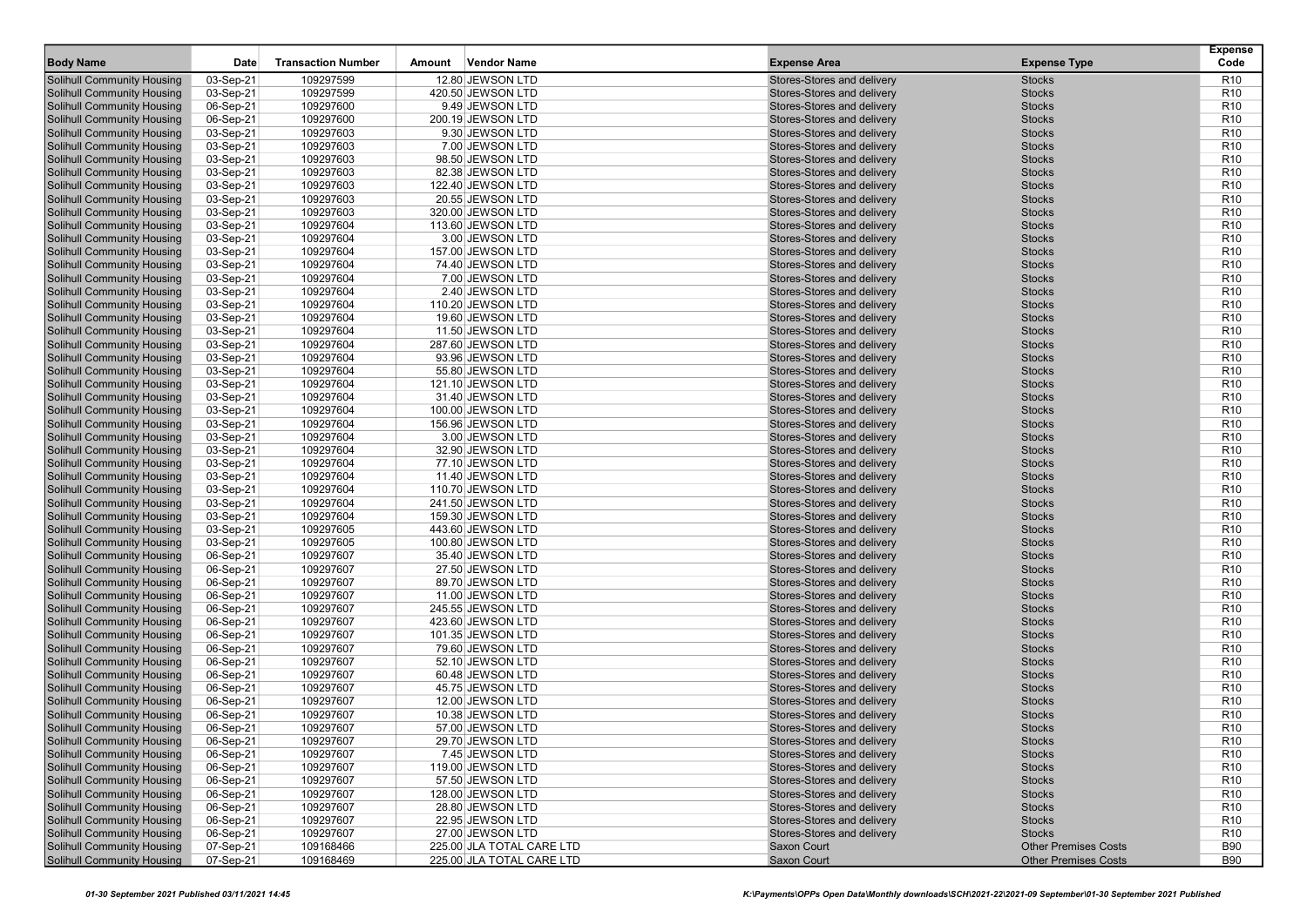|                                                                 |                        |                           |                                        |                                                          |                                | <b>Expense</b>                     |
|-----------------------------------------------------------------|------------------------|---------------------------|----------------------------------------|----------------------------------------------------------|--------------------------------|------------------------------------|
| <b>Body Name</b>                                                | Date                   | <b>Transaction Number</b> | <b>Vendor Name</b><br>Amount           | <b>Expense Area</b>                                      | <b>Expense Type</b>            | Code                               |
| <b>Solihull Community Housing</b>                               | 03-Sep-21              | 109297599                 | 12.80 JEWSON LTD                       | Stores-Stores and delivery                               | <b>Stocks</b>                  | R <sub>10</sub>                    |
| <b>Solihull Community Housing</b>                               | 03-Sep-21              | 109297599                 | 420.50 JEWSON LTD                      | Stores-Stores and delivery                               | <b>Stocks</b>                  | R <sub>10</sub>                    |
| <b>Solihull Community Housing</b>                               | 06-Sep-21              | 109297600                 | 9.49 JEWSON LTD                        | Stores-Stores and delivery                               | <b>Stocks</b>                  | R <sub>10</sub>                    |
| <b>Solihull Community Housing</b>                               | 06-Sep-21              | 109297600                 | 200.19 JEWSON LTD                      | Stores-Stores and delivery                               | <b>Stocks</b>                  | R <sub>10</sub>                    |
| <b>Solihull Community Housing</b>                               | 03-Sep-21              | 109297603                 | 9.30 JEWSON LTD                        | Stores-Stores and delivery                               | <b>Stocks</b>                  | R <sub>10</sub>                    |
| <b>Solihull Community Housing</b>                               | 03-Sep-21              | 109297603                 | 7.00 JEWSON LTD                        | Stores-Stores and delivery                               | <b>Stocks</b>                  | R <sub>10</sub>                    |
| <b>Solihull Community Housing</b>                               | 03-Sep-21              | 109297603                 | 98.50 JEWSON LTD                       | Stores-Stores and delivery                               | <b>Stocks</b>                  | R <sub>10</sub>                    |
| Solihull Community Housing                                      | 03-Sep-21              | 109297603                 | 82.38 JEWSON LTD                       | Stores-Stores and delivery                               | <b>Stocks</b>                  | R <sub>10</sub>                    |
| <b>Solihull Community Housing</b>                               | 03-Sep-21              | 109297603                 | 122.40 JEWSON LTD                      | Stores-Stores and delivery                               | <b>Stocks</b>                  | R <sub>10</sub>                    |
| <b>Solihull Community Housing</b>                               | 03-Sep-21              | 109297603                 | 20.55 JEWSON LTD                       | Stores-Stores and delivery                               | <b>Stocks</b>                  | R <sub>10</sub>                    |
| <b>Solihull Community Housing</b>                               | 03-Sep-21              | 109297603                 | 320.00 JEWSON LTD                      | Stores-Stores and delivery                               | <b>Stocks</b>                  | R <sub>10</sub>                    |
| <b>Solihull Community Housing</b>                               | 03-Sep-21              | 109297604                 | 113.60 JEWSON LTD                      | Stores-Stores and delivery                               | <b>Stocks</b>                  | R <sub>10</sub>                    |
| <b>Solihull Community Housing</b>                               | 03-Sep-21              | 109297604                 | 3.00 JEWSON LTD                        | Stores-Stores and delivery                               | <b>Stocks</b>                  | R <sub>10</sub>                    |
| <b>Solihull Community Housing</b>                               | 03-Sep-21              | 109297604                 | 157.00 JEWSON LTD                      | Stores-Stores and delivery                               | <b>Stocks</b>                  | R <sub>10</sub>                    |
| Solihull Community Housing                                      | 03-Sep-21              | 109297604                 | 74.40 JEWSON LTD                       | Stores-Stores and delivery                               | <b>Stocks</b>                  | R <sub>10</sub>                    |
| <b>Solihull Community Housing</b>                               | 03-Sep-21              | 109297604                 | 7.00 JEWSON LTD                        | Stores-Stores and delivery                               | <b>Stocks</b>                  | R <sub>10</sub>                    |
| <b>Solihull Community Housing</b>                               | 03-Sep-21              | 109297604                 | 2.40 JEWSON LTD                        | Stores-Stores and delivery                               | <b>Stocks</b>                  | R <sub>10</sub>                    |
| <b>Solihull Community Housing</b>                               | 03-Sep-21              | 109297604                 | 110.20 JEWSON LTD                      | Stores-Stores and delivery                               | <b>Stocks</b>                  | R <sub>10</sub>                    |
| <b>Solihull Community Housing</b>                               | 03-Sep-21              | 109297604                 | 19.60 JEWSON LTD                       | Stores-Stores and delivery                               | <b>Stocks</b>                  | R <sub>10</sub>                    |
| <b>Solihull Community Housing</b>                               | 03-Sep-21              | 109297604                 | 11.50 JEWSON LTD                       | Stores-Stores and delivery                               | <b>Stocks</b>                  | R <sub>10</sub>                    |
| <b>Solihull Community Housing</b>                               | 03-Sep-21              | 109297604                 | 287.60 JEWSON LTD                      | Stores-Stores and delivery                               | <b>Stocks</b>                  | R <sub>10</sub>                    |
| <b>Solihull Community Housing</b>                               | 03-Sep-21              | 109297604                 | 93.96 JEWSON LTD                       | Stores-Stores and delivery                               | <b>Stocks</b>                  | R <sub>10</sub>                    |
| <b>Solihull Community Housing</b>                               | 03-Sep-21              | 109297604                 | 55.80 JEWSON LTD                       | Stores-Stores and delivery                               | <b>Stocks</b>                  | R <sub>10</sub>                    |
| <b>Solihull Community Housing</b>                               | 03-Sep-21              | 109297604                 | 121.10 JEWSON LTD                      | Stores-Stores and delivery<br>Stores-Stores and delivery | <b>Stocks</b>                  | R <sub>10</sub>                    |
| <b>Solihull Community Housing</b>                               | 03-Sep-21              | 109297604<br>109297604    | 31.40 JEWSON LTD                       | Stores-Stores and delivery                               | <b>Stocks</b>                  | R <sub>10</sub><br>R <sub>10</sub> |
| <b>Solihull Community Housing</b><br>Solihull Community Housing | 03-Sep-21              | 109297604                 | 100.00 JEWSON LTD<br>156.96 JEWSON LTD | Stores-Stores and delivery                               | <b>Stocks</b><br><b>Stocks</b> | R <sub>10</sub>                    |
| <b>Solihull Community Housing</b>                               | 03-Sep-21<br>03-Sep-21 | 109297604                 | 3.00 JEWSON LTD                        | Stores-Stores and delivery                               | <b>Stocks</b>                  | R <sub>10</sub>                    |
| Solihull Community Housing                                      | 03-Sep-21              | 109297604                 | 32.90 JEWSON LTD                       | Stores-Stores and delivery                               | <b>Stocks</b>                  | R <sub>10</sub>                    |
| <b>Solihull Community Housing</b>                               | 03-Sep-21              | 109297604                 | 77.10 JEWSON LTD                       | Stores-Stores and delivery                               | <b>Stocks</b>                  | R <sub>10</sub>                    |
| <b>Solihull Community Housing</b>                               | 03-Sep-21              | 109297604                 | 11.40 JEWSON LTD                       | Stores-Stores and delivery                               | <b>Stocks</b>                  | R <sub>10</sub>                    |
| <b>Solihull Community Housing</b>                               | 03-Sep-21              | 109297604                 | 110.70 JEWSON LTD                      | Stores-Stores and delivery                               | <b>Stocks</b>                  | R <sub>10</sub>                    |
| <b>Solihull Community Housing</b>                               | 03-Sep-21              | 109297604                 | 241.50 JEWSON LTD                      | Stores-Stores and delivery                               | <b>Stocks</b>                  | R <sub>10</sub>                    |
| <b>Solihull Community Housing</b>                               | 03-Sep-21              | 109297604                 | 159.30 JEWSON LTD                      | Stores-Stores and delivery                               | <b>Stocks</b>                  | R <sub>10</sub>                    |
| <b>Solihull Community Housing</b>                               | 03-Sep-21              | 109297605                 | 443.60 JEWSON LTD                      | Stores-Stores and delivery                               | <b>Stocks</b>                  | R <sub>10</sub>                    |
| <b>Solihull Community Housing</b>                               | 03-Sep-21              | 109297605                 | 100.80 JEWSON LTD                      | Stores-Stores and delivery                               | <b>Stocks</b>                  | R <sub>10</sub>                    |
| <b>Solihull Community Housing</b>                               | 06-Sep-21              | 109297607                 | 35.40 JEWSON LTD                       | Stores-Stores and delivery                               | <b>Stocks</b>                  | R <sub>10</sub>                    |
| <b>Solihull Community Housing</b>                               | 06-Sep-21              | 109297607                 | 27.50 JEWSON LTD                       | Stores-Stores and delivery                               | <b>Stocks</b>                  | R <sub>10</sub>                    |
| <b>Solihull Community Housing</b>                               | 06-Sep-21              | 109297607                 | 89.70 JEWSON LTD                       | Stores-Stores and delivery                               | <b>Stocks</b>                  | R <sub>10</sub>                    |
| Solihull Community Housing                                      | 06-Sep-21              | 109297607                 | 11.00 JEWSON LTD                       | Stores-Stores and delivery                               | <b>Stocks</b>                  | R <sub>10</sub>                    |
| <b>Solihull Community Housing</b>                               | 06-Sep-21              | 109297607                 | 245.55 JEWSON LTD                      | Stores-Stores and delivery                               | <b>Stocks</b>                  | R <sub>10</sub>                    |
| <b>Solihull Community Housing</b>                               | 06-Sep-21              | 109297607                 | 423.60 JEWSON LTD                      | Stores-Stores and delivery                               | <b>Stocks</b>                  | R <sub>10</sub>                    |
| <b>Solihull Community Housing</b>                               | 06-Sep-21              | 109297607                 | 101.35 JEWSON LTD                      | Stores-Stores and delivery                               | <b>Stocks</b>                  | R <sub>10</sub>                    |
| <b>Solihull Community Housing</b>                               | 06-Sep-21              | 109297607                 | 79.60 JEWSON LTD                       | Stores-Stores and delivery                               | <b>Stocks</b>                  | R <sub>10</sub>                    |
| <b>Solihull Community Housing</b>                               | 06-Sep-21              | 109297607                 | 52.10 JEWSON LTD                       | Stores-Stores and delivery                               | <b>Stocks</b>                  | R <sub>10</sub>                    |
| <b>Solihull Community Housing</b>                               | 06-Sep-21              | 109297607                 | 60.48 JEWSON LTD                       | Stores-Stores and delivery                               | <b>Stocks</b>                  | R <sub>10</sub>                    |
| <b>Solihull Community Housing</b>                               | 06-Sep-21              | 109297607                 | 45.75 JEWSON LTD                       | Stores-Stores and delivery                               | <b>Stocks</b>                  | R <sub>10</sub>                    |
| <b>Solihull Community Housing</b>                               | 06-Sep-21              | 109297607                 | 12.00 JEWSON LTD                       | Stores-Stores and delivery                               | <b>Stocks</b>                  | R <sub>10</sub>                    |
| <b>Solihull Community Housing</b>                               | 06-Sep-21              | 109297607                 | 10.38 JEWSON LTD                       | Stores-Stores and delivery                               | <b>Stocks</b>                  | R <sub>10</sub>                    |
| <b>Solihull Community Housing</b>                               | 06-Sep-21              | 109297607                 | 57.00 JEWSON LTD                       | Stores-Stores and delivery                               | <b>Stocks</b>                  | R <sub>10</sub>                    |
| Solihull Community Housing                                      | 06-Sep-21              | 109297607                 | 29.70 JEWSON LTD                       | Stores-Stores and delivery                               | <b>Stocks</b>                  | R <sub>10</sub>                    |
| <b>Solihull Community Housing</b>                               | 06-Sep-21              | 109297607                 | 7.45 JEWSON LTD                        | Stores-Stores and delivery                               | Stocks                         | R <sub>10</sub>                    |
| <b>Solihull Community Housing</b>                               | 06-Sep-21              | 109297607                 | 119.00 JEWSON LTD                      | Stores-Stores and delivery                               | <b>Stocks</b>                  | R <sub>10</sub>                    |
| <b>Solihull Community Housing</b>                               | 06-Sep-21              | 109297607                 | 57.50 JEWSON LTD                       | Stores-Stores and delivery                               | <b>Stocks</b>                  | R <sub>10</sub>                    |
| Solihull Community Housing                                      | 06-Sep-21              | 109297607                 | 128.00 JEWSON LTD                      | Stores-Stores and delivery                               | <b>Stocks</b>                  | R <sub>10</sub>                    |
| <b>Solihull Community Housing</b>                               | 06-Sep-21              | 109297607                 | 28.80 JEWSON LTD                       | Stores-Stores and delivery                               | <b>Stocks</b>                  | R <sub>10</sub>                    |
| <b>Solihull Community Housing</b>                               | 06-Sep-21              | 109297607                 | 22.95 JEWSON LTD                       | Stores-Stores and delivery                               | <b>Stocks</b>                  | R <sub>10</sub>                    |
| <b>Solihull Community Housing</b>                               | 06-Sep-21              | 109297607                 | 27.00 JEWSON LTD                       | Stores-Stores and delivery                               | <b>Stocks</b>                  | R <sub>10</sub>                    |
| <b>Solihull Community Housing</b>                               | 07-Sep-21              | 109168466                 | 225.00 JLA TOTAL CARE LTD              | Saxon Court                                              | <b>Other Premises Costs</b>    | <b>B90</b>                         |
| <b>Solihull Community Housing</b>                               | 07-Sep-21              | 109168469                 | 225.00 JLA TOTAL CARE LTD              | Saxon Court                                              | <b>Other Premises Costs</b>    | <b>B90</b>                         |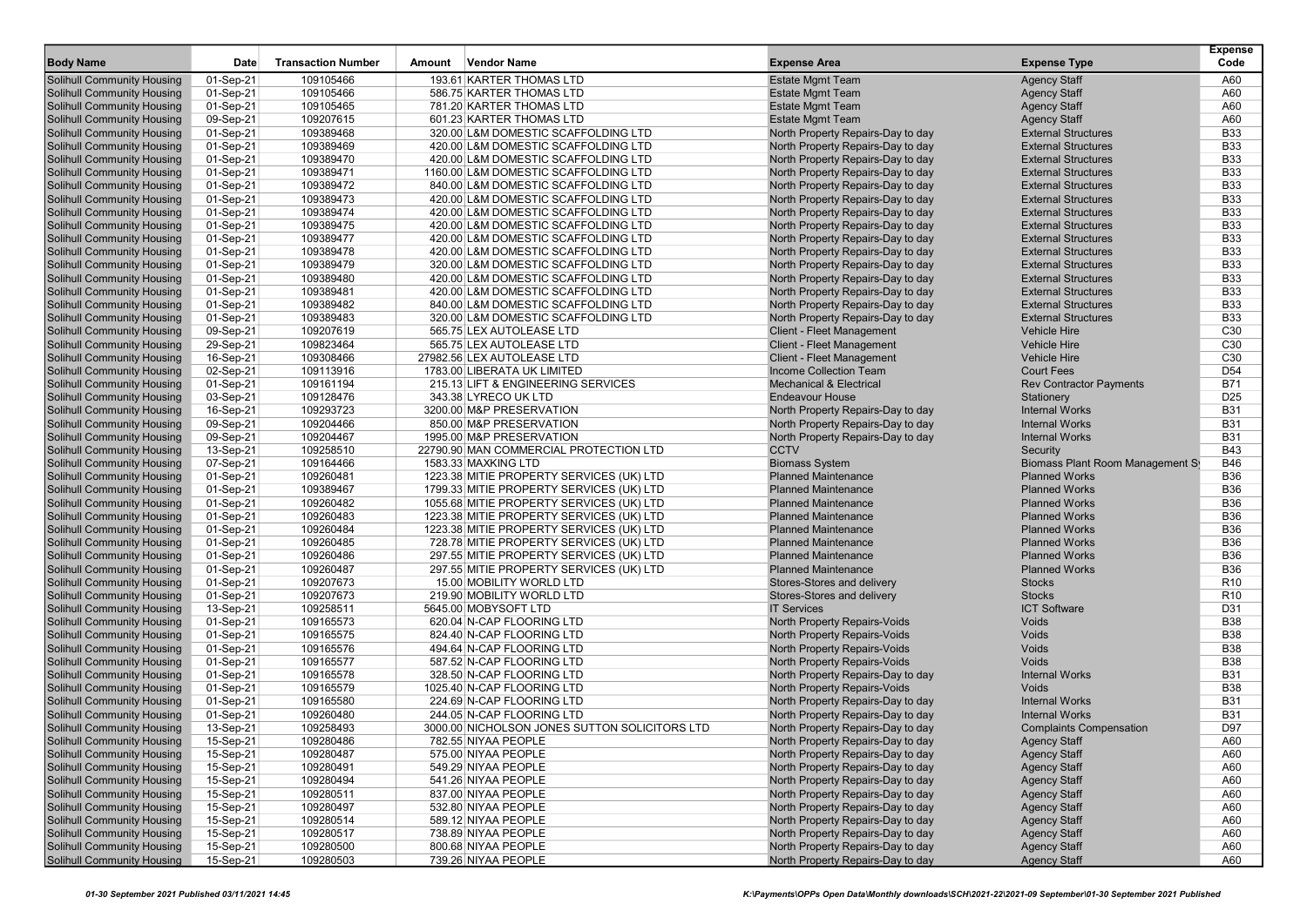|                                   |           |                           |        |                                               |                                    |                                  | <b>Expense</b>  |
|-----------------------------------|-----------|---------------------------|--------|-----------------------------------------------|------------------------------------|----------------------------------|-----------------|
| <b>Body Name</b>                  | Date      | <b>Transaction Number</b> | Amount | <b>Vendor Name</b>                            | <b>Expense Area</b>                | <b>Expense Type</b>              | Code            |
| Solihull Community Housing        | 01-Sep-21 | 109105466                 |        | 193.61 KARTER THOMAS LTD                      | <b>Estate Mgmt Team</b>            | <b>Agency Staff</b>              | A60             |
| Solihull Community Housing        | 01-Sep-21 | 109105466                 |        | 586.75 KARTER THOMAS LTD                      | <b>Estate Mgmt Team</b>            | <b>Agency Staff</b>              | A60             |
| <b>Solihull Community Housing</b> | 01-Sep-21 | 109105465                 |        | 781.20 KARTER THOMAS LTD                      | <b>Estate Mgmt Team</b>            | <b>Agency Staff</b>              | A60             |
| <b>Solihull Community Housing</b> | 09-Sep-21 | 109207615                 |        | 601.23 KARTER THOMAS LTD                      | <b>Estate Mgmt Team</b>            | <b>Agency Staff</b>              | A60             |
| <b>Solihull Community Housing</b> | 01-Sep-21 | 109389468                 |        | 320.00 L&M DOMESTIC SCAFFOLDING LTD           | North Property Repairs-Day to day  | <b>External Structures</b>       | <b>B33</b>      |
| <b>Solihull Community Housing</b> | 01-Sep-21 | 109389469                 |        | 420.00 L&M DOMESTIC SCAFFOLDING LTD           | North Property Repairs-Day to day  | <b>External Structures</b>       | <b>B33</b>      |
| <b>Solihull Community Housing</b> | 01-Sep-21 | 109389470                 |        | 420.00 L&M DOMESTIC SCAFFOLDING LTD           | North Property Repairs-Day to day  | <b>External Structures</b>       | <b>B33</b>      |
| Solihull Community Housing        | 01-Sep-21 | 109389471                 |        | 1160.00 L&M DOMESTIC SCAFFOLDING LTD          | North Property Repairs-Day to day  | <b>External Structures</b>       | <b>B33</b>      |
| <b>Solihull Community Housing</b> | 01-Sep-21 | 109389472                 |        | 840.00 L&M DOMESTIC SCAFFOLDING LTD           | North Property Repairs-Day to day  | <b>External Structures</b>       | <b>B33</b>      |
| <b>Solihull Community Housing</b> | 01-Sep-21 | 109389473                 |        | 420.00 L&M DOMESTIC SCAFFOLDING LTD           | North Property Repairs-Day to day  | <b>External Structures</b>       | <b>B33</b>      |
| <b>Solihull Community Housing</b> | 01-Sep-21 | 109389474                 |        | 420.00 L&M DOMESTIC SCAFFOLDING LTD           | North Property Repairs-Day to day  | <b>External Structures</b>       | <b>B33</b>      |
| <b>Solihull Community Housing</b> | 01-Sep-21 | 109389475                 |        | 420.00 L&M DOMESTIC SCAFFOLDING LTD           | North Property Repairs-Day to day  | <b>External Structures</b>       | <b>B33</b>      |
| <b>Solihull Community Housing</b> | 01-Sep-21 | 109389477                 |        | 420.00 L&M DOMESTIC SCAFFOLDING LTD           | North Property Repairs-Day to day  | <b>External Structures</b>       | <b>B33</b>      |
| <b>Solihull Community Housing</b> | 01-Sep-21 | 109389478                 |        | 420.00 L&M DOMESTIC SCAFFOLDING LTD           | North Property Repairs-Day to day  | <b>External Structures</b>       | <b>B33</b>      |
| Solihull Community Housing        | 01-Sep-21 | 109389479                 |        | 320.00 L&M DOMESTIC SCAFFOLDING LTD           | North Property Repairs-Day to day  | <b>External Structures</b>       | <b>B33</b>      |
| <b>Solihull Community Housing</b> | 01-Sep-21 | 109389480                 |        | 420.00 L&M DOMESTIC SCAFFOLDING LTD           | North Property Repairs-Day to day  | <b>External Structures</b>       | <b>B33</b>      |
| <b>Solihull Community Housing</b> | 01-Sep-21 | 109389481                 |        | 420.00 L&M DOMESTIC SCAFFOLDING LTD           | North Property Repairs-Day to day  | <b>External Structures</b>       | <b>B33</b>      |
| <b>Solihull Community Housing</b> | 01-Sep-21 | 109389482                 |        | 840.00 L&M DOMESTIC SCAFFOLDING LTD           | North Property Repairs-Day to day  | <b>External Structures</b>       | <b>B33</b>      |
| <b>Solihull Community Housing</b> | 01-Sep-21 | 109389483                 |        | 320.00 L&M DOMESTIC SCAFFOLDING LTD           | North Property Repairs-Day to day  | <b>External Structures</b>       | <b>B33</b>      |
| <b>Solihull Community Housing</b> | 09-Sep-21 | 109207619                 |        | 565.75 LEX AUTOLEASE LTD                      | <b>Client - Fleet Management</b>   | <b>Vehicle Hire</b>              | C <sub>30</sub> |
| Solihull Community Housing        | 29-Sep-21 | 109823464                 |        | 565.75 LEX AUTOLEASE LTD                      | <b>Client - Fleet Management</b>   | <b>Vehicle Hire</b>              | C <sub>30</sub> |
| <b>Solihull Community Housing</b> | 16-Sep-21 | 109308466                 |        | 27982.56 LEX AUTOLEASE LTD                    | <b>Client - Fleet Management</b>   | <b>Vehicle Hire</b>              | C <sub>30</sub> |
| <b>Solihull Community Housing</b> | 02-Sep-21 | 109113916                 |        | 1783.00 LIBERATA UK LIMITED                   | Income Collection Team             | <b>Court Fees</b>                | D <sub>54</sub> |
| <b>Solihull Community Housing</b> | 01-Sep-21 | 109161194                 |        | 215.13 LIFT & ENGINEERING SERVICES            | <b>Mechanical &amp; Electrical</b> | <b>Rev Contractor Payments</b>   | <b>B71</b>      |
| <b>Solihull Community Housing</b> | 03-Sep-21 | 109128476                 |        | 343.38 LYRECO UK LTD                          | <b>Endeavour House</b>             | Stationery                       | D <sub>25</sub> |
| <b>Solihull Community Housing</b> | 16-Sep-21 | 109293723                 |        | 3200.00 M&P PRESERVATION                      | North Property Repairs-Day to day  | <b>Internal Works</b>            | <b>B31</b>      |
| Solihull Community Housing        | 09-Sep-21 | 109204466                 |        | 850.00 M&P PRESERVATION                       | North Property Repairs-Day to day  | <b>Internal Works</b>            | <b>B31</b>      |
| <b>Solihull Community Housing</b> | 09-Sep-21 | 109204467                 |        | 1995.00 M&P PRESERVATION                      | North Property Repairs-Day to day  | <b>Internal Works</b>            | <b>B31</b>      |
| <b>Solihull Community Housing</b> | 13-Sep-21 | 109258510                 |        | 22790.90 MAN COMMERCIAL PROTECTION LTD        | <b>CCTV</b>                        | Security                         | <b>B43</b>      |
| <b>Solihull Community Housing</b> | 07-Sep-21 | 109164466                 |        | 1583.33 MAXKING LTD                           | <b>Biomass System</b>              | Biomass Plant Room Management St | <b>B46</b>      |
| <b>Solihull Community Housing</b> | 01-Sep-21 | 109260481                 |        | 1223.38 MITIE PROPERTY SERVICES (UK) LTD      | <b>Planned Maintenance</b>         | <b>Planned Works</b>             | <b>B36</b>      |
| <b>Solihull Community Housing</b> | 01-Sep-21 | 109389467                 |        | 1799.33 MITIE PROPERTY SERVICES (UK) LTD      | <b>Planned Maintenance</b>         | <b>Planned Works</b>             | <b>B36</b>      |
| <b>Solihull Community Housing</b> | 01-Sep-21 | 109260482                 |        | 1055.68 MITIE PROPERTY SERVICES (UK) LTD      | <b>Planned Maintenance</b>         | <b>Planned Works</b>             | <b>B36</b>      |
| <b>Solihull Community Housing</b> | 01-Sep-21 | 109260483                 |        | 1223.38 MITIE PROPERTY SERVICES (UK) LTD      | <b>Planned Maintenance</b>         | <b>Planned Works</b>             | <b>B36</b>      |
| <b>Solihull Community Housing</b> | 01-Sep-21 | 109260484                 |        | 1223.38 MITIE PROPERTY SERVICES (UK) LTD      | <b>Planned Maintenance</b>         | <b>Planned Works</b>             | <b>B36</b>      |
| <b>Solihull Community Housing</b> | 01-Sep-21 | 109260485                 |        | 728.78 MITIE PROPERTY SERVICES (UK) LTD       | <b>Planned Maintenance</b>         | <b>Planned Works</b>             | <b>B36</b>      |
| <b>Solihull Community Housing</b> | 01-Sep-21 | 109260486                 |        | 297.55 MITIE PROPERTY SERVICES (UK) LTD       | <b>Planned Maintenance</b>         | <b>Planned Works</b>             | <b>B36</b>      |
| <b>Solihull Community Housing</b> | 01-Sep-21 | 109260487                 |        | 297.55 MITIE PROPERTY SERVICES (UK) LTD       | <b>Planned Maintenance</b>         | <b>Planned Works</b>             | <b>B36</b>      |
| <b>Solihull Community Housing</b> | 01-Sep-21 | 109207673                 |        | 15.00 MOBILITY WORLD LTD                      | Stores-Stores and delivery         | <b>Stocks</b>                    | R <sub>10</sub> |
| Solihull Community Housing        | 01-Sep-21 | 109207673                 |        | 219.90 MOBILITY WORLD LTD                     | Stores-Stores and delivery         | <b>Stocks</b>                    | R <sub>10</sub> |
| <b>Solihull Community Housing</b> | 13-Sep-21 | 109258511                 |        | 5645.00 MOBYSOFT LTD                          | <b>IT Services</b>                 | <b>ICT Software</b>              | D31             |
| <b>Solihull Community Housing</b> | 01-Sep-21 | 109165573                 |        | 620.04 N-CAP FLOORING LTD                     | North Property Repairs-Voids       | Voids                            | <b>B38</b>      |
| <b>Solihull Community Housing</b> | 01-Sep-21 | 109165575                 |        | 824.40 N-CAP FLOORING LTD                     | North Property Repairs-Voids       | Voids                            | <b>B38</b>      |
| <b>Solihull Community Housing</b> | 01-Sep-21 | 109165576                 |        | 494.64 N-CAP FLOORING LTD                     | North Property Repairs-Voids       | Voids                            | <b>B38</b>      |
| <b>Solihull Community Housing</b> | 01-Sep-21 | 109165577                 |        | 587.52 N-CAP FLOORING LTD                     | North Property Repairs-Voids       | Voids                            | <b>B38</b>      |
| <b>Solihull Community Housing</b> | 01-Sep-21 | 109165578                 |        | 328.50 N-CAP FLOORING LTD                     | North Property Repairs-Day to day  | <b>Internal Works</b>            | <b>B31</b>      |
| <b>Solihull Community Housing</b> | 01-Sep-21 | 109165579                 |        | 1025.40 N-CAP FLOORING LTD                    | North Property Repairs-Voids       | Voids                            | <b>B38</b>      |
| <b>Solihull Community Housing</b> | 01-Sep-21 | 109165580                 |        | 224.69 N-CAP FLOORING LTD                     | North Property Repairs-Day to day  | <b>Internal Works</b>            | <b>B31</b>      |
| <b>Solihull Community Housing</b> | 01-Sep-21 | 109260480                 |        | 244.05 N-CAP FLOORING LTD                     | North Property Repairs-Day to day  | <b>Internal Works</b>            | <b>B31</b>      |
| <b>Solihull Community Housing</b> | 13-Sep-21 | 109258493                 |        | 3000.00 NICHOLSON JONES SUTTON SOLICITORS LTD | North Property Repairs-Day to day  | <b>Complaints Compensation</b>   | D97             |
| <b>Solihull Community Housing</b> | 15-Sep-21 | 109280486                 |        | 782.55 NIYAA PEOPLE                           | North Property Repairs-Day to day  | <b>Agency Staff</b>              | A60             |
| <b>Solihull Community Housing</b> | 15-Sep-21 | 109280487                 |        | 575.00 NIYAA PEOPLE                           | North Property Repairs-Day to day  | <b>Agency Staff</b>              | A60             |
| <b>Solihull Community Housing</b> | 15-Sep-21 | 109280491                 |        | 549.29 NIYAA PEOPLE                           | North Property Repairs-Day to day  | <b>Agency Staff</b>              | A60             |
| <b>Solihull Community Housing</b> | 15-Sep-21 | 109280494                 |        | 541.26 NIYAA PEOPLE                           | North Property Repairs-Day to day  | <b>Agency Staff</b>              | A60             |
| <b>Solihull Community Housing</b> | 15-Sep-21 | 109280511                 |        | 837.00 NIYAA PEOPLE                           | North Property Repairs-Day to day  | <b>Agency Staff</b>              | A60             |
| <b>Solihull Community Housing</b> | 15-Sep-21 | 109280497                 |        | 532.80 NIYAA PEOPLE                           | North Property Repairs-Day to day  | <b>Agency Staff</b>              | A60             |
| <b>Solihull Community Housing</b> | 15-Sep-21 | 109280514                 |        | 589.12 NIYAA PEOPLE                           | North Property Repairs-Day to day  | <b>Agency Staff</b>              | A60             |
| <b>Solihull Community Housing</b> | 15-Sep-21 | 109280517                 |        | 738.89 NIYAA PEOPLE                           | North Property Repairs-Day to day  | <b>Agency Staff</b>              | A60             |
| <b>Solihull Community Housing</b> | 15-Sep-21 | 109280500                 |        | 800.68 NIYAA PEOPLE                           | North Property Repairs-Day to day  | <b>Agency Staff</b>              | A60             |
| <b>Solihull Community Housing</b> | 15-Sep-21 | 109280503                 |        | 739.26 NIYAA PEOPLE                           | North Property Repairs-Day to day  | <b>Agency Staff</b>              | A60             |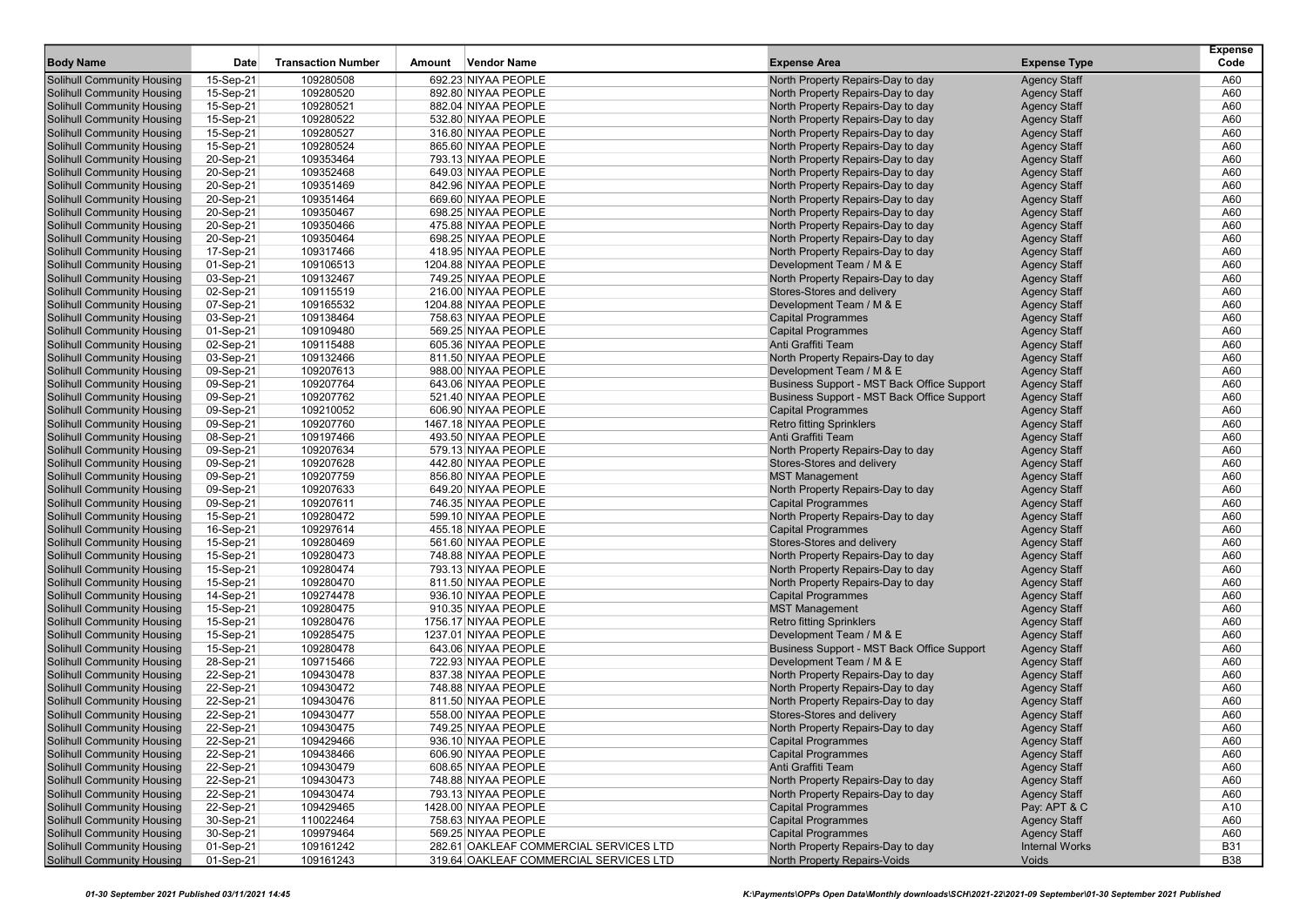| <b>Body Name</b>                                                       | Date                   | <b>Transaction Number</b> | Amount | <b>Vendor Name</b>                         | <b>Expense Area</b>                                                    | <b>Expense Type</b>                        | <b>Expense</b><br>Code |
|------------------------------------------------------------------------|------------------------|---------------------------|--------|--------------------------------------------|------------------------------------------------------------------------|--------------------------------------------|------------------------|
|                                                                        |                        |                           |        |                                            |                                                                        |                                            |                        |
| <b>Solihull Community Housing</b><br><b>Solihull Community Housing</b> | 15-Sep-21<br>15-Sep-21 | 109280508<br>109280520    |        | 692.23 NIYAA PEOPLE<br>892.80 NIYAA PEOPLE | North Property Repairs-Day to day<br>North Property Repairs-Day to day | <b>Agency Staff</b><br><b>Agency Staff</b> | A60<br>A60             |
| <b>Solihull Community Housing</b>                                      | 15-Sep-21              | 109280521                 |        | 882.04 NIYAA PEOPLE                        | North Property Repairs-Day to day                                      | <b>Agency Staff</b>                        | A60                    |
| <b>Solihull Community Housing</b>                                      | 15-Sep-21              | 109280522                 |        | 532.80 NIYAA PEOPLE                        | North Property Repairs-Day to day                                      | <b>Agency Staff</b>                        | A60                    |
| <b>Solihull Community Housing</b>                                      | 15-Sep-21              | 109280527                 |        | 316.80 NIYAA PEOPLE                        | North Property Repairs-Day to day                                      | <b>Agency Staff</b>                        | A60                    |
| <b>Solihull Community Housing</b>                                      | 15-Sep-21              | 109280524                 |        | 865.60 NIYAA PEOPLE                        | North Property Repairs-Day to day                                      | <b>Agency Staff</b>                        | A60                    |
| <b>Solihull Community Housing</b>                                      | 20-Sep-21              | 109353464                 |        | 793.13 NIYAA PEOPLE                        | North Property Repairs-Day to day                                      | <b>Agency Staff</b>                        | A60                    |
| Solihull Community Housing                                             | 20-Sep-21              | 109352468                 |        | 649.03 NIYAA PEOPLE                        | North Property Repairs-Day to day                                      | <b>Agency Staff</b>                        | A60                    |
| <b>Solihull Community Housing</b>                                      | 20-Sep-21              | 109351469                 |        | 842.96 NIYAA PEOPLE                        | North Property Repairs-Day to day                                      | <b>Agency Staff</b>                        | A60                    |
| <b>Solihull Community Housing</b>                                      | 20-Sep-21              | 109351464                 |        | 669.60 NIYAA PEOPLE                        | North Property Repairs-Day to day                                      | <b>Agency Staff</b>                        | A60                    |
| <b>Solihull Community Housing</b>                                      | 20-Sep-21              | 109350467                 |        | 698.25 NIYAA PEOPLE                        | North Property Repairs-Day to day                                      | <b>Agency Staff</b>                        | A60                    |
| <b>Solihull Community Housing</b>                                      | 20-Sep-21              | 109350466                 |        | 475.88 NIYAA PEOPLE                        | North Property Repairs-Day to day                                      | <b>Agency Staff</b>                        | A60                    |
| <b>Solihull Community Housing</b>                                      | 20-Sep-21              | 109350464                 |        | 698.25 NIYAA PEOPLE                        | North Property Repairs-Day to day                                      | <b>Agency Staff</b>                        | A60                    |
| <b>Solihull Community Housing</b>                                      | 17-Sep-21              | 109317466                 |        | 418.95 NIYAA PEOPLE                        | North Property Repairs-Day to day                                      | <b>Agency Staff</b>                        | A60                    |
| <b>Solihull Community Housing</b>                                      | 01-Sep-21              | 109106513                 |        | 1204.88 NIYAA PEOPLE                       | Development Team / M & E                                               | <b>Agency Staff</b>                        | A60                    |
| <b>Solihull Community Housing</b>                                      | 03-Sep-21              | 109132467                 |        | 749.25 NIYAA PEOPLE                        | North Property Repairs-Day to day                                      | <b>Agency Staff</b>                        | A60                    |
| <b>Solihull Community Housing</b>                                      | 02-Sep-21              | 109115519                 |        | 216.00 NIYAA PEOPLE                        | Stores-Stores and delivery                                             | <b>Agency Staff</b>                        | A60                    |
| <b>Solihull Community Housing</b>                                      | 07-Sep-21              | 109165532                 |        | 1204.88 NIYAA PEOPLE                       | Development Team / M & E                                               | <b>Agency Staff</b>                        | A60                    |
| <b>Solihull Community Housing</b>                                      | 03-Sep-21              | 109138464                 |        | 758.63 NIYAA PEOPLE                        | <b>Capital Programmes</b>                                              | <b>Agency Staff</b>                        | A60                    |
| <b>Solihull Community Housing</b>                                      | 01-Sep-21              | 109109480                 |        | 569.25 NIYAA PEOPLE                        | <b>Capital Programmes</b>                                              | <b>Agency Staff</b>                        | A60                    |
| <b>Solihull Community Housing</b>                                      | 02-Sep-21              | 109115488                 |        | 605.36 NIYAA PEOPLE                        | Anti Graffiti Team                                                     | <b>Agency Staff</b>                        | A60                    |
| <b>Solihull Community Housing</b>                                      | 03-Sep-21              | 109132466                 |        | 811.50 NIYAA PEOPLE                        | North Property Repairs-Day to day                                      | <b>Agency Staff</b>                        | A60                    |
| <b>Solihull Community Housing</b>                                      | 09-Sep-21              | 109207613                 |        | 988.00 NIYAA PEOPLE                        | Development Team / M & E                                               | <b>Agency Staff</b>                        | A60                    |
| <b>Solihull Community Housing</b>                                      | 09-Sep-21              | 109207764                 |        | 643.06 NIYAA PEOPLE                        | Business Support - MST Back Office Support                             | <b>Agency Staff</b>                        | A60                    |
| <b>Solihull Community Housing</b>                                      | 09-Sep-21              | 109207762                 |        | 521.40 NIYAA PEOPLE                        | Business Support - MST Back Office Support                             | <b>Agency Staff</b>                        | A60                    |
| <b>Solihull Community Housing</b>                                      | 09-Sep-21              | 109210052                 |        | 606.90 NIYAA PEOPLE                        | <b>Capital Programmes</b>                                              | <b>Agency Staff</b>                        | A60                    |
| Solihull Community Housing                                             | 09-Sep-21              | 109207760                 |        | 1467.18 NIYAA PEOPLE                       | <b>Retro fitting Sprinklers</b>                                        | <b>Agency Staff</b>                        | A60                    |
| <b>Solihull Community Housing</b>                                      | 08-Sep-21              | 109197466                 |        | 493.50 NIYAA PEOPLE                        | Anti Graffiti Team                                                     | <b>Agency Staff</b>                        | A60                    |
| <b>Solihull Community Housing</b>                                      | 09-Sep-21              | 109207634                 |        | 579.13 NIYAA PEOPLE                        | North Property Repairs-Day to day                                      | <b>Agency Staff</b>                        | A60                    |
| <b>Solihull Community Housing</b>                                      | 09-Sep-21              | 109207628                 |        | 442.80 NIYAA PEOPLE                        | Stores-Stores and delivery                                             | <b>Agency Staff</b>                        | A60                    |
| <b>Solihull Community Housing</b>                                      | 09-Sep-21              | 109207759                 |        | 856.80 NIYAA PEOPLE                        | <b>MST Management</b>                                                  | <b>Agency Staff</b>                        | A60                    |
| <b>Solihull Community Housing</b>                                      | 09-Sep-21              | 109207633                 |        | 649.20 NIYAA PEOPLE                        | North Property Repairs-Day to day                                      | <b>Agency Staff</b>                        | A60                    |
| <b>Solihull Community Housing</b>                                      | 09-Sep-21              | 109207611                 |        | 746.35 NIYAA PEOPLE                        | <b>Capital Programmes</b>                                              | <b>Agency Staff</b>                        | A60                    |
| <b>Solihull Community Housing</b>                                      | 15-Sep-21              | 109280472                 |        | 599.10 NIYAA PEOPLE                        | North Property Repairs-Day to day                                      | <b>Agency Staff</b>                        | A60                    |
| <b>Solihull Community Housing</b>                                      | 16-Sep-21              | 109297614                 |        | 455.18 NIYAA PEOPLE                        | <b>Capital Programmes</b>                                              | <b>Agency Staff</b>                        | A60                    |
| <b>Solihull Community Housing</b>                                      | 15-Sep-21              | 109280469                 |        | 561.60 NIYAA PEOPLE                        | Stores-Stores and delivery                                             | <b>Agency Staff</b>                        | A60                    |
| <b>Solihull Community Housing</b>                                      | 15-Sep-21              | 109280473                 |        | 748.88 NIYAA PEOPLE                        | North Property Repairs-Day to day                                      | <b>Agency Staff</b>                        | A60                    |
| <b>Solihull Community Housing</b>                                      | 15-Sep-21              | 109280474                 |        | 793.13 NIYAA PEOPLE                        | North Property Repairs-Day to day                                      | <b>Agency Staff</b>                        | A60                    |
| <b>Solihull Community Housing</b>                                      | 15-Sep-21              | 109280470                 |        | 811.50 NIYAA PEOPLE                        | North Property Repairs-Day to day                                      | <b>Agency Staff</b>                        | A60                    |
| <b>Solihull Community Housing</b>                                      | 14-Sep-21              | 109274478                 |        | 936.10 NIYAA PEOPLE                        | <b>Capital Programmes</b>                                              | <b>Agency Staff</b>                        | A60                    |
| <b>Solihull Community Housing</b>                                      | 15-Sep-21              | 109280475                 |        | 910.35 NIYAA PEOPLE                        | <b>MST Management</b>                                                  | <b>Agency Staff</b>                        | A60                    |
| <b>Solihull Community Housing</b>                                      | 15-Sep-21              | 109280476                 |        | 1756.17 NIYAA PEOPLE                       | <b>Retro fitting Sprinklers</b>                                        | <b>Agency Staff</b>                        | A60                    |
| <b>Solihull Community Housing</b>                                      | 15-Sep-21              | 109285475                 |        | 1237.01 NIYAA PEOPLE                       | Development Team / M & E                                               | <b>Agency Staff</b>                        | A60                    |
| <b>Solihull Community Housing</b>                                      | 15-Sep-21              | 109280478                 |        | 643.06 NIYAA PEOPLE                        | Business Support - MST Back Office Support                             | <b>Agency Staff</b>                        | A60                    |
| <b>Solihull Community Housing</b>                                      | 28-Sep-21              | 109715466                 |        | 722.93 NIYAA PEOPLE                        | Development Team / M & E                                               | <b>Agency Staff</b>                        | A60                    |
| <b>Solihull Community Housing</b>                                      | 22-Sep-21              | 109430478                 |        | 837.38 NIYAA PEOPLE                        | North Property Repairs-Day to day                                      | <b>Agency Staff</b>                        | A60                    |
| <b>Solihull Community Housing</b>                                      | 22-Sep-21              | 109430472                 |        | 748.88 NIYAA PEOPLE                        | North Property Repairs-Day to day                                      | <b>Agency Staff</b>                        | A60                    |
| <b>Solihull Community Housing</b>                                      | 22-Sep-21              | 109430476                 |        | 811.50 NIYAA PEOPLE                        | North Property Repairs-Day to day                                      | <b>Agency Staff</b>                        | A60                    |
| <b>Solihull Community Housing</b>                                      | 22-Sep-21              | 109430477                 |        | 558.00 NIYAA PEOPLE                        | Stores-Stores and delivery                                             | <b>Agency Staff</b>                        | A60                    |
| <b>Solihull Community Housing</b>                                      | 22-Sep-21              | 109430475                 |        | 749.25 NIYAA PEOPLE                        | North Property Repairs-Day to day                                      | <b>Agency Staff</b>                        | A60                    |
| <b>Solihull Community Housing</b><br><b>Solihull Community Housing</b> | 22-Sep-21<br>22-Sep-21 | 109429466<br>109438466    |        | 936.10 NIYAA PEOPLE<br>606.90 NIYAA PEOPLE | Capital Programmes<br><b>Capital Programmes</b>                        | <b>Agency Staff</b><br><b>Agency Staff</b> | A60<br>A60             |
|                                                                        |                        |                           |        |                                            | Anti Graffiti Team                                                     |                                            |                        |
| <b>Solihull Community Housing</b><br><b>Solihull Community Housing</b> | 22-Sep-21<br>22-Sep-21 | 109430479<br>109430473    |        | 608.65 NIYAA PEOPLE<br>748.88 NIYAA PEOPLE | North Property Repairs-Day to day                                      | <b>Agency Staff</b><br><b>Agency Staff</b> | A60                    |
| <b>Solihull Community Housing</b>                                      | 22-Sep-21              | 109430474                 |        | 793.13 NIYAA PEOPLE                        | North Property Repairs-Day to day                                      |                                            | A60                    |
| <b>Solihull Community Housing</b>                                      | 22-Sep-21              | 109429465                 |        | 1428.00 NIYAA PEOPLE                       | <b>Capital Programmes</b>                                              | <b>Agency Staff</b><br>Pay: APT & C        | A60<br>A10             |
| <b>Solihull Community Housing</b>                                      | 30-Sep-21              | 110022464                 |        | 758.63 NIYAA PEOPLE                        | <b>Capital Programmes</b>                                              |                                            | A60                    |
| <b>Solihull Community Housing</b>                                      | 30-Sep-21              | 109979464                 |        | 569.25 NIYAA PEOPLE                        | <b>Capital Programmes</b>                                              | <b>Agency Staff</b><br><b>Agency Staff</b> | A60                    |
| <b>Solihull Community Housing</b>                                      | 01-Sep-21              | 109161242                 |        | 282.61 OAKLEAF COMMERCIAL SERVICES LTD     | North Property Repairs-Day to day                                      | <b>Internal Works</b>                      | <b>B31</b>             |
| <b>Solihull Community Housing</b>                                      | 01-Sep-21              | 109161243                 |        | 319.64 OAKLEAF COMMERCIAL SERVICES LTD     | North Property Repairs-Voids                                           | Voids                                      | <b>B38</b>             |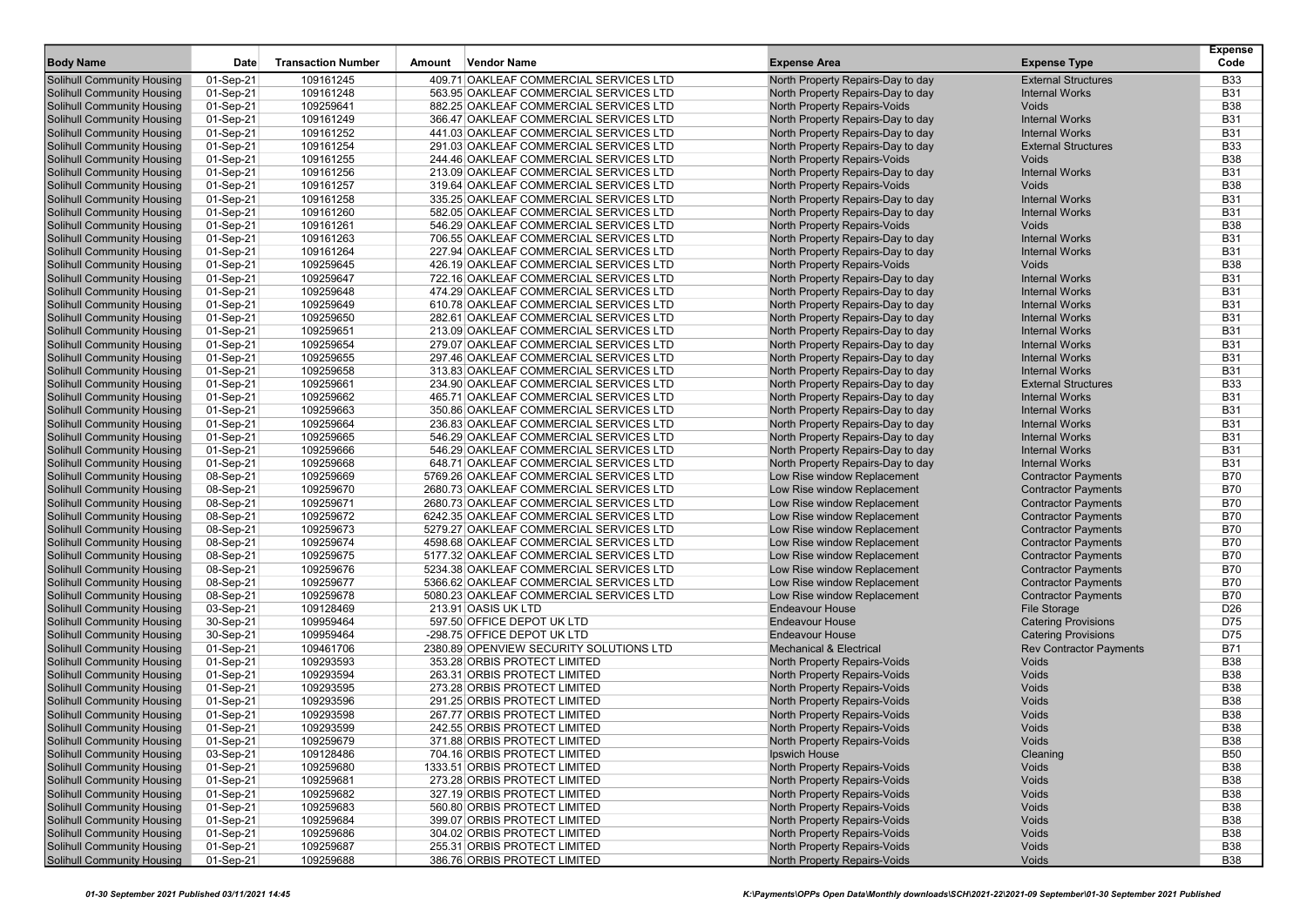| <b>Body Name</b>                                                       | Date                   | <b>Transaction Number</b> | Amount | <b>Vendor Name</b>                                                               | <b>Expense Area</b>                                                    | <b>Expense Type</b>                            | <b>Expense</b><br>Code   |
|------------------------------------------------------------------------|------------------------|---------------------------|--------|----------------------------------------------------------------------------------|------------------------------------------------------------------------|------------------------------------------------|--------------------------|
| <b>Solihull Community Housing</b>                                      | 01-Sep-21              | 109161245                 |        | 409.71 OAKLEAF COMMERCIAL SERVICES LTD                                           | North Property Repairs-Day to day                                      | <b>External Structures</b>                     | <b>B33</b>               |
| Solihull Community Housing                                             | 01-Sep-21              | 109161248                 |        | 563.95 OAKLEAF COMMERCIAL SERVICES LTD                                           | North Property Repairs-Day to day                                      | <b>Internal Works</b>                          | <b>B31</b>               |
| <b>Solihull Community Housing</b>                                      | 01-Sep-21              | 109259641                 |        | 882.25 OAKLEAF COMMERCIAL SERVICES LTD                                           | North Property Repairs-Voids                                           | Voids                                          | <b>B38</b>               |
| <b>Solihull Community Housing</b>                                      | 01-Sep-21              | 109161249                 |        | 366.47 OAKLEAF COMMERCIAL SERVICES LTD                                           | North Property Repairs-Day to day                                      | <b>Internal Works</b>                          | <b>B31</b>               |
| <b>Solihull Community Housing</b>                                      | 01-Sep-21              | 109161252                 |        | 441.03 OAKLEAF COMMERCIAL SERVICES LTD                                           | North Property Repairs-Day to day                                      | <b>Internal Works</b>                          | <b>B31</b>               |
| <b>Solihull Community Housing</b>                                      | 01-Sep-21              | 109161254                 |        | 291.03 OAKLEAF COMMERCIAL SERVICES LTD                                           | North Property Repairs-Day to day                                      | <b>External Structures</b>                     | <b>B33</b>               |
| <b>Solihull Community Housing</b>                                      | 01-Sep-21              | 109161255                 |        | 244.46 OAKLEAF COMMERCIAL SERVICES LTD                                           | <b>North Property Repairs-Voids</b>                                    | <b>Voids</b>                                   | <b>B38</b>               |
| Solihull Community Housing                                             | 01-Sep-21              | 109161256                 |        | 213.09 OAKLEAF COMMERCIAL SERVICES LTD                                           | North Property Repairs-Day to day                                      | <b>Internal Works</b>                          | <b>B31</b>               |
| <b>Solihull Community Housing</b>                                      | 01-Sep-21              | 109161257                 |        | 319.64 OAKLEAF COMMERCIAL SERVICES LTD                                           | North Property Repairs-Voids                                           | Voids                                          | <b>B38</b>               |
| <b>Solihull Community Housing</b>                                      | 01-Sep-21              | 109161258                 |        | 335.25 OAKLEAF COMMERCIAL SERVICES LTD                                           | North Property Repairs-Day to day                                      | <b>Internal Works</b>                          | <b>B31</b>               |
| <b>Solihull Community Housing</b>                                      | 01-Sep-21              | 109161260                 |        | 582.05 OAKLEAF COMMERCIAL SERVICES LTD                                           | North Property Repairs-Day to day                                      | <b>Internal Works</b>                          | <b>B31</b>               |
| <b>Solihull Community Housing</b>                                      | 01-Sep-21              | 109161261                 |        | 546.29 OAKLEAF COMMERCIAL SERVICES LTD                                           | North Property Repairs-Voids                                           | Voids                                          | <b>B38</b>               |
| <b>Solihull Community Housing</b>                                      | 01-Sep-21              | 109161263                 |        | 706.55 OAKLEAF COMMERCIAL SERVICES LTD                                           | North Property Repairs-Day to day                                      | <b>Internal Works</b>                          | <b>B31</b>               |
| <b>Solihull Community Housing</b>                                      | 01-Sep-21              | 109161264                 |        | 227.94 OAKLEAF COMMERCIAL SERVICES LTD                                           | North Property Repairs-Day to day                                      | <b>Internal Works</b>                          | <b>B31</b>               |
| Solihull Community Housing                                             | 01-Sep-21              | 109259645                 |        | 426.19 OAKLEAF COMMERCIAL SERVICES LTD                                           | North Property Repairs-Voids                                           | <b>Voids</b>                                   | <b>B38</b>               |
| <b>Solihull Community Housing</b>                                      | 01-Sep-21              | 109259647                 |        | 722.16 OAKLEAF COMMERCIAL SERVICES LTD                                           | North Property Repairs-Day to day                                      | <b>Internal Works</b>                          | <b>B31</b>               |
| <b>Solihull Community Housing</b>                                      | 01-Sep-21              | 109259648                 |        | 474.29 OAKLEAF COMMERCIAL SERVICES LTD                                           | North Property Repairs-Day to day                                      | <b>Internal Works</b>                          | <b>B31</b>               |
| Solihull Community Housing                                             | 01-Sep-21              | 109259649                 |        | 610.78 OAKLEAF COMMERCIAL SERVICES LTD                                           | North Property Repairs-Day to day                                      | <b>Internal Works</b>                          | <b>B31</b>               |
| <b>Solihull Community Housing</b>                                      | 01-Sep-21              | 109259650                 |        | 282.61 OAKLEAF COMMERCIAL SERVICES LTD                                           | North Property Repairs-Day to day                                      | <b>Internal Works</b>                          | <b>B31</b>               |
| <b>Solihull Community Housing</b>                                      | 01-Sep-21              | 109259651                 |        | 213.09 OAKLEAF COMMERCIAL SERVICES LTD                                           | North Property Repairs-Day to day                                      | <b>Internal Works</b>                          | <b>B31</b>               |
| Solihull Community Housing                                             | 01-Sep-21              | 109259654                 |        | 279.07 OAKLEAF COMMERCIAL SERVICES LTD                                           | North Property Repairs-Day to day                                      | <b>Internal Works</b>                          | <b>B31</b>               |
| <b>Solihull Community Housing</b>                                      | 01-Sep-21              | 109259655                 |        | 297.46 OAKLEAF COMMERCIAL SERVICES LTD                                           | North Property Repairs-Day to day                                      | <b>Internal Works</b>                          | <b>B31</b>               |
| <b>Solihull Community Housing</b>                                      | 01-Sep-21              | 109259658                 |        | 313.83 OAKLEAF COMMERCIAL SERVICES LTD                                           | North Property Repairs-Day to day                                      | <b>Internal Works</b>                          | <b>B31</b>               |
| <b>Solihull Community Housing</b>                                      | 01-Sep-21              | 109259661                 |        | 234.90 OAKLEAF COMMERCIAL SERVICES LTD                                           | North Property Repairs-Day to day                                      | <b>External Structures</b>                     | <b>B33</b>               |
| <b>Solihull Community Housing</b>                                      | 01-Sep-21              | 109259662                 |        | 465.71 OAKLEAF COMMERCIAL SERVICES LTD                                           | North Property Repairs-Day to day                                      | <b>Internal Works</b>                          | <b>B31</b>               |
| <b>Solihull Community Housing</b>                                      | 01-Sep-21              | 109259663                 |        | 350.86 OAKLEAF COMMERCIAL SERVICES LTD                                           | North Property Repairs-Day to day                                      | <b>Internal Works</b>                          | <b>B31</b>               |
| Solihull Community Housing                                             | 01-Sep-21              | 109259664                 |        | 236.83 OAKLEAF COMMERCIAL SERVICES LTD<br>546.29 OAKLEAF COMMERCIAL SERVICES LTD | North Property Repairs-Day to day                                      | <b>Internal Works</b>                          | <b>B31</b>               |
| <b>Solihull Community Housing</b>                                      | 01-Sep-21<br>01-Sep-21 | 109259665                 |        |                                                                                  | North Property Repairs-Day to day                                      | <b>Internal Works</b>                          | <b>B31</b>               |
| <b>Solihull Community Housing</b><br><b>Solihull Community Housing</b> | 01-Sep-21              | 109259666<br>109259668    |        | 546.29 OAKLEAF COMMERCIAL SERVICES LTD<br>648.71 OAKLEAF COMMERCIAL SERVICES LTD | North Property Repairs-Day to day<br>North Property Repairs-Day to day | <b>Internal Works</b><br><b>Internal Works</b> | <b>B31</b><br><b>B31</b> |
| <b>Solihull Community Housing</b>                                      | 08-Sep-21              | 109259669                 |        | 5769.26 OAKLEAF COMMERCIAL SERVICES LTD                                          | Low Rise window Replacement                                            | <b>Contractor Payments</b>                     | <b>B70</b>               |
| <b>Solihull Community Housing</b>                                      | 08-Sep-21              | 109259670                 |        | 2680.73 OAKLEAF COMMERCIAL SERVICES LTD                                          | Low Rise window Replacement                                            | <b>Contractor Payments</b>                     | <b>B70</b>               |
| <b>Solihull Community Housing</b>                                      | 08-Sep-21              | 109259671                 |        | 2680.73 OAKLEAF COMMERCIAL SERVICES LTD                                          | Low Rise window Replacement                                            | <b>Contractor Payments</b>                     | <b>B70</b>               |
| <b>Solihull Community Housing</b>                                      | 08-Sep-21              | 109259672                 |        | 6242.35 OAKLEAF COMMERCIAL SERVICES LTD                                          | Low Rise window Replacement                                            | <b>Contractor Payments</b>                     | <b>B70</b>               |
| <b>Solihull Community Housing</b>                                      | 08-Sep-21              | 109259673                 |        | 5279.27 OAKLEAF COMMERCIAL SERVICES LTD                                          | Low Rise window Replacement                                            | <b>Contractor Payments</b>                     | <b>B70</b>               |
| <b>Solihull Community Housing</b>                                      | 08-Sep-21              | 109259674                 |        | 4598.68 OAKLEAF COMMERCIAL SERVICES LTD                                          | Low Rise window Replacement                                            | <b>Contractor Payments</b>                     | <b>B70</b>               |
| Solihull Community Housing                                             | 08-Sep-21              | 109259675                 |        | 5177.32 OAKLEAF COMMERCIAL SERVICES LTD                                          | Low Rise window Replacement                                            | <b>Contractor Payments</b>                     | <b>B70</b>               |
| <b>Solihull Community Housing</b>                                      | 08-Sep-21              | 109259676                 |        | 5234.38 OAKLEAF COMMERCIAL SERVICES LTD                                          | Low Rise window Replacement                                            | <b>Contractor Payments</b>                     | <b>B70</b>               |
| <b>Solihull Community Housing</b>                                      | 08-Sep-21              | 109259677                 |        | 5366.62 OAKLEAF COMMERCIAL SERVICES LTD                                          | Low Rise window Replacement                                            | <b>Contractor Payments</b>                     | <b>B70</b>               |
| Solihull Community Housing                                             | 08-Sep-21              | 109259678                 |        | 5080.23 OAKLEAF COMMERCIAL SERVICES LTD                                          | Low Rise window Replacement                                            | <b>Contractor Payments</b>                     | <b>B70</b>               |
| <b>Solihull Community Housing</b>                                      | 03-Sep-21              | 109128469                 |        | 213.91 OASIS UK LTD                                                              | <b>Endeavour House</b>                                                 | <b>File Storage</b>                            | D <sub>26</sub>          |
| <b>Solihull Community Housing</b>                                      | 30-Sep-21              | 109959464                 |        | 597.50 OFFICE DEPOT UK LTD                                                       | <b>Endeavour House</b>                                                 | <b>Catering Provisions</b>                     | D75                      |
| <b>Solihull Community Housing</b>                                      | 30-Sep-21              | 109959464                 |        | -298.75 OFFICE DEPOT UK LTD                                                      | <b>Endeavour House</b>                                                 | <b>Catering Provisions</b>                     | D75                      |
| <b>Solihull Community Housing</b>                                      | 01-Sep-21              | 109461706                 |        | 2380.89 OPENVIEW SECURITY SOLUTIONS LTD                                          | <b>Mechanical &amp; Electrical</b>                                     | <b>Rev Contractor Payments</b>                 | <b>B71</b>               |
| <b>Solihull Community Housing</b>                                      | 01-Sep-21              | 109293593                 |        | 353.28 ORBIS PROTECT LIMITED                                                     | North Property Repairs-Voids                                           | Voids                                          | <b>B38</b>               |
| Solihull Community Housing                                             | 01-Sep-21              | 109293594                 |        | 263.31 ORBIS PROTECT LIMITED                                                     | North Property Repairs-Voids                                           | Voids                                          | <b>B38</b>               |
| <b>Solihull Community Housing</b>                                      | 01-Sep-21              | 109293595                 |        | 273.28 ORBIS PROTECT LIMITED                                                     | North Property Repairs-Voids                                           | Voids                                          | <b>B38</b>               |
| <b>Solihull Community Housing</b>                                      | 01-Sep-21              | 109293596                 |        | 291.25 ORBIS PROTECT LIMITED                                                     | North Property Repairs-Voids                                           | Voids                                          | <b>B38</b>               |
| Solihull Community Housing                                             | 01-Sep-21              | 109293598                 |        | 267.77 ORBIS PROTECT LIMITED                                                     | North Property Repairs-Voids                                           | Voids                                          | <b>B38</b>               |
| <b>Solihull Community Housing</b>                                      | 01-Sep-21              | 109293599                 |        | 242.55 ORBIS PROTECT LIMITED                                                     | North Property Repairs-Voids                                           | Voids                                          | <b>B38</b>               |
| <b>Solihull Community Housing</b>                                      | 01-Sep-21              | 109259679                 |        | 371.88 ORBIS PROTECT LIMITED                                                     | North Property Repairs-Voids                                           | Voids                                          | <b>B38</b>               |
| <b>Solihull Community Housing</b>                                      | 03-Sep-21              | 109128486                 |        | 704.16 ORBIS PROTECT LIMITED                                                     | Ipswich House                                                          | Cleaning                                       | <b>B50</b>               |
| <b>Solihull Community Housing</b>                                      | 01-Sep-21              | 109259680                 |        | 1333.51 ORBIS PROTECT LIMITED                                                    | North Property Repairs-Voids                                           | Voids                                          | <b>B38</b>               |
| <b>Solihull Community Housing</b>                                      | 01-Sep-21              | 109259681                 |        | 273.28 ORBIS PROTECT LIMITED                                                     | North Property Repairs-Voids                                           | Voids                                          | <b>B38</b>               |
| <b>Solihull Community Housing</b>                                      | 01-Sep-21              | 109259682                 |        | 327.19 ORBIS PROTECT LIMITED                                                     | North Property Repairs-Voids                                           | Voids                                          | <b>B38</b>               |
| <b>Solihull Community Housing</b>                                      | 01-Sep-21              | 109259683                 |        | 560.80 ORBIS PROTECT LIMITED                                                     | North Property Repairs-Voids                                           | Voids                                          | <b>B38</b>               |
| <b>Solihull Community Housing</b>                                      | 01-Sep-21              | 109259684                 |        | 399.07 ORBIS PROTECT LIMITED                                                     | North Property Repairs-Voids                                           | Voids                                          | <b>B38</b>               |
| <b>Solihull Community Housing</b>                                      | 01-Sep-21              | 109259686                 |        | 304.02 ORBIS PROTECT LIMITED                                                     | North Property Repairs-Voids                                           | Voids                                          | <b>B38</b>               |
| Solihull Community Housing                                             | 01-Sep-21              | 109259687                 |        | 255.31 ORBIS PROTECT LIMITED                                                     | North Property Repairs-Voids                                           | Voids                                          | <b>B38</b>               |
| <b>Solihull Community Housing</b>                                      | 01-Sep-21              | 109259688                 |        | 386.76 ORBIS PROTECT LIMITED                                                     | <b>North Property Repairs-Voids</b>                                    | Voids                                          | <b>B38</b>               |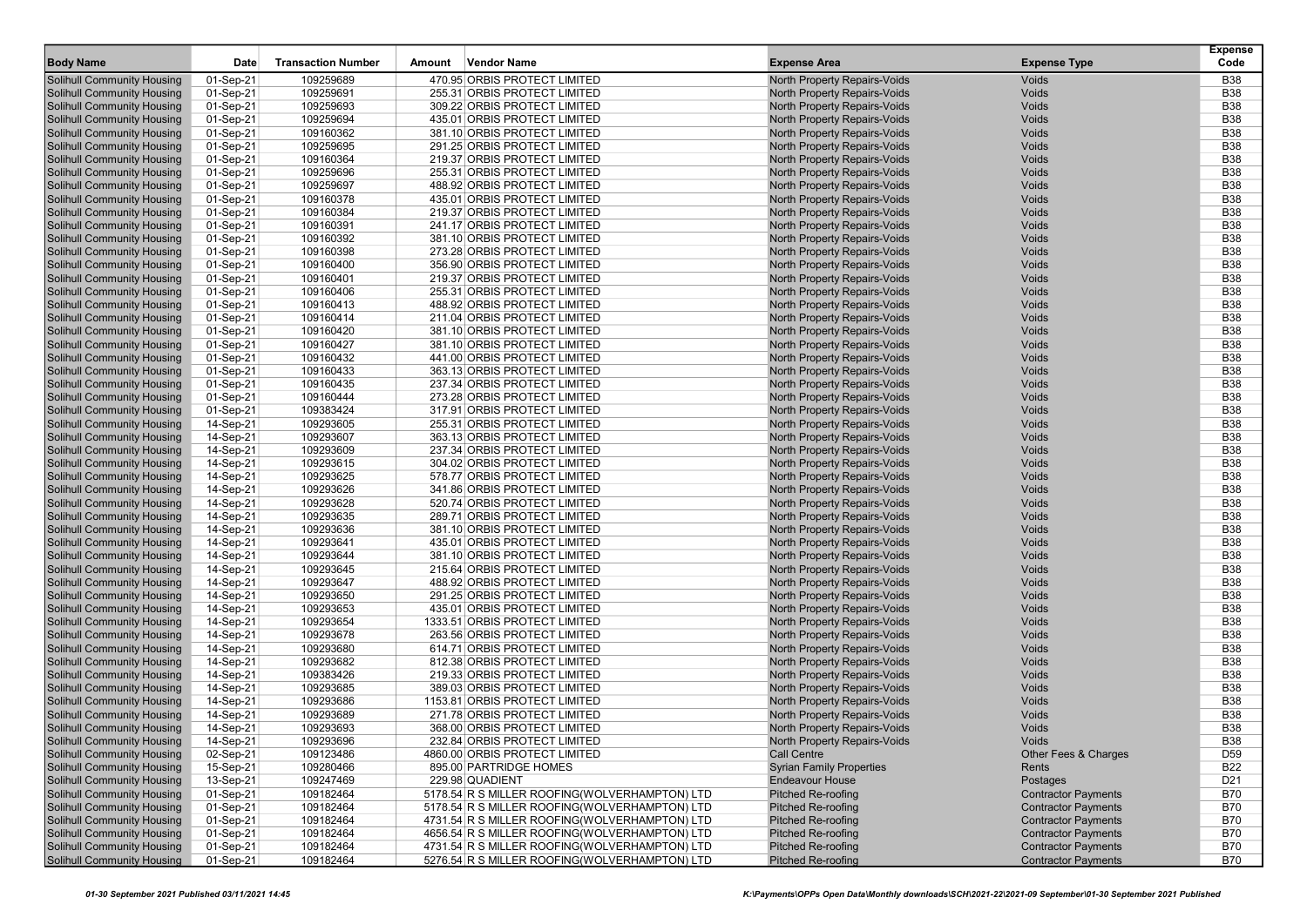| <b>Body Name</b>                  | Date      | <b>Transaction Number</b> | Amount | <b>Vendor Name</b>                            | <b>Expense Area</b>                 | <b>Expense Type</b>        | <b>Expense</b><br>Code |
|-----------------------------------|-----------|---------------------------|--------|-----------------------------------------------|-------------------------------------|----------------------------|------------------------|
| <b>Solihull Community Housing</b> | 01-Sep-21 | 109259689                 |        | 470.95 ORBIS PROTECT LIMITED                  | North Property Repairs-Voids        | Voids                      | <b>B38</b>             |
| <b>Solihull Community Housing</b> | 01-Sep-21 | 109259691                 |        | 255.31 ORBIS PROTECT LIMITED                  | North Property Repairs-Voids        | Voids                      | <b>B38</b>             |
| <b>Solihull Community Housing</b> | 01-Sep-21 | 109259693                 |        | 309.22 ORBIS PROTECT LIMITED                  | North Property Repairs-Voids        | Voids                      | <b>B38</b>             |
| <b>Solihull Community Housing</b> | 01-Sep-21 | 109259694                 |        | 435.01 ORBIS PROTECT LIMITED                  | North Property Repairs-Voids        | Voids                      | <b>B38</b>             |
| <b>Solihull Community Housing</b> | 01-Sep-21 | 109160362                 |        | 381.10 ORBIS PROTECT LIMITED                  | <b>North Property Repairs-Voids</b> | Voids                      | <b>B38</b>             |
| <b>Solihull Community Housing</b> | 01-Sep-21 | 109259695                 |        | 291.25 ORBIS PROTECT LIMITED                  | North Property Repairs-Voids        | Voids                      | <b>B38</b>             |
| <b>Solihull Community Housing</b> | 01-Sep-21 | 109160364                 |        | 219.37 ORBIS PROTECT LIMITED                  | North Property Repairs-Voids        | Voids                      | <b>B38</b>             |
| <b>Solihull Community Housing</b> | 01-Sep-21 | 109259696                 |        | 255.31 ORBIS PROTECT LIMITED                  | North Property Repairs-Voids        | Voids                      | <b>B38</b>             |
| <b>Solihull Community Housing</b> | 01-Sep-21 | 109259697                 |        | 488.92 ORBIS PROTECT LIMITED                  | North Property Repairs-Voids        | Voids                      | <b>B38</b>             |
| <b>Solihull Community Housing</b> | 01-Sep-21 | 109160378                 |        | 435.01 ORBIS PROTECT LIMITED                  | <b>North Property Repairs-Voids</b> | Voids                      | <b>B38</b>             |
| <b>Solihull Community Housing</b> | 01-Sep-21 | 109160384                 |        | 219.37 ORBIS PROTECT LIMITED                  | North Property Repairs-Voids        | Voids                      | <b>B38</b>             |
| <b>Solihull Community Housing</b> | 01-Sep-21 | 109160391                 |        | 241.17 ORBIS PROTECT LIMITED                  | <b>North Property Repairs-Voids</b> | Voids                      | <b>B38</b>             |
| <b>Solihull Community Housing</b> | 01-Sep-21 | 109160392                 |        | 381.10 ORBIS PROTECT LIMITED                  | <b>North Property Repairs-Voids</b> | Voids                      | <b>B38</b>             |
| <b>Solihull Community Housing</b> | 01-Sep-21 | 109160398                 |        | 273.28 ORBIS PROTECT LIMITED                  | North Property Repairs-Voids        | Voids                      | <b>B38</b>             |
| <b>Solihull Community Housing</b> | 01-Sep-21 | 109160400                 |        | 356.90 ORBIS PROTECT LIMITED                  | North Property Repairs-Voids        | Voids                      | <b>B38</b>             |
| <b>Solihull Community Housing</b> | 01-Sep-21 | 109160401                 |        | 219.37 ORBIS PROTECT LIMITED                  | North Property Repairs-Voids        | Voids                      | <b>B38</b>             |
| <b>Solihull Community Housing</b> | 01-Sep-21 | 109160406                 |        | 255.31 ORBIS PROTECT LIMITED                  | North Property Repairs-Voids        | Voids                      | <b>B38</b>             |
| <b>Solihull Community Housing</b> | 01-Sep-21 | 109160413                 |        | 488.92 ORBIS PROTECT LIMITED                  | North Property Repairs-Voids        | Voids                      | <b>B38</b>             |
| <b>Solihull Community Housing</b> | 01-Sep-21 | 109160414                 |        | 211.04 ORBIS PROTECT LIMITED                  | North Property Repairs-Voids        | Voids                      | <b>B38</b>             |
| <b>Solihull Community Housing</b> | 01-Sep-21 | 109160420                 |        | 381.10 ORBIS PROTECT LIMITED                  | North Property Repairs-Voids        | Voids                      | <b>B38</b>             |
| <b>Solihull Community Housing</b> | 01-Sep-21 | 109160427                 |        | 381.10 ORBIS PROTECT LIMITED                  | North Property Repairs-Voids        | Voids                      | <b>B38</b>             |
| <b>Solihull Community Housing</b> | 01-Sep-21 | 109160432                 |        | 441.00 ORBIS PROTECT LIMITED                  | North Property Repairs-Voids        | Voids                      | <b>B38</b>             |
| <b>Solihull Community Housing</b> | 01-Sep-21 | 109160433                 |        | 363.13 ORBIS PROTECT LIMITED                  | North Property Repairs-Voids        | Voids                      | <b>B38</b>             |
| <b>Solihull Community Housing</b> | 01-Sep-21 | 109160435                 |        | 237.34 ORBIS PROTECT LIMITED                  | North Property Repairs-Voids        | Voids                      | <b>B38</b>             |
| <b>Solihull Community Housing</b> | 01-Sep-21 | 109160444                 |        | 273.28 ORBIS PROTECT LIMITED                  | North Property Repairs-Voids        | Voids                      | <b>B38</b>             |
| <b>Solihull Community Housing</b> | 01-Sep-21 | 109383424                 |        | 317.91 ORBIS PROTECT LIMITED                  | <b>North Property Repairs-Voids</b> | Voids                      | <b>B38</b>             |
| <b>Solihull Community Housing</b> | 14-Sep-21 | 109293605                 |        | 255.31 ORBIS PROTECT LIMITED                  | North Property Repairs-Voids        | Voids                      | <b>B38</b>             |
| <b>Solihull Community Housing</b> | 14-Sep-21 | 109293607                 |        | 363.13 ORBIS PROTECT LIMITED                  | North Property Repairs-Voids        | Voids                      | <b>B38</b>             |
| <b>Solihull Community Housing</b> | 14-Sep-21 | 109293609                 |        | 237.34 ORBIS PROTECT LIMITED                  | North Property Repairs-Voids        | Voids                      | <b>B38</b>             |
| <b>Solihull Community Housing</b> | 14-Sep-21 | 109293615                 |        | 304.02 ORBIS PROTECT LIMITED                  | North Property Repairs-Voids        | Voids                      | <b>B38</b>             |
| <b>Solihull Community Housing</b> | 14-Sep-21 | 109293625                 |        | 578.77 ORBIS PROTECT LIMITED                  | North Property Repairs-Voids        | Voids                      | <b>B38</b>             |
| <b>Solihull Community Housing</b> | 14-Sep-21 | 109293626                 |        | 341.86 ORBIS PROTECT LIMITED                  | North Property Repairs-Voids        | Voids                      | <b>B38</b>             |
| <b>Solihull Community Housing</b> | 14-Sep-21 | 109293628                 |        | 520.74 ORBIS PROTECT LIMITED                  | <b>North Property Repairs-Voids</b> | Voids                      | <b>B38</b>             |
| <b>Solihull Community Housing</b> | 14-Sep-21 | 109293635                 |        | 289.71 ORBIS PROTECT LIMITED                  | North Property Repairs-Voids        | Voids                      | <b>B38</b>             |
| <b>Solihull Community Housing</b> | 14-Sep-21 | 109293636                 |        | 381.10 ORBIS PROTECT LIMITED                  | North Property Repairs-Voids        | Voids                      | <b>B38</b>             |
| <b>Solihull Community Housing</b> | 14-Sep-21 | 109293641                 |        | 435.01 ORBIS PROTECT LIMITED                  | North Property Repairs-Voids        | Voids                      | <b>B38</b>             |
| <b>Solihull Community Housing</b> | 14-Sep-21 | 109293644                 |        | 381.10 ORBIS PROTECT LIMITED                  | North Property Repairs-Voids        | Voids                      | <b>B38</b>             |
| <b>Solihull Community Housing</b> | 14-Sep-21 | 109293645                 |        | 215.64 ORBIS PROTECT LIMITED                  | North Property Repairs-Voids        | Voids                      | <b>B38</b>             |
| <b>Solihull Community Housing</b> | 14-Sep-21 | 109293647                 |        | 488.92 ORBIS PROTECT LIMITED                  | North Property Repairs-Voids        | Voids                      | <b>B38</b>             |
| <b>Solihull Community Housing</b> | 14-Sep-21 | 109293650                 |        | 291.25 ORBIS PROTECT LIMITED                  | North Property Repairs-Voids        | Voids                      | <b>B38</b>             |
| <b>Solihull Community Housing</b> | 14-Sep-21 | 109293653                 |        | 435.01 ORBIS PROTECT LIMITED                  | North Property Repairs-Voids        | Voids                      | <b>B38</b>             |
| <b>Solihull Community Housing</b> | 14-Sep-21 | 109293654                 |        | 1333.51 ORBIS PROTECT LIMITED                 | North Property Repairs-Voids        | Voids                      | <b>B38</b>             |
| <b>Solihull Community Housing</b> | 14-Sep-21 | 109293678                 |        | 263.56 ORBIS PROTECT LIMITED                  | North Property Repairs-Voids        | Voids                      | <b>B38</b>             |
| <b>Solihull Community Housing</b> | 14-Sep-21 | 109293680                 |        | 614.71 ORBIS PROTECT LIMITED                  | North Property Repairs-Voids        | Voids                      | <b>B38</b>             |
| <b>Solihull Community Housing</b> | 14-Sep-21 | 109293682                 |        | 812.38 ORBIS PROTECT LIMITED                  | North Property Repairs-Voids        | Voids                      | <b>B38</b>             |
| <b>Solihull Community Housing</b> | 14-Sep-21 | 109383426                 |        | 219.33 ORBIS PROTECT LIMITED                  | North Property Repairs-Voids        | Voids                      | <b>B38</b>             |
| <b>Solihull Community Housing</b> | 14-Sep-21 | 109293685                 |        | 389.03 ORBIS PROTECT LIMITED                  | North Property Repairs-Voids        | Voids                      | <b>B38</b>             |
| <b>Solihull Community Housing</b> | 14-Sep-21 | 109293686                 |        | 1153.81 ORBIS PROTECT LIMITED                 | <b>North Property Repairs-Voids</b> | Voids                      | <b>B38</b>             |
| <b>Solihull Community Housing</b> | 14-Sep-21 | 109293689                 |        | 271.78 ORBIS PROTECT LIMITED                  | <b>North Property Repairs-Voids</b> | Voids                      | <b>B38</b>             |
| <b>Solihull Community Housing</b> | 14-Sep-21 | 109293693                 |        | 368.00 ORBIS PROTECT LIMITED                  | North Property Repairs-Voids        | Voids                      | <b>B38</b>             |
| Solihull Community Housing        | 14-Sep-21 | 109293696                 |        | 232.84 ORBIS PROTECT LIMITED                  | North Property Repairs-Voids        | <b>Voids</b>               | <b>B38</b>             |
| <b>Solihull Community Housing</b> | 02-Sep-21 | 109123486                 |        | 4860.00 ORBIS PROTECT LIMITED                 | Call Centre                         | Other Fees & Charges       | D <sub>59</sub>        |
| <b>Solihull Community Housing</b> | 15-Sep-21 | 109280466                 |        | 895.00 PARTRIDGE HOMES                        | <b>Syrian Family Properties</b>     | Rents                      | <b>B22</b>             |
| <b>Solihull Community Housing</b> | 13-Sep-21 | 109247469                 |        | 229.98 QUADIENT                               | <b>Endeavour House</b>              | Postages                   | D <sub>21</sub>        |
| <b>Solihull Community Housing</b> | 01-Sep-21 | 109182464                 |        | 5178.54 R S MILLER ROOFING(WOLVERHAMPTON) LTD | <b>Pitched Re-roofing</b>           | <b>Contractor Payments</b> | <b>B70</b>             |
| <b>Solihull Community Housing</b> | 01-Sep-21 | 109182464                 |        | 5178.54 R S MILLER ROOFING(WOLVERHAMPTON) LTD | <b>Pitched Re-roofing</b>           | <b>Contractor Payments</b> | <b>B70</b>             |
| <b>Solihull Community Housing</b> | 01-Sep-21 | 109182464                 |        | 4731.54 R S MILLER ROOFING(WOLVERHAMPTON) LTD | <b>Pitched Re-roofing</b>           | <b>Contractor Payments</b> | <b>B70</b>             |
| <b>Solihull Community Housing</b> | 01-Sep-21 | 109182464                 |        | 4656.54 R S MILLER ROOFING(WOLVERHAMPTON) LTD | Pitched Re-roofing                  | <b>Contractor Payments</b> | <b>B70</b>             |
| <b>Solihull Community Housing</b> | 01-Sep-21 | 109182464                 |        | 4731.54 R S MILLER ROOFING(WOLVERHAMPTON) LTD | <b>Pitched Re-roofing</b>           | <b>Contractor Payments</b> | <b>B70</b>             |
| <b>Solihull Community Housing</b> | 01-Sep-21 | 109182464                 |        | 5276.54 R S MILLER ROOFING(WOLVERHAMPTON) LTD | <b>Pitched Re-roofing</b>           | <b>Contractor Payments</b> | B70                    |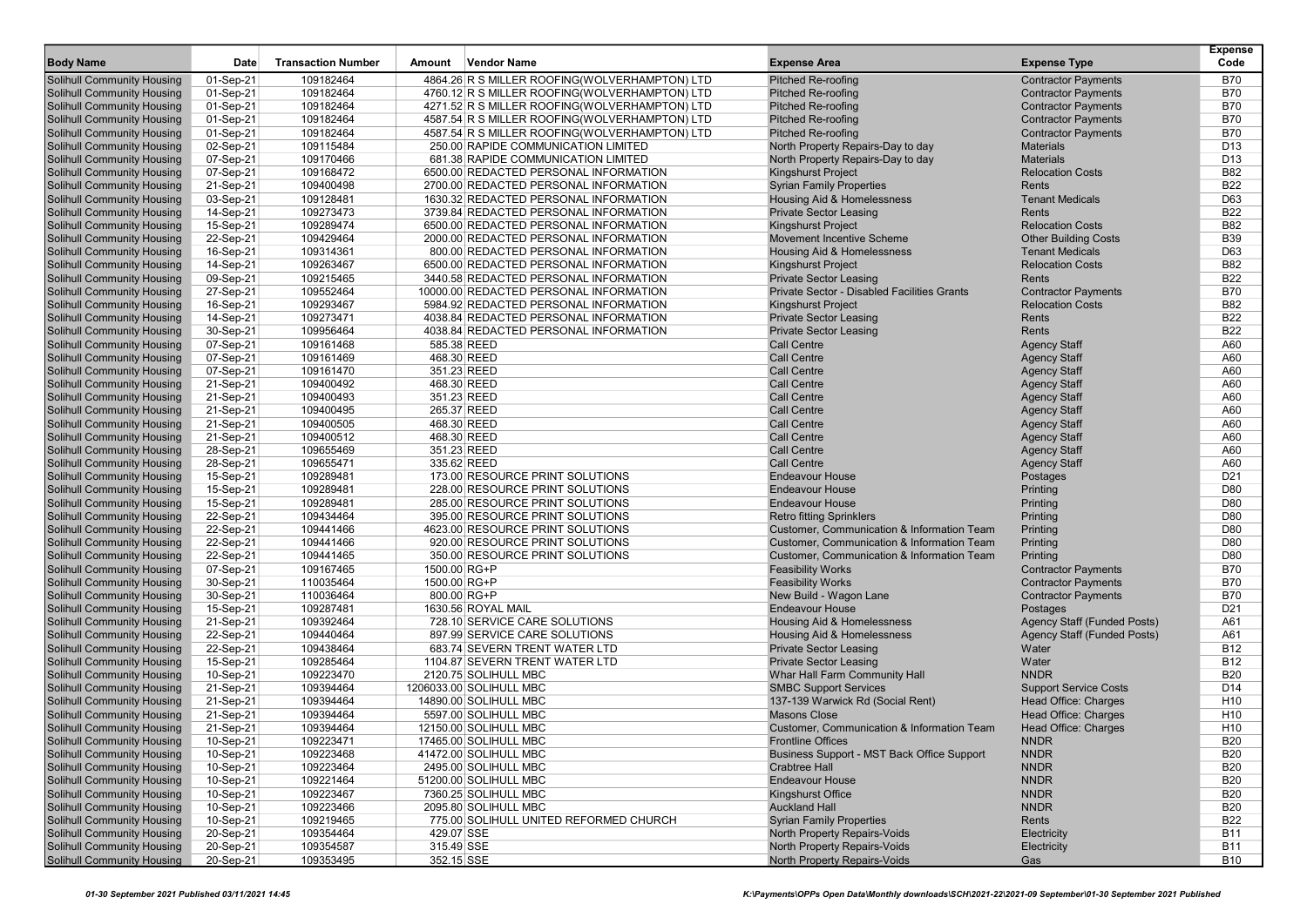| <b>Body Name</b>                  | <b>Date</b> | <b>Transaction Number</b> | Amount       | Vendor Name                                   | <b>Expense Area</b>                         | <b>Expense Type</b>          | <b>Expense</b><br>Code |
|-----------------------------------|-------------|---------------------------|--------------|-----------------------------------------------|---------------------------------------------|------------------------------|------------------------|
| <b>Solihull Community Housing</b> | 01-Sep-21   | 109182464                 |              | 4864.26 R S MILLER ROOFING(WOLVERHAMPTON) LTD | Pitched Re-roofing                          | <b>Contractor Payments</b>   | <b>B70</b>             |
| <b>Solihull Community Housing</b> | 01-Sep-21   | 109182464                 |              | 4760.12 R S MILLER ROOFING(WOLVERHAMPTON) LTD | <b>Pitched Re-roofing</b>                   | <b>Contractor Payments</b>   | <b>B70</b>             |
| <b>Solihull Community Housing</b> | 01-Sep-21   | 109182464                 |              | 4271.52 R S MILLER ROOFING(WOLVERHAMPTON) LTD | <b>Pitched Re-roofing</b>                   | <b>Contractor Payments</b>   | <b>B70</b>             |
| <b>Solihull Community Housing</b> | 01-Sep-21   | 109182464                 |              | 4587.54 R S MILLER ROOFING(WOLVERHAMPTON) LTD | <b>Pitched Re-roofing</b>                   | <b>Contractor Payments</b>   | <b>B70</b>             |
| <b>Solihull Community Housing</b> | 01-Sep-21   | 109182464                 |              | 4587.54 R S MILLER ROOFING(WOLVERHAMPTON) LTD | <b>Pitched Re-roofing</b>                   | <b>Contractor Payments</b>   | <b>B70</b>             |
| <b>Solihull Community Housing</b> | 02-Sep-21   | 109115484                 |              | 250.00 RAPIDE COMMUNICATION LIMITED           | North Property Repairs-Day to day           | <b>Materials</b>             | D <sub>13</sub>        |
| <b>Solihull Community Housing</b> | 07-Sep-21   | 109170466                 |              | 681.38 RAPIDE COMMUNICATION LIMITED           | North Property Repairs-Day to day           | <b>Materials</b>             | D <sub>13</sub>        |
| <b>Solihull Community Housing</b> | 07-Sep-21   | 109168472                 |              | 6500.00 REDACTED PERSONAL INFORMATION         | <b>Kingshurst Project</b>                   | <b>Relocation Costs</b>      | <b>B82</b>             |
| <b>Solihull Community Housing</b> | 21-Sep-21   | 109400498                 |              | 2700.00 REDACTED PERSONAL INFORMATION         | <b>Syrian Family Properties</b>             | Rents                        | <b>B22</b>             |
| <b>Solihull Community Housing</b> | 03-Sep-21   | 109128481                 |              | 1630.32 REDACTED PERSONAL INFORMATION         | Housing Aid & Homelessness                  | <b>Tenant Medicals</b>       | D63                    |
| <b>Solihull Community Housing</b> | 14-Sep-21   | 109273473                 |              | 3739.84 REDACTED PERSONAL INFORMATION         | <b>Private Sector Leasing</b>               | Rents                        | <b>B22</b>             |
| <b>Solihull Community Housing</b> | 15-Sep-21   | 109289474                 |              | 6500.00 REDACTED PERSONAL INFORMATION         | <b>Kingshurst Project</b>                   | <b>Relocation Costs</b>      | <b>B82</b>             |
| <b>Solihull Community Housing</b> | 22-Sep-21   | 109429464                 |              | 2000.00 REDACTED PERSONAL INFORMATION         | Movement Incentive Scheme                   | <b>Other Building Costs</b>  | <b>B39</b>             |
| <b>Solihull Community Housing</b> | 16-Sep-21   | 109314361                 |              | 800.00 REDACTED PERSONAL INFORMATION          | Housing Aid & Homelessness                  | <b>Tenant Medicals</b>       | D63                    |
| <b>Solihull Community Housing</b> | 14-Sep-21   | 109263467                 |              | 6500.00 REDACTED PERSONAL INFORMATION         | <b>Kingshurst Project</b>                   | <b>Relocation Costs</b>      | <b>B82</b>             |
| <b>Solihull Community Housing</b> | 09-Sep-21   | 109215465                 |              | 3440.58 REDACTED PERSONAL INFORMATION         | <b>Private Sector Leasing</b>               | Rents                        | <b>B22</b>             |
| <b>Solihull Community Housing</b> | 27-Sep-21   | 109552464                 |              | 10000.00 REDACTED PERSONAL INFORMATION        | Private Sector - Disabled Facilities Grants | <b>Contractor Payments</b>   | <b>B70</b>             |
| <b>Solihull Community Housing</b> | 16-Sep-21   | 109293467                 |              | 5984.92 REDACTED PERSONAL INFORMATION         | Kingshurst Project                          | <b>Relocation Costs</b>      | <b>B82</b>             |
| <b>Solihull Community Housing</b> | 14-Sep-21   | 109273471                 |              | 4038.84 REDACTED PERSONAL INFORMATION         | <b>Private Sector Leasing</b>               | Rents                        | <b>B22</b>             |
| <b>Solihull Community Housing</b> | 30-Sep-21   | 109956464                 |              | 4038.84 REDACTED PERSONAL INFORMATION         | <b>Private Sector Leasing</b>               | Rents                        | <b>B22</b>             |
| <b>Solihull Community Housing</b> | 07-Sep-21   | 109161468                 |              | 585.38 REED                                   | <b>Call Centre</b>                          | <b>Agency Staff</b>          | A60                    |
| <b>Solihull Community Housing</b> | 07-Sep-21   | 109161469                 |              | 468.30 REED                                   | <b>Call Centre</b>                          | <b>Agency Staff</b>          | A60                    |
| <b>Solihull Community Housing</b> | 07-Sep-21   | 109161470                 |              | 351.23 REED                                   | <b>Call Centre</b>                          | <b>Agency Staff</b>          | A60                    |
| <b>Solihull Community Housing</b> | 21-Sep-21   | 109400492                 |              | 468.30 REED                                   | <b>Call Centre</b>                          | <b>Agency Staff</b>          | A60                    |
| <b>Solihull Community Housing</b> | 21-Sep-21   | 109400493                 |              | 351.23 REED                                   | <b>Call Centre</b>                          | <b>Agency Staff</b>          | A60                    |
| <b>Solihull Community Housing</b> | 21-Sep-21   | 109400495                 |              | 265.37 REED                                   | <b>Call Centre</b>                          | <b>Agency Staff</b>          | A60                    |
| <b>Solihull Community Housing</b> | 21-Sep-21   | 109400505                 |              | 468.30 REED                                   | <b>Call Centre</b>                          | <b>Agency Staff</b>          | A60                    |
| <b>Solihull Community Housing</b> | 21-Sep-21   | 109400512                 |              | 468.30 REED                                   | <b>Call Centre</b>                          | <b>Agency Staff</b>          | A60                    |
| <b>Solihull Community Housing</b> | 28-Sep-21   | 109655469                 |              | 351.23 REED                                   | <b>Call Centre</b>                          | <b>Agency Staff</b>          | A60                    |
| <b>Solihull Community Housing</b> | 28-Sep-21   | 109655471                 |              | 335.62 REED                                   | <b>Call Centre</b>                          | <b>Agency Staff</b>          | A60                    |
| <b>Solihull Community Housing</b> | 15-Sep-21   | 109289481                 |              | 173.00 RESOURCE PRINT SOLUTIONS               | <b>Endeavour House</b>                      | Postages                     | D <sub>21</sub>        |
| <b>Solihull Community Housing</b> | 15-Sep-21   | 109289481                 |              | 228.00 RESOURCE PRINT SOLUTIONS               | <b>Endeavour House</b>                      | Printing                     | D80                    |
| <b>Solihull Community Housing</b> | 15-Sep-21   | 109289481                 |              | 285.00 RESOURCE PRINT SOLUTIONS               | <b>Endeavour House</b>                      | Printing                     | D80                    |
| <b>Solihull Community Housing</b> | 22-Sep-21   | 109434464                 |              | 395.00 RESOURCE PRINT SOLUTIONS               | <b>Retro fitting Sprinklers</b>             | Printing                     | D80                    |
| <b>Solihull Community Housing</b> | 22-Sep-21   | 109441466                 |              | 4623.00 RESOURCE PRINT SOLUTIONS              | Customer, Communication & Information Team  | Printing                     | D80                    |
| <b>Solihull Community Housing</b> | 22-Sep-21   | 109441466                 |              | 920.00 RESOURCE PRINT SOLUTIONS               | Customer, Communication & Information Team  | Printing                     | D80                    |
| <b>Solihull Community Housing</b> | 22-Sep-21   | 109441465                 |              | 350.00 RESOURCE PRINT SOLUTIONS               | Customer, Communication & Information Team  | Printing                     | D80                    |
| <b>Solihull Community Housing</b> | 07-Sep-21   | 109167465                 | 1500.00 RG+P |                                               | <b>Feasibility Works</b>                    | <b>Contractor Payments</b>   | <b>B70</b>             |
| <b>Solihull Community Housing</b> | 30-Sep-21   | 110035464                 | 1500.00 RG+P |                                               | <b>Feasibility Works</b>                    | <b>Contractor Payments</b>   | <b>B70</b>             |
| <b>Solihull Community Housing</b> | 30-Sep-21   | 110036464                 |              | 800.00 RG+P                                   | New Build - Wagon Lane                      | <b>Contractor Payments</b>   | <b>B70</b>             |
| <b>Solihull Community Housing</b> | 15-Sep-21   | 109287481                 |              | 1630.56 ROYAL MAIL                            | <b>Endeavour House</b>                      | Postages                     | D <sub>21</sub>        |
| <b>Solihull Community Housing</b> | 21-Sep-21   | 109392464                 |              | 728.10 SERVICE CARE SOLUTIONS                 | Housing Aid & Homelessness                  | Agency Staff (Funded Posts)  | A61                    |
| <b>Solihull Community Housing</b> | 22-Sep-21   | 109440464                 |              | 897.99 SERVICE CARE SOLUTIONS                 | <b>Housing Aid &amp; Homelessness</b>       | Agency Staff (Funded Posts)  | A61                    |
| <b>Solihull Community Housing</b> | 22-Sep-21   | 109438464                 |              | 683.74 SEVERN TRENT WATER LTD                 | <b>Private Sector Leasing</b>               | Water                        | <b>B12</b>             |
| <b>Solihull Community Housing</b> | 15-Sep-21   | 109285464                 |              | 1104.87 SEVERN TRENT WATER LTD                | <b>Private Sector Leasing</b>               | Water                        | <b>B12</b>             |
| <b>Solihull Community Housing</b> | 10-Sep-21   | 109223470                 |              | 2120.75 SOLIHULL MBC                          | Whar Hall Farm Community Hall               | <b>NNDR</b>                  | <b>B20</b>             |
| <b>Solihull Community Housing</b> | 21-Sep-21   | 109394464                 |              | 1206033.00 SOLIHULL MBC                       | <b>SMBC Support Services</b>                | <b>Support Service Costs</b> | D14                    |
| <b>Solihull Community Housing</b> | 21-Sep-21   | 109394464                 |              | 14890.00 SOLIHULL MBC                         | 137-139 Warwick Rd (Social Rent)            | Head Office: Charges         | H <sub>10</sub>        |
| <b>Solihull Community Housing</b> | 21-Sep-21   | 109394464                 |              | 5597.00 SOLIHULL MBC                          | Masons Close                                | Head Office: Charges         | H <sub>10</sub>        |
| <b>Solihull Community Housing</b> | 21-Sep-21   | 109394464                 |              | 12150.00 SOLIHULL MBC                         | Customer, Communication & Information Team  | Head Office: Charges         | H <sub>10</sub>        |
| <b>Solihull Community Housing</b> | 10-Sep-21   | 109223471                 |              | 17465.00 SOLIHULL MBC                         | <b>Frontline Offices</b>                    | <b>NNDR</b>                  | <b>B20</b>             |
| <b>Solihull Community Housing</b> | 10-Sep-21   | 109223468                 |              | 41472.00 SOLIHULL MBC                         | Business Support - MST Back Office Support  | <b>NNDR</b>                  | <b>B20</b>             |
| <b>Solihull Community Housing</b> | 10-Sep-21   | 109223464                 |              | 2495.00 SOLIHULL MBC                          | <b>Crabtree Hall</b>                        | <b>NNDR</b>                  | <b>B20</b>             |
| Solihull Community Housing        | 10-Sep-21   | 109221464                 |              | 51200.00 SOLIHULL MBC                         | <b>Endeavour House</b>                      | <b>NNDR</b>                  | <b>B20</b>             |
| <b>Solihull Community Housing</b> | 10-Sep-21   | 109223467                 |              | 7360.25 SOLIHULL MBC                          | Kingshurst Office                           | <b>NNDR</b>                  | <b>B20</b>             |
| <b>Solihull Community Housing</b> | 10-Sep-21   | 109223466                 |              | 2095.80 SOLIHULL MBC                          | <b>Auckland Hall</b>                        | <b>NNDR</b>                  | <b>B20</b>             |
| <b>Solihull Community Housing</b> | 10-Sep-21   | 109219465                 |              | 775.00 SOLIHULL UNITED REFORMED CHURCH        | <b>Syrian Family Properties</b>             | Rents                        | <b>B22</b>             |
| <b>Solihull Community Housing</b> | 20-Sep-21   | 109354464                 | 429.07 SSE   |                                               | North Property Repairs-Voids                | Electricity                  | <b>B11</b>             |
| <b>Solihull Community Housing</b> | 20-Sep-21   | 109354587                 | 315.49 SSE   |                                               | North Property Repairs-Voids                | Electricity                  | <b>B11</b>             |
| <b>Solihull Community Housing</b> | 20-Sep-21   | 109353495                 | 352.15 SSE   |                                               | North Property Repairs-Voids                | Gas                          | <b>B10</b>             |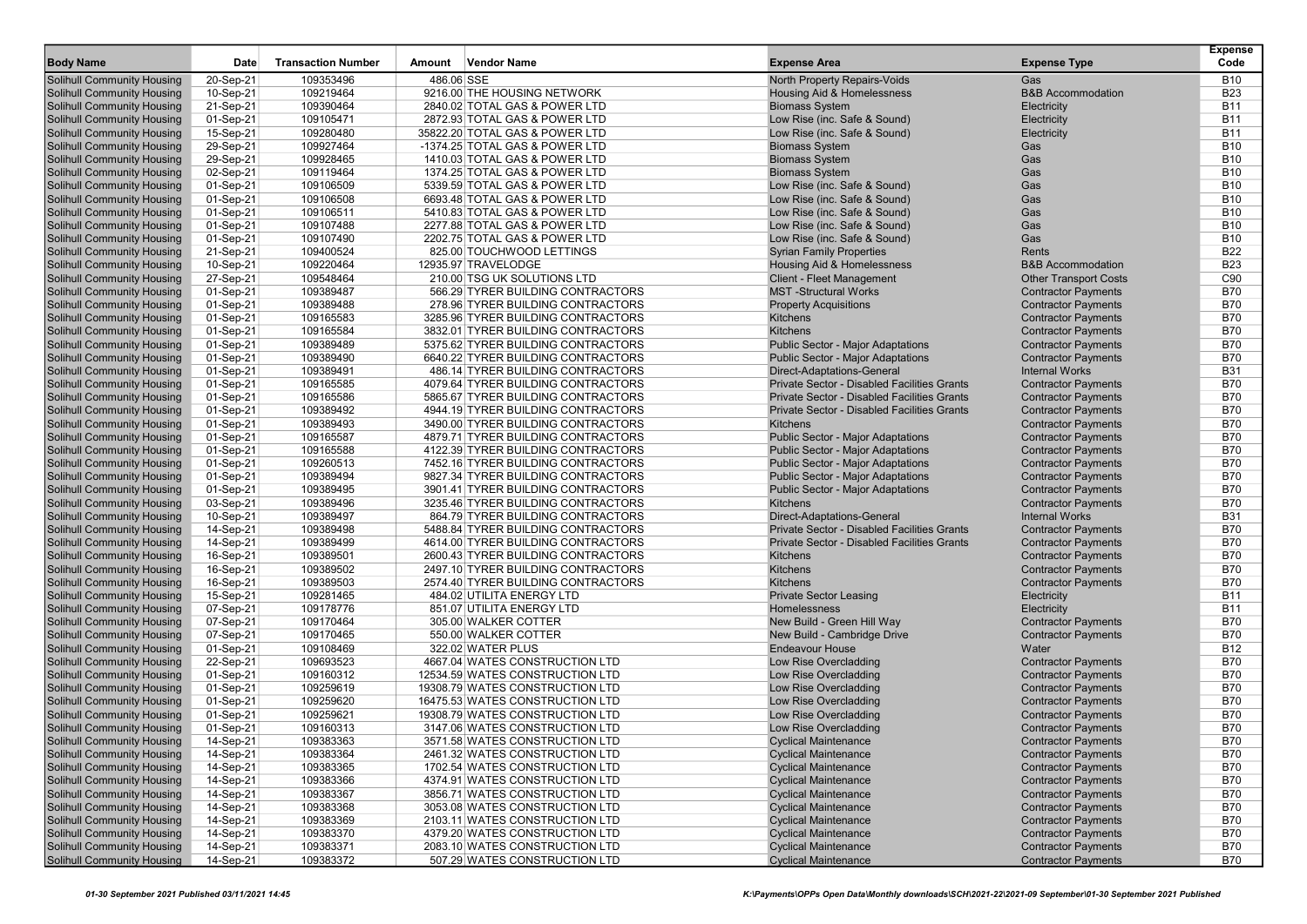| <b>Body Name</b>                                                       | Date                   | <b>Transaction Number</b> | Amount     | <b>Vendor Name</b>                                               | <b>Expense Area</b>                                          | <b>Expense Type</b>          | <b>Expense</b><br>Code   |
|------------------------------------------------------------------------|------------------------|---------------------------|------------|------------------------------------------------------------------|--------------------------------------------------------------|------------------------------|--------------------------|
|                                                                        |                        |                           |            |                                                                  |                                                              |                              |                          |
| <b>Solihull Community Housing</b>                                      | 20-Sep-21              | 109353496                 | 486.06 SSE |                                                                  | North Property Repairs-Voids                                 | Gas                          | <b>B10</b>               |
| <b>Solihull Community Housing</b>                                      | 10-Sep-21              | 109219464                 |            | 9216.00 THE HOUSING NETWORK                                      | Housing Aid & Homelessness                                   | <b>B&amp;B Accommodation</b> | <b>B23</b>               |
| <b>Solihull Community Housing</b>                                      | 21-Sep-21              | 109390464                 |            | 2840.02 TOTAL GAS & POWER LTD                                    | <b>Biomass System</b>                                        | Electricity                  | <b>B11</b>               |
| <b>Solihull Community Housing</b><br><b>Solihull Community Housing</b> | 01-Sep-21              | 109105471                 |            | 2872.93 TOTAL GAS & POWER LTD                                    | Low Rise (inc. Safe & Sound)<br>Low Rise (inc. Safe & Sound) | Electricity                  | <b>B11</b><br><b>B11</b> |
|                                                                        | 15-Sep-21<br>29-Sep-21 | 109280480<br>109927464    |            | 35822.20 TOTAL GAS & POWER LTD<br>-1374.25 TOTAL GAS & POWER LTD | <b>Biomass System</b>                                        | Electricity<br>Gas           | <b>B10</b>               |
| <b>Solihull Community Housing</b>                                      |                        | 109928465                 |            |                                                                  |                                                              | Gas                          | <b>B10</b>               |
| <b>Solihull Community Housing</b><br><b>Solihull Community Housing</b> | 29-Sep-21<br>02-Sep-21 | 109119464                 |            | 1410.03 TOTAL GAS & POWER LTD<br>1374.25 TOTAL GAS & POWER LTD   | <b>Biomass System</b><br><b>Biomass System</b>               | Gas                          | <b>B10</b>               |
| <b>Solihull Community Housing</b>                                      | 01-Sep-21              | 109106509                 |            | 5339.59 TOTAL GAS & POWER LTD                                    | Low Rise (inc. Safe & Sound)                                 | Gas                          | <b>B10</b>               |
| <b>Solihull Community Housing</b>                                      | 01-Sep-21              | 109106508                 |            | 6693.48 TOTAL GAS & POWER LTD                                    | Low Rise (inc. Safe & Sound)                                 | Gas                          | <b>B10</b>               |
| <b>Solihull Community Housing</b>                                      | 01-Sep-21              | 109106511                 |            | 5410.83 TOTAL GAS & POWER LTD                                    | Low Rise (inc. Safe & Sound)                                 | Gas                          | <b>B10</b>               |
| <b>Solihull Community Housing</b>                                      | 01-Sep-21              | 109107488                 |            | 2277.88 TOTAL GAS & POWER LTD                                    | Low Rise (inc. Safe & Sound)                                 | Gas                          | <b>B10</b>               |
| <b>Solihull Community Housing</b>                                      | 01-Sep-21              | 109107490                 |            | 2202.75 TOTAL GAS & POWER LTD                                    | Low Rise (inc. Safe & Sound)                                 | Gas                          | <b>B10</b>               |
| <b>Solihull Community Housing</b>                                      | 21-Sep-21              | 109400524                 |            | 825.00 TOUCHWOOD LETTINGS                                        | <b>Syrian Family Properties</b>                              | Rents                        | <b>B22</b>               |
| <b>Solihull Community Housing</b>                                      | 10-Sep-21              | 109220464                 |            | 12935.97 TRAVELODGE                                              | Housing Aid & Homelessness                                   | <b>B&amp;B</b> Accommodation | <b>B23</b>               |
| <b>Solihull Community Housing</b>                                      | 27-Sep-21              | 109548464                 |            | 210.00 TSG UK SOLUTIONS LTD                                      | <b>Client - Fleet Management</b>                             | <b>Other Transport Costs</b> | C <sub>90</sub>          |
| <b>Solihull Community Housing</b>                                      | 01-Sep-21              | 109389487                 |            | 566.29 TYRER BUILDING CONTRACTORS                                | <b>MST-Structural Works</b>                                  | <b>Contractor Payments</b>   | <b>B70</b>               |
| <b>Solihull Community Housing</b>                                      | 01-Sep-21              | 109389488                 |            | 278.96 TYRER BUILDING CONTRACTORS                                | <b>Property Acquisitions</b>                                 | <b>Contractor Payments</b>   | <b>B70</b>               |
| <b>Solihull Community Housing</b>                                      | 01-Sep-21              | 109165583                 |            | 3285.96 TYRER BUILDING CONTRACTORS                               | Kitchens                                                     | <b>Contractor Payments</b>   | <b>B70</b>               |
| <b>Solihull Community Housing</b>                                      | 01-Sep-21              | 109165584                 |            | 3832.01 TYRER BUILDING CONTRACTORS                               | Kitchens                                                     | <b>Contractor Payments</b>   | <b>B70</b>               |
| <b>Solihull Community Housing</b>                                      | 01-Sep-21              | 109389489                 |            | 5375.62 TYRER BUILDING CONTRACTORS                               | <b>Public Sector - Major Adaptations</b>                     | <b>Contractor Payments</b>   | <b>B70</b>               |
| <b>Solihull Community Housing</b>                                      | 01-Sep-21              | 109389490                 |            | 6640.22 TYRER BUILDING CONTRACTORS                               | <b>Public Sector - Major Adaptations</b>                     | <b>Contractor Payments</b>   | <b>B70</b>               |
| <b>Solihull Community Housing</b>                                      | 01-Sep-21              | 109389491                 |            | 486.14 TYRER BUILDING CONTRACTORS                                | Direct-Adaptations-General                                   | <b>Internal Works</b>        | <b>B31</b>               |
| <b>Solihull Community Housing</b>                                      | 01-Sep-21              | 109165585                 |            | 4079.64 TYRER BUILDING CONTRACTORS                               | <b>Private Sector - Disabled Facilities Grants</b>           | <b>Contractor Payments</b>   | <b>B70</b>               |
| <b>Solihull Community Housing</b>                                      | 01-Sep-21              | 109165586                 |            | 5865.67 TYRER BUILDING CONTRACTORS                               | Private Sector - Disabled Facilities Grants                  | <b>Contractor Payments</b>   | <b>B70</b>               |
| <b>Solihull Community Housing</b>                                      | 01-Sep-21              | 109389492                 |            | 4944.19 TYRER BUILDING CONTRACTORS                               | Private Sector - Disabled Facilities Grants                  | <b>Contractor Payments</b>   | <b>B70</b>               |
| <b>Solihull Community Housing</b>                                      | 01-Sep-21              | 109389493                 |            | 3490.00 TYRER BUILDING CONTRACTORS                               | <b>Kitchens</b>                                              | <b>Contractor Payments</b>   | <b>B70</b>               |
| <b>Solihull Community Housing</b>                                      | 01-Sep-21              | 109165587                 |            | 4879.71 TYRER BUILDING CONTRACTORS                               | <b>Public Sector - Major Adaptations</b>                     | <b>Contractor Payments</b>   | <b>B70</b>               |
| <b>Solihull Community Housing</b>                                      | 01-Sep-21              | 109165588                 |            | 4122.39 TYRER BUILDING CONTRACTORS                               | <b>Public Sector - Major Adaptations</b>                     | <b>Contractor Payments</b>   | <b>B70</b>               |
| <b>Solihull Community Housing</b>                                      | 01-Sep-21              | 109260513                 |            | 7452.16 TYRER BUILDING CONTRACTORS                               | <b>Public Sector - Major Adaptations</b>                     | <b>Contractor Payments</b>   | <b>B70</b>               |
| <b>Solihull Community Housing</b>                                      | 01-Sep-21              | 109389494                 |            | 9827.34 TYRER BUILDING CONTRACTORS                               | <b>Public Sector - Major Adaptations</b>                     | <b>Contractor Payments</b>   | <b>B70</b>               |
| <b>Solihull Community Housing</b>                                      | 01-Sep-21              | 109389495                 |            | 3901.41 TYRER BUILDING CONTRACTORS                               | <b>Public Sector - Major Adaptations</b>                     | <b>Contractor Payments</b>   | <b>B70</b>               |
| <b>Solihull Community Housing</b>                                      | 03-Sep-21              | 109389496                 |            | 3235.46 TYRER BUILDING CONTRACTORS                               | Kitchens                                                     | <b>Contractor Payments</b>   | <b>B70</b>               |
| <b>Solihull Community Housing</b>                                      | 10-Sep-21              | 109389497                 |            | 864.79 TYRER BUILDING CONTRACTORS                                | Direct-Adaptations-General                                   | <b>Internal Works</b>        | <b>B31</b>               |
| <b>Solihull Community Housing</b>                                      | 14-Sep-21              | 109389498                 |            | 5488.84 TYRER BUILDING CONTRACTORS                               | Private Sector - Disabled Facilities Grants                  | <b>Contractor Payments</b>   | <b>B70</b>               |
| <b>Solihull Community Housing</b>                                      | 14-Sep-21              | 109389499                 |            | 4614.00 TYRER BUILDING CONTRACTORS                               | <b>Private Sector - Disabled Facilities Grants</b>           | <b>Contractor Payments</b>   | <b>B70</b>               |
| <b>Solihull Community Housing</b>                                      | 16-Sep-21              | 109389501                 |            | 2600.43 TYRER BUILDING CONTRACTORS                               | <b>Kitchens</b>                                              | <b>Contractor Payments</b>   | <b>B70</b>               |
| <b>Solihull Community Housing</b>                                      | 16-Sep-21              | 109389502                 |            | 2497.10 TYRER BUILDING CONTRACTORS                               | Kitchens                                                     | <b>Contractor Payments</b>   | <b>B70</b>               |
| <b>Solihull Community Housing</b>                                      | 16-Sep-21              | 109389503                 |            | 2574.40 TYRER BUILDING CONTRACTORS                               | Kitchens                                                     | <b>Contractor Payments</b>   | <b>B70</b>               |
| <b>Solihull Community Housing</b>                                      | 15-Sep-21              | 109281465                 |            | 484.02 UTILITA ENERGY LTD                                        | <b>Private Sector Leasing</b>                                | Electricity                  | <b>B11</b>               |
| <b>Solihull Community Housing</b>                                      | 07-Sep-21              | 109178776                 |            | 851.07 UTILITA ENERGY LTD                                        | Homelessness                                                 | Electricity                  | <b>B11</b>               |
| <b>Solihull Community Housing</b>                                      | 07-Sep-21              | 109170464                 |            | 305.00 WALKER COTTER                                             | New Build - Green Hill Way                                   | <b>Contractor Payments</b>   | <b>B70</b>               |
| <b>Solihull Community Housing</b>                                      | 07-Sep-21              | 109170465                 |            | 550.00 WALKER COTTER                                             | New Build - Cambridge Drive                                  | <b>Contractor Payments</b>   | <b>B70</b>               |
| <b>Solihull Community Housing</b>                                      | 01-Sep-21              | 109108469                 |            | 322.02 WATER PLUS                                                | <b>Endeavour House</b>                                       | Water                        | <b>B12</b>               |
| <b>Solihull Community Housing</b>                                      | 22-Sep-21              | 109693523                 |            | 4667.04 WATES CONSTRUCTION LTD                                   | Low Rise Overcladding                                        | <b>Contractor Payments</b>   | <b>B70</b>               |
| <b>Solihull Community Housing</b>                                      | 01-Sep-21              | 109160312                 |            | 12534.59 WATES CONSTRUCTION LTD                                  | Low Rise Overcladding                                        | <b>Contractor Payments</b>   | <b>B70</b>               |
| <b>Solihull Community Housing</b>                                      | 01-Sep-21              | 109259619                 |            | 19308.79 WATES CONSTRUCTION LTD                                  | Low Rise Overcladding                                        | <b>Contractor Payments</b>   | <b>B70</b>               |
| <b>Solihull Community Housing</b>                                      | 01-Sep-21              | 109259620                 |            | 16475.53 WATES CONSTRUCTION LTD                                  | Low Rise Overcladding                                        | <b>Contractor Payments</b>   | <b>B70</b>               |
| <b>Solihull Community Housing</b>                                      | 01-Sep-21              | 109259621                 |            | 19308.79 WATES CONSTRUCTION LTD                                  | Low Rise Overcladding                                        | <b>Contractor Payments</b>   | <b>B70</b>               |
| <b>Solihull Community Housing</b>                                      | 01-Sep-21              | 109160313                 |            | 3147.06 WATES CONSTRUCTION LTD                                   | Low Rise Overcladding                                        | <b>Contractor Payments</b>   | <b>B70</b>               |
| <b>Solihull Community Housing</b>                                      | 14-Sep-21              | 109383363                 |            | 3571.58 WATES CONSTRUCTION LTD                                   | <b>Cyclical Maintenance</b>                                  | <b>Contractor Payments</b>   | <b>B70</b>               |
| <b>Solihull Community Housing</b>                                      | 14-Sep-21              | 109383364                 |            | 2461.32 WATES CONSTRUCTION LTD                                   | <b>Cyclical Maintenance</b>                                  | <b>Contractor Payments</b>   | <b>B70</b>               |
| <b>Solihull Community Housing</b>                                      | 14-Sep-21              | 109383365                 |            | 1702.54 WATES CONSTRUCTION LTD                                   | <b>Cyclical Maintenance</b>                                  | <b>Contractor Payments</b>   | <b>B70</b>               |
| <b>Solihull Community Housing</b>                                      | 14-Sep-21              | 109383366                 |            | 4374.91 WATES CONSTRUCTION LTD                                   | <b>Cyclical Maintenance</b>                                  | <b>Contractor Payments</b>   | <b>B70</b>               |
| <b>Solihull Community Housing</b>                                      | 14-Sep-21              | 109383367                 |            | 3856.71 WATES CONSTRUCTION LTD                                   | <b>Cyclical Maintenance</b>                                  | <b>Contractor Payments</b>   | <b>B70</b>               |
| <b>Solihull Community Housing</b>                                      | 14-Sep-21              | 109383368                 |            | 3053.08 WATES CONSTRUCTION LTD                                   | <b>Cyclical Maintenance</b>                                  | <b>Contractor Payments</b>   | <b>B70</b>               |
| <b>Solihull Community Housing</b>                                      | 14-Sep-21              | 109383369                 |            | 2103.11 WATES CONSTRUCTION LTD                                   | <b>Cyclical Maintenance</b>                                  | <b>Contractor Payments</b>   | <b>B70</b>               |
| <b>Solihull Community Housing</b>                                      | 14-Sep-21              | 109383370                 |            | 4379.20 WATES CONSTRUCTION LTD                                   | <b>Cyclical Maintenance</b>                                  | <b>Contractor Payments</b>   | B70                      |
| <b>Solihull Community Housing</b>                                      | 14-Sep-21              | 109383371                 |            | 2083.10 WATES CONSTRUCTION LTD                                   | <b>Cyclical Maintenance</b>                                  | <b>Contractor Payments</b>   | <b>B70</b>               |
| <b>Solihull Community Housing</b>                                      | 14-Sep-21              | 109383372                 |            | 507.29 WATES CONSTRUCTION LTD                                    | <b>Cyclical Maintenance</b>                                  | <b>Contractor Payments</b>   | <b>B70</b>               |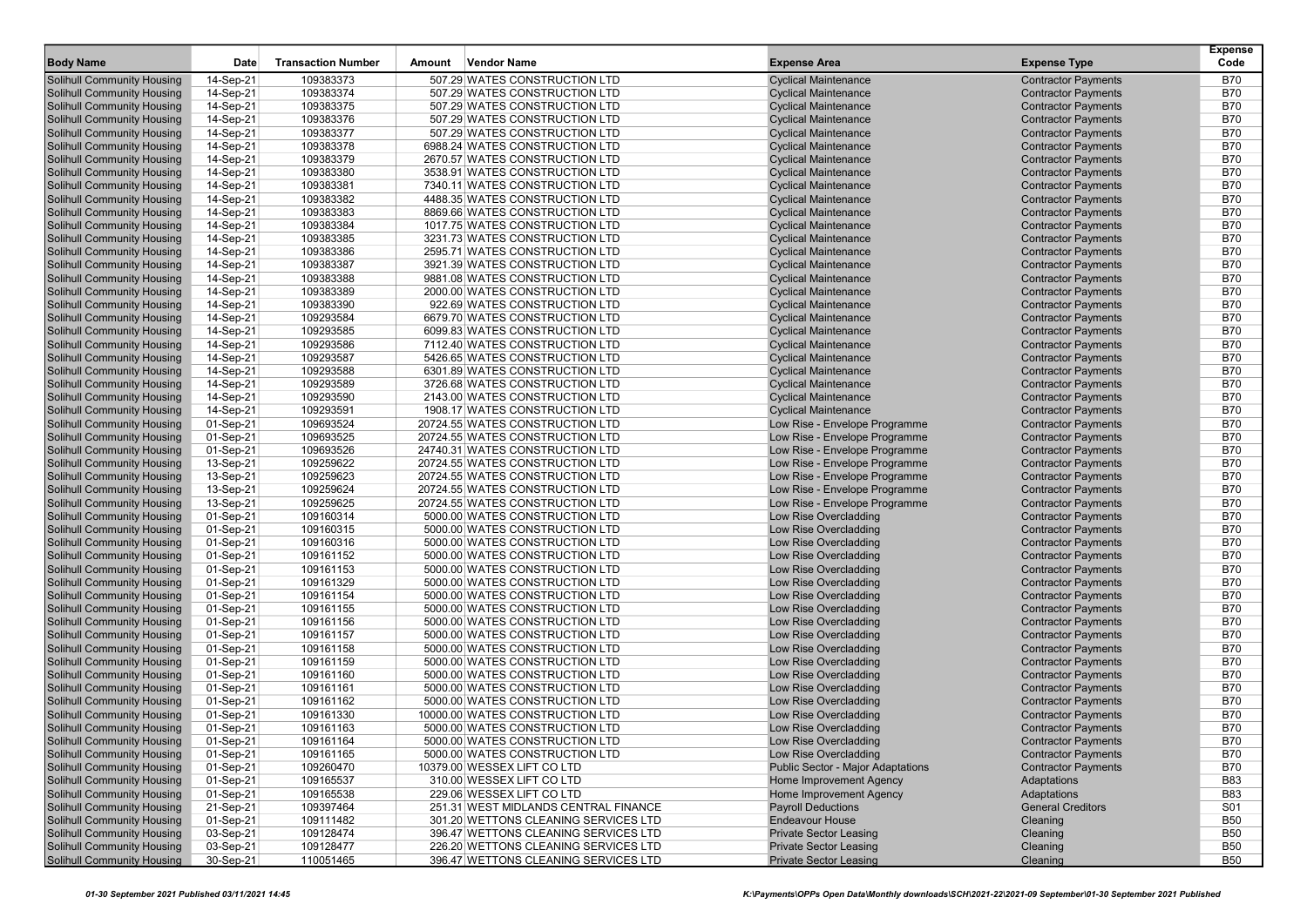|                                                                 |                        |                           |        |                                                                  |                                                            |                                                          | <b>Expense</b>           |
|-----------------------------------------------------------------|------------------------|---------------------------|--------|------------------------------------------------------------------|------------------------------------------------------------|----------------------------------------------------------|--------------------------|
| <b>Body Name</b>                                                | Date                   | <b>Transaction Number</b> | Amount | <b>Vendor Name</b>                                               | <b>Expense Area</b>                                        | <b>Expense Type</b>                                      | Code                     |
| Solihull Community Housing                                      | 14-Sep-21              | 109383373                 |        | 507.29 WATES CONSTRUCTION LTD                                    | <b>Cyclical Maintenance</b>                                | <b>Contractor Payments</b>                               | <b>B70</b>               |
| Solihull Community Housing                                      | 14-Sep-21              | 109383374                 |        | 507.29 WATES CONSTRUCTION LTD                                    | <b>Cyclical Maintenance</b>                                | <b>Contractor Payments</b>                               | <b>B70</b>               |
| <b>Solihull Community Housing</b>                               | 14-Sep-21              | 109383375                 |        | 507.29 WATES CONSTRUCTION LTD                                    | <b>Cyclical Maintenance</b>                                | <b>Contractor Payments</b>                               | <b>B70</b>               |
| <b>Solihull Community Housing</b>                               | 14-Sep-21              | 109383376                 |        | 507.29 WATES CONSTRUCTION LTD                                    | <b>Cyclical Maintenance</b>                                | <b>Contractor Payments</b>                               | <b>B70</b>               |
| <b>Solihull Community Housing</b>                               | 14-Sep-21              | 109383377                 |        | 507.29 WATES CONSTRUCTION LTD                                    | <b>Cyclical Maintenance</b>                                | <b>Contractor Payments</b>                               | <b>B70</b>               |
| <b>Solihull Community Housing</b>                               | 14-Sep-21              | 109383378                 |        | 6988.24 WATES CONSTRUCTION LTD                                   | <b>Cyclical Maintenance</b>                                | <b>Contractor Payments</b>                               | <b>B70</b>               |
| <b>Solihull Community Housing</b>                               | 14-Sep-21              | 109383379                 |        | 2670.57 WATES CONSTRUCTION LTD                                   | <b>Cyclical Maintenance</b>                                | <b>Contractor Payments</b>                               | <b>B70</b>               |
| Solihull Community Housing                                      | 14-Sep-21              | 109383380                 |        | 3538.91 WATES CONSTRUCTION LTD                                   | <b>Cyclical Maintenance</b>                                | <b>Contractor Payments</b>                               | <b>B70</b>               |
| Solihull Community Housing                                      | 14-Sep-21              | 109383381                 |        | 7340.11 WATES CONSTRUCTION LTD                                   | <b>Cyclical Maintenance</b>                                | <b>Contractor Payments</b>                               | <b>B70</b>               |
| <b>Solihull Community Housing</b>                               | 14-Sep-21              | 109383382                 |        | 4488.35 WATES CONSTRUCTION LTD                                   | <b>Cyclical Maintenance</b>                                | <b>Contractor Payments</b>                               | <b>B70</b>               |
| Solihull Community Housing                                      | 14-Sep-21              | 109383383                 |        | 8869.66 WATES CONSTRUCTION LTD                                   | <b>Cyclical Maintenance</b>                                | <b>Contractor Payments</b>                               | <b>B70</b>               |
| <b>Solihull Community Housing</b>                               | 14-Sep-21              | 109383384                 |        | 1017.75 WATES CONSTRUCTION LTD                                   | <b>Cyclical Maintenance</b>                                | <b>Contractor Payments</b>                               | <b>B70</b>               |
| <b>Solihull Community Housing</b>                               | 14-Sep-21              | 109383385                 |        | 3231.73 WATES CONSTRUCTION LTD                                   | <b>Cyclical Maintenance</b>                                | <b>Contractor Payments</b>                               | <b>B70</b>               |
| <b>Solihull Community Housing</b>                               | 14-Sep-21              | 109383386                 |        | 2595.71 WATES CONSTRUCTION LTD                                   | <b>Cyclical Maintenance</b>                                | <b>Contractor Payments</b>                               | <b>B70</b>               |
| Solihull Community Housing                                      | 14-Sep-21              | 109383387                 |        | 3921.39 WATES CONSTRUCTION LTD                                   | <b>Cyclical Maintenance</b>                                | <b>Contractor Payments</b>                               | <b>B70</b><br><b>B70</b> |
| Solihull Community Housing                                      | 14-Sep-21              | 109383388                 |        | 9881.08 WATES CONSTRUCTION LTD                                   | <b>Cyclical Maintenance</b>                                | <b>Contractor Payments</b>                               | <b>B70</b>               |
| <b>Solihull Community Housing</b>                               | 14-Sep-21              | 109383389                 |        | 2000.00 WATES CONSTRUCTION LTD                                   | <b>Cyclical Maintenance</b>                                | <b>Contractor Payments</b>                               | <b>B70</b>               |
| Solihull Community Housing<br><b>Solihull Community Housing</b> | 14-Sep-21              | 109383390<br>109293584    |        | 922.69 WATES CONSTRUCTION LTD<br>6679.70 WATES CONSTRUCTION LTD  | <b>Cyclical Maintenance</b><br><b>Cyclical Maintenance</b> | <b>Contractor Payments</b><br><b>Contractor Payments</b> | <b>B70</b>               |
|                                                                 | 14-Sep-21              |                           |        |                                                                  |                                                            |                                                          | <b>B70</b>               |
| <b>Solihull Community Housing</b>                               | 14-Sep-21              | 109293585<br>109293586    |        | 6099.83 WATES CONSTRUCTION LTD<br>7112.40 WATES CONSTRUCTION LTD | <b>Cyclical Maintenance</b>                                | <b>Contractor Payments</b>                               | <b>B70</b>               |
| Solihull Community Housing<br><b>Solihull Community Housing</b> | 14-Sep-21              | 109293587                 |        | 5426.65 WATES CONSTRUCTION LTD                                   | <b>Cyclical Maintenance</b><br><b>Cyclical Maintenance</b> | <b>Contractor Payments</b>                               | <b>B70</b>               |
| <b>Solihull Community Housing</b>                               | 14-Sep-21<br>14-Sep-21 | 109293588                 |        | 6301.89 WATES CONSTRUCTION LTD                                   | <b>Cyclical Maintenance</b>                                | <b>Contractor Payments</b><br><b>Contractor Payments</b> | <b>B70</b>               |
| <b>Solihull Community Housing</b>                               | 14-Sep-21              | 109293589                 |        | 3726.68 WATES CONSTRUCTION LTD                                   | <b>Cyclical Maintenance</b>                                | <b>Contractor Payments</b>                               | <b>B70</b>               |
| <b>Solihull Community Housing</b>                               | 14-Sep-21              | 109293590                 |        | 2143.00 WATES CONSTRUCTION LTD                                   | <b>Cyclical Maintenance</b>                                | <b>Contractor Payments</b>                               | <b>B70</b>               |
| <b>Solihull Community Housing</b>                               | 14-Sep-21              | 109293591                 |        | 1908.17 WATES CONSTRUCTION LTD                                   | <b>Cyclical Maintenance</b>                                | <b>Contractor Payments</b>                               | <b>B70</b>               |
| Solihull Community Housing                                      | 01-Sep-21              | 109693524                 |        | 20724.55 WATES CONSTRUCTION LTD                                  | Low Rise - Envelope Programme                              | <b>Contractor Payments</b>                               | <b>B70</b>               |
| Solihull Community Housing                                      | 01-Sep-21              | 109693525                 |        | 20724.55 WATES CONSTRUCTION LTD                                  | Low Rise - Envelope Programme                              | <b>Contractor Payments</b>                               | <b>B70</b>               |
| <b>Solihull Community Housing</b>                               | 01-Sep-21              | 109693526                 |        | 24740.31 WATES CONSTRUCTION LTD                                  | Low Rise - Envelope Programme                              | <b>Contractor Payments</b>                               | <b>B70</b>               |
| Solihull Community Housing                                      | 13-Sep-21              | 109259622                 |        | 20724.55 WATES CONSTRUCTION LTD                                  | Low Rise - Envelope Programme                              | <b>Contractor Payments</b>                               | <b>B70</b>               |
| <b>Solihull Community Housing</b>                               | 13-Sep-21              | 109259623                 |        | 20724.55 WATES CONSTRUCTION LTD                                  | Low Rise - Envelope Programme                              | <b>Contractor Payments</b>                               | <b>B70</b>               |
| <b>Solihull Community Housing</b>                               | 13-Sep-21              | 109259624                 |        | 20724.55 WATES CONSTRUCTION LTD                                  | Low Rise - Envelope Programme                              | <b>Contractor Payments</b>                               | <b>B70</b>               |
| <b>Solihull Community Housing</b>                               | 13-Sep-21              | 109259625                 |        | 20724.55 WATES CONSTRUCTION LTD                                  | Low Rise - Envelope Programme                              | <b>Contractor Payments</b>                               | <b>B70</b>               |
| Solihull Community Housing                                      | 01-Sep-21              | 109160314                 |        | 5000.00 WATES CONSTRUCTION LTD                                   | Low Rise Overcladding                                      | <b>Contractor Payments</b>                               | <b>B70</b>               |
| <b>Solihull Community Housing</b>                               | 01-Sep-21              | 109160315                 |        | 5000.00 WATES CONSTRUCTION LTD                                   | Low Rise Overcladding                                      | <b>Contractor Payments</b>                               | <b>B70</b>               |
| <b>Solihull Community Housing</b>                               | 01-Sep-21              | 109160316                 |        | 5000.00 WATES CONSTRUCTION LTD                                   | Low Rise Overcladding                                      | <b>Contractor Payments</b>                               | <b>B70</b>               |
| Solihull Community Housing                                      | 01-Sep-21              | 109161152                 |        | 5000.00 WATES CONSTRUCTION LTD                                   | Low Rise Overcladding                                      | <b>Contractor Payments</b>                               | <b>B70</b>               |
| <b>Solihull Community Housing</b>                               | 01-Sep-21              | 109161153                 |        | 5000.00 WATES CONSTRUCTION LTD                                   | Low Rise Overcladding                                      | <b>Contractor Payments</b>                               | <b>B70</b>               |
| <b>Solihull Community Housing</b>                               | 01-Sep-21              | 109161329                 |        | 5000.00 WATES CONSTRUCTION LTD                                   | Low Rise Overcladding                                      | <b>Contractor Payments</b>                               | <b>B70</b>               |
| Solihull Community Housing                                      | 01-Sep-21              | 109161154                 |        | 5000.00 WATES CONSTRUCTION LTD                                   | Low Rise Overcladding                                      | <b>Contractor Payments</b>                               | <b>B70</b>               |
| <b>Solihull Community Housing</b>                               | 01-Sep-21              | 109161155                 |        | 5000.00 WATES CONSTRUCTION LTD                                   | Low Rise Overcladding                                      | <b>Contractor Payments</b>                               | <b>B70</b>               |
| <b>Solihull Community Housing</b>                               | 01-Sep-21              | 109161156                 |        | 5000.00 WATES CONSTRUCTION LTD                                   | Low Rise Overcladding                                      | <b>Contractor Payments</b>                               | <b>B70</b>               |
| <b>Solihull Community Housing</b>                               | 01-Sep-21              | 109161157                 |        | 5000.00 WATES CONSTRUCTION LTD                                   | Low Rise Overcladding                                      | <b>Contractor Payments</b>                               | <b>B70</b>               |
| <b>Solihull Community Housing</b>                               | 01-Sep-21              | 109161158                 |        | 5000.00 WATES CONSTRUCTION LTD                                   | Low Rise Overcladding                                      | <b>Contractor Payments</b>                               | <b>B70</b>               |
| <b>Solihull Community Housing</b>                               | 01-Sep-21              | 109161159                 |        | 5000.00 WATES CONSTRUCTION LTD                                   | Low Rise Overcladding                                      | <b>Contractor Payments</b>                               | <b>B70</b>               |
| Solihull Community Housing                                      | 01-Sep-21              | 109161160                 |        | 5000.00 WATES CONSTRUCTION LTD                                   | Low Rise Overcladding                                      | <b>Contractor Payments</b>                               | <b>B70</b>               |
| Solihull Community Housing                                      | 01-Sep-21              | 109161161                 |        | 5000.00 WATES CONSTRUCTION LTD                                   | Low Rise Overcladding                                      | <b>Contractor Payments</b>                               | <b>B70</b>               |
| <b>Solihull Community Housing</b>                               | 01-Sep-21              | 109161162                 |        | 5000.00 WATES CONSTRUCTION LTD                                   | Low Rise Overcladding                                      | <b>Contractor Payments</b>                               | <b>B70</b>               |
| Solihull Community Housing                                      | 01-Sep-21              | 109161330                 |        | 10000.00 WATES CONSTRUCTION LTD                                  | Low Rise Overcladding                                      | <b>Contractor Payments</b>                               | <b>B70</b>               |
| <b>Solihull Community Housing</b>                               | 01-Sep-21              | 109161163                 |        | 5000.00 WATES CONSTRUCTION LTD                                   | Low Rise Overcladding                                      | <b>Contractor Payments</b>                               | <b>B70</b>               |
| Solihull Community Housing                                      | 01-Sep-21              | 109161164                 |        | 5000.00 WATES CONSTRUCTION LTD                                   | Low Rise Overcladding                                      | <b>Contractor Payments</b>                               | <b>B70</b>               |
| Solihull Community Housing                                      | 01-Sep-21              | 109161165                 |        | 5000.00 WATES CONSTRUCTION LTD                                   | Low Rise Overcladding                                      | <b>Contractor Payments</b>                               | <b>B70</b>               |
| <b>Solihull Community Housing</b>                               | 01-Sep-21              | 109260470                 |        | 10379.00 WESSEX LIFT CO LTD                                      | <b>Public Sector - Major Adaptations</b>                   | <b>Contractor Payments</b>                               | <b>B70</b>               |
| <b>Solihull Community Housing</b>                               | 01-Sep-21              | 109165537                 |        | 310.00 WESSEX LIFT CO LTD                                        | Home Improvement Agency                                    | Adaptations                                              | <b>B83</b>               |
| Solihull Community Housing                                      | 01-Sep-21              | 109165538                 |        | 229.06 WESSEX LIFT CO LTD                                        | Home Improvement Agency                                    | Adaptations                                              | <b>B83</b>               |
| <b>Solihull Community Housing</b>                               | 21-Sep-21              | 109397464                 |        | 251.31 WEST MIDLANDS CENTRAL FINANCE                             | <b>Payroll Deductions</b>                                  | <b>General Creditors</b>                                 | S01                      |
| <b>Solihull Community Housing</b>                               | 01-Sep-21              | 109111482                 |        | 301.20 WETTONS CLEANING SERVICES LTD                             | <b>Endeavour House</b>                                     | Cleaning                                                 | <b>B50</b>               |
| <b>Solihull Community Housing</b>                               | 03-Sep-21              | 109128474                 |        | 396.47 WETTONS CLEANING SERVICES LTD                             | <b>Private Sector Leasing</b>                              | Cleaning                                                 | <b>B50</b>               |
| <b>Solihull Community Housing</b>                               | 03-Sep-21              | 109128477                 |        | 226.20 WETTONS CLEANING SERVICES LTD                             | <b>Private Sector Leasing</b>                              | Cleaning                                                 | <b>B50</b>               |
| <b>Solihull Community Housing</b>                               | 30-Sep-21              | 110051465                 |        | 396.47 WETTONS CLEANING SERVICES LTD                             | <b>Private Sector Leasing</b>                              | Cleaning                                                 | <b>B50</b>               |